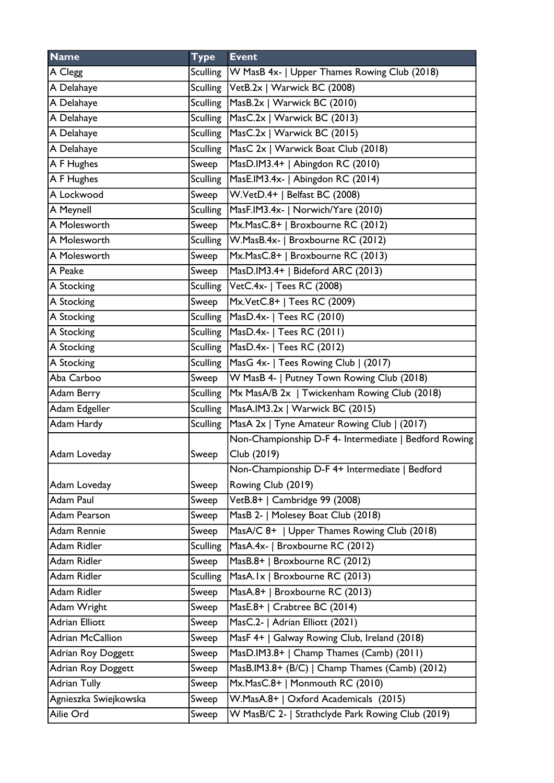| <b>Name</b>               | <b>Type</b>     | <b>Event</b>                                            |
|---------------------------|-----------------|---------------------------------------------------------|
| A Clegg                   |                 | Sculling   W MasB 4x-   Upper Thames Rowing Club (2018) |
| A Delahaye                |                 | Sculling   VetB.2x   Warwick BC (2008)                  |
| A Delahaye                |                 | Sculling   MasB.2x   Warwick BC (2010)                  |
| A Delahaye                | <b>Sculling</b> | MasC.2x   Warwick BC (2013)                             |
| A Delahaye                |                 | Sculling   MasC.2x   Warwick BC (2015)                  |
| A Delahaye                |                 | Sculling   MasC 2x   Warwick Boat Club (2018)           |
| A F Hughes                | Sweep           | MasD.IM3.4+   Abingdon RC (2010)                        |
| A F Hughes                | <b>Sculling</b> | MasE.IM3.4x-   Abingdon RC (2014)                       |
| A Lockwood                | Sweep           | W.VetD.4+   Belfast BC (2008)                           |
| A Meynell                 | <b>Sculling</b> | MasF.IM3.4x-   Norwich/Yare (2010)                      |
| A Molesworth              | Sweep           | Mx.MasC.8+   Broxbourne RC (2012)                       |
| A Molesworth              |                 | Sculling   W. Mas B. 4x -   Broxbourne RC (2012)        |
| A Molesworth              | Sweep           | Mx.MasC.8+   Broxbourne RC (2013)                       |
| A Peake                   | Sweep           | MasD.IM3.4+   Bideford ARC (2013)                       |
| A Stocking                | <b>Sculling</b> | VetC.4x-   Tees RC (2008)                               |
| A Stocking                | Sweep           | Mx.VetC.8+   Tees RC (2009)                             |
| A Stocking                |                 | Sculling   MasD.4x-   Tees RC (2010)                    |
| A Stocking                | Sculling        | MasD.4x-   Tees RC (2011)                               |
| A Stocking                | Sculling        | MasD.4x-   Tees RC (2012)                               |
| A Stocking                |                 | Sculling   MasG 4x-   Tees Rowing Club   (2017)         |
| Aba Carboo                | Sweep           | W MasB 4-   Putney Town Rowing Club (2018)              |
| Adam Berry                | Sculling        | Mx MasA/B 2x   Twickenham Rowing Club (2018)            |
| Adam Edgeller             | <b>Sculling</b> | MasA.IM3.2x   Warwick BC (2015)                         |
| Adam Hardy                | <b>Sculling</b> | MasA 2x   Tyne Amateur Rowing Club   (2017)             |
|                           |                 | Non-Championship D-F 4- Intermediate   Bedford Rowing   |
| Adam Loveday              | Sweep           | Club (2019)                                             |
|                           |                 | Non-Championship D-F 4+ Intermediate   Bedford          |
| Adam Loveday              | Sweep           | Rowing Club (2019)                                      |
| Adam Paul                 | Sweep           | VetB.8+   Cambridge 99 (2008)                           |
| Adam Pearson              | Sweep           | MasB 2-   Molesey Boat Club (2018)                      |
| Adam Rennie               | Sweep           | MasA/C 8+   Upper Thames Rowing Club (2018)             |
| Adam Ridler               | <b>Sculling</b> | MasA.4x-   Broxbourne RC (2012)                         |
| Adam Ridler               | Sweep           | MasB.8+   Broxbourne RC (2012)                          |
| Adam Ridler               | <b>Sculling</b> | MasA.Ix   Broxbourne RC (2013)                          |
| Adam Ridler               | Sweep           | MasA.8+   Broxbourne RC (2013)                          |
| Adam Wright               | Sweep           | MasE.8+   Crabtree BC (2014)                            |
| <b>Adrian Elliott</b>     | Sweep           | MasC.2-   Adrian Elliott (2021)                         |
| <b>Adrian McCallion</b>   | Sweep           | MasF 4+   Galway Rowing Club, Ireland (2018)            |
| <b>Adrian Roy Doggett</b> | Sweep           | MasD.IM3.8+   Champ Thames (Camb) (2011)                |
| <b>Adrian Roy Doggett</b> | Sweep           | MasB.IM3.8+ (B/C)   Champ Thames (Camb) (2012)          |
| <b>Adrian Tully</b>       | Sweep           | Mx.MasC.8+   Monmouth RC (2010)                         |
| Agnieszka Swiejkowska     | Sweep           | W.MasA.8+   Oxford Academicals (2015)                   |
| Ailie Ord                 | Sweep           | W MasB/C 2-   Strathclyde Park Rowing Club (2019)       |
|                           |                 |                                                         |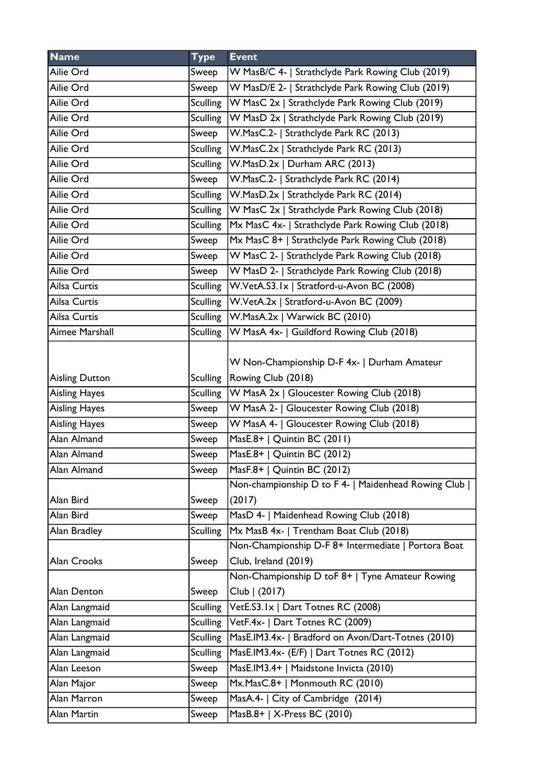| <b>Name</b>           | <b>Type</b>     | <b>Event</b>                                        |
|-----------------------|-----------------|-----------------------------------------------------|
| Ailie Ord             | Sweep           | W MasB/C 4-   Strathclyde Park Rowing Club (2019)   |
| Ailie Ord             | Sweep           | W MasD/E 2-   Strathclyde Park Rowing Club (2019)   |
| Ailie Ord             | <b>Sculling</b> | W MasC 2x   Strathclyde Park Rowing Club (2019)     |
| Ailie Ord             | <b>Sculling</b> | W MasD 2x   Strathclyde Park Rowing Club (2019)     |
| Ailie Ord             | Sweep           | W.MasC.2-   Strathclyde Park RC (2013)              |
| Ailie Ord             | Sculling        | W.MasC.2x   Strathclyde Park RC (2013)              |
| Ailie Ord             | <b>Sculling</b> | W.MasD.2x   Durham ARC (2013)                       |
| Ailie Ord             | Sweep           | W.MasC.2-   Strathclyde Park RC (2014)              |
| Ailie Ord             |                 | Sculling   W.MasD.2x   Strathclyde Park RC (2014)   |
| Ailie Ord             | <b>Sculling</b> | W MasC 2x   Strathclyde Park Rowing Club (2018)     |
| Ailie Ord             | <b>Sculling</b> | Mx MasC 4x-   Strathclyde Park Rowing Club (2018)   |
| Ailie Ord             | Sweep           | Mx MasC 8+   Strathclyde Park Rowing Club (2018)    |
| Ailie Ord             | Sweep           | W MasC 2-   Strathclyde Park Rowing Club (2018)     |
| Ailie Ord             | Sweep           | W MasD 2-   Strathclyde Park Rowing Club (2018)     |
| Ailsa Curtis          | <b>Sculling</b> | W.VetA.S3.1x   Stratford-u-Avon BC (2008)           |
| Ailsa Curtis          | Sculling        | W.VetA.2x   Stratford-u-Avon BC (2009)              |
| Ailsa Curtis          | Sculling        | W.MasA.2x   Warwick BC (2010)                       |
| Aimee Marshall        | <b>Sculling</b> | W MasA 4x-   Guildford Rowing Club (2018)           |
|                       |                 | W Non-Championship D-F 4x-   Durham Amateur         |
| <b>Aisling Dutton</b> | <b>Sculling</b> | Rowing Club (2018)                                  |
| <b>Aisling Hayes</b>  | <b>Sculling</b> | W MasA 2x   Gloucester Rowing Club (2018)           |
| <b>Aisling Hayes</b>  | Sweep           | W MasA 2-   Gloucester Rowing Club (2018)           |
| <b>Aisling Hayes</b>  | Sweep           | W MasA 4-   Gloucester Rowing Club (2018)           |
| Alan Almand           | Sweep           | MasE.8+   Quintin BC (2011)                         |
| Alan Almand           | Sweep           | MasE.8+   Quintin BC (2012)                         |
| Alan Almand           | Sweep           | MasF.8+   Quintin BC (2012)                         |
|                       |                 | Non-championship D to F 4-   Maidenhead Rowing Club |
| Alan Bird             | Sweep           | (2017)                                              |
| Alan Bird             | Sweep           | MasD 4-   Maidenhead Rowing Club (2018)             |
| Alan Bradley          | <b>Sculling</b> | Mx MasB 4x-   Trentham Boat Club (2018)             |
|                       |                 | Non-Championship D-F 8+ Intermediate   Portora Boat |
| Alan Crooks           | Sweep           | Club, Ireland (2019)                                |
|                       |                 | Non-Championship D toF 8+   Tyne Amateur Rowing     |
| Alan Denton           | Sweep           | Club   (2017)                                       |
| Alan Langmaid         | <b>Sculling</b> | VetE.S3.1x   Dart Totnes RC (2008)                  |
| Alan Langmaid         | <b>Sculling</b> | VetF.4x-   Dart Totnes RC (2009)                    |
| Alan Langmaid         | <b>Sculling</b> | MasE.IM3.4x-   Bradford on Avon/Dart-Totnes (2010)  |
| Alan Langmaid         | <b>Sculling</b> | MasE.IM3.4x- (E/F)   Dart Totnes RC (2012)          |
| Alan Leeson           | Sweep           | MasE.IM3.4+   Maidstone Invicta (2010)              |
| Alan Major            | Sweep           | Mx.MasC.8+   Monmouth RC (2010)                     |
| Alan Marron           | Sweep           | MasA.4-   City of Cambridge (2014)                  |
| Alan Martin           | Sweep           | MasB.8+   X-Press BC (2010)                         |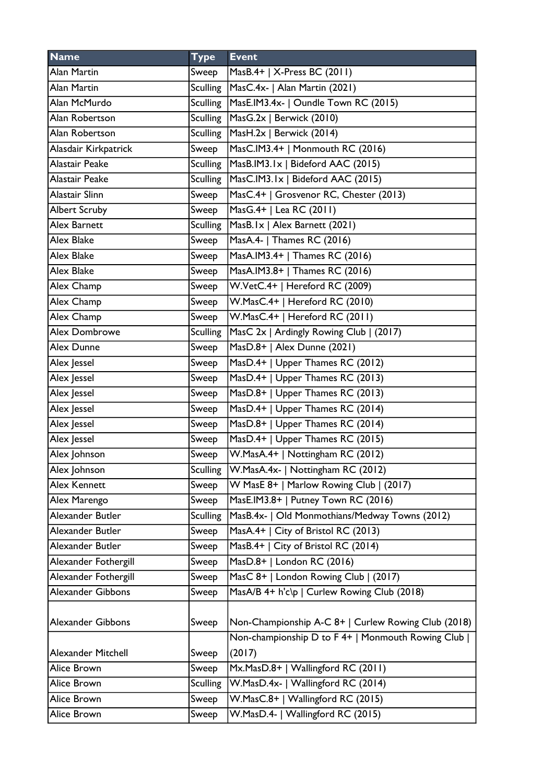| <b>Name</b>          | <b>Type</b>     | <b>Event</b>                                        |
|----------------------|-----------------|-----------------------------------------------------|
| Alan Martin          | Sweep           | MasB.4+   X-Press BC (2011)                         |
| Alan Martin          | <b>Sculling</b> | MasC.4x-   Alan Martin (2021)                       |
| Alan McMurdo         | <b>Sculling</b> | MasE.IM3.4x-   Oundle Town RC (2015)                |
| Alan Robertson       | <b>Sculling</b> | MasG.2x   Berwick (2010)                            |
| Alan Robertson       | <b>Sculling</b> | MasH.2x   Berwick (2014)                            |
| Alasdair Kirkpatrick | Sweep           | MasC.IM3.4+   Monmouth RC (2016)                    |
| Alastair Peake       | <b>Sculling</b> | MasB.IM3.1x   Bideford AAC (2015)                   |
| Alastair Peake       | <b>Sculling</b> | MasC.IM3.1x   Bideford AAC (2015)                   |
| Alastair Slinn       | Sweep           | MasC.4+   Grosvenor RC, Chester (2013)              |
| <b>Albert Scruby</b> | Sweep           | MasG.4+   Lea RC (2011)                             |
| Alex Barnett         | <b>Sculling</b> | MasB.Ix   Alex Barnett (2021)                       |
| Alex Blake           | Sweep           | MasA.4-   Thames RC (2016)                          |
| Alex Blake           | Sweep           | MasA.IM3.4+   Thames RC (2016)                      |
| Alex Blake           | Sweep           | MasA.IM3.8+   Thames RC (2016)                      |
| Alex Champ           | Sweep           | W.VetC.4+   Hereford RC (2009)                      |
| Alex Champ           | Sweep           | W.MasC.4+   Hereford RC (2010)                      |
| Alex Champ           | Sweep           | W.MasC.4+   Hereford RC (2011)                      |
| <b>Alex Dombrowe</b> | <b>Sculling</b> | MasC 2x   Ardingly Rowing Club   (2017)             |
| Alex Dunne           | Sweep           | MasD.8+   Alex Dunne (2021)                         |
| Alex Jessel          | Sweep           | MasD.4+   Upper Thames RC (2012)                    |
| Alex Jessel          | Sweep           | MasD.4+   Upper Thames RC (2013)                    |
| Alex Jessel          | Sweep           | MasD.8+   Upper Thames RC (2013)                    |
| Alex Jessel          | Sweep           | MasD.4+   Upper Thames RC (2014)                    |
| Alex Jessel          | Sweep           | MasD.8+   Upper Thames RC (2014)                    |
| Alex Jessel          | Sweep           | MasD.4+   Upper Thames RC (2015)                    |
| Alex Johnson         | Sweep           | W.MasA.4+   Nottingham RC (2012)                    |
| Alex Johnson         | <b>Sculling</b> | W.MasA.4x-   Nottingham RC (2012)                   |
| Alex Kennett         | Sweep           | W MasE 8+   Marlow Rowing Club   (2017)             |
| Alex Marengo         | Sweep           | MasE.IM3.8+   Putney Town RC (2016)                 |
| Alexander Butler     | <b>Sculling</b> | MasB.4x-   Old Monmothians/Medway Towns (2012)      |
| Alexander Butler     | Sweep           | MasA.4+   City of Bristol RC (2013)                 |
| Alexander Butler     | Sweep           | MasB.4+   City of Bristol RC (2014)                 |
| Alexander Fothergill | Sweep           | MasD.8+   London RC (2016)                          |
| Alexander Fothergill | Sweep           | MasC 8+   London Rowing Club   (2017)               |
| Alexander Gibbons    | Sweep           | MasA/B 4+ h'c\p   Curlew Rowing Club (2018)         |
| Alexander Gibbons    | Sweep           | Non-Championship A-C 8+   Curlew Rowing Club (2018) |
|                      |                 | Non-championship D to F 4+   Monmouth Rowing Club   |
| Alexander Mitchell   | Sweep           | (2017)                                              |
| Alice Brown          | Sweep           | Mx.MasD.8+   Wallingford RC (2011)                  |
| Alice Brown          | <b>Sculling</b> | W.MasD.4x-   Wallingford RC (2014)                  |
| Alice Brown          | Sweep           | W.MasC.8+   Wallingford RC (2015)                   |
| Alice Brown          | Sweep           | W.MasD.4-   Wallingford RC (2015)                   |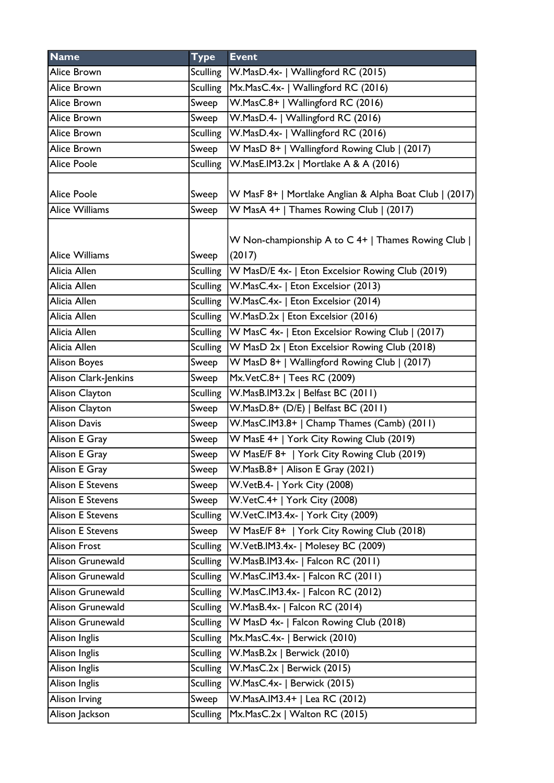| <b>Name</b>             | <b>Type</b>     | <b>Event</b>                                            |
|-------------------------|-----------------|---------------------------------------------------------|
| Alice Brown             | Sculling        | W.MasD.4x-   Wallingford RC (2015)                      |
| Alice Brown             | <b>Sculling</b> | Mx.MasC.4x-   Wallingford RC (2016)                     |
| Alice Brown             | Sweep           | W.MasC.8+   Wallingford RC (2016)                       |
| Alice Brown             | Sweep           | W.MasD.4-   Wallingford RC (2016)                       |
| Alice Brown             | <b>Sculling</b> | W.MasD.4x-   Wallingford RC (2016)                      |
| Alice Brown             | Sweep           | W MasD 8+   Wallingford Rowing Club   (2017)            |
| <b>Alice Poole</b>      | <b>Sculling</b> | W.MasE.IM3.2x   Mortlake A & A (2016)                   |
|                         |                 |                                                         |
| <b>Alice Poole</b>      | Sweep           | W MasF 8+   Mortlake Anglian & Alpha Boat Club   (2017) |
| <b>Alice Williams</b>   | Sweep           | W MasA 4+   Thames Rowing Club   (2017)                 |
|                         |                 | W Non-championship A to C 4+   Thames Rowing Club       |
| <b>Alice Williams</b>   | Sweep           | (2017)                                                  |
| Alicia Allen            | <b>Sculling</b> | W MasD/E 4x-   Eton Excelsior Rowing Club (2019)        |
| Alicia Allen            | <b>Sculling</b> | W.MasC.4x-   Eton Excelsior (2013)                      |
| Alicia Allen            | Sculling        | W.MasC.4x-   Eton Excelsior (2014)                      |
| Alicia Allen            | Sculling        | W.MasD.2x   Eton Excelsior (2016)                       |
| Alicia Allen            | <b>Sculling</b> | W MasC 4x-   Eton Excelsior Rowing Club   (2017)        |
| Alicia Allen            | <b>Sculling</b> | W MasD 2x   Eton Excelsior Rowing Club (2018)           |
| <b>Alison Boyes</b>     | Sweep           | W MasD 8+   Wallingford Rowing Club   (2017)            |
| Alison Clark-Jenkins    | Sweep           | Mx.VetC.8+   Tees RC (2009)                             |
| Alison Clayton          | <b>Sculling</b> | W.MasB.IM3.2x   Belfast BC (2011)                       |
| Alison Clayton          | Sweep           | W.MasD.8+ (D/E)   Belfast BC (2011)                     |
| <b>Alison Davis</b>     | Sweep           | W.MasC.IM3.8+   Champ Thames (Camb) (2011)              |
| Alison E Gray           | Sweep           | W MasE 4+   York City Rowing Club (2019)                |
| Alison E Gray           | Sweep           | W MasE/F 8+   York City Rowing Club (2019)              |
| Alison E Gray           | Sweep           | W.MasB.8+   Alison E Gray (2021)                        |
| <b>Alison E Stevens</b> | Sweep           | W.VetB.4-   York City (2008)                            |
| <b>Alison E Stevens</b> | Sweep           | W.VetC.4+   York City (2008)                            |
| <b>Alison E Stevens</b> | <b>Sculling</b> | W.VetC.IM3.4x-   York City (2009)                       |
| <b>Alison E Stevens</b> | Sweep           | W MasE/F 8+   York City Rowing Club (2018)              |
| <b>Alison Frost</b>     | <b>Sculling</b> | W.VetB.IM3.4x-   Molesey BC (2009)                      |
| Alison Grunewald        | <b>Sculling</b> | W.MasB.IM3.4x-   Falcon RC (2011)                       |
| Alison Grunewald        | <b>Sculling</b> | W.MasC.IM3.4x-   Falcon RC (2011)                       |
| Alison Grunewald        | <b>Sculling</b> | W.MasC.IM3.4x-   Falcon RC (2012)                       |
| Alison Grunewald        | <b>Sculling</b> | W.MasB.4x-   Falcon RC (2014)                           |
| Alison Grunewald        | <b>Sculling</b> | W MasD 4x-   Falcon Rowing Club (2018)                  |
| Alison Inglis           | <b>Sculling</b> | Mx.MasC.4x-   Berwick (2010)                            |
| Alison Inglis           | <b>Sculling</b> | $W.MasB.2x$   Berwick $(2010)$                          |
| Alison Inglis           | <b>Sculling</b> | W.MasC.2x   Berwick (2015)                              |
| Alison Inglis           | <b>Sculling</b> | W.MasC.4x-   Berwick (2015)                             |
| Alison Irving           | Sweep           | W.MasA.IM3.4+   Lea RC (2012)                           |
| Alison Jackson          | <b>Sculling</b> | Mx.MasC.2x   Walton RC (2015)                           |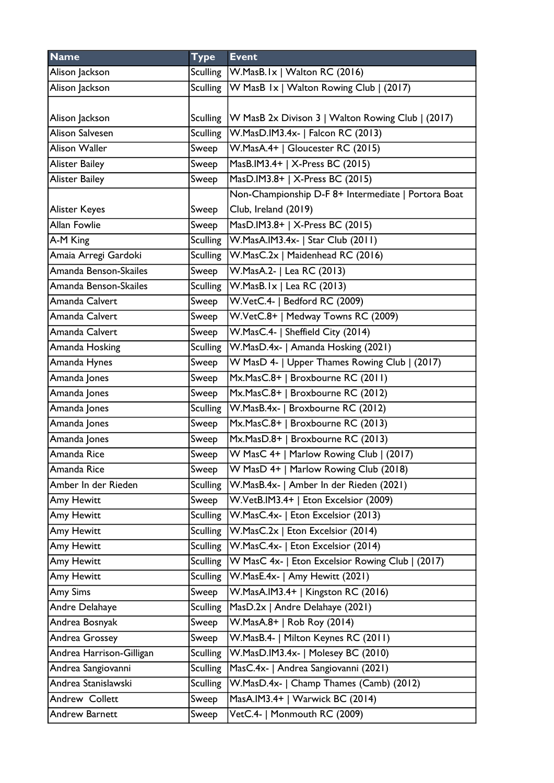| <b>Name</b>              | <b>Type</b>     | <b>Event</b>                                        |
|--------------------------|-----------------|-----------------------------------------------------|
| Alison Jackson           | Sculling        | W.MasB.Ix   Walton RC (2016)                        |
| Alison Jackson           | Sculling        | W MasB 1x   Walton Rowing Club   (2017)             |
| Alison Jackson           | <b>Sculling</b> | W MasB 2x Divison 3   Walton Rowing Club   (2017)   |
| <b>Alison Salvesen</b>   | <b>Sculling</b> | W.MasD.IM3.4x-   Falcon RC (2013)                   |
| <b>Alison Waller</b>     | Sweep           | W.MasA.4+   Gloucester RC (2015)                    |
| <b>Alister Bailey</b>    | Sweep           | MasB.IM3.4+   X-Press BC (2015)                     |
| <b>Alister Bailey</b>    | Sweep           | MasD.IM3.8+   X-Press BC (2015)                     |
|                          |                 | Non-Championship D-F 8+ Intermediate   Portora Boat |
| <b>Alister Keyes</b>     | Sweep           | Club, Ireland (2019)                                |
| Allan Fowlie             | Sweep           | MasD.IM3.8+   X-Press BC (2015)                     |
| A-M King                 | <b>Sculling</b> | W.MasA.IM3.4x-   Star Club (2011)                   |
| Amaia Arregi Gardoki     | <b>Sculling</b> | W.MasC.2x   Maidenhead RC (2016)                    |
| Amanda Benson-Skailes    | Sweep           | W.MasA.2-   Lea RC (2013)                           |
| Amanda Benson-Skailes    | <b>Sculling</b> | $W.MasB.Ix  $ Lea RC (2013)                         |
| Amanda Calvert           | Sweep           | W.VetC.4-   Bedford RC (2009)                       |
| Amanda Calvert           | Sweep           | W.VetC.8+   Medway Towns RC (2009)                  |
| Amanda Calvert           | Sweep           | W.MasC.4-   Sheffield City (2014)                   |
| Amanda Hosking           | <b>Sculling</b> | W.MasD.4x-   Amanda Hosking (2021)                  |
| Amanda Hynes             | Sweep           | W MasD 4-   Upper Thames Rowing Club   (2017)       |
| Amanda Jones             | Sweep           | Mx.MasC.8+   Broxbourne RC (2011)                   |
| Amanda Jones             | Sweep           | Mx.MasC.8+   Broxbourne RC (2012)                   |
| Amanda Jones             | <b>Sculling</b> | W.MasB.4x-   Broxbourne RC (2012)                   |
| Amanda Jones             | Sweep           | Mx.MasC.8+   Broxbourne RC (2013)                   |
| Amanda Jones             | Sweep           | Mx.MasD.8+   Broxbourne RC (2013)                   |
| Amanda Rice              | Sweep           | W MasC 4+   Marlow Rowing Club   (2017)             |
| Amanda Rice              | Sweep           | W MasD 4+   Marlow Rowing Club (2018)               |
| Amber In der Rieden      | <b>Sculling</b> | W.MasB.4x-   Amber In der Rieden (2021)             |
| Amy Hewitt               | Sweep           | W.VetB.IM3.4+   Eton Excelsior (2009)               |
| Amy Hewitt               | <b>Sculling</b> | W.MasC.4x-   Eton Excelsior (2013)                  |
| Amy Hewitt               | <b>Sculling</b> | W.MasC.2x   Eton Excelsior (2014)                   |
| Amy Hewitt               | <b>Sculling</b> | W.MasC.4x-   Eton Excelsior (2014)                  |
| Amy Hewitt               | <b>Sculling</b> | W MasC 4x-   Eton Excelsior Rowing Club   (2017)    |
| Amy Hewitt               | <b>Sculling</b> | W.MasE.4x-   Amy Hewitt (2021)                      |
| Amy Sims                 | Sweep           | W.MasA.IM3.4+   Kingston RC (2016)                  |
| Andre Delahaye           | <b>Sculling</b> | MasD.2x   Andre Delahaye (2021)                     |
| Andrea Bosnyak           | Sweep           | W.MasA.8+   Rob Roy (2014)                          |
| Andrea Grossey           | Sweep           | W.MasB.4-   Milton Keynes RC (2011)                 |
| Andrea Harrison-Gilligan | <b>Sculling</b> | W.MasD.IM3.4x-   Molesey BC (2010)                  |
| Andrea Sangiovanni       | <b>Sculling</b> | MasC.4x-   Andrea Sangiovanni (2021)                |
| Andrea Stanislawski      | <b>Sculling</b> | W.MasD.4x-   Champ Thames (Camb) (2012)             |
| Andrew Collett           | Sweep           | MasA.IM3.4+   Warwick BC (2014)                     |
| <b>Andrew Barnett</b>    | Sweep           | VetC.4-   Monmouth RC (2009)                        |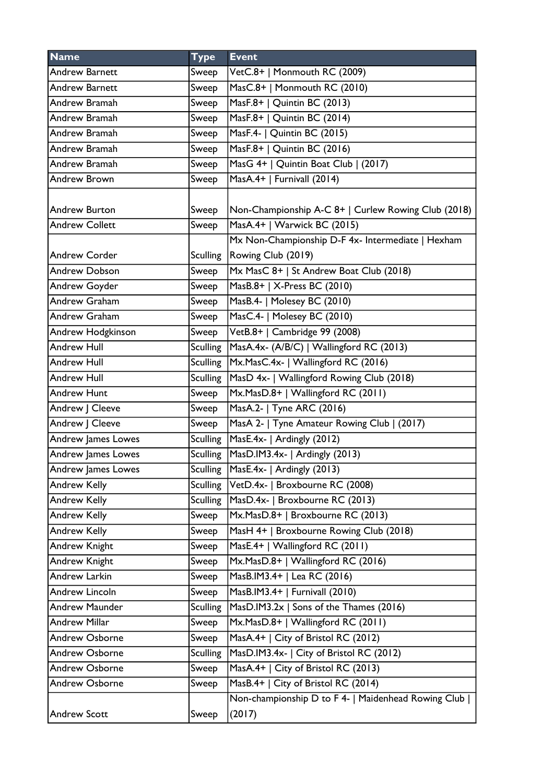| <b>Name</b>           | <b>Type</b>     | <b>Event</b>                                        |
|-----------------------|-----------------|-----------------------------------------------------|
| <b>Andrew Barnett</b> | Sweep           | VetC.8+   Monmouth RC (2009)                        |
| <b>Andrew Barnett</b> | Sweep           | MasC.8+   Monmouth RC (2010)                        |
| Andrew Bramah         | Sweep           | MasF.8+   Quintin BC (2013)                         |
| Andrew Bramah         | Sweep           | MasF.8+   Quintin BC (2014)                         |
| Andrew Bramah         | Sweep           | MasF.4-   Quintin BC (2015)                         |
| Andrew Bramah         | Sweep           | MasF.8+   Quintin BC (2016)                         |
| Andrew Bramah         | Sweep           | MasG 4+   Quintin Boat Club   (2017)                |
| <b>Andrew Brown</b>   | Sweep           | MasA.4+   Furnivall (2014)                          |
|                       |                 |                                                     |
| <b>Andrew Burton</b>  | Sweep           | Non-Championship A-C 8+   Curlew Rowing Club (2018) |
| <b>Andrew Collett</b> | Sweep           | MasA.4+   Warwick BC (2015)                         |
|                       |                 | Mx Non-Championship D-F 4x- Intermediate   Hexham   |
| <b>Andrew Corder</b>  |                 | Sculling   Rowing Club (2019)                       |
| <b>Andrew Dobson</b>  | Sweep           | Mx MasC 8+   St Andrew Boat Club (2018)             |
| Andrew Goyder         | Sweep           | MasB.8+   X-Press BC (2010)                         |
| Andrew Graham         | Sweep           | MasB.4-   Molesey BC (2010)                         |
| <b>Andrew Graham</b>  | Sweep           | MasC.4-   Molesey BC (2010)                         |
| Andrew Hodgkinson     | Sweep           | VetB.8+   Cambridge 99 (2008)                       |
| <b>Andrew Hull</b>    | Sculling        | MasA.4x- (A/B/C)   Wallingford RC (2013)            |
| <b>Andrew Hull</b>    | Sculling        | Mx.MasC.4x-   Wallingford RC (2016)                 |
| <b>Andrew Hull</b>    | <b>Sculling</b> | MasD 4x-   Wallingford Rowing Club (2018)           |
| <b>Andrew Hunt</b>    | Sweep           | Mx.MasD.8+   Wallingford RC (2011)                  |
| Andrew J Cleeve       | Sweep           | MasA.2-   Tyne ARC (2016)                           |
| Andrew J Cleeve       | Sweep           | MasA 2-   Tyne Amateur Rowing Club   (2017)         |
| Andrew James Lowes    | Sculling        | MasE.4x-   Ardingly (2012)                          |
| Andrew James Lowes    |                 | Sculling   MasD.IM3.4x-   Ardingly (2013)           |
| Andrew James Lowes    | Sculling        | $Mase.4x-$ Ardingly (2013)                          |
| <b>Andrew Kelly</b>   |                 | Sculling VetD.4x-   Broxbourne RC (2008)            |
| Andrew Kelly          | <b>Sculling</b> | MasD.4x-   Broxbourne RC (2013)                     |
| Andrew Kelly          | Sweep           | Mx.MasD.8+   Broxbourne RC (2013)                   |
| Andrew Kelly          | Sweep           | MasH 4+   Broxbourne Rowing Club (2018)             |
| <b>Andrew Knight</b>  | Sweep           | MasE.4+   Wallingford RC (2011)                     |
| Andrew Knight         | Sweep           | Mx.MasD.8+   Wallingford RC (2016)                  |
| Andrew Larkin         | Sweep           | MasB.IM3.4+   Lea RC (2016)                         |
| Andrew Lincoln        | Sweep           | MasB.IM3.4+   Furnivall (2010)                      |
| <b>Andrew Maunder</b> | <b>Sculling</b> | $MasD.1M3.2x$ Sons of the Thames (2016)             |
| <b>Andrew Millar</b>  | Sweep           | Mx.MasD.8+   Wallingford RC (2011)                  |
| <b>Andrew Osborne</b> | Sweep           | MasA.4+   City of Bristol RC (2012)                 |
| <b>Andrew Osborne</b> | <b>Sculling</b> | MasD.IM3.4x-   City of Bristol RC (2012)            |
| <b>Andrew Osborne</b> | Sweep           | MasA.4+   City of Bristol RC (2013)                 |
| <b>Andrew Osborne</b> | Sweep           | MasB.4+   City of Bristol RC (2014)                 |
|                       |                 | Non-championship D to F 4-   Maidenhead Rowing Club |
| <b>Andrew Scott</b>   | Sweep           | (2017)                                              |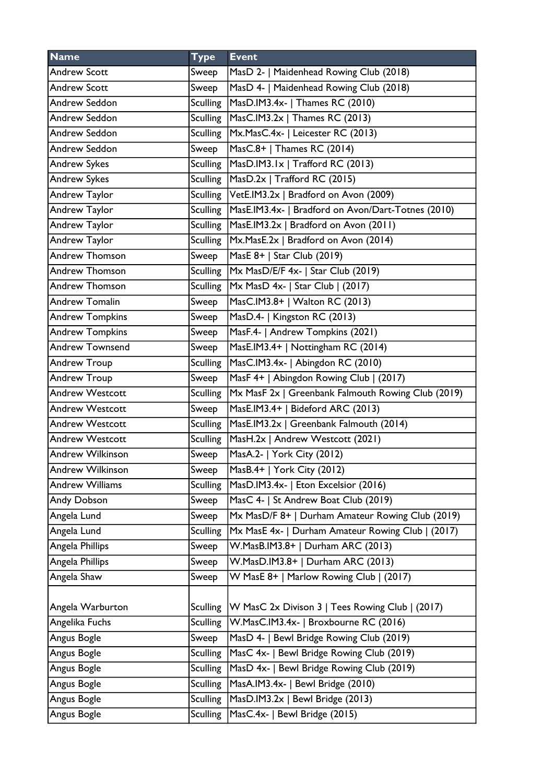| <b>Name</b>             | <b>Type</b>     | <b>Event</b>                                       |
|-------------------------|-----------------|----------------------------------------------------|
| <b>Andrew Scott</b>     | Sweep           | MasD 2-   Maidenhead Rowing Club (2018)            |
| <b>Andrew Scott</b>     | Sweep           | MasD 4-   Maidenhead Rowing Club (2018)            |
| Andrew Seddon           | <b>Sculling</b> | MasD.IM3.4x-   Thames RC (2010)                    |
| Andrew Seddon           | <b>Sculling</b> | MasC.IM3.2x   Thames RC (2013)                     |
| Andrew Seddon           | <b>Sculling</b> | Mx.MasC.4x-   Leicester RC (2013)                  |
| Andrew Seddon           | Sweep           | MasC.8+   Thames RC (2014)                         |
| <b>Andrew Sykes</b>     | <b>Sculling</b> | MasD.IM3.1x   Trafford RC (2013)                   |
| <b>Andrew Sykes</b>     | <b>Sculling</b> | MasD.2x   Trafford RC (2015)                       |
| Andrew Taylor           | <b>Sculling</b> | VetE.IM3.2x   Bradford on Avon (2009)              |
| Andrew Taylor           | <b>Sculling</b> | MasE.IM3.4x-   Bradford on Avon/Dart-Totnes (2010) |
| Andrew Taylor           | <b>Sculling</b> | MasE.IM3.2x   Bradford on Avon (2011)              |
| Andrew Taylor           | <b>Sculling</b> | Mx.MasE.2x   Bradford on Avon (2014)               |
| Andrew Thomson          | Sweep           | MasE 8+   Star Club (2019)                         |
| <b>Andrew Thomson</b>   | <b>Sculling</b> | Mx MasD/E/F 4x-   Star Club (2019)                 |
| <b>Andrew Thomson</b>   | <b>Sculling</b> | $MX \, MasD \, 4x -   Star Club   (2017)$          |
| <b>Andrew Tomalin</b>   | Sweep           | MasC.IM3.8+   Walton RC (2013)                     |
| <b>Andrew Tompkins</b>  | Sweep           | MasD.4-   Kingston RC (2013)                       |
| <b>Andrew Tompkins</b>  | Sweep           | MasF.4-   Andrew Tompkins (2021)                   |
| <b>Andrew Townsend</b>  | Sweep           | MasE.IM3.4+   Nottingham RC (2014)                 |
| Andrew Troup            | <b>Sculling</b> | MasC.IM3.4x-   Abingdon RC (2010)                  |
| Andrew Troup            | Sweep           | MasF 4+   Abingdon Rowing Club   (2017)            |
| <b>Andrew Westcott</b>  | <b>Sculling</b> | Mx MasF 2x   Greenbank Falmouth Rowing Club (2019) |
| <b>Andrew Westcott</b>  | Sweep           | MasE.IM3.4+   Bideford ARC (2013)                  |
| <b>Andrew Westcott</b>  | <b>Sculling</b> | MasE.IM3.2x   Greenbank Falmouth (2014)            |
| <b>Andrew Westcott</b>  | <b>Sculling</b> | MasH.2x   Andrew Westcott (2021)                   |
| <b>Andrew Wilkinson</b> | Sweep           | MasA.2-   York City (2012)                         |
| <b>Andrew Wilkinson</b> | Sweep           | MasB.4+   York City (2012)                         |
| <b>Andrew Williams</b>  | <b>Sculling</b> | MasD.IM3.4x-   Eton Excelsior (2016)               |
| Andy Dobson             | Sweep           | MasC 4-   St Andrew Boat Club (2019)               |
| Angela Lund             | Sweep           | Mx MasD/F 8+   Durham Amateur Rowing Club (2019)   |
| Angela Lund             | <b>Sculling</b> | Mx MasE 4x-   Durham Amateur Rowing Club   (2017)  |
| Angela Phillips         | Sweep           | W.MasB.IM3.8+   Durham ARC (2013)                  |
| Angela Phillips         | Sweep           | W.MasD.IM3.8+   Durham ARC (2013)                  |
| Angela Shaw             | Sweep           | W MasE 8+   Marlow Rowing Club   (2017)            |
|                         |                 |                                                    |
| Angela Warburton        | <b>Sculling</b> | W MasC 2x Divison 3   Tees Rowing Club   (2017)    |
| Angelika Fuchs          | <b>Sculling</b> | W.MasC.IM3.4x-   Broxbourne RC (2016)              |
| Angus Bogle             | Sweep           | MasD 4-   Bewl Bridge Rowing Club (2019)           |
| Angus Bogle             | <b>Sculling</b> | MasC 4x-   Bewl Bridge Rowing Club (2019)          |
| Angus Bogle             | <b>Sculling</b> | MasD 4x-   Bewl Bridge Rowing Club (2019)          |
| Angus Bogle             | <b>Sculling</b> | MasA.IM3.4x-   Bewl Bridge (2010)                  |
| Angus Bogle             | <b>Sculling</b> | MasD.IM3.2x   Bewl Bridge (2013)                   |
| Angus Bogle             | <b>Sculling</b> | MasC.4x-   Bewl Bridge (2015)                      |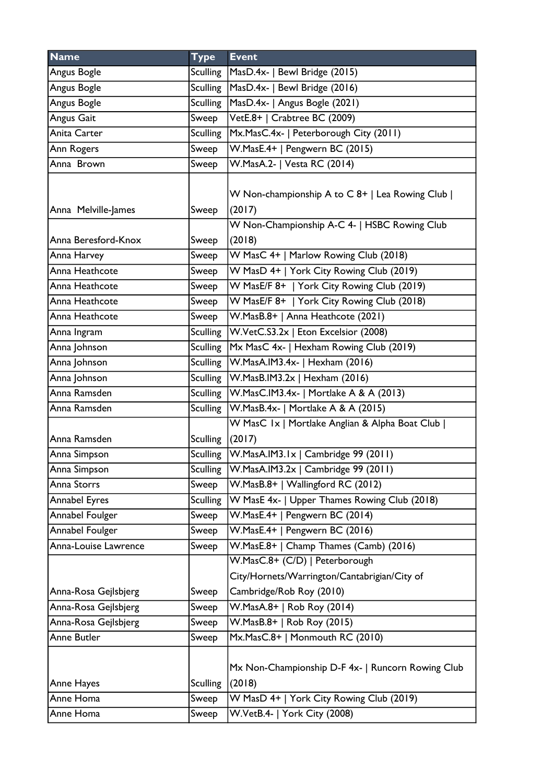| <b>Name</b>          | <b>Type</b>     | <b>Event</b>                                                                   |
|----------------------|-----------------|--------------------------------------------------------------------------------|
| Angus Bogle          | Sculling        | MasD.4x-   Bewl Bridge (2015)                                                  |
| Angus Bogle          |                 | Sculling   MasD.4x-   Bewl Bridge (2016)                                       |
| Angus Bogle          | Sculling        | MasD.4x-   Angus Bogle (2021)                                                  |
| Angus Gait           | Sweep           | VetE.8+   Crabtree BC (2009)                                                   |
| Anita Carter         | <b>Sculling</b> | Mx.MasC.4x-   Peterborough City (2011)                                         |
| Ann Rogers           | Sweep           | W.MasE.4+   Pengwern BC (2015)                                                 |
| Anna Brown           | Sweep           | W.MasA.2-   Vesta RC (2014)                                                    |
| Anna Melville-James  | Sweep           | W Non-championship A to C 8+   Lea Rowing Club  <br>(2017)                     |
| Anna Beresford-Knox  | Sweep           | W Non-Championship A-C 4-   HSBC Rowing Club<br>(2018)                         |
| Anna Harvey          | Sweep           | W MasC 4+   Marlow Rowing Club (2018)                                          |
| Anna Heathcote       | Sweep           | W MasD 4+   York City Rowing Club (2019)                                       |
| Anna Heathcote       | Sweep           | W MasE/F 8+   York City Rowing Club (2019)                                     |
| Anna Heathcote       | Sweep           | W MasE/F 8+   York City Rowing Club (2018)                                     |
| Anna Heathcote       | Sweep           | W.MasB.8+   Anna Heathcote (2021)                                              |
| Anna Ingram          | Sculling        | W.VetC.S3.2x   Eton Excelsior (2008)                                           |
| Anna Johnson         | <b>Sculling</b> | Mx MasC 4x-   Hexham Rowing Club (2019)                                        |
| Anna Johnson         | <b>Sculling</b> | W.MasA.IM3.4x-   Hexham (2016)                                                 |
| Anna Johnson         |                 | Sculling   W.MasB.IM3.2x   Hexham (2016)                                       |
| Anna Ramsden         |                 | Sculling   W.MasC.IM3.4x-   Mortlake A & A (2013)                              |
| Anna Ramsden         |                 | Sculling   W. Mas B. 4x -   Mortlake A & A (2015)                              |
| Anna Ramsden         | <b>Sculling</b> | W MasC 1x   Mortlake Anglian & Alpha Boat Club  <br>(2017)                     |
| Anna Simpson         |                 | Sculling   W.MasA.IM3.1x   Cambridge 99 (2011)                                 |
| Anna Simpson         | <b>Sculling</b> | W.MasA.IM3.2x   Cambridge 99 (2011)                                            |
| Anna Storrs          | Sweep           | W.MasB.8+   Wallingford RC (2012)                                              |
| <b>Annabel Eyres</b> | <b>Sculling</b> | W MasE 4x-   Upper Thames Rowing Club (2018)                                   |
| Annabel Foulger      | Sweep           | W.MasE.4+   Pengwern BC (2014)                                                 |
| Annabel Foulger      | Sweep           | W.MasE.4+   Pengwern BC (2016)                                                 |
| Anna-Louise Lawrence | Sweep           | W.MasE.8+   Champ Thames (Camb) (2016)                                         |
|                      |                 | W.MasC.8+ (C/D)   Peterborough<br>City/Hornets/Warrington/Cantabrigian/City of |
| Anna-Rosa Gejlsbjerg | Sweep           | Cambridge/Rob Roy (2010)                                                       |
| Anna-Rosa Gejlsbjerg | Sweep           | W.MasA.8+   Rob Roy (2014)                                                     |
| Anna-Rosa Gejlsbjerg | Sweep           | W.MasB.8+   Rob Roy (2015)                                                     |
| Anne Butler          | Sweep           | Mx.MasC.8+   Monmouth RC (2010)                                                |
| Anne Hayes           | <b>Sculling</b> | Mx Non-Championship D-F 4x-   Runcorn Rowing Club<br>(2018)                    |
| Anne Homa            | Sweep           | W MasD 4+   York City Rowing Club (2019)                                       |
| Anne Homa            | Sweep           | W.VetB.4-   York City (2008)                                                   |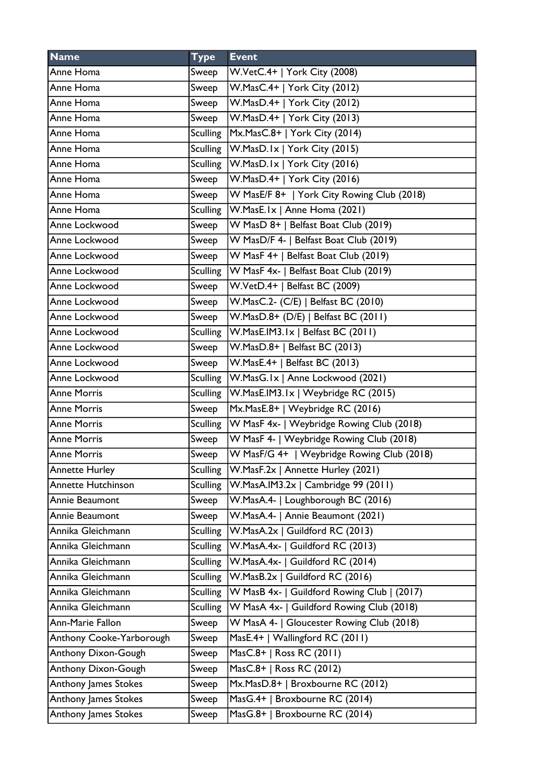| <b>Name</b>               | <b>Type</b>     | <b>Event</b>                                |
|---------------------------|-----------------|---------------------------------------------|
| Anne Homa                 | Sweep           | W.VetC.4+   York City (2008)                |
| Anne Homa                 | Sweep           | W.MasC.4+   York City (2012)                |
| Anne Homa                 | Sweep           | W.MasD.4+   York City (2012)                |
| Anne Homa                 | Sweep           | W.MasD.4+   York City (2013)                |
| Anne Homa                 | Sculling        | Mx.MasC.8+   York City (2014)               |
| Anne Homa                 | Sculling        | W.MasD.Ix   York City (2015)                |
| Anne Homa                 | <b>Sculling</b> | W.MasD.Ix   York City (2016)                |
| Anne Homa                 | Sweep           | W.MasD.4+   York City (2016)                |
| Anne Homa                 | Sweep           | W MasE/F 8+   York City Rowing Club (2018)  |
| Anne Homa                 | <b>Sculling</b> | W.MasE.Ix   Anne Homa (2021)                |
| Anne Lockwood             | Sweep           | W MasD 8+   Belfast Boat Club (2019)        |
| Anne Lockwood             | Sweep           | W MasD/F 4-   Belfast Boat Club (2019)      |
| Anne Lockwood             | Sweep           | W MasF 4+   Belfast Boat Club (2019)        |
| Anne Lockwood             | <b>Sculling</b> | W MasF 4x-   Belfast Boat Club (2019)       |
| Anne Lockwood             | Sweep           | W.VetD.4+   Belfast BC (2009)               |
| Anne Lockwood             | Sweep           | W.MasC.2- (C/E)   Belfast BC (2010)         |
| Anne Lockwood             | Sweep           | W.MasD.8+ (D/E)   Belfast BC (2011)         |
| Anne Lockwood             | <b>Sculling</b> | W.MasE.IM3.1x   Belfast BC (2011)           |
| Anne Lockwood             | Sweep           | W.MasD.8+   Belfast BC (2013)               |
| Anne Lockwood             | Sweep           | W.MasE.4+   Belfast BC (2013)               |
| Anne Lockwood             | <b>Sculling</b> | W.MasG.Ix   Anne Lockwood (2021)            |
| <b>Anne Morris</b>        | Sculling        | W.MasE.IM3.1x   Weybridge RC (2015)         |
| <b>Anne Morris</b>        | Sweep           | Mx.MasE.8+   Weybridge RC (2016)            |
| <b>Anne Morris</b>        | <b>Sculling</b> | W MasF 4x-   Weybridge Rowing Club (2018)   |
| <b>Anne Morris</b>        | Sweep           | W MasF 4-   Weybridge Rowing Club (2018)    |
| <b>Anne Morris</b>        | Sweep           | W MasF/G 4+   Weybridge Rowing Club (2018)  |
| <b>Annette Hurley</b>     | <b>Sculling</b> | W.MasF.2x   Annette Hurley (2021)           |
| <b>Annette Hutchinson</b> | Sculling        | W.MasA.IM3.2x   Cambridge 99 (2011)         |
| Annie Beaumont            | Sweep           | W.MasA.4-   Loughborough BC (2016)          |
| Annie Beaumont            | Sweep           | W.MasA.4-   Annie Beaumont (2021)           |
| Annika Gleichmann         | <b>Sculling</b> | W.MasA.2x   Guildford RC (2013)             |
| Annika Gleichmann         | <b>Sculling</b> | W.MasA.4x-   Guildford RC (2013)            |
| Annika Gleichmann         | <b>Sculling</b> | W.MasA.4x-   Guildford RC (2014)            |
| Annika Gleichmann         | <b>Sculling</b> | W.MasB.2x   Guildford RC (2016)             |
| Annika Gleichmann         | <b>Sculling</b> | W MasB 4x-   Guildford Rowing Club   (2017) |
| Annika Gleichmann         | <b>Sculling</b> | W MasA 4x-   Guildford Rowing Club (2018)   |
| Ann-Marie Fallon          | Sweep           | W MasA 4-   Gloucester Rowing Club (2018)   |
| Anthony Cooke-Yarborough  | Sweep           | MasE.4+   Wallingford RC (2011)             |
| Anthony Dixon-Gough       | Sweep           | MasC.8+   Ross RC (2011)                    |
| Anthony Dixon-Gough       | Sweep           | MasC.8+   Ross RC (2012)                    |
| Anthony James Stokes      | Sweep           | Mx.MasD.8+   Broxbourne RC (2012)           |
| Anthony James Stokes      | Sweep           | MasG.4+   Broxbourne RC (2014)              |
| Anthony James Stokes      | Sweep           | MasG.8+   Broxbourne RC (2014)              |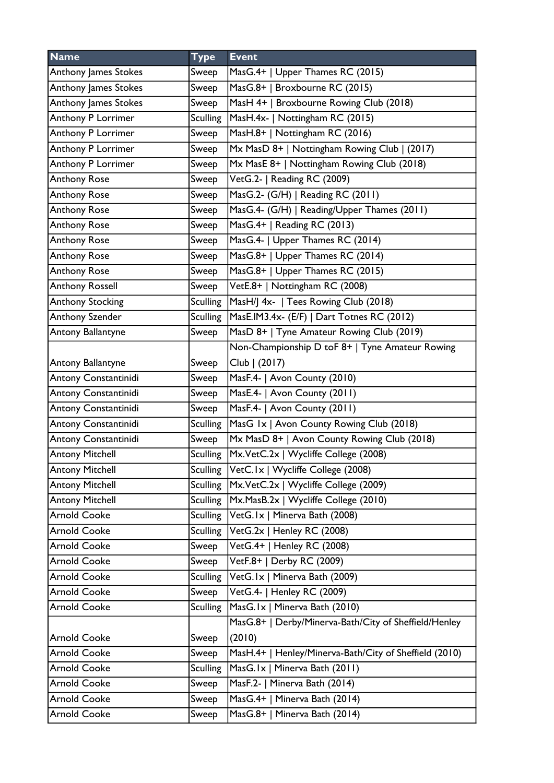| <b>Name</b>             | <b>Type</b>     | <b>Event</b>                                           |
|-------------------------|-----------------|--------------------------------------------------------|
| Anthony James Stokes    | Sweep           | MasG.4+   Upper Thames RC (2015)                       |
| Anthony James Stokes    | Sweep           | MasG.8+   Broxbourne RC (2015)                         |
| Anthony James Stokes    | Sweep           | MasH 4+   Broxbourne Rowing Club (2018)                |
| Anthony P Lorrimer      | <b>Sculling</b> | MasH.4x-   Nottingham RC (2015)                        |
| Anthony P Lorrimer      | Sweep           | MasH.8+   Nottingham RC (2016)                         |
| Anthony P Lorrimer      | Sweep           | Mx MasD 8+   Nottingham Rowing Club   (2017)           |
| Anthony P Lorrimer      | Sweep           | Mx MasE 8+   Nottingham Rowing Club (2018)             |
| <b>Anthony Rose</b>     | Sweep           | VetG.2-   Reading RC (2009)                            |
| <b>Anthony Rose</b>     | Sweep           | MasG.2- (G/H)   Reading RC (2011)                      |
| <b>Anthony Rose</b>     | Sweep           | MasG.4- (G/H)   Reading/Upper Thames (2011)            |
| <b>Anthony Rose</b>     | Sweep           | MasG.4+   Reading RC (2013)                            |
| <b>Anthony Rose</b>     | Sweep           | MasG.4-   Upper Thames RC (2014)                       |
| <b>Anthony Rose</b>     | Sweep           | MasG.8+   Upper Thames RC (2014)                       |
| <b>Anthony Rose</b>     | Sweep           | MasG.8+   Upper Thames RC (2015)                       |
| <b>Anthony Rossell</b>  | Sweep           | VetE.8+   Nottingham RC (2008)                         |
| <b>Anthony Stocking</b> | <b>Sculling</b> | MasH/J 4x-   Tees Rowing Club (2018)                   |
| Anthony Szender         | <b>Sculling</b> | MasE.IM3.4x- (E/F)   Dart Totnes RC (2012)             |
| Antony Ballantyne       | Sweep           | MasD 8+   Tyne Amateur Rowing Club (2019)              |
|                         |                 | Non-Championship D toF 8+   Tyne Amateur Rowing        |
| Antony Ballantyne       | Sweep           | Club   (2017)                                          |
| Antony Constantinidi    | Sweep           | MasF.4-   Avon County (2010)                           |
| Antony Constantinidi    | Sweep           | MasE.4-   Avon County (2011)                           |
| Antony Constantinidi    | Sweep           | MasF.4-   Avon County (2011)                           |
| Antony Constantinidi    | <b>Sculling</b> | MasG 1x   Avon County Rowing Club (2018)               |
| Antony Constantinidi    | Sweep           | Mx MasD 8+   Avon County Rowing Club (2018)            |
| <b>Antony Mitchell</b>  | <b>Sculling</b> | Mx.VetC.2x   Wycliffe College (2008)                   |
| <b>Antony Mitchell</b>  | Sculling        | VetC.1x   Wycliffe College (2008)                      |
| <b>Antony Mitchell</b>  | <b>Sculling</b> | Mx.VetC.2x   Wycliffe College (2009)                   |
| <b>Antony Mitchell</b>  | <b>Sculling</b> | Mx.MasB.2x   Wycliffe College (2010)                   |
| <b>Arnold Cooke</b>     | <b>Sculling</b> | VetG.1x   Minerva Bath (2008)                          |
| <b>Arnold Cooke</b>     | <b>Sculling</b> | VetG.2x   Henley RC (2008)                             |
| <b>Arnold Cooke</b>     | Sweep           | VetG.4+   Henley RC (2008)                             |
| <b>Arnold Cooke</b>     | Sweep           | VetF.8+   Derby RC (2009)                              |
| <b>Arnold Cooke</b>     | <b>Sculling</b> | VetG.1x   Minerva Bath (2009)                          |
| <b>Arnold Cooke</b>     | Sweep           | VetG.4-   Henley RC (2009)                             |
| <b>Arnold Cooke</b>     | <b>Sculling</b> | MasG.Ix   Minerva Bath (2010)                          |
|                         |                 | MasG.8+   Derby/Minerva-Bath/City of Sheffield/Henley  |
| <b>Arnold Cooke</b>     | Sweep           | (2010)                                                 |
| <b>Arnold Cooke</b>     | Sweep           | MasH.4+   Henley/Minerva-Bath/City of Sheffield (2010) |
| <b>Arnold Cooke</b>     | <b>Sculling</b> | MasG.1x   Minerva Bath (2011)                          |
| <b>Arnold Cooke</b>     | Sweep           | MasF.2-   Minerva Bath (2014)                          |
| <b>Arnold Cooke</b>     | Sweep           | MasG.4+   Minerva Bath (2014)                          |
| <b>Arnold Cooke</b>     | Sweep           | MasG.8+   Minerva Bath (2014)                          |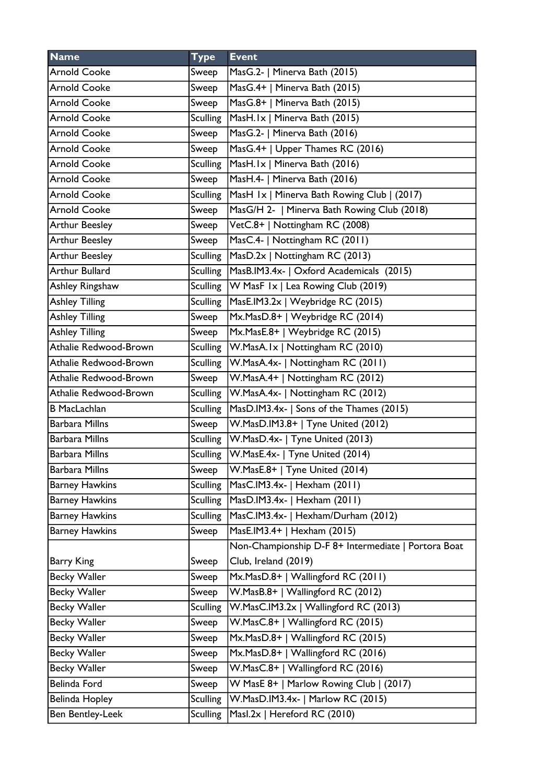| <b>Name</b>           | <b>Type</b>     | <b>Event</b>                                        |
|-----------------------|-----------------|-----------------------------------------------------|
| <b>Arnold Cooke</b>   | Sweep           | MasG.2-   Minerva Bath (2015)                       |
| <b>Arnold Cooke</b>   | Sweep           | MasG.4+   Minerva Bath (2015)                       |
| <b>Arnold Cooke</b>   | Sweep           | MasG.8+   Minerva Bath (2015)                       |
| <b>Arnold Cooke</b>   | Sculling        | MasH.Ix   Minerva Bath (2015)                       |
| <b>Arnold Cooke</b>   | Sweep           | MasG.2-   Minerva Bath (2016)                       |
| <b>Arnold Cooke</b>   | Sweep           | MasG.4+   Upper Thames RC (2016)                    |
| <b>Arnold Cooke</b>   | <b>Sculling</b> | MasH.Ix   Minerva Bath (2016)                       |
| <b>Arnold Cooke</b>   | Sweep           | MasH.4-   Minerva Bath (2016)                       |
| <b>Arnold Cooke</b>   | <b>Sculling</b> | MasH 1x   Minerva Bath Rowing Club   (2017)         |
| <b>Arnold Cooke</b>   | Sweep           | MasG/H 2-   Minerva Bath Rowing Club (2018)         |
| <b>Arthur Beesley</b> | Sweep           | VetC.8+   Nottingham RC (2008)                      |
| <b>Arthur Beesley</b> | Sweep           | MasC.4-   Nottingham RC (2011)                      |
| <b>Arthur Beesley</b> | <b>Sculling</b> | MasD.2x   Nottingham RC (2013)                      |
| <b>Arthur Bullard</b> | <b>Sculling</b> | MasB.IM3.4x-   Oxford Academicals (2015)            |
| Ashley Ringshaw       | <b>Sculling</b> | $ W$ MasF $ x $ Lea Rowing Club (2019)              |
| <b>Ashley Tilling</b> | <b>Sculling</b> | MasE.IM3.2x   Weybridge RC (2015)                   |
| <b>Ashley Tilling</b> | Sweep           | Mx.MasD.8+   Weybridge RC (2014)                    |
| <b>Ashley Tilling</b> | Sweep           | Mx.MasE.8+   Weybridge RC (2015)                    |
| Athalie Redwood-Brown | <b>Sculling</b> | W.MasA.Ix   Nottingham RC (2010)                    |
| Athalie Redwood-Brown | <b>Sculling</b> | W.MasA.4x-   Nottingham RC (2011)                   |
| Athalie Redwood-Brown | Sweep           | W.MasA.4+   Nottingham RC (2012)                    |
| Athalie Redwood-Brown | Sculling        | W.MasA.4x-   Nottingham RC (2012)                   |
| <b>B</b> MacLachlan   | <b>Sculling</b> | MasD.IM3.4x-   Sons of the Thames (2015)            |
| <b>Barbara Millns</b> | Sweep           | W.MasD.IM3.8+   Tyne United (2012)                  |
| <b>Barbara Millns</b> |                 | Sculling   W.MasD.4x-   Tyne United (2013)          |
| <b>Barbara Millns</b> |                 | Sculling   W. Mas E. 4x -   Tyne United (2014)      |
| Barbara Millns        | Sweep           | W.MasE.8+   Tyne United (2014)                      |
| <b>Barney Hawkins</b> | <b>Sculling</b> | MasC.IM3.4x-   Hexham (2011)                        |
| <b>Barney Hawkins</b> | <b>Sculling</b> | MasD.IM3.4x-   Hexham (2011)                        |
| <b>Barney Hawkins</b> | <b>Sculling</b> | MasC.IM3.4x-   Hexham/Durham (2012)                 |
| <b>Barney Hawkins</b> | Sweep           | MasE.IM3.4+   Hexham (2015)                         |
|                       |                 | Non-Championship D-F 8+ Intermediate   Portora Boat |
| Barry King            | Sweep           | Club, Ireland (2019)                                |
| <b>Becky Waller</b>   | Sweep           | Mx.MasD.8+   Wallingford RC (2011)                  |
| <b>Becky Waller</b>   | Sweep           | W.MasB.8+   Wallingford RC (2012)                   |
| <b>Becky Waller</b>   | <b>Sculling</b> | W.MasC.IM3.2x   Wallingford RC (2013)               |
| Becky Waller          | Sweep           | W.MasC.8+   Wallingford RC (2015)                   |
| <b>Becky Waller</b>   | Sweep           | Mx.MasD.8+   Wallingford RC (2015)                  |
| <b>Becky Waller</b>   | Sweep           | Mx.MasD.8+   Wallingford RC (2016)                  |
| Becky Waller          | Sweep           | W.MasC.8+   Wallingford RC (2016)                   |
| Belinda Ford          | Sweep           | W MasE 8+   Marlow Rowing Club   (2017)             |
| Belinda Hopley        | <b>Sculling</b> | W.MasD.IM3.4x-   Marlow RC (2015)                   |
| Ben Bentley-Leek      | <b>Sculling</b> | Masl.2x   Hereford RC (2010)                        |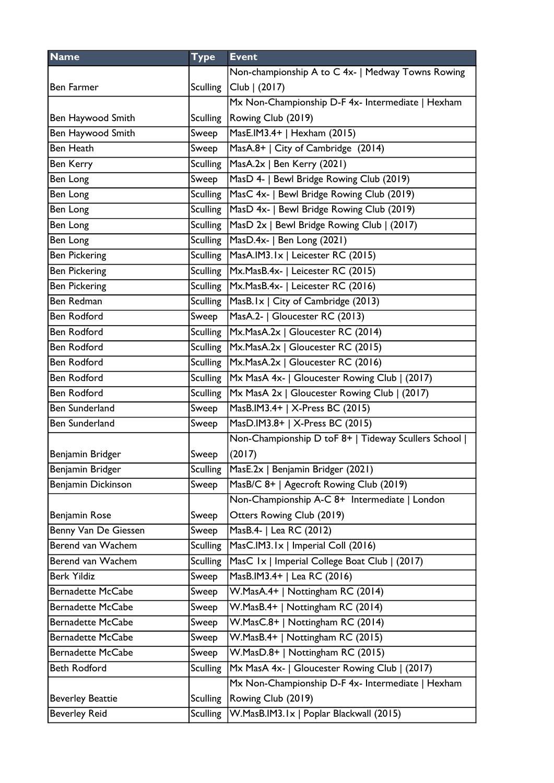| <b>Name</b>              | <b>Type</b>     | <b>Event</b>                                         |
|--------------------------|-----------------|------------------------------------------------------|
|                          |                 | Non-championship A to C 4x-   Medway Towns Rowing    |
| Ben Farmer               |                 | Sculling $ Club   (2017)$                            |
|                          |                 | Mx Non-Championship D-F 4x- Intermediate   Hexham    |
| Ben Haywood Smith        |                 | Sculling   Rowing Club (2019)                        |
| Ben Haywood Smith        | Sweep           | MasE.IM3.4+   Hexham (2015)                          |
| <b>Ben Heath</b>         | Sweep           | MasA.8+   City of Cambridge (2014)                   |
| Ben Kerry                | <b>Sculling</b> | MasA.2x   Ben Kerry (2021)                           |
| Ben Long                 | Sweep           | MasD 4-   Bewl Bridge Rowing Club (2019)             |
| Ben Long                 |                 | Sculling   MasC 4x-   Bewl Bridge Rowing Club (2019) |
| Ben Long                 |                 | Sculling   MasD 4x-   Bewl Bridge Rowing Club (2019) |
| Ben Long                 | Sculling        | MasD 2x   Bewl Bridge Rowing Club   (2017)           |
| Ben Long                 |                 | Sculling   MasD.4x-   Ben Long (2021)                |
| <b>Ben Pickering</b>     |                 | Sculling   MasA.IM3.1x   Leicester RC (2015)         |
| <b>Ben Pickering</b>     |                 | Sculling   Mx. Mas B. 4x -   Leicester RC (2015)     |
| <b>Ben Pickering</b>     |                 | Sculling   Mx. Mas B. 4x -   Leicester RC (2016)     |
| Ben Redman               |                 | Sculling   MasB. Ix   City of Cambridge (2013)       |
| <b>Ben Rodford</b>       | Sweep           | MasA.2-   Gloucester RC (2013)                       |
| <b>Ben Rodford</b>       |                 | Sculling   Mx. Mas A. 2x   Gloucester RC (2014)      |
| <b>Ben Rodford</b>       |                 | Sculling   Mx. MasA. 2x   Gloucester RC (2015)       |
| <b>Ben Rodford</b>       |                 | Sculling   Mx. MasA. 2x   Gloucester RC (2016)       |
| <b>Ben Rodford</b>       | <b>Sculling</b> | Mx MasA 4x-   Gloucester Rowing Club   (2017)        |
| <b>Ben Rodford</b>       | <b>Sculling</b> | Mx MasA 2x   Gloucester Rowing Club   (2017)         |
| <b>Ben Sunderland</b>    | Sweep           | MasB.IM3.4+   X-Press BC (2015)                      |
| Ben Sunderland           | Sweep           | MasD.IM3.8+   X-Press BC (2015)                      |
|                          |                 | Non-Championship D toF 8+   Tideway Scullers School  |
| Benjamin Bridger         | Sweep           | (2017)                                               |
| Benjamin Bridger         | Sculling        | MasE.2x   Benjamin Bridger (2021)                    |
| Benjamin Dickinson       | Sweep           | MasB/C 8+   Agecroft Rowing Club (2019)              |
|                          |                 | Non-Championship A-C 8+ Intermediate   London        |
| Benjamin Rose            | Sweep           | Otters Rowing Club (2019)                            |
| Benny Van De Giessen     | Sweep           | MasB.4-   Lea RC (2012)                              |
| Berend van Wachem        | <b>Sculling</b> | MasC.IM3.1x   Imperial Coll (2016)                   |
| Berend van Wachem        | <b>Sculling</b> | MasC 1x   Imperial College Boat Club   (2017)        |
| <b>Berk Yildiz</b>       | Sweep           | MasB.IM3.4+   Lea RC (2016)                          |
| <b>Bernadette McCabe</b> | Sweep           | W.MasA.4+   Nottingham RC (2014)                     |
| <b>Bernadette McCabe</b> | Sweep           | W.MasB.4+   Nottingham RC (2014)                     |
| <b>Bernadette McCabe</b> | Sweep           | W.MasC.8+   Nottingham RC (2014)                     |
| <b>Bernadette McCabe</b> | Sweep           | W.MasB.4+   Nottingham RC (2015)                     |
| <b>Bernadette McCabe</b> | Sweep           | W.MasD.8+   Nottingham RC (2015)                     |
| <b>Beth Rodford</b>      | <b>Sculling</b> | Mx MasA 4x-   Gloucester Rowing Club   (2017)        |
|                          |                 | Mx Non-Championship D-F 4x- Intermediate   Hexham    |
| <b>Beverley Beattie</b>  | <b>Sculling</b> | Rowing Club (2019)                                   |
| <b>Beverley Reid</b>     | <b>Sculling</b> | W.MasB.IM3.1x   Poplar Blackwall (2015)              |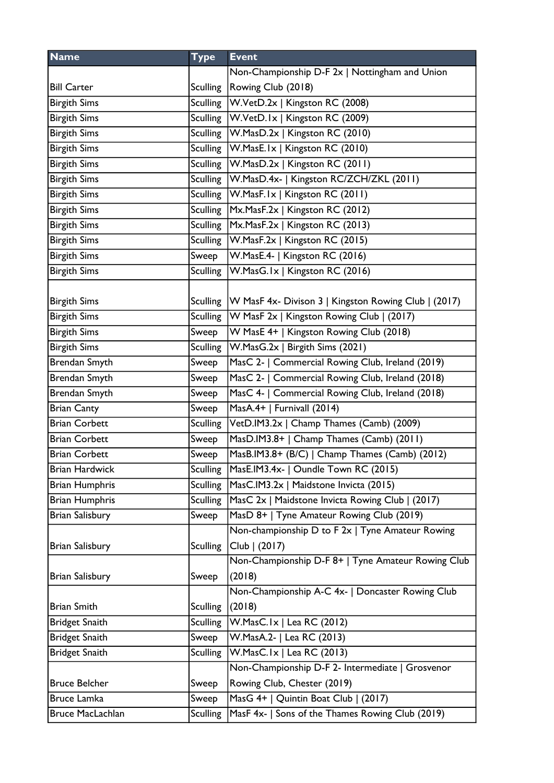| <b>Name</b>           | <b>Type</b>     | <b>Event</b>                                                                           |
|-----------------------|-----------------|----------------------------------------------------------------------------------------|
|                       |                 | Non-Championship D-F 2x   Nottingham and Union                                         |
| <b>Bill Carter</b>    |                 | Sculling   Rowing Club (2018)                                                          |
| <b>Birgith Sims</b>   |                 | Sculling   W. Vet D. 2x   Kingston RC (2008)                                           |
| <b>Birgith Sims</b>   |                 | Sculling   W. Vet D. Ix   Kingston RC (2009)                                           |
| <b>Birgith Sims</b>   |                 | Sculling   W.MasD.2x   Kingston RC (2010)                                              |
| <b>Birgith Sims</b>   |                 | Sculling   W.MasE. Ix   Kingston RC (2010)                                             |
| <b>Birgith Sims</b>   |                 | Sculling   W.MasD.2x   Kingston RC (2011)                                              |
| <b>Birgith Sims</b>   |                 | Sculling   W. Mas D. 4x -   Kingston RC/ZCH/ZKL (2011)                                 |
| <b>Birgith Sims</b>   |                 | Sculling   W.MasF. Ix   Kingston RC (2011)                                             |
| <b>Birgith Sims</b>   |                 | Sculling   Mx. Mas F. 2x   Kingston RC (2012)                                          |
| <b>Birgith Sims</b>   | Sculling        | Mx.MasF.2x   Kingston RC (2013)                                                        |
| <b>Birgith Sims</b>   |                 | Sculling   W.MasF.2x   Kingston RC (2015)                                              |
| <b>Birgith Sims</b>   | Sweep           | W.MasE.4-   Kingston RC (2016)                                                         |
| <b>Birgith Sims</b>   | Sculling        | W.MasG.Ix   Kingston RC (2016)                                                         |
| <b>Birgith Sims</b>   |                 | Sculling   W MasF 4x- Divison 3   Kingston Rowing Club   (2017)                        |
| <b>Birgith Sims</b>   |                 | Sculling   W MasF 2x   Kingston Rowing Club   (2017)                                   |
| <b>Birgith Sims</b>   | Sweep           | W MasE 4+   Kingston Rowing Club (2018)                                                |
| <b>Birgith Sims</b>   | <b>Sculling</b> | W.MasG.2x   Birgith Sims (2021)                                                        |
| Brendan Smyth         | Sweep           | MasC 2-   Commercial Rowing Club, Ireland (2019)                                       |
| Brendan Smyth         | Sweep           | MasC 2-   Commercial Rowing Club, Ireland (2018)                                       |
| Brendan Smyth         | Sweep           | MasC 4-   Commercial Rowing Club, Ireland (2018)                                       |
| <b>Brian Canty</b>    | Sweep           | MasA.4+   Furnivall (2014)                                                             |
| <b>Brian Corbett</b>  | <b>Sculling</b> | VetD.IM3.2x   Champ Thames (Camb) (2009)                                               |
| <b>Brian Corbett</b>  |                 | MasD.IM3.8+   Champ Thames (Camb) (2011)                                               |
| <b>Brian Corbett</b>  | Sweep           |                                                                                        |
|                       | Sweep           | MasB.IM3.8+ (B/C)   Champ Thames (Camb) (2012)<br>MasE.IM3.4x-   Oundle Town RC (2015) |
| Brian Hardwick        | <b>Sculling</b> | MasC.IM3.2x   Maidstone Invicta (2015)                                                 |
| <b>Brian Humphris</b> | <b>Sculling</b> |                                                                                        |
| <b>Brian Humphris</b> | <b>Sculling</b> | MasC 2x   Maidstone Invicta Rowing Club   (2017)                                       |
| Brian Salisbury       | Sweep           | MasD 8+   Tyne Amateur Rowing Club (2019)                                              |
|                       |                 | Non-championship D to F 2x   Tyne Amateur Rowing                                       |
| Brian Salisbury       | <b>Sculling</b> | Club   (2017)                                                                          |
| Brian Salisbury       | Sweep           | Non-Championship D-F 8+   Tyne Amateur Rowing Club<br>(2018)                           |
|                       |                 | Non-Championship A-C 4x-   Doncaster Rowing Club                                       |
| <b>Brian Smith</b>    | <b>Sculling</b> | (2018)                                                                                 |
| <b>Bridget Snaith</b> | <b>Sculling</b> | W.MasC.1x   Lea RC (2012)                                                              |
| <b>Bridget Snaith</b> | Sweep           | W.MasA.2-   Lea RC (2013)                                                              |
| <b>Bridget Snaith</b> | <b>Sculling</b> | $W.MasC.Ix  $ Lea RC (2013)                                                            |
|                       |                 | Non-Championship D-F 2- Intermediate   Grosvenor                                       |
| <b>Bruce Belcher</b>  | Sweep           | Rowing Club, Chester (2019)                                                            |
| Bruce Lamka           | Sweep           | MasG 4+   Quintin Boat Club   (2017)                                                   |
| Bruce MacLachlan      | <b>Sculling</b> | MasF 4x-   Sons of the Thames Rowing Club (2019)                                       |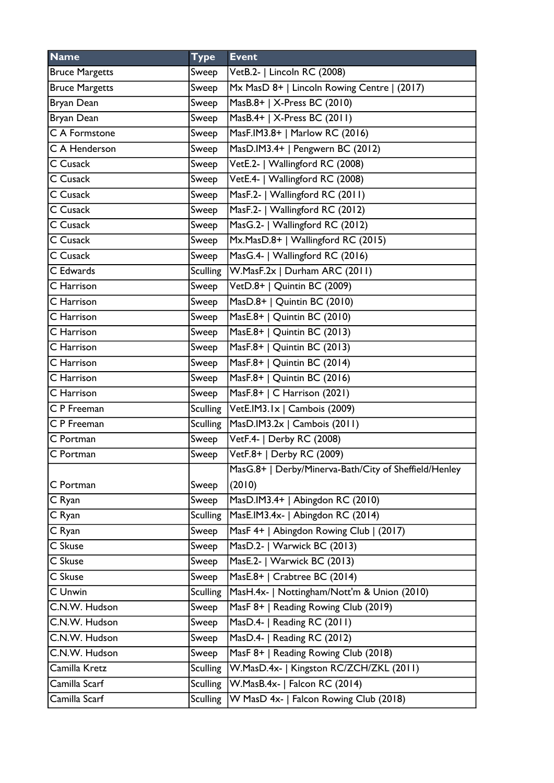| <b>Name</b>              | <b>Type</b>     | <b>Event</b>                                                                 |
|--------------------------|-----------------|------------------------------------------------------------------------------|
| <b>Bruce Margetts</b>    | Sweep           | VetB.2-   Lincoln RC (2008)                                                  |
| <b>Bruce Margetts</b>    | Sweep           | Mx MasD 8+   Lincoln Rowing Centre   (2017)                                  |
| Bryan Dean               | Sweep           | MasB.8+   X-Press BC (2010)                                                  |
| Bryan Dean               | Sweep           | MasB.4+   X-Press BC (2011)                                                  |
| C A Formstone            | Sweep           | MasF.IM3.8+   Marlow RC (2016)                                               |
| C A Henderson            | Sweep           | MasD.IM3.4+   Pengwern BC (2012)                                             |
| C Cusack                 | Sweep           | VetE.2-   Wallingford RC (2008)                                              |
| C Cusack                 | Sweep           | VetE.4-   Wallingford RC (2008)                                              |
| C Cusack                 | Sweep           | MasF.2-   Wallingford RC (2011)                                              |
| C Cusack                 | Sweep           | MasF.2-   Wallingford RC (2012)                                              |
| C Cusack                 | Sweep           | MasG.2-   Wallingford RC (2012)                                              |
| $\overline{C}$ Cusack    | Sweep           | Mx.MasD.8+   Wallingford RC (2015)                                           |
| C Cusack                 | Sweep           | MasG.4-   Wallingford RC (2016)                                              |
| C Edwards                | <b>Sculling</b> | W.MasF.2x   Durham ARC (2011)                                                |
| C Harrison               | Sweep           | $\overline{\mathsf{Vect}D.8^+ \mid \mathsf{Quintin} \ \mathsf{BC} \ (2009)}$ |
| C Harrison               | Sweep           | MasD.8+   Quintin BC (2010)                                                  |
| C Harrison               | Sweep           | MasE.8+   Quintin BC (2010)                                                  |
| C Harrison               | Sweep           | MasE.8+   Quintin BC (2013)                                                  |
| C Harrison               | Sweep           | MasF.8+   Quintin BC (2013)                                                  |
| C Harrison               | Sweep           | MasF.8+   Quintin BC (2014)                                                  |
| C Harrison               | Sweep           | MasF.8+   Quintin BC (2016)                                                  |
| C Harrison               | Sweep           | MasF.8+   C Harrison (2021)                                                  |
| $\overline{C}$ P Freeman | <b>Sculling</b> | VetE.IM3.1x   Cambois (2009)                                                 |
| C P Freeman              | <b>Sculling</b> | MasD.IM3.2x   Cambois (2011)                                                 |
| $\overline{C}$ Portman   | Sweep           | VetF.4-   Derby RC (2008)                                                    |
| C Portman                | Sweep           | VetF.8+   Derby RC (2009)                                                    |
|                          |                 | MasG.8+   Derby/Minerva-Bath/City of Sheffield/Henley                        |
| C Portman                | Sweep           | (2010)                                                                       |
| C Ryan                   | Sweep           | MasD.IM3.4+   Abingdon RC (2010)                                             |
| C Ryan                   | <b>Sculling</b> | MasE.IM3.4x-   Abingdon RC (2014)                                            |
| C Ryan                   | Sweep           | MasF 4+   Abingdon Rowing Club   (2017)                                      |
| C Skuse                  | Sweep           | MasD.2-   Warwick BC (2013)                                                  |
| C Skuse                  | Sweep           | MasE.2-   Warwick BC (2013)                                                  |
| C Skuse                  | Sweep           | MasE.8+   Crabtree BC (2014)                                                 |
| C Unwin                  | <b>Sculling</b> | MasH.4x-   Nottingham/Nott'm & Union (2010)                                  |
| C.N.W. Hudson            | Sweep           | MasF 8+   Reading Rowing Club (2019)                                         |
| C.N.W. Hudson            | Sweep           | MasD.4-   Reading RC (2011)                                                  |
| C.N.W. Hudson            | Sweep           | MasD.4-   Reading RC (2012)                                                  |
| C.N.W. Hudson            | Sweep           | MasF 8+   Reading Rowing Club (2018)                                         |
| Camilla Kretz            | <b>Sculling</b> | W.MasD.4x-   Kingston RC/ZCH/ZKL (2011)                                      |
| Camilla Scarf            | <b>Sculling</b> | W.MasB.4x-   Falcon RC (2014)                                                |
| Camilla Scarf            | <b>Sculling</b> | W MasD 4x-   Falcon Rowing Club (2018)                                       |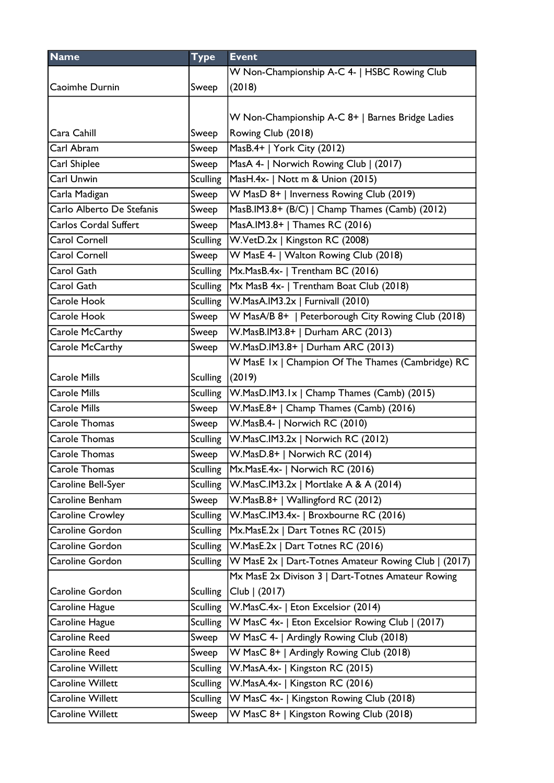| <b>Name</b>                  | <b>Type</b>     | <b>Event</b>                                         |
|------------------------------|-----------------|------------------------------------------------------|
|                              |                 | W Non-Championship A-C 4-   HSBC Rowing Club         |
| Caoimhe Durnin               | Sweep           | (2018)                                               |
|                              |                 |                                                      |
|                              |                 | W Non-Championship A-C 8+   Barnes Bridge Ladies     |
| Cara Cahill                  | Sweep           | Rowing Club (2018)                                   |
| Carl Abram                   | Sweep           | MasB.4+   York City (2012)                           |
| Carl Shiplee                 | Sweep           | MasA 4-   Norwich Rowing Club   (2017)               |
| Carl Unwin                   | <b>Sculling</b> | MasH.4x-   Nott m & Union (2015)                     |
| Carla Madigan                | Sweep           | W MasD 8+   Inverness Rowing Club (2019)             |
| Carlo Alberto De Stefanis    | Sweep           | MasB.IM3.8+ (B/C)   Champ Thames (Camb) (2012)       |
| <b>Carlos Cordal Suffert</b> | Sweep           | MasA.IM3.8+   Thames RC (2016)                       |
| Carol Cornell                | <b>Sculling</b> | W.VetD.2x   Kingston RC (2008)                       |
| <b>Carol Cornell</b>         | Sweep           | W MasE 4-   Walton Rowing Club (2018)                |
| Carol Gath                   | <b>Sculling</b> | Mx.MasB.4x-   Trentham BC (2016)                     |
| Carol Gath                   | <b>Sculling</b> | Mx MasB 4x-   Trentham Boat Club (2018)              |
| Carole Hook                  | <b>Sculling</b> | W.MasA.IM3.2x   Furnivall (2010)                     |
| Carole Hook                  | Sweep           | W MasA/B 8+   Peterborough City Rowing Club (2018)   |
| Carole McCarthy              | Sweep           | W.MasB.IM3.8+   Durham ARC (2013)                    |
| Carole McCarthy              | Sweep           | W.MasD.IM3.8+   Durham ARC (2013)                    |
|                              |                 | W MasE 1x   Champion Of The Thames (Cambridge) RC    |
| <b>Carole Mills</b>          | <b>Sculling</b> | (2019)                                               |
| <b>Carole Mills</b>          | <b>Sculling</b> | W.MasD.IM3.1x   Champ Thames (Camb) (2015)           |
| <b>Carole Mills</b>          | Sweep           | W.MasE.8+   Champ Thames (Camb) (2016)               |
| Carole Thomas                | Sweep           | W.MasB.4-   Norwich RC (2010)                        |
| <b>Carole Thomas</b>         | <b>Sculling</b> | W.MasC.IM3.2x   Norwich RC (2012)                    |
| <b>Carole Thomas</b>         | Sweep           | W.MasD.8+   Norwich RC (2014)                        |
| Carole Thomas                | <b>Sculling</b> | Mx.MasE.4x-   Norwich RC (2016)                      |
| Caroline Bell-Syer           | Sculling        | W.MasC.IM3.2x   Mortlake A & A (2014)                |
| Caroline Benham              | Sweep           | W.MasB.8+   Wallingford RC (2012)                    |
| Caroline Crowley             | <b>Sculling</b> | W.MasC.IM3.4x-   Broxbourne RC (2016)                |
| Caroline Gordon              | <b>Sculling</b> | Mx.MasE.2x   Dart Totnes RC (2015)                   |
| Caroline Gordon              | <b>Sculling</b> | W.MasE.2x   Dart Totnes RC (2016)                    |
| Caroline Gordon              | <b>Sculling</b> | W MasE 2x   Dart-Totnes Amateur Rowing Club   (2017) |
|                              |                 | Mx MasE 2x Divison 3   Dart-Totnes Amateur Rowing    |
| Caroline Gordon              | <b>Sculling</b> | Club   (2017)                                        |
| Caroline Hague               | <b>Sculling</b> | W.MasC.4x-   Eton Excelsior (2014)                   |
| Caroline Hague               | <b>Sculling</b> | W MasC 4x-   Eton Excelsior Rowing Club   (2017)     |
| <b>Caroline Reed</b>         | Sweep           | W MasC 4-   Ardingly Rowing Club (2018)              |
| Caroline Reed                | Sweep           | W MasC 8+   Ardingly Rowing Club (2018)              |
| Caroline Willett             | <b>Sculling</b> | W.MasA.4x-   Kingston RC (2015)                      |
| Caroline Willett             | <b>Sculling</b> | W.MasA.4x-   Kingston RC (2016)                      |
| Caroline Willett             | <b>Sculling</b> | W MasC 4x-   Kingston Rowing Club (2018)             |
| Caroline Willett             | Sweep           | W MasC 8+   Kingston Rowing Club (2018)              |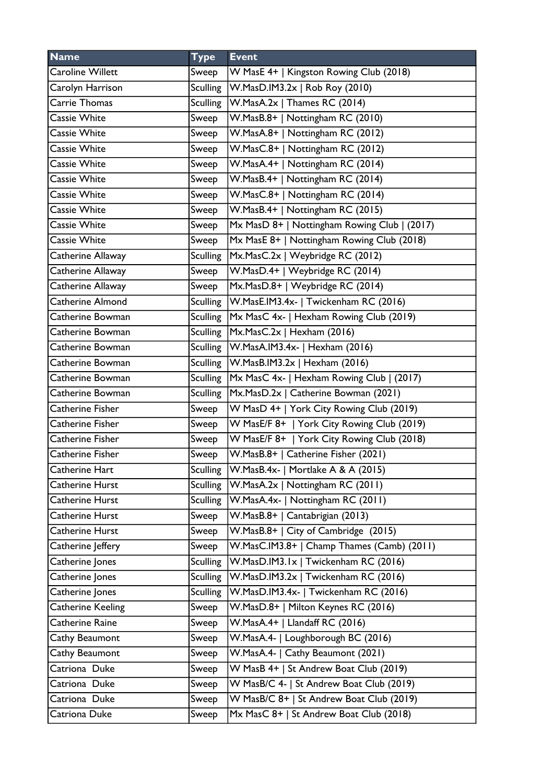| W MasE 4+   Kingston Rowing Club (2018)<br><b>Caroline Willett</b><br>Sweep<br>W.MasD.IM3.2x   Rob Roy (2010)<br>Carolyn Harrison<br><b>Sculling</b><br><b>Carrie Thomas</b><br>W.MasA.2x   Thames RC (2014)<br><b>Sculling</b><br><b>Cassie White</b><br>W.MasB.8+   Nottingham RC (2010)<br>Sweep<br>W.MasA.8+   Nottingham RC (2012)<br><b>Cassie White</b><br>Sweep<br>W.MasC.8+   Nottingham RC (2012)<br><b>Cassie White</b><br>Sweep<br><b>Cassie White</b><br>W.MasA.4+   Nottingham RC (2014)<br>Sweep<br>W.MasB.4+   Nottingham RC (2014)<br><b>Cassie White</b><br>Sweep<br>W.MasC.8+   Nottingham RC (2014)<br><b>Cassie White</b><br>Sweep<br>W.MasB.4+   Nottingham RC (2015)<br><b>Cassie White</b><br>Sweep<br><b>Cassie White</b><br>Mx MasD 8+   Nottingham Rowing Club   (2017)<br>Sweep<br><b>Cassie White</b><br>Mx MasE 8+   Nottingham Rowing Club (2018)<br>Sweep<br>Catherine Allaway<br>Mx.MasC.2x   Weybridge RC (2012)<br><b>Sculling</b><br>W.MasD.4+   Weybridge RC (2014)<br>Catherine Allaway<br>Sweep<br>Catherine Allaway<br>Mx.MasD.8+   Weybridge RC (2014)<br>Sweep<br><b>Catherine Almond</b><br>Sculling<br>W.MasE.IM3.4x-   Twickenham RC (2016)<br>Mx MasC 4x-   Hexham Rowing Club (2019)<br>Catherine Bowman<br><b>Sculling</b><br>Catherine Bowman<br><b>Sculling</b><br>Mx.MasC.2x   Hexham (2016)<br><b>Sculling</b><br>W.MasA.IM3.4x-   Hexham (2016)<br>Catherine Bowman<br>Catherine Bowman<br>Sculling<br>W.MasB.IM3.2x   Hexham (2016)<br>Mx MasC 4x-   Hexham Rowing Club   (2017)<br><b>Sculling</b><br>Catherine Bowman<br>Mx.MasD.2x   Catherine Bowman (2021)<br>Catherine Bowman<br>Sculling<br>W MasD 4+   York City Rowing Club (2019)<br>Catherine Fisher<br>Sweep<br>W MasE/F 8+   York City Rowing Club (2019)<br>Catherine Fisher<br>Sweep<br>Catherine Fisher<br>W MasE/F 8+   York City Rowing Club (2018)<br>Sweep<br>W.MasB.8+   Catherine Fisher (2021)<br>Catherine Fisher<br>Sweep<br>Catherine Hart<br><b>Sculling</b><br> W.MasB.4x-   Mortlake A & A (2015)<br>Catherine Hurst<br>Sculling<br>W.MasA.2x   Nottingham RC (2011)<br>Catherine Hurst<br>W.MasA.4x-   Nottingham RC (2011)<br><b>Sculling</b><br>Catherine Hurst<br>W.MasB.8+   Cantabrigian (2013)<br>Sweep<br>Catherine Hurst<br>W.MasB.8+   City of Cambridge (2015)<br>Sweep<br>W.MasC.IM3.8+   Champ Thames (Camb) (2011)<br>Catherine Jeffery<br>Sweep<br>W.MasD.IM3.1x   Twickenham RC (2016)<br>Catherine Jones<br><b>Sculling</b><br>W.MasD.IM3.2x   Twickenham RC (2016)<br>Catherine Jones<br><b>Sculling</b><br>W.MasD.IM3.4x-   Twickenham RC (2016)<br>Catherine Jones<br><b>Sculling</b><br>W.MasD.8+   Milton Keynes RC (2016)<br>Catherine Keeling<br>Sweep<br>W.MasA.4+   Llandaff RC (2016)<br>Catherine Raine<br>Sweep<br>W.MasA.4-   Loughborough BC (2016)<br>Cathy Beaumont<br>Sweep<br>W.MasA.4-   Cathy Beaumont (2021)<br>Cathy Beaumont<br>Sweep<br>W MasB 4+   St Andrew Boat Club (2019)<br>Catriona Duke<br>Sweep<br>W MasB/C 4-   St Andrew Boat Club (2019)<br>Catriona Duke<br>Sweep<br>W MasB/C 8+   St Andrew Boat Club (2019)<br>Catriona Duke<br>Sweep<br>Catriona Duke<br>Mx MasC 8+   St Andrew Boat Club (2018)<br>Sweep | <b>Name</b> | <b>Type</b> | <b>Event</b> |
|-------------------------------------------------------------------------------------------------------------------------------------------------------------------------------------------------------------------------------------------------------------------------------------------------------------------------------------------------------------------------------------------------------------------------------------------------------------------------------------------------------------------------------------------------------------------------------------------------------------------------------------------------------------------------------------------------------------------------------------------------------------------------------------------------------------------------------------------------------------------------------------------------------------------------------------------------------------------------------------------------------------------------------------------------------------------------------------------------------------------------------------------------------------------------------------------------------------------------------------------------------------------------------------------------------------------------------------------------------------------------------------------------------------------------------------------------------------------------------------------------------------------------------------------------------------------------------------------------------------------------------------------------------------------------------------------------------------------------------------------------------------------------------------------------------------------------------------------------------------------------------------------------------------------------------------------------------------------------------------------------------------------------------------------------------------------------------------------------------------------------------------------------------------------------------------------------------------------------------------------------------------------------------------------------------------------------------------------------------------------------------------------------------------------------------------------------------------------------------------------------------------------------------------------------------------------------------------------------------------------------------------------------------------------------------------------------------------------------------------------------------------------------------------------------------------------------------------------------------------------------------------------------------------------------------------------------------------------------------------------------------------------------------------------------------------------------------------------------------------------------------------------------------------------------------------------------------|-------------|-------------|--------------|
|                                                                                                                                                                                                                                                                                                                                                                                                                                                                                                                                                                                                                                                                                                                                                                                                                                                                                                                                                                                                                                                                                                                                                                                                                                                                                                                                                                                                                                                                                                                                                                                                                                                                                                                                                                                                                                                                                                                                                                                                                                                                                                                                                                                                                                                                                                                                                                                                                                                                                                                                                                                                                                                                                                                                                                                                                                                                                                                                                                                                                                                                                                                                                                                                       |             |             |              |
|                                                                                                                                                                                                                                                                                                                                                                                                                                                                                                                                                                                                                                                                                                                                                                                                                                                                                                                                                                                                                                                                                                                                                                                                                                                                                                                                                                                                                                                                                                                                                                                                                                                                                                                                                                                                                                                                                                                                                                                                                                                                                                                                                                                                                                                                                                                                                                                                                                                                                                                                                                                                                                                                                                                                                                                                                                                                                                                                                                                                                                                                                                                                                                                                       |             |             |              |
|                                                                                                                                                                                                                                                                                                                                                                                                                                                                                                                                                                                                                                                                                                                                                                                                                                                                                                                                                                                                                                                                                                                                                                                                                                                                                                                                                                                                                                                                                                                                                                                                                                                                                                                                                                                                                                                                                                                                                                                                                                                                                                                                                                                                                                                                                                                                                                                                                                                                                                                                                                                                                                                                                                                                                                                                                                                                                                                                                                                                                                                                                                                                                                                                       |             |             |              |
|                                                                                                                                                                                                                                                                                                                                                                                                                                                                                                                                                                                                                                                                                                                                                                                                                                                                                                                                                                                                                                                                                                                                                                                                                                                                                                                                                                                                                                                                                                                                                                                                                                                                                                                                                                                                                                                                                                                                                                                                                                                                                                                                                                                                                                                                                                                                                                                                                                                                                                                                                                                                                                                                                                                                                                                                                                                                                                                                                                                                                                                                                                                                                                                                       |             |             |              |
|                                                                                                                                                                                                                                                                                                                                                                                                                                                                                                                                                                                                                                                                                                                                                                                                                                                                                                                                                                                                                                                                                                                                                                                                                                                                                                                                                                                                                                                                                                                                                                                                                                                                                                                                                                                                                                                                                                                                                                                                                                                                                                                                                                                                                                                                                                                                                                                                                                                                                                                                                                                                                                                                                                                                                                                                                                                                                                                                                                                                                                                                                                                                                                                                       |             |             |              |
|                                                                                                                                                                                                                                                                                                                                                                                                                                                                                                                                                                                                                                                                                                                                                                                                                                                                                                                                                                                                                                                                                                                                                                                                                                                                                                                                                                                                                                                                                                                                                                                                                                                                                                                                                                                                                                                                                                                                                                                                                                                                                                                                                                                                                                                                                                                                                                                                                                                                                                                                                                                                                                                                                                                                                                                                                                                                                                                                                                                                                                                                                                                                                                                                       |             |             |              |
|                                                                                                                                                                                                                                                                                                                                                                                                                                                                                                                                                                                                                                                                                                                                                                                                                                                                                                                                                                                                                                                                                                                                                                                                                                                                                                                                                                                                                                                                                                                                                                                                                                                                                                                                                                                                                                                                                                                                                                                                                                                                                                                                                                                                                                                                                                                                                                                                                                                                                                                                                                                                                                                                                                                                                                                                                                                                                                                                                                                                                                                                                                                                                                                                       |             |             |              |
|                                                                                                                                                                                                                                                                                                                                                                                                                                                                                                                                                                                                                                                                                                                                                                                                                                                                                                                                                                                                                                                                                                                                                                                                                                                                                                                                                                                                                                                                                                                                                                                                                                                                                                                                                                                                                                                                                                                                                                                                                                                                                                                                                                                                                                                                                                                                                                                                                                                                                                                                                                                                                                                                                                                                                                                                                                                                                                                                                                                                                                                                                                                                                                                                       |             |             |              |
|                                                                                                                                                                                                                                                                                                                                                                                                                                                                                                                                                                                                                                                                                                                                                                                                                                                                                                                                                                                                                                                                                                                                                                                                                                                                                                                                                                                                                                                                                                                                                                                                                                                                                                                                                                                                                                                                                                                                                                                                                                                                                                                                                                                                                                                                                                                                                                                                                                                                                                                                                                                                                                                                                                                                                                                                                                                                                                                                                                                                                                                                                                                                                                                                       |             |             |              |
|                                                                                                                                                                                                                                                                                                                                                                                                                                                                                                                                                                                                                                                                                                                                                                                                                                                                                                                                                                                                                                                                                                                                                                                                                                                                                                                                                                                                                                                                                                                                                                                                                                                                                                                                                                                                                                                                                                                                                                                                                                                                                                                                                                                                                                                                                                                                                                                                                                                                                                                                                                                                                                                                                                                                                                                                                                                                                                                                                                                                                                                                                                                                                                                                       |             |             |              |
|                                                                                                                                                                                                                                                                                                                                                                                                                                                                                                                                                                                                                                                                                                                                                                                                                                                                                                                                                                                                                                                                                                                                                                                                                                                                                                                                                                                                                                                                                                                                                                                                                                                                                                                                                                                                                                                                                                                                                                                                                                                                                                                                                                                                                                                                                                                                                                                                                                                                                                                                                                                                                                                                                                                                                                                                                                                                                                                                                                                                                                                                                                                                                                                                       |             |             |              |
|                                                                                                                                                                                                                                                                                                                                                                                                                                                                                                                                                                                                                                                                                                                                                                                                                                                                                                                                                                                                                                                                                                                                                                                                                                                                                                                                                                                                                                                                                                                                                                                                                                                                                                                                                                                                                                                                                                                                                                                                                                                                                                                                                                                                                                                                                                                                                                                                                                                                                                                                                                                                                                                                                                                                                                                                                                                                                                                                                                                                                                                                                                                                                                                                       |             |             |              |
|                                                                                                                                                                                                                                                                                                                                                                                                                                                                                                                                                                                                                                                                                                                                                                                                                                                                                                                                                                                                                                                                                                                                                                                                                                                                                                                                                                                                                                                                                                                                                                                                                                                                                                                                                                                                                                                                                                                                                                                                                                                                                                                                                                                                                                                                                                                                                                                                                                                                                                                                                                                                                                                                                                                                                                                                                                                                                                                                                                                                                                                                                                                                                                                                       |             |             |              |
|                                                                                                                                                                                                                                                                                                                                                                                                                                                                                                                                                                                                                                                                                                                                                                                                                                                                                                                                                                                                                                                                                                                                                                                                                                                                                                                                                                                                                                                                                                                                                                                                                                                                                                                                                                                                                                                                                                                                                                                                                                                                                                                                                                                                                                                                                                                                                                                                                                                                                                                                                                                                                                                                                                                                                                                                                                                                                                                                                                                                                                                                                                                                                                                                       |             |             |              |
|                                                                                                                                                                                                                                                                                                                                                                                                                                                                                                                                                                                                                                                                                                                                                                                                                                                                                                                                                                                                                                                                                                                                                                                                                                                                                                                                                                                                                                                                                                                                                                                                                                                                                                                                                                                                                                                                                                                                                                                                                                                                                                                                                                                                                                                                                                                                                                                                                                                                                                                                                                                                                                                                                                                                                                                                                                                                                                                                                                                                                                                                                                                                                                                                       |             |             |              |
|                                                                                                                                                                                                                                                                                                                                                                                                                                                                                                                                                                                                                                                                                                                                                                                                                                                                                                                                                                                                                                                                                                                                                                                                                                                                                                                                                                                                                                                                                                                                                                                                                                                                                                                                                                                                                                                                                                                                                                                                                                                                                                                                                                                                                                                                                                                                                                                                                                                                                                                                                                                                                                                                                                                                                                                                                                                                                                                                                                                                                                                                                                                                                                                                       |             |             |              |
|                                                                                                                                                                                                                                                                                                                                                                                                                                                                                                                                                                                                                                                                                                                                                                                                                                                                                                                                                                                                                                                                                                                                                                                                                                                                                                                                                                                                                                                                                                                                                                                                                                                                                                                                                                                                                                                                                                                                                                                                                                                                                                                                                                                                                                                                                                                                                                                                                                                                                                                                                                                                                                                                                                                                                                                                                                                                                                                                                                                                                                                                                                                                                                                                       |             |             |              |
|                                                                                                                                                                                                                                                                                                                                                                                                                                                                                                                                                                                                                                                                                                                                                                                                                                                                                                                                                                                                                                                                                                                                                                                                                                                                                                                                                                                                                                                                                                                                                                                                                                                                                                                                                                                                                                                                                                                                                                                                                                                                                                                                                                                                                                                                                                                                                                                                                                                                                                                                                                                                                                                                                                                                                                                                                                                                                                                                                                                                                                                                                                                                                                                                       |             |             |              |
|                                                                                                                                                                                                                                                                                                                                                                                                                                                                                                                                                                                                                                                                                                                                                                                                                                                                                                                                                                                                                                                                                                                                                                                                                                                                                                                                                                                                                                                                                                                                                                                                                                                                                                                                                                                                                                                                                                                                                                                                                                                                                                                                                                                                                                                                                                                                                                                                                                                                                                                                                                                                                                                                                                                                                                                                                                                                                                                                                                                                                                                                                                                                                                                                       |             |             |              |
|                                                                                                                                                                                                                                                                                                                                                                                                                                                                                                                                                                                                                                                                                                                                                                                                                                                                                                                                                                                                                                                                                                                                                                                                                                                                                                                                                                                                                                                                                                                                                                                                                                                                                                                                                                                                                                                                                                                                                                                                                                                                                                                                                                                                                                                                                                                                                                                                                                                                                                                                                                                                                                                                                                                                                                                                                                                                                                                                                                                                                                                                                                                                                                                                       |             |             |              |
|                                                                                                                                                                                                                                                                                                                                                                                                                                                                                                                                                                                                                                                                                                                                                                                                                                                                                                                                                                                                                                                                                                                                                                                                                                                                                                                                                                                                                                                                                                                                                                                                                                                                                                                                                                                                                                                                                                                                                                                                                                                                                                                                                                                                                                                                                                                                                                                                                                                                                                                                                                                                                                                                                                                                                                                                                                                                                                                                                                                                                                                                                                                                                                                                       |             |             |              |
|                                                                                                                                                                                                                                                                                                                                                                                                                                                                                                                                                                                                                                                                                                                                                                                                                                                                                                                                                                                                                                                                                                                                                                                                                                                                                                                                                                                                                                                                                                                                                                                                                                                                                                                                                                                                                                                                                                                                                                                                                                                                                                                                                                                                                                                                                                                                                                                                                                                                                                                                                                                                                                                                                                                                                                                                                                                                                                                                                                                                                                                                                                                                                                                                       |             |             |              |
|                                                                                                                                                                                                                                                                                                                                                                                                                                                                                                                                                                                                                                                                                                                                                                                                                                                                                                                                                                                                                                                                                                                                                                                                                                                                                                                                                                                                                                                                                                                                                                                                                                                                                                                                                                                                                                                                                                                                                                                                                                                                                                                                                                                                                                                                                                                                                                                                                                                                                                                                                                                                                                                                                                                                                                                                                                                                                                                                                                                                                                                                                                                                                                                                       |             |             |              |
|                                                                                                                                                                                                                                                                                                                                                                                                                                                                                                                                                                                                                                                                                                                                                                                                                                                                                                                                                                                                                                                                                                                                                                                                                                                                                                                                                                                                                                                                                                                                                                                                                                                                                                                                                                                                                                                                                                                                                                                                                                                                                                                                                                                                                                                                                                                                                                                                                                                                                                                                                                                                                                                                                                                                                                                                                                                                                                                                                                                                                                                                                                                                                                                                       |             |             |              |
|                                                                                                                                                                                                                                                                                                                                                                                                                                                                                                                                                                                                                                                                                                                                                                                                                                                                                                                                                                                                                                                                                                                                                                                                                                                                                                                                                                                                                                                                                                                                                                                                                                                                                                                                                                                                                                                                                                                                                                                                                                                                                                                                                                                                                                                                                                                                                                                                                                                                                                                                                                                                                                                                                                                                                                                                                                                                                                                                                                                                                                                                                                                                                                                                       |             |             |              |
|                                                                                                                                                                                                                                                                                                                                                                                                                                                                                                                                                                                                                                                                                                                                                                                                                                                                                                                                                                                                                                                                                                                                                                                                                                                                                                                                                                                                                                                                                                                                                                                                                                                                                                                                                                                                                                                                                                                                                                                                                                                                                                                                                                                                                                                                                                                                                                                                                                                                                                                                                                                                                                                                                                                                                                                                                                                                                                                                                                                                                                                                                                                                                                                                       |             |             |              |
|                                                                                                                                                                                                                                                                                                                                                                                                                                                                                                                                                                                                                                                                                                                                                                                                                                                                                                                                                                                                                                                                                                                                                                                                                                                                                                                                                                                                                                                                                                                                                                                                                                                                                                                                                                                                                                                                                                                                                                                                                                                                                                                                                                                                                                                                                                                                                                                                                                                                                                                                                                                                                                                                                                                                                                                                                                                                                                                                                                                                                                                                                                                                                                                                       |             |             |              |
|                                                                                                                                                                                                                                                                                                                                                                                                                                                                                                                                                                                                                                                                                                                                                                                                                                                                                                                                                                                                                                                                                                                                                                                                                                                                                                                                                                                                                                                                                                                                                                                                                                                                                                                                                                                                                                                                                                                                                                                                                                                                                                                                                                                                                                                                                                                                                                                                                                                                                                                                                                                                                                                                                                                                                                                                                                                                                                                                                                                                                                                                                                                                                                                                       |             |             |              |
|                                                                                                                                                                                                                                                                                                                                                                                                                                                                                                                                                                                                                                                                                                                                                                                                                                                                                                                                                                                                                                                                                                                                                                                                                                                                                                                                                                                                                                                                                                                                                                                                                                                                                                                                                                                                                                                                                                                                                                                                                                                                                                                                                                                                                                                                                                                                                                                                                                                                                                                                                                                                                                                                                                                                                                                                                                                                                                                                                                                                                                                                                                                                                                                                       |             |             |              |
|                                                                                                                                                                                                                                                                                                                                                                                                                                                                                                                                                                                                                                                                                                                                                                                                                                                                                                                                                                                                                                                                                                                                                                                                                                                                                                                                                                                                                                                                                                                                                                                                                                                                                                                                                                                                                                                                                                                                                                                                                                                                                                                                                                                                                                                                                                                                                                                                                                                                                                                                                                                                                                                                                                                                                                                                                                                                                                                                                                                                                                                                                                                                                                                                       |             |             |              |
|                                                                                                                                                                                                                                                                                                                                                                                                                                                                                                                                                                                                                                                                                                                                                                                                                                                                                                                                                                                                                                                                                                                                                                                                                                                                                                                                                                                                                                                                                                                                                                                                                                                                                                                                                                                                                                                                                                                                                                                                                                                                                                                                                                                                                                                                                                                                                                                                                                                                                                                                                                                                                                                                                                                                                                                                                                                                                                                                                                                                                                                                                                                                                                                                       |             |             |              |
|                                                                                                                                                                                                                                                                                                                                                                                                                                                                                                                                                                                                                                                                                                                                                                                                                                                                                                                                                                                                                                                                                                                                                                                                                                                                                                                                                                                                                                                                                                                                                                                                                                                                                                                                                                                                                                                                                                                                                                                                                                                                                                                                                                                                                                                                                                                                                                                                                                                                                                                                                                                                                                                                                                                                                                                                                                                                                                                                                                                                                                                                                                                                                                                                       |             |             |              |
|                                                                                                                                                                                                                                                                                                                                                                                                                                                                                                                                                                                                                                                                                                                                                                                                                                                                                                                                                                                                                                                                                                                                                                                                                                                                                                                                                                                                                                                                                                                                                                                                                                                                                                                                                                                                                                                                                                                                                                                                                                                                                                                                                                                                                                                                                                                                                                                                                                                                                                                                                                                                                                                                                                                                                                                                                                                                                                                                                                                                                                                                                                                                                                                                       |             |             |              |
|                                                                                                                                                                                                                                                                                                                                                                                                                                                                                                                                                                                                                                                                                                                                                                                                                                                                                                                                                                                                                                                                                                                                                                                                                                                                                                                                                                                                                                                                                                                                                                                                                                                                                                                                                                                                                                                                                                                                                                                                                                                                                                                                                                                                                                                                                                                                                                                                                                                                                                                                                                                                                                                                                                                                                                                                                                                                                                                                                                                                                                                                                                                                                                                                       |             |             |              |
|                                                                                                                                                                                                                                                                                                                                                                                                                                                                                                                                                                                                                                                                                                                                                                                                                                                                                                                                                                                                                                                                                                                                                                                                                                                                                                                                                                                                                                                                                                                                                                                                                                                                                                                                                                                                                                                                                                                                                                                                                                                                                                                                                                                                                                                                                                                                                                                                                                                                                                                                                                                                                                                                                                                                                                                                                                                                                                                                                                                                                                                                                                                                                                                                       |             |             |              |
|                                                                                                                                                                                                                                                                                                                                                                                                                                                                                                                                                                                                                                                                                                                                                                                                                                                                                                                                                                                                                                                                                                                                                                                                                                                                                                                                                                                                                                                                                                                                                                                                                                                                                                                                                                                                                                                                                                                                                                                                                                                                                                                                                                                                                                                                                                                                                                                                                                                                                                                                                                                                                                                                                                                                                                                                                                                                                                                                                                                                                                                                                                                                                                                                       |             |             |              |
|                                                                                                                                                                                                                                                                                                                                                                                                                                                                                                                                                                                                                                                                                                                                                                                                                                                                                                                                                                                                                                                                                                                                                                                                                                                                                                                                                                                                                                                                                                                                                                                                                                                                                                                                                                                                                                                                                                                                                                                                                                                                                                                                                                                                                                                                                                                                                                                                                                                                                                                                                                                                                                                                                                                                                                                                                                                                                                                                                                                                                                                                                                                                                                                                       |             |             |              |
|                                                                                                                                                                                                                                                                                                                                                                                                                                                                                                                                                                                                                                                                                                                                                                                                                                                                                                                                                                                                                                                                                                                                                                                                                                                                                                                                                                                                                                                                                                                                                                                                                                                                                                                                                                                                                                                                                                                                                                                                                                                                                                                                                                                                                                                                                                                                                                                                                                                                                                                                                                                                                                                                                                                                                                                                                                                                                                                                                                                                                                                                                                                                                                                                       |             |             |              |
|                                                                                                                                                                                                                                                                                                                                                                                                                                                                                                                                                                                                                                                                                                                                                                                                                                                                                                                                                                                                                                                                                                                                                                                                                                                                                                                                                                                                                                                                                                                                                                                                                                                                                                                                                                                                                                                                                                                                                                                                                                                                                                                                                                                                                                                                                                                                                                                                                                                                                                                                                                                                                                                                                                                                                                                                                                                                                                                                                                                                                                                                                                                                                                                                       |             |             |              |
|                                                                                                                                                                                                                                                                                                                                                                                                                                                                                                                                                                                                                                                                                                                                                                                                                                                                                                                                                                                                                                                                                                                                                                                                                                                                                                                                                                                                                                                                                                                                                                                                                                                                                                                                                                                                                                                                                                                                                                                                                                                                                                                                                                                                                                                                                                                                                                                                                                                                                                                                                                                                                                                                                                                                                                                                                                                                                                                                                                                                                                                                                                                                                                                                       |             |             |              |
|                                                                                                                                                                                                                                                                                                                                                                                                                                                                                                                                                                                                                                                                                                                                                                                                                                                                                                                                                                                                                                                                                                                                                                                                                                                                                                                                                                                                                                                                                                                                                                                                                                                                                                                                                                                                                                                                                                                                                                                                                                                                                                                                                                                                                                                                                                                                                                                                                                                                                                                                                                                                                                                                                                                                                                                                                                                                                                                                                                                                                                                                                                                                                                                                       |             |             |              |
|                                                                                                                                                                                                                                                                                                                                                                                                                                                                                                                                                                                                                                                                                                                                                                                                                                                                                                                                                                                                                                                                                                                                                                                                                                                                                                                                                                                                                                                                                                                                                                                                                                                                                                                                                                                                                                                                                                                                                                                                                                                                                                                                                                                                                                                                                                                                                                                                                                                                                                                                                                                                                                                                                                                                                                                                                                                                                                                                                                                                                                                                                                                                                                                                       |             |             |              |
|                                                                                                                                                                                                                                                                                                                                                                                                                                                                                                                                                                                                                                                                                                                                                                                                                                                                                                                                                                                                                                                                                                                                                                                                                                                                                                                                                                                                                                                                                                                                                                                                                                                                                                                                                                                                                                                                                                                                                                                                                                                                                                                                                                                                                                                                                                                                                                                                                                                                                                                                                                                                                                                                                                                                                                                                                                                                                                                                                                                                                                                                                                                                                                                                       |             |             |              |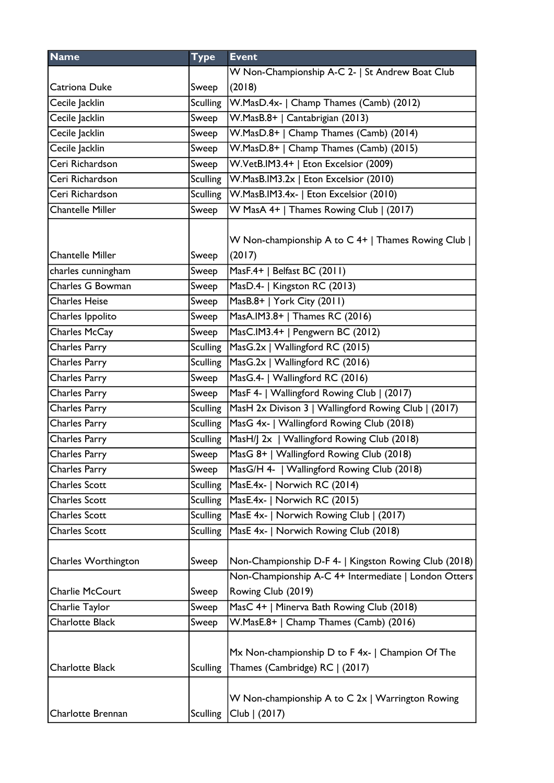| <b>Name</b>             | <b>Type</b>     | <b>Event</b>                                                                                                  |
|-------------------------|-----------------|---------------------------------------------------------------------------------------------------------------|
|                         |                 | W Non-Championship A-C 2-   St Andrew Boat Club                                                               |
| Catriona Duke           | Sweep           | (2018)                                                                                                        |
| Cecile Jacklin          | <b>Sculling</b> | W.MasD.4x-   Champ Thames (Camb) (2012)                                                                       |
| Cecile Jacklin          | Sweep           | W.MasB.8+   Cantabrigian (2013)                                                                               |
| Cecile Jacklin          | Sweep           | W.MasD.8+   Champ Thames (Camb) (2014)                                                                        |
| Cecile Jacklin          | Sweep           | W.MasD.8+   Champ Thames (Camb) (2015)                                                                        |
| Ceri Richardson         | Sweep           | W.VetB.IM3.4+   Eton Excelsior (2009)                                                                         |
| Ceri Richardson         | <b>Sculling</b> | W.MasB.IM3.2x   Eton Excelsior (2010)                                                                         |
| Ceri Richardson         | <b>Sculling</b> | W.MasB.IM3.4x-   Eton Excelsior (2010)                                                                        |
| <b>Chantelle Miller</b> | Sweep           | W MasA 4+   Thames Rowing Club   (2017)                                                                       |
| <b>Chantelle Miller</b> | Sweep           | W Non-championship A to C 4+   Thames Rowing Club  <br>(2017)                                                 |
| charles cunningham      | Sweep           | MasF.4+   Belfast BC (2011)                                                                                   |
| Charles G Bowman        | Sweep           | MasD.4-   Kingston RC (2013)                                                                                  |
| <b>Charles Heise</b>    | Sweep           | MasB.8+   York City (2011)                                                                                    |
| Charles Ippolito        | Sweep           | MasA.IM3.8+   Thames RC (2016)                                                                                |
| Charles McCay           | Sweep           | MasC.IM3.4+   Pengwern BC (2012)                                                                              |
| Charles Parry           | <b>Sculling</b> | MasG.2x   Wallingford RC (2015)                                                                               |
| Charles Parry           | <b>Sculling</b> | MasG.2x   Wallingford RC (2016)                                                                               |
| Charles Parry           | Sweep           | MasG.4-   Wallingford RC (2016)                                                                               |
| Charles Parry           | Sweep           | MasF 4-   Wallingford Rowing Club   (2017)                                                                    |
| Charles Parry           | <b>Sculling</b> | MasH 2x Divison 3   Wallingford Rowing Club   (2017)                                                          |
| Charles Parry           | <b>Sculling</b> | MasG 4x-   Wallingford Rowing Club (2018)                                                                     |
| Charles Parry           | <b>Sculling</b> | MasH/J 2x   Wallingford Rowing Club (2018)                                                                    |
| <b>Charles Parry</b>    | Sweep           | MasG 8+   Wallingford Rowing Club (2018)                                                                      |
| Charles Parry           | Sweep           | MasG/H 4-   Wallingford Rowing Club (2018)                                                                    |
| <b>Charles Scott</b>    | <b>Sculling</b> | MasE.4x-   Norwich RC (2014)                                                                                  |
| <b>Charles Scott</b>    | <b>Sculling</b> | MasE.4x-   Norwich RC (2015)                                                                                  |
| <b>Charles Scott</b>    | <b>Sculling</b> | MasE 4x-   Norwich Rowing Club   (2017)                                                                       |
| <b>Charles Scott</b>    | <b>Sculling</b> | MasE 4x-   Norwich Rowing Club (2018)                                                                         |
| Charles Worthington     | Sweep           | Non-Championship D-F 4-   Kingston Rowing Club (2018)<br>Non-Championship A-C 4+ Intermediate   London Otters |
| Charlie McCourt         | Sweep           | Rowing Club (2019)                                                                                            |
| Charlie Taylor          | Sweep           | MasC 4+   Minerva Bath Rowing Club (2018)                                                                     |
| <b>Charlotte Black</b>  | Sweep           | W.MasE.8+   Champ Thames (Camb) (2016)                                                                        |
| <b>Charlotte Black</b>  | <b>Sculling</b> | Mx Non-championship D to F 4x-   Champion Of The<br>Thames (Cambridge) RC   (2017)                            |
| Charlotte Brennan       | <b>Sculling</b> | W Non-championship A to C 2x   Warrington Rowing<br>Club   (2017)                                             |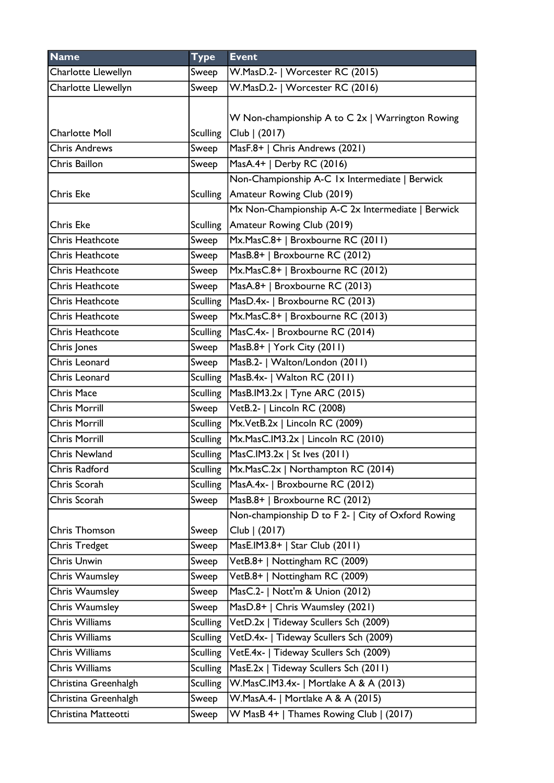| <b>Name</b>            | <b>Type</b>     | <b>Event</b>                                       |
|------------------------|-----------------|----------------------------------------------------|
| Charlotte Llewellyn    | Sweep           | W.MasD.2-   Worcester RC (2015)                    |
| Charlotte Llewellyn    | Sweep           | W.MasD.2-   Worcester RC (2016)                    |
|                        |                 | W Non-championship A to C 2x   Warrington Rowing   |
| <b>Charlotte Moll</b>  | <b>Sculling</b> | Club   (2017)                                      |
| <b>Chris Andrews</b>   | Sweep           | MasF.8+   Chris Andrews (2021)                     |
| Chris Baillon          | Sweep           | MasA.4+   Derby RC (2016)                          |
|                        |                 | Non-Championship A-C 1x Intermediate   Berwick     |
| <b>Chris Eke</b>       |                 | Sculling   Amateur Rowing Club (2019)              |
|                        |                 | Mx Non-Championship A-C 2x Intermediate   Berwick  |
| <b>Chris Eke</b>       | <b>Sculling</b> | Amateur Rowing Club (2019)                         |
| Chris Heathcote        | Sweep           | Mx.MasC.8+   Broxbourne RC (2011)                  |
| <b>Chris Heathcote</b> | Sweep           | MasB.8+   Broxbourne RC (2012)                     |
| <b>Chris Heathcote</b> | Sweep           | Mx.MasC.8+   Broxbourne RC (2012)                  |
| <b>Chris Heathcote</b> | Sweep           | MasA.8+   Broxbourne RC (2013)                     |
| Chris Heathcote        | <b>Sculling</b> | MasD.4x-   Broxbourne RC (2013)                    |
| <b>Chris Heathcote</b> | Sweep           | Mx.MasC.8+   Broxbourne RC (2013)                  |
| <b>Chris Heathcote</b> | <b>Sculling</b> | MasC.4x-   Broxbourne RC (2014)                    |
| Chris Jones            | Sweep           | MasB.8+   York City (2011)                         |
| Chris Leonard          | Sweep           | MasB.2-   Walton/London (2011)                     |
| Chris Leonard          | <b>Sculling</b> | MasB.4x-   Walton RC (2011)                        |
| <b>Chris Mace</b>      | <b>Sculling</b> | MasB.IM3.2x   Tyne ARC (2015)                      |
| <b>Chris Morrill</b>   | Sweep           | VetB.2-   Lincoln RC (2008)                        |
| <b>Chris Morrill</b>   | <b>Sculling</b> | Mx.VetB.2x   Lincoln RC (2009)                     |
| <b>Chris Morrill</b>   | <b>Sculling</b> | Mx.MasC.IM3.2x   Lincoln RC (2010)                 |
| <b>Chris Newland</b>   | Sculling        | $ MasC.IM3.2x $ St Ives (2011)                     |
| Chris Radford          | Sculling        | $Mx.MasC.2x \mid Northampton RC (2014)$            |
| Chris Scorah           | <b>Sculling</b> | MasA.4x-   Broxbourne RC (2012)                    |
| Chris Scorah           | Sweep           | MasB.8+   Broxbourne RC (2012)                     |
|                        |                 | Non-championship D to F 2-   City of Oxford Rowing |
| Chris Thomson          | Sweep           | Club   (2017)                                      |
| <b>Chris Tredget</b>   | Sweep           | MasE.IM3.8+   Star Club (2011)                     |
| Chris Unwin            | Sweep           | VetB.8+   Nottingham RC (2009)                     |
| Chris Waumsley         | Sweep           | VetB.8+   Nottingham RC (2009)                     |
| Chris Waumsley         | Sweep           | MasC.2-   Nott'm & Union (2012)                    |
| Chris Waumsley         | Sweep           | MasD.8+   Chris Waumsley (2021)                    |
| Chris Williams         | <b>Sculling</b> | VetD.2x   Tideway Scullers Sch (2009)              |
| <b>Chris Williams</b>  | <b>Sculling</b> | VetD.4x-   Tideway Scullers Sch (2009)             |
| Chris Williams         | <b>Sculling</b> | VetE.4x-   Tideway Scullers Sch (2009)             |
| <b>Chris Williams</b>  | <b>Sculling</b> | MasE.2x   Tideway Scullers Sch (2011)              |
| Christina Greenhalgh   | <b>Sculling</b> | W.MasC.IM3.4x-   Mortlake A & A (2013)             |
| Christina Greenhalgh   | Sweep           | W.MasA.4-   Mortlake A & A (2015)                  |
| Christina Matteotti    | Sweep           | W MasB 4+   Thames Rowing Club   (2017)            |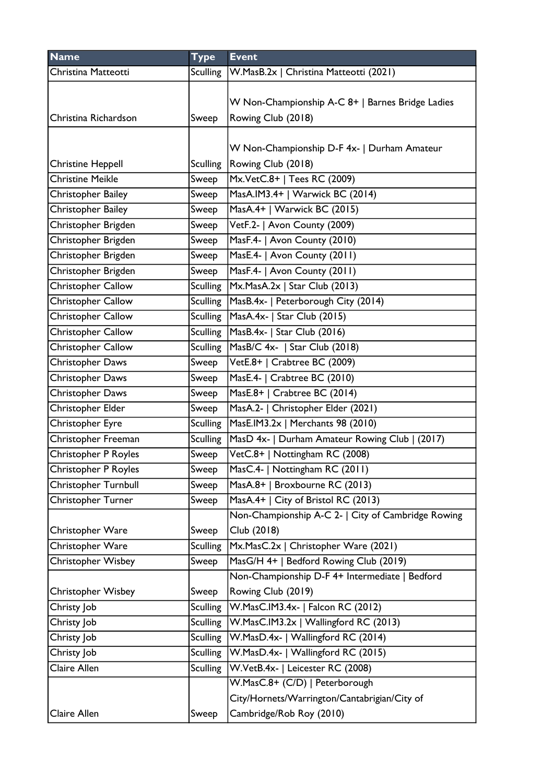| <b>Name</b>               | <b>Type</b>     | <b>Event</b>                                       |
|---------------------------|-----------------|----------------------------------------------------|
| Christina Matteotti       | <b>Sculling</b> | W.MasB.2x   Christina Matteotti (2021)             |
|                           |                 |                                                    |
|                           |                 | W Non-Championship A-C 8+   Barnes Bridge Ladies   |
| Christina Richardson      | Sweep           | Rowing Club (2018)                                 |
|                           |                 |                                                    |
|                           |                 | W Non-Championship D-F 4x-   Durham Amateur        |
| <b>Christine Heppell</b>  | <b>Sculling</b> | Rowing Club (2018)                                 |
| <b>Christine Meikle</b>   | Sweep           | Mx.VetC.8+   Tees RC (2009)                        |
| Christopher Bailey        | Sweep           | MasA.IM3.4+   Warwick BC (2014)                    |
| Christopher Bailey        | Sweep           | MasA.4+   Warwick BC (2015)                        |
| Christopher Brigden       | Sweep           | VetF.2-   Avon County (2009)                       |
| Christopher Brigden       | Sweep           | MasF.4-   Avon County (2010)                       |
| Christopher Brigden       | Sweep           | MasE.4-   Avon County (2011)                       |
| Christopher Brigden       | Sweep           | MasF.4-   Avon County (2011)                       |
| Christopher Callow        | <b>Sculling</b> | Mx.MasA.2x   Star Club (2013)                      |
| Christopher Callow        | <b>Sculling</b> | MasB.4x-   Peterborough City (2014)                |
| Christopher Callow        | <b>Sculling</b> | MasA.4x-   Star Club (2015)                        |
| Christopher Callow        | <b>Sculling</b> | MasB.4x-   Star Club (2016)                        |
| Christopher Callow        | <b>Sculling</b> | MasB/C 4x-   Star Club (2018)                      |
| <b>Christopher Daws</b>   | Sweep           | VetE.8+   Crabtree BC (2009)                       |
| Christopher Daws          | Sweep           | MasE.4-   Crabtree BC (2010)                       |
| Christopher Daws          | Sweep           | MasE.8+   Crabtree BC (2014)                       |
| Christopher Elder         | Sweep           | MasA.2-   Christopher Elder (2021)                 |
| Christopher Eyre          | <b>Sculling</b> | MasE.IM3.2x   Merchants 98 (2010)                  |
| Christopher Freeman       | <b>Sculling</b> | MasD 4x-   Durham Amateur Rowing Club   (2017)     |
| Christopher P Royles      | Sweep           | VetC.8+   Nottingham RC (2008)                     |
| Christopher P Royles      | Sweep           | MasC.4-   Nottingham RC (2011)                     |
| Christopher Turnbull      | Sweep           | MasA.8+   Broxbourne RC (2013)                     |
| Christopher Turner        | Sweep           | MasA.4+   City of Bristol RC (2013)                |
|                           |                 | Non-Championship A-C 2-   City of Cambridge Rowing |
| Christopher Ware          | Sweep           | Club (2018)                                        |
| <b>Christopher Ware</b>   | <b>Sculling</b> | Mx.MasC.2x   Christopher Ware (2021)               |
| Christopher Wisbey        | Sweep           | MasG/H 4+   Bedford Rowing Club (2019)             |
|                           |                 | Non-Championship D-F 4+ Intermediate   Bedford     |
| <b>Christopher Wisbey</b> | Sweep           | Rowing Club (2019)                                 |
| Christy Job               | <b>Sculling</b> | W.MasC.IM3.4x-   Falcon RC (2012)                  |
| Christy Job               | <b>Sculling</b> | W.MasC.IM3.2x   Wallingford RC (2013)              |
| Christy Job               | <b>Sculling</b> | W.MasD.4x-   Wallingford RC (2014)                 |
| Christy Job               | <b>Sculling</b> | W.MasD.4x-   Wallingford RC (2015)                 |
| Claire Allen              | <b>Sculling</b> | W.VetB.4x-   Leicester RC (2008)                   |
|                           |                 | W.MasC.8+ (C/D)   Peterborough                     |
|                           |                 | City/Hornets/Warrington/Cantabrigian/City of       |
| Claire Allen              | Sweep           | Cambridge/Rob Roy (2010)                           |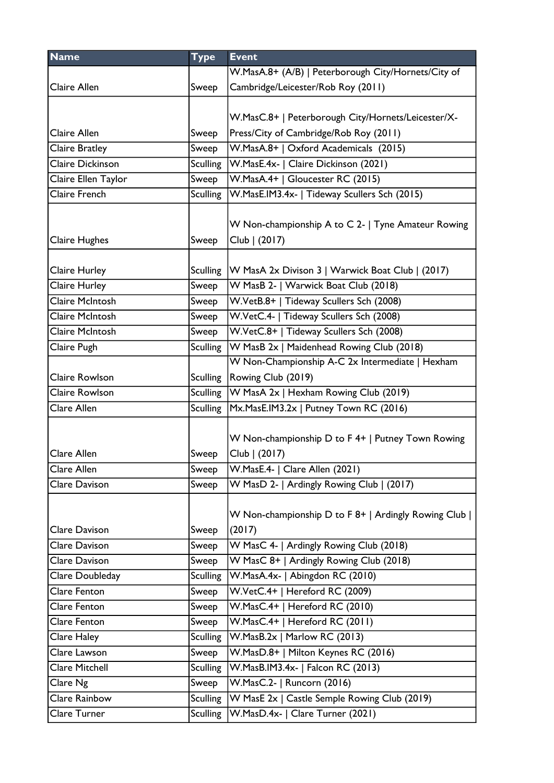| <b>Name</b>            | <b>Type</b>     | <b>Event</b>                                        |
|------------------------|-----------------|-----------------------------------------------------|
|                        |                 | W.MasA.8+ (A/B)   Peterborough City/Hornets/City of |
| Claire Allen           | Sweep           | Cambridge/Leicester/Rob Roy (2011)                  |
|                        |                 |                                                     |
|                        |                 | W.MasC.8+   Peterborough City/Hornets/Leicester/X-  |
| Claire Allen           | Sweep           | Press/City of Cambridge/Rob Roy (2011)              |
| <b>Claire Bratley</b>  | Sweep           | W.MasA.8+   Oxford Academicals (2015)               |
| Claire Dickinson       | <b>Sculling</b> | W.MasE.4x-   Claire Dickinson (2021)                |
| Claire Ellen Taylor    | Sweep           | W.MasA.4+   Gloucester RC (2015)                    |
| Claire French          | <b>Sculling</b> | W.MasE.IM3.4x-   Tideway Scullers Sch (2015)        |
|                        |                 |                                                     |
|                        |                 | W Non-championship A to C 2-   Tyne Amateur Rowing  |
| Claire Hughes          | Sweep           | Club   (2017)                                       |
|                        |                 |                                                     |
| Claire Hurley          | <b>Sculling</b> | W MasA 2x Divison 3   Warwick Boat Club   (2017)    |
| Claire Hurley          | Sweep           | W MasB 2-   Warwick Boat Club (2018)                |
| <b>Claire McIntosh</b> | Sweep           | W.VetB.8+   Tideway Scullers Sch (2008)             |
| Claire McIntosh        | Sweep           | W.VetC.4-   Tideway Scullers Sch (2008)             |
| <b>Claire McIntosh</b> | Sweep           | W.VetC.8+   Tideway Scullers Sch (2008)             |
| Claire Pugh            | <b>Sculling</b> | W MasB 2x   Maidenhead Rowing Club (2018)           |
|                        |                 | W Non-Championship A-C 2x Intermediate   Hexham     |
| Claire Rowlson         | <b>Sculling</b> | Rowing Club (2019)                                  |
| Claire Rowlson         | <b>Sculling</b> | W MasA 2x   Hexham Rowing Club (2019)               |
| Clare Allen            | <b>Sculling</b> | Mx.MasE.IM3.2x   Putney Town RC (2016)              |
|                        |                 |                                                     |
|                        |                 | W Non-championship D to F 4+   Putney Town Rowing   |
| Clare Allen            | Sweep           | Club   (2017)                                       |
| Clare Allen            | Sweep           | W.MasE.4-   Clare Allen (2021)                      |
| Clare Davison          | Sweep           | W MasD 2-   Ardingly Rowing Club   (2017)           |
|                        |                 |                                                     |
|                        |                 | W Non-championship D to F 8+   Ardingly Rowing Club |
| Clare Davison          | Sweep           | (2017)                                              |
| Clare Davison          | Sweep           | W MasC 4-   Ardingly Rowing Club (2018)             |
| Clare Davison          | Sweep           | W MasC 8+   Ardingly Rowing Club (2018)             |
| Clare Doubleday        | <b>Sculling</b> | W.MasA.4x-   Abingdon RC (2010)                     |
| Clare Fenton           | Sweep           | W.VetC.4+   Hereford RC (2009)                      |
| Clare Fenton           | Sweep           | W.MasC.4+   Hereford RC (2010)                      |
| Clare Fenton           | Sweep           | W.MasC.4+   Hereford RC (2011)                      |
| Clare Haley            | <b>Sculling</b> | W.MasB.2x   Marlow RC (2013)                        |
| Clare Lawson           | Sweep           | W.MasD.8+   Milton Keynes RC (2016)                 |
| <b>Clare Mitchell</b>  | <b>Sculling</b> | W.MasB.IM3.4x-   Falcon RC (2013)                   |
| Clare Ng               | Sweep           | W.MasC.2-   Runcorn (2016)                          |
| Clare Rainbow          | <b>Sculling</b> | W MasE 2x   Castle Semple Rowing Club (2019)        |
| Clare Turner           | <b>Sculling</b> | W.MasD.4x-   Clare Turner (2021)                    |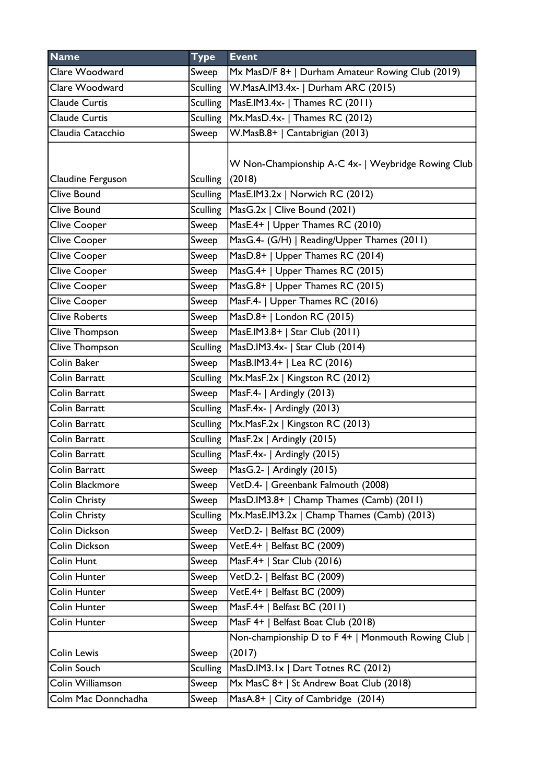| <b>Name</b>          | <b>Type</b>     | <b>Event</b>                                       |
|----------------------|-----------------|----------------------------------------------------|
| Clare Woodward       | Sweep           | Mx MasD/F 8+   Durham Amateur Rowing Club (2019)   |
| Clare Woodward       | <b>Sculling</b> | W.MasA.IM3.4x-   Durham ARC (2015)                 |
| <b>Claude Curtis</b> | Sculling        | MasE.IM3.4x-   Thames RC (2011)                    |
| <b>Claude Curtis</b> | <b>Sculling</b> | Mx.MasD.4x-   Thames RC (2012)                     |
| Claudia Catacchio    | Sweep           | W.MasB.8+   Cantabrigian (2013)                    |
|                      |                 |                                                    |
|                      |                 | W Non-Championship A-C 4x-   Weybridge Rowing Club |
| Claudine Ferguson    | <b>Sculling</b> | (2018)                                             |
| Clive Bound          | <b>Sculling</b> | MasE.IM3.2x   Norwich RC (2012)                    |
| <b>Clive Bound</b>   | <b>Sculling</b> | MasG.2x   Clive Bound (2021)                       |
| <b>Clive Cooper</b>  | Sweep           | MasE.4+   Upper Thames RC (2010)                   |
| Clive Cooper         | Sweep           | MasG.4- (G/H)   Reading/Upper Thames (2011)        |
| Clive Cooper         | Sweep           | MasD.8+   Upper Thames RC (2014)                   |
| Clive Cooper         | Sweep           | MasG.4+   Upper Thames RC (2015)                   |
| Clive Cooper         | Sweep           | MasG.8+   Upper Thames RC (2015)                   |
| <b>Clive Cooper</b>  | Sweep           | MasF.4-   Upper Thames RC (2016)                   |
| <b>Clive Roberts</b> | Sweep           | MasD.8+   London RC (2015)                         |
| Clive Thompson       | Sweep           | MasE.IM3.8+   Star Club (2011)                     |
| Clive Thompson       | <b>Sculling</b> | MasD.IM3.4x-   Star Club (2014)                    |
| Colin Baker          | Sweep           | MasB.IM3.4+   Lea RC (2016)                        |
| Colin Barratt        | Sculling        | Mx.MasF.2x   Kingston RC (2012)                    |
| Colin Barratt        | Sweep           | $\overline{MasF.4-}$ Ardingly (2013)               |
| Colin Barratt        | <b>Sculling</b> | MasF.4x-   Ardingly (2013)                         |
| Colin Barratt        | Sculling        | Mx.MasF.2x   Kingston RC (2013)                    |
| Colin Barratt        |                 | Sculling $Mase.2x$   Ardingly (2015)               |
| Colin Barratt        |                 | Sculling   MasF.4x-   Ardingly (2015)              |
| Colin Barratt        | Sweep           | MasG.2-   Ardingly (2015)                          |
| Colin Blackmore      | Sweep           | VetD.4-   Greenbank Falmouth (2008)                |
| Colin Christy        | Sweep           | MasD.IM3.8+   Champ Thames (Camb) (2011)           |
| <b>Colin Christy</b> | <b>Sculling</b> | Mx.MasE.IM3.2x   Champ Thames (Camb) (2013)        |
| <b>Colin Dickson</b> | Sweep           | VetD.2-   Belfast BC (2009)                        |
| <b>Colin Dickson</b> | Sweep           | VetE.4+   Belfast BC (2009)                        |
| Colin Hunt           | Sweep           | MasF.4+   Star Club (2016)                         |
| Colin Hunter         | Sweep           | VetD.2-   Belfast BC (2009)                        |
| Colin Hunter         | Sweep           | VetE.4+   Belfast BC (2009)                        |
| Colin Hunter         | Sweep           | MasF.4+   Belfast BC (2011)                        |
| Colin Hunter         | Sweep           | MasF 4+   Belfast Boat Club (2018)                 |
|                      |                 | Non-championship D to F 4+   Monmouth Rowing Club  |
| <b>Colin Lewis</b>   | Sweep           | (2017)                                             |
| Colin Souch          | <b>Sculling</b> | MasD.IM3.1x   Dart Totnes RC (2012)                |
| Colin Williamson     | Sweep           | Mx MasC 8+   St Andrew Boat Club (2018)            |
| Colm Mac Donnchadha  | Sweep           | MasA.8+   City of Cambridge (2014)                 |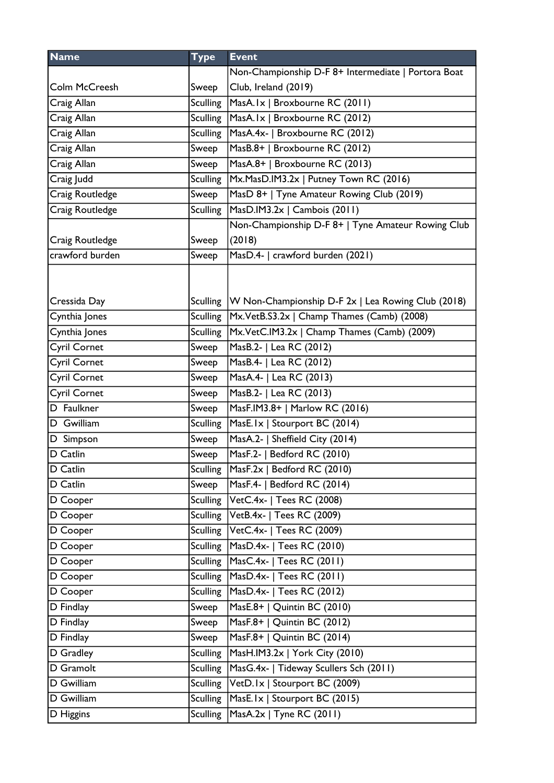| <b>Name</b>         | <b>Type</b>     | <b>Event</b>                                                  |
|---------------------|-----------------|---------------------------------------------------------------|
|                     |                 | Non-Championship D-F 8+ Intermediate   Portora Boat           |
| Colm McCreesh       | Sweep           | Club, Ireland (2019)                                          |
| Craig Allan         | <b>Sculling</b> | MasA.Ix   Broxbourne RC (2011)                                |
| Craig Allan         | <b>Sculling</b> | MasA.Ix   Broxbourne RC (2012)                                |
| Craig Allan         | <b>Sculling</b> | MasA.4x-   Broxbourne RC (2012)                               |
| Craig Allan         | Sweep           | MasB.8+   Broxbourne RC (2012)                                |
| Craig Allan         | Sweep           | MasA.8+   Broxbourne RC (2013)                                |
| Craig Judd          | <b>Sculling</b> | Mx.MasD.IM3.2x   Putney Town RC (2016)                        |
| Craig Routledge     | Sweep           | MasD 8+   Tyne Amateur Rowing Club (2019)                     |
| Craig Routledge     | <b>Sculling</b> | MasD.IM3.2x   Cambois (2011)                                  |
|                     |                 | Non-Championship D-F 8+   Tyne Amateur Rowing Club            |
| Craig Routledge     | Sweep           | (2018)                                                        |
| crawford burden     | Sweep           | MasD.4-   crawford burden (2021)                              |
|                     |                 |                                                               |
|                     |                 |                                                               |
| Cressida Day        |                 | Sculling   W Non-Championship D-F 2x   Lea Rowing Club (2018) |
| Cynthia Jones       | <b>Sculling</b> | Mx.VetB.S3.2x   Champ Thames (Camb) (2008)                    |
| Cynthia Jones       | <b>Sculling</b> | Mx.VetC.IM3.2x   Champ Thames (Camb) (2009)                   |
| <b>Cyril Cornet</b> | Sweep           | MasB.2-   Lea RC (2012)                                       |
| <b>Cyril Cornet</b> | Sweep           | MasB.4-   Lea RC (2012)                                       |
| <b>Cyril Cornet</b> | Sweep           | MasA.4-   Lea RC (2013)                                       |
| <b>Cyril Cornet</b> | Sweep           | MasB.2-   Lea RC (2013)                                       |
| D Faulkner          | Sweep           | MasF.IM3.8+   Marlow RC (2016)                                |
| D Gwilliam          | <b>Sculling</b> | MasE.Ix   Stourport BC (2014)                                 |
| D Simpson           | Sweep           | MasA.2-   Sheffield City (2014)                               |
| D Catlin            | Sweep           | MasF.2-   Bedford RC (2010)                                   |
| D Catlin            | <b>Sculling</b> | $ Mask.2x $ Bedford RC (2010)                                 |
| D Catlin            | Sweep           | MasF.4-   Bedford RC (2014)                                   |
| D Cooper            |                 | Sculling VetC.4x-   Tees RC (2008)                            |
| D Cooper            | Sculling        | VetB.4x-   Tees RC (2009)                                     |
| D Cooper            | <b>Sculling</b> | VetC.4x-   Tees RC (2009)                                     |
| D Cooper            | <b>Sculling</b> | MasD.4x-   Tees RC (2010)                                     |
| D Cooper            | <b>Sculling</b> | MasC.4x-   Tees RC (2011)                                     |
| D Cooper            | <b>Sculling</b> | MasD.4x-   Tees RC (2011)                                     |
| D Cooper            | <b>Sculling</b> | MasD.4x-   Tees RC (2012)                                     |
| D Findlay           | Sweep           | MasE.8+   Quintin BC (2010)                                   |
| D Findlay           | Sweep           | MasF.8+   Quintin BC (2012)                                   |
| D Findlay           | Sweep           | MasF.8+   Quintin BC (2014)                                   |
| D Gradley           | <b>Sculling</b> | MasH.IM3.2x   York City (2010)                                |
| D Gramolt           | <b>Sculling</b> | MasG.4x-   Tideway Scullers Sch (2011)                        |
| D Gwilliam          | <b>Sculling</b> | VetD.Ix   Stourport BC (2009)                                 |
| D Gwilliam          | <b>Sculling</b> | MasE.Ix   Stourport BC (2015)                                 |
| D Higgins           | <b>Sculling</b> | MasA.2x   Tyne RC (2011)                                      |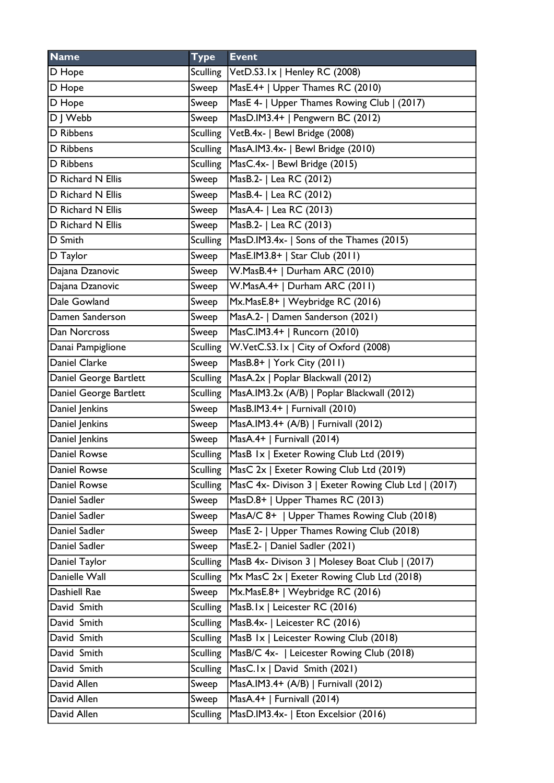| <b>Name</b>            | <b>Type</b>     | <b>Event</b>                                         |
|------------------------|-----------------|------------------------------------------------------|
| D Hope                 |                 | Sculling   VetD.S3.1x   Henley RC (2008)             |
| D Hope                 | Sweep           | MasE.4+   Upper Thames RC (2010)                     |
| D Hope                 | Sweep           | MasE 4-   Upper Thames Rowing Club   (2017)          |
| $\overline{D}$ J Webb  | Sweep           | MasD.IM3.4+   Pengwern BC (2012)                     |
| D Ribbens              | Sculling        | VetB.4x-   Bewl Bridge (2008)                        |
| D Ribbens              | Sculling        | MasA.IM3.4x-   Bewl Bridge (2010)                    |
| D Ribbens              | <b>Sculling</b> | MasC.4x-   Bewl Bridge (2015)                        |
| D Richard N Ellis      | Sweep           | MasB.2-   Lea RC (2012)                              |
| D Richard N Ellis      | Sweep           | MasB.4-   Lea RC (2012)                              |
| D Richard N Ellis      | Sweep           | MasA.4-   Lea RC (2013)                              |
| D Richard N Ellis      | Sweep           | MasB.2-   Lea RC (2013)                              |
| D Smith                | Sculling        | MasD.IM3.4x-   Sons of the Thames (2015)             |
| D Taylor               | Sweep           | MasE.IM3.8+   Star Club (2011)                       |
| Dajana Dzanovic        | Sweep           | W.MasB.4+   Durham ARC (2010)                        |
| Dajana Dzanovic        | Sweep           | W.MasA.4+   Durham ARC (2011)                        |
| Dale Gowland           | Sweep           | Mx.MasE.8+   Weybridge RC (2016)                     |
| Damen Sanderson        | Sweep           | MasA.2-   Damen Sanderson (2021)                     |
| Dan Norcross           | Sweep           | MasC.IM3.4+   Runcorn (2010)                         |
| Danai Pampiglione      | <b>Sculling</b> | W.VetC.S3.1x   City of Oxford (2008)                 |
| Daniel Clarke          | Sweep           | MasB.8+   York City (2011)                           |
| Daniel George Bartlett | <b>Sculling</b> | MasA.2x   Poplar Blackwall (2012)                    |
| Daniel George Bartlett | <b>Sculling</b> | MasA.IM3.2x (A/B)   Poplar Blackwall (2012)          |
| Daniel Jenkins         | Sweep           | MasB.IM3.4+   Furnivall (2010)                       |
| Daniel Jenkins         | Sweep           | MasA.IM3.4+ (A/B)   Furnivall (2012)                 |
| Daniel Jenkins         | Sweep           | MasA.4+   Furnivall (2014)                           |
| Daniel Rowse           |                 | Sculling   MasB 1x   Exeter Rowing Club Ltd (2019)   |
| Daniel Rowse           | Sculling        | MasC 2x   Exeter Rowing Club Ltd (2019)              |
| Daniel Rowse           | <b>Sculling</b> | MasC 4x- Divison 3   Exeter Rowing Club Ltd   (2017) |
| Daniel Sadler          | Sweep           | MasD.8+   Upper Thames RC (2013)                     |
| Daniel Sadler          | Sweep           | MasA/C 8+   Upper Thames Rowing Club (2018)          |
| Daniel Sadler          | Sweep           | MasE 2-   Upper Thames Rowing Club (2018)            |
| Daniel Sadler          | Sweep           | MasE.2-   Daniel Sadler (2021)                       |
| Daniel Taylor          | <b>Sculling</b> | MasB 4x- Divison 3   Molesey Boat Club   (2017)      |
| Danielle Wall          | <b>Sculling</b> | Mx MasC 2x   Exeter Rowing Club Ltd (2018)           |
| Dashiell Rae           | Sweep           | Mx.MasE.8+   Weybridge RC (2016)                     |
| David Smith            | <b>Sculling</b> | MasB.Ix   Leicester RC (2016)                        |
| David Smith            | <b>Sculling</b> | MasB.4x-   Leicester RC (2016)                       |
| David Smith            | <b>Sculling</b> | MasB 1x   Leicester Rowing Club (2018)               |
| David Smith            | <b>Sculling</b> | MasB/C 4x-   Leicester Rowing Club (2018)            |
| David Smith            | <b>Sculling</b> | MasC.Ix   David Smith (2021)                         |
| David Allen            | Sweep           | MasA.IM3.4+ (A/B)   Furnivall (2012)                 |
| David Allen            | Sweep           | MasA.4+   Furnivall (2014)                           |
| David Allen            | Sculling        | MasD.IM3.4x-   Eton Excelsior (2016)                 |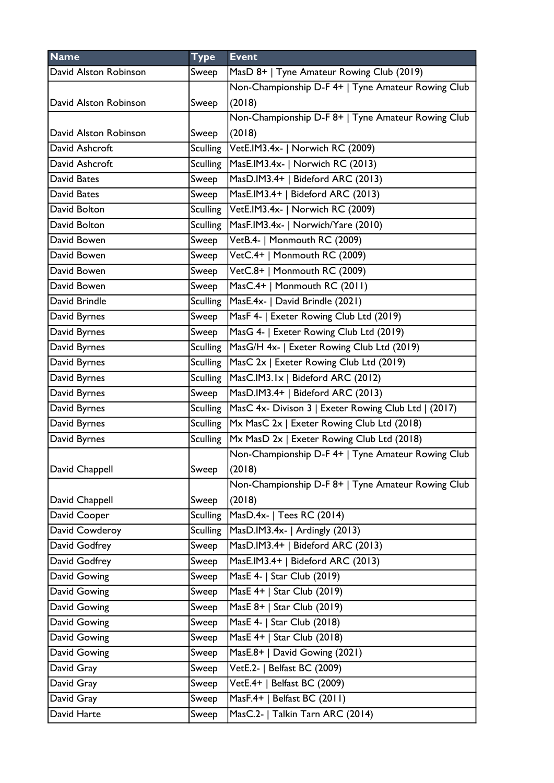| <b>Name</b>           | <b>Type</b>     | <b>Event</b>                                         |
|-----------------------|-----------------|------------------------------------------------------|
| David Alston Robinson | Sweep           | MasD 8+   Tyne Amateur Rowing Club (2019)            |
|                       |                 | Non-Championship D-F 4+   Tyne Amateur Rowing Club   |
| David Alston Robinson | Sweep           | (2018)                                               |
|                       |                 | Non-Championship D-F 8+   Tyne Amateur Rowing Club   |
| David Alston Robinson | Sweep           | (2018)                                               |
| David Ashcroft        | <b>Sculling</b> | VetE.IM3.4x-   Norwich RC (2009)                     |
| David Ashcroft        | <b>Sculling</b> | MasE.IM3.4x-   Norwich RC (2013)                     |
| David Bates           | Sweep           | MasD.IM3.4+   Bideford ARC (2013)                    |
| David Bates           | Sweep           | MasE.IM3.4+   Bideford ARC (2013)                    |
| David Bolton          | <b>Sculling</b> | VetE.IM3.4x-   Norwich RC (2009)                     |
| David Bolton          | <b>Sculling</b> | MasF.IM3.4x-   Norwich/Yare (2010)                   |
| David Bowen           | Sweep           | VetB.4-   Monmouth RC (2009)                         |
| David Bowen           | Sweep           | VetC.4+   Monmouth RC (2009)                         |
| David Bowen           | Sweep           | VetC.8+   Monmouth RC (2009)                         |
| David Bowen           | Sweep           | MasC.4+   Monmouth RC (2011)                         |
| David Brindle         | <b>Sculling</b> | MasE.4x-   David Brindle (2021)                      |
| David Byrnes          | Sweep           | MasF 4-   Exeter Rowing Club Ltd (2019)              |
| David Byrnes          | Sweep           | MasG 4-   Exeter Rowing Club Ltd (2019)              |
| David Byrnes          | <b>Sculling</b> | MasG/H 4x-   Exeter Rowing Club Ltd (2019)           |
| David Byrnes          | <b>Sculling</b> | MasC 2x   Exeter Rowing Club Ltd (2019)              |
| David Byrnes          | <b>Sculling</b> | MasC.IM3.1x   Bideford ARC (2012)                    |
| David Byrnes          | Sweep           | MasD.IM3.4+   Bideford ARC (2013)                    |
| David Byrnes          | <b>Sculling</b> | MasC 4x- Divison 3   Exeter Rowing Club Ltd   (2017) |
| David Byrnes          | <b>Sculling</b> | Mx MasC 2x   Exeter Rowing Club Ltd (2018)           |
| David Byrnes          | <b>Sculling</b> | Mx MasD 2x   Exeter Rowing Club Ltd (2018)           |
|                       |                 | Non-Championship D-F 4+   Tyne Amateur Rowing Club   |
| David Chappell        | Sweep           | (2018)                                               |
|                       |                 | Non-Championship D-F 8+   Tyne Amateur Rowing Club   |
| David Chappell        | Sweep           | (2018)                                               |
| David Cooper          | <b>Sculling</b> | MasD.4x-   Tees RC (2014)                            |
| David Cowderoy        | <b>Sculling</b> | MasD.IM3.4x-   Ardingly (2013)                       |
| David Godfrey         | Sweep           | MasD.IM3.4+   Bideford ARC (2013)                    |
| David Godfrey         | Sweep           | MasE.IM3.4+   Bideford ARC (2013)                    |
| David Gowing          | Sweep           | MasE 4-   Star Club (2019)                           |
| David Gowing          | Sweep           | MasE 4+   Star Club (2019)                           |
| David Gowing          | Sweep           | MasE 8+   Star Club (2019)                           |
| David Gowing          | Sweep           | MasE 4-   Star Club (2018)                           |
| David Gowing          | Sweep           | MasE 4+   Star Club (2018)                           |
| David Gowing          | Sweep           | MasE.8+   David Gowing (2021)                        |
| David Gray            | Sweep           | VetE.2-   Belfast BC (2009)                          |
| David Gray            | Sweep           | VetE.4+   Belfast BC (2009)                          |
| David Gray            | Sweep           | MasF.4+   Belfast BC (2011)                          |
| David Harte           | Sweep           | MasC.2-   Talkin Tarn ARC (2014)                     |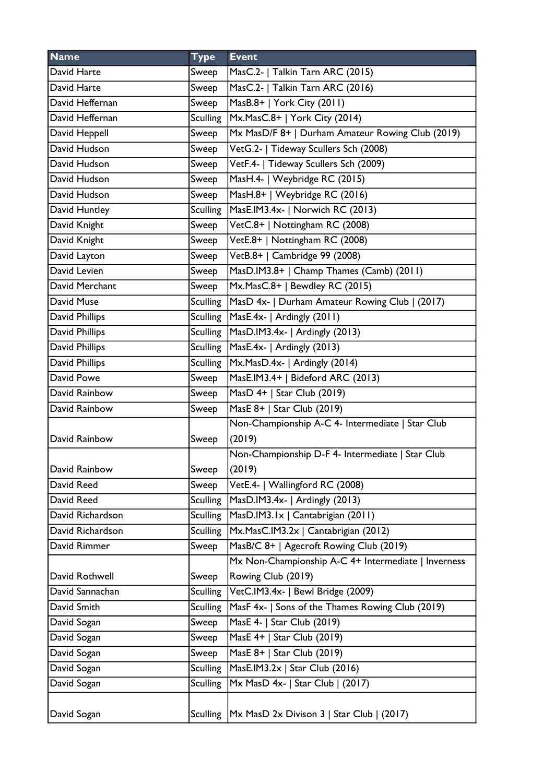| <b>Name</b>      | <b>Type</b>     | <b>Event</b>                                         |
|------------------|-----------------|------------------------------------------------------|
| David Harte      | Sweep           | MasC.2-   Talkin Tarn ARC (2015)                     |
| David Harte      | Sweep           | MasC.2-   Talkin Tarn ARC (2016)                     |
| David Heffernan  | Sweep           | MasB.8+   York City (2011)                           |
| David Heffernan  | <b>Sculling</b> | $Mx.MasC.8+$   York City (2014)                      |
| David Heppell    | Sweep           | Mx MasD/F 8+   Durham Amateur Rowing Club (2019)     |
| David Hudson     | Sweep           | VetG.2-   Tideway Scullers Sch (2008)                |
| David Hudson     | Sweep           | VetF.4-   Tideway Scullers Sch (2009)                |
| David Hudson     | Sweep           | MasH.4-   Weybridge RC (2015)                        |
| David Hudson     | Sweep           | MasH.8+   Weybridge RC (2016)                        |
| David Huntley    | <b>Sculling</b> | MasE.IM3.4x-   Norwich RC (2013)                     |
| David Knight     | Sweep           | VetC.8+   Nottingham RC (2008)                       |
| David Knight     | Sweep           | VetE.8+   Nottingham RC (2008)                       |
| David Layton     | Sweep           | VetB.8+   Cambridge 99 (2008)                        |
| David Levien     | Sweep           | MasD.IM3.8+   Champ Thames (Camb) (2011)             |
| David Merchant   | Sweep           | Mx.MasC.8+   Bewdley RC (2015)                       |
| David Muse       | <b>Sculling</b> | MasD 4x-   Durham Amateur Rowing Club   (2017)       |
| David Phillips   | <b>Sculling</b> | MasE.4x-   Ardingly (2011)                           |
| David Phillips   | <b>Sculling</b> | MasD.IM3.4x-   Ardingly (2013)                       |
| David Phillips   | <b>Sculling</b> | MasE.4x-   Ardingly (2013)                           |
| David Phillips   | <b>Sculling</b> | Mx.MasD.4x-   Ardingly (2014)                        |
| David Powe       | Sweep           | MasE.IM3.4+   Bideford ARC (2013)                    |
| David Rainbow    | Sweep           | MasD 4+   Star Club (2019)                           |
| David Rainbow    | Sweep           | MasE 8+   Star Club (2019)                           |
|                  |                 | Non-Championship A-C 4- Intermediate   Star Club     |
| David Rainbow    | Sweep           | (2019)                                               |
|                  |                 | Non-Championship D-F 4- Intermediate   Star Club     |
| David Rainbow    | Sweep           | (2019)                                               |
| David Reed       | Sweep           | VetE.4-   Wallingford RC (2008)                      |
| David Reed       | <b>Sculling</b> | MasD.IM3.4x-   Ardingly (2013)                       |
| David Richardson | <b>Sculling</b> | MasD.IM3.1x   Cantabrigian (2011)                    |
| David Richardson | <b>Sculling</b> | Mx.MasC.IM3.2x   Cantabrigian (2012)                 |
| David Rimmer     | Sweep           | MasB/C 8+   Agecroft Rowing Club (2019)              |
|                  |                 | Mx Non-Championship A-C 4+ Intermediate   Inverness  |
| David Rothwell   | Sweep           | Rowing Club (2019)                                   |
| David Sannachan  | <b>Sculling</b> | VetC.IM3.4x-   Bewl Bridge (2009)                    |
| David Smith      | <b>Sculling</b> | MasF 4x-   Sons of the Thames Rowing Club (2019)     |
| David Sogan      | Sweep           | MasE 4-   Star Club (2019)                           |
| David Sogan      | Sweep           | MasE 4+   Star Club (2019)                           |
| David Sogan      | Sweep           | MasE 8+   Star Club (2019)                           |
| David Sogan      | <b>Sculling</b> | MasE.IM3.2x   Star Club (2016)                       |
| David Sogan      | <b>Sculling</b> | Mx MasD 4x-   Star Club   (2017)                     |
|                  |                 |                                                      |
| David Sogan      |                 | Sculling   Mx MasD 2x Divison 3   Star Club   (2017) |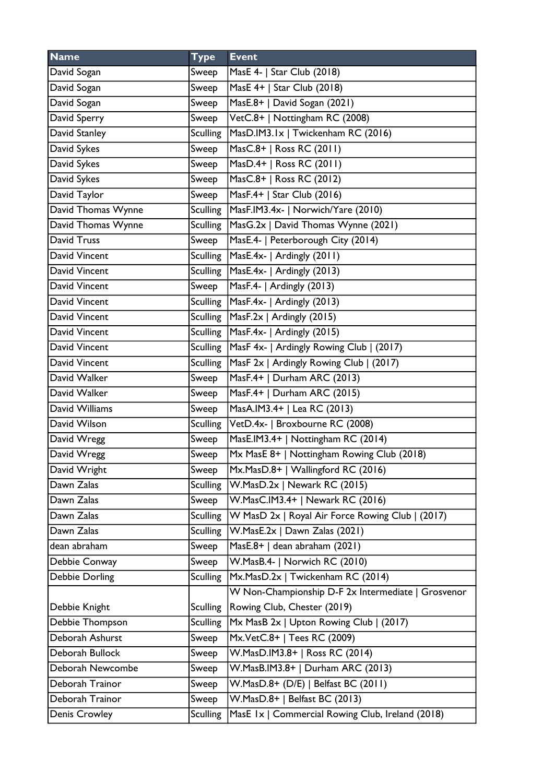| <b>Name</b>        | <b>Type</b>     | <b>Event</b>                                       |
|--------------------|-----------------|----------------------------------------------------|
| David Sogan        | Sweep           | MasE 4-   Star Club (2018)                         |
| David Sogan        | Sweep           | MasE 4+   Star Club (2018)                         |
| David Sogan        | Sweep           | MasE.8+   David Sogan (2021)                       |
| David Sperry       | Sweep           | VetC.8+   Nottingham RC (2008)                     |
| David Stanley      | <b>Sculling</b> | MasD.IM3.1x   Twickenham RC (2016)                 |
| David Sykes        | Sweep           | MasC.8+   Ross RC (2011)                           |
| David Sykes        | Sweep           | MasD.4+   Ross RC (2011)                           |
| David Sykes        | Sweep           | MasC.8+   Ross RC (2012)                           |
| David Taylor       | Sweep           | MasF.4+   Star Club (2016)                         |
| David Thomas Wynne | <b>Sculling</b> | MasF.IM3.4x-   Norwich/Yare (2010)                 |
| David Thomas Wynne | Sculling        | MasG.2x   David Thomas Wynne (2021)                |
| David Truss        | Sweep           | MasE.4-   Peterborough City (2014)                 |
| David Vincent      | Sculling        | MasE.4x-   Ardingly (2011)                         |
| David Vincent      | Sculling        | MasE.4x-   Ardingly (2013)                         |
| David Vincent      | Sweep           | MasF.4-   Ardingly (2013)                          |
| David Vincent      | <b>Sculling</b> | MasF.4x-   Ardingly (2013)                         |
| David Vincent      | Sculling        | MasF.2x   Ardingly (2015)                          |
| David Vincent      | <b>Sculling</b> | MasF.4x-   Ardingly (2015)                         |
| David Vincent      | Sculling        | MasF 4x-   Ardingly Rowing Club   (2017)           |
| David Vincent      | <b>Sculling</b> | MasF 2x   Ardingly Rowing Club   (2017)            |
| David Walker       | Sweep           | MasF.4+   Durham ARC (2013)                        |
| David Walker       | Sweep           | MasF.4+   Durham ARC (2015)                        |
| David Williams     | Sweep           | MasA.IM3.4+   Lea RC (2013)                        |
| David Wilson       | Sculling        | VetD.4x-   Broxbourne RC (2008)                    |
| David Wregg        | Sweep           | MasE.IM3.4+   Nottingham RC (2014)                 |
| David Wregg        | Sweep           | Mx MasE 8+   Nottingham Rowing Club (2018)         |
| David Wright       | Sweep           | Mx.MasD.8+   Wallingford RC (2016)                 |
| Dawn Zalas         | <b>Sculling</b> | W.MasD.2x   Newark RC (2015)                       |
| Dawn Zalas         | Sweep           | W.MasC.IM3.4+   Newark RC (2016)                   |
| Dawn Zalas         | <b>Sculling</b> | W MasD 2x   Royal Air Force Rowing Club   (2017)   |
| Dawn Zalas         | <b>Sculling</b> | W.MasE.2x   Dawn Zalas (2021)                      |
| dean abraham       | Sweep           | MasE.8+   dean abraham (2021)                      |
| Debbie Conway      | Sweep           | W.MasB.4-   Norwich RC (2010)                      |
| Debbie Dorling     | <b>Sculling</b> | Mx.MasD.2x   Twickenham RC (2014)                  |
|                    |                 | W Non-Championship D-F 2x Intermediate   Grosvenor |
| Debbie Knight      | <b>Sculling</b> | Rowing Club, Chester (2019)                        |
| Debbie Thompson    | <b>Sculling</b> | Mx MasB 2x   Upton Rowing Club   (2017)            |
| Deborah Ashurst    | Sweep           | Mx.VetC.8+   Tees RC (2009)                        |
| Deborah Bullock    | Sweep           | W.MasD.IM3.8+   Ross RC (2014)                     |
| Deborah Newcombe   | Sweep           | W.MasB.IM3.8+   Durham ARC (2013)                  |
| Deborah Trainor    | Sweep           | W.MasD.8+ (D/E)   Belfast BC (2011)                |
| Deborah Trainor    | Sweep           | W.MasD.8+   Belfast BC (2013)                      |
| Denis Crowley      | <b>Sculling</b> | MasE Ix   Commercial Rowing Club, Ireland (2018)   |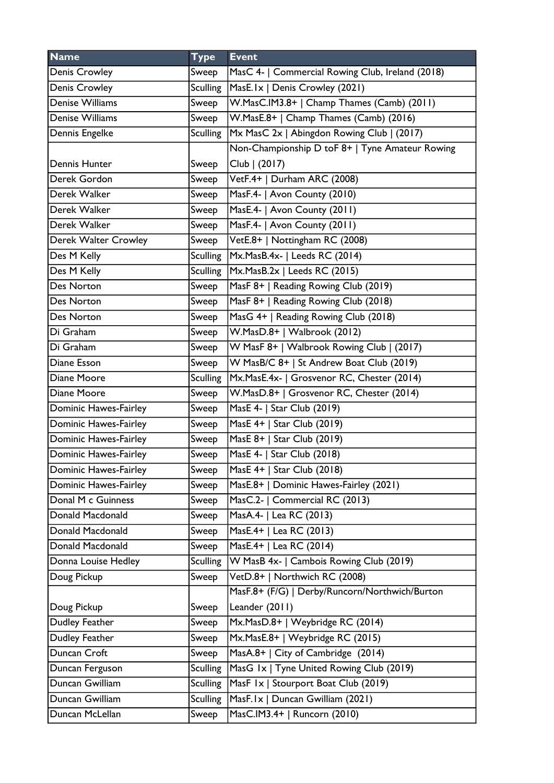| <b>Name</b>           | <b>Type</b>     | <b>Event</b>                                     |
|-----------------------|-----------------|--------------------------------------------------|
| <b>Denis Crowley</b>  | Sweep           | MasC 4-   Commercial Rowing Club, Ireland (2018) |
| <b>Denis Crowley</b>  | <b>Sculling</b> | MasE.1x   Denis Crowley (2021)                   |
| Denise Williams       | Sweep           | W.MasC.IM3.8+   Champ Thames (Camb) (2011)       |
| Denise Williams       | Sweep           | W.MasE.8+   Champ Thames (Camb) (2016)           |
| Dennis Engelke        | <b>Sculling</b> | Mx MasC 2x   Abingdon Rowing Club   (2017)       |
|                       |                 | Non-Championship D toF 8+   Tyne Amateur Rowing  |
| Dennis Hunter         | Sweep           | Club   (2017)                                    |
| Derek Gordon          | Sweep           | VetF.4+   Durham ARC (2008)                      |
| Derek Walker          | Sweep           | MasF.4-   Avon County (2010)                     |
| Derek Walker          | Sweep           | MasE.4-   Avon County (2011)                     |
| Derek Walker          | Sweep           | MasF.4-   Avon County (2011)                     |
| Derek Walter Crowley  | Sweep           | VetE.8+   Nottingham RC (2008)                   |
| Des M Kelly           | <b>Sculling</b> | Mx.MasB.4x-   Leeds RC (2014)                    |
| Des M Kelly           | <b>Sculling</b> | Mx.MasB.2x   Leeds RC (2015)                     |
| Des Norton            | Sweep           | MasF 8+   Reading Rowing Club (2019)             |
| Des Norton            | Sweep           | MasF 8+   Reading Rowing Club (2018)             |
| Des Norton            | Sweep           | MasG 4+   Reading Rowing Club (2018)             |
| Di Graham             | Sweep           | W.MasD.8+   Walbrook (2012)                      |
| Di Graham             | Sweep           | W MasF 8+   Walbrook Rowing Club   (2017)        |
| Diane Esson           | Sweep           | W MasB/C 8+   St Andrew Boat Club (2019)         |
| Diane Moore           | <b>Sculling</b> | Mx.MasE.4x-   Grosvenor RC, Chester (2014)       |
| Diane Moore           | Sweep           | W.MasD.8+   Grosvenor RC, Chester (2014)         |
| Dominic Hawes-Fairley | Sweep           | MasE 4-   Star Club (2019)                       |
| Dominic Hawes-Fairley | Sweep           | MasE 4+   Star Club (2019)                       |
| Dominic Hawes-Fairley | Sweep           | MasE 8+   Star Club (2019)                       |
| Dominic Hawes-Fairley | Sweep           | MasE 4-   Star Club (2018)                       |
| Dominic Hawes-Fairley | Sweep           | MasE 4+   Star Club (2018)                       |
| Dominic Hawes-Fairley | Sweep           | MasE.8+   Dominic Hawes-Fairley (2021)           |
| Donal M c Guinness    | Sweep           | MasC.2-   Commercial RC (2013)                   |
| Donald Macdonald      | Sweep           | MasA.4-   Lea RC (2013)                          |
| Donald Macdonald      | Sweep           | MasE.4+   Lea RC (2013)                          |
| Donald Macdonald      | Sweep           | MasE.4+   Lea RC (2014)                          |
| Donna Louise Hedley   | <b>Sculling</b> | W MasB 4x-   Cambois Rowing Club (2019)          |
| Doug Pickup           | Sweep           | VetD.8+   Northwich RC (2008)                    |
|                       |                 | MasF.8+ (F/G)   Derby/Runcorn/Northwich/Burton   |
| Doug Pickup           | Sweep           | Leander (2011)                                   |
| Dudley Feather        | Sweep           | Mx.MasD.8+   Weybridge RC (2014)                 |
| Dudley Feather        | Sweep           | Mx.MasE.8+   Weybridge RC (2015)                 |
| Duncan Croft          | Sweep           | MasA.8+   City of Cambridge (2014)               |
| Duncan Ferguson       | <b>Sculling</b> | MasG 1x   Tyne United Rowing Club (2019)         |
| Duncan Gwilliam       | <b>Sculling</b> | MasF Ix   Stourport Boat Club (2019)             |
| Duncan Gwilliam       | <b>Sculling</b> | MasF.Ix   Duncan Gwilliam (2021)                 |
| Duncan McLellan       | Sweep           | MasC.IM3.4+   Runcorn (2010)                     |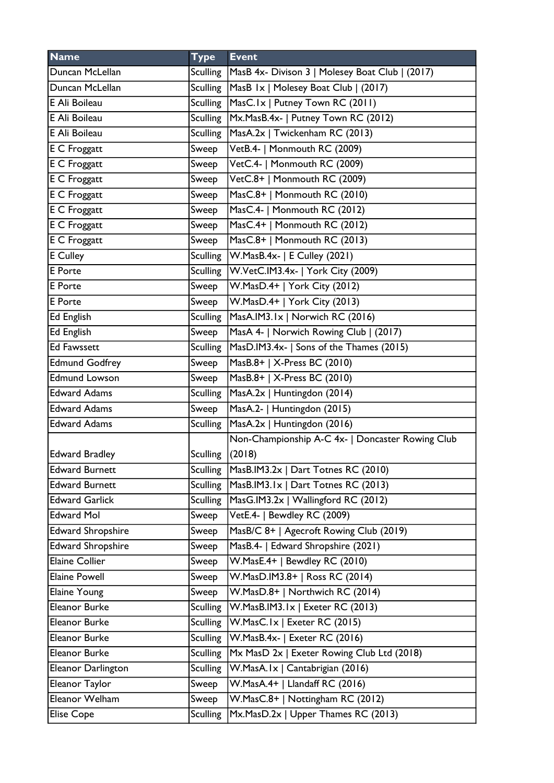| <b>Name</b>               | <b>Type</b>     | <b>Event</b>                                     |
|---------------------------|-----------------|--------------------------------------------------|
| Duncan McLellan           | Sculling        | MasB 4x- Divison 3   Molesey Boat Club   (2017)  |
| Duncan McLellan           | <b>Sculling</b> | MasB 1x   Molesey Boat Club   (2017)             |
| E Ali Boileau             | Sculling        | MasC.1x   Putney Town RC (2011)                  |
| E Ali Boileau             | <b>Sculling</b> | Mx.MasB.4x-   Putney Town RC (2012)              |
| E Ali Boileau             | Sculling        | MasA.2x   Twickenham RC (2013)                   |
| <b>E</b> C Froggatt       | Sweep           | VetB.4-   Monmouth RC (2009)                     |
| <b>E</b> C Froggatt       | Sweep           | VetC.4-   Monmouth RC (2009)                     |
| <b>E C Froggatt</b>       | Sweep           | VetC.8+   Monmouth RC (2009)                     |
| $\overline{E}$ C Froggatt | Sweep           | MasC.8+   Monmouth RC (2010)                     |
| E C Froggatt              | Sweep           | MasC.4-   Monmouth RC (2012)                     |
| <b>E</b> C Froggatt       | Sweep           | MasC.4+   Monmouth RC (2012)                     |
| E C Froggatt              | Sweep           | MasC.8+   Monmouth RC (2013)                     |
| <b>E</b> Culley           | Sculling        | $ W.MasB.4x- E Culley (2021)$                    |
| E Porte                   | <b>Sculling</b> | W.VetC.IM3.4x-   York City (2009)                |
| <b>E</b> Porte            | Sweep           | W.MasD.4+   York City (2012)                     |
| E Porte                   | Sweep           | W.MasD.4+   York City (2013)                     |
| Ed English                | <b>Sculling</b> | MasA.IM3.1x   Norwich RC (2016)                  |
| <b>Ed English</b>         | Sweep           | MasA 4-   Norwich Rowing Club   (2017)           |
| <b>Ed Fawssett</b>        | <b>Sculling</b> | MasD.IM3.4x-   Sons of the Thames (2015)         |
| <b>Edmund Godfrey</b>     | Sweep           | MasB.8+   X-Press BC (2010)                      |
| <b>Edmund Lowson</b>      | Sweep           | MasB.8+   X-Press BC (2010)                      |
| <b>Edward Adams</b>       | Sculling        | MasA.2x   Huntingdon (2014)                      |
| <b>Edward Adams</b>       | Sweep           | MasA.2-   Huntingdon (2015)                      |
| <b>Edward Adams</b>       | <b>Sculling</b> | MasA.2x   Huntingdon (2016)                      |
|                           |                 | Non-Championship A-C 4x-   Doncaster Rowing Club |
| <b>Edward Bradley</b>     | <b>Sculling</b> | (2018)                                           |
| <b>Edward Burnett</b>     | <b>Sculling</b> | MasB.IM3.2x   Dart Totnes RC (2010)              |
| <b>Edward Burnett</b>     | <b>Sculling</b> | MasB.IM3.1x   Dart Totnes RC (2013)              |
| <b>Edward Garlick</b>     | <b>Sculling</b> | MasG.IM3.2x   Wallingford RC (2012)              |
| <b>Edward Mol</b>         | Sweep           | VetE.4-   Bewdley RC (2009)                      |
| <b>Edward Shropshire</b>  | Sweep           | MasB/C 8+   Agecroft Rowing Club (2019)          |
| Edward Shropshire         | Sweep           | MasB.4-   Edward Shropshire (2021)               |
| <b>Elaine Collier</b>     | Sweep           | W.MasE.4+   Bewdley RC (2010)                    |
| <b>Elaine Powell</b>      | Sweep           | W.MasD.IM3.8+   Ross RC (2014)                   |
| Elaine Young              | Sweep           | W.MasD.8+   Northwich RC (2014)                  |
| Eleanor Burke             | <b>Sculling</b> | W.MasB.IM3.1x   Exeter RC (2013)                 |
| Eleanor Burke             | <b>Sculling</b> | W.MasC.Ix   Exeter RC (2015)                     |
| Eleanor Burke             | <b>Sculling</b> | W.MasB.4x-   Exeter RC (2016)                    |
| Eleanor Burke             | <b>Sculling</b> | Mx MasD 2x   Exeter Rowing Club Ltd (2018)       |
| Eleanor Darlington        | <b>Sculling</b> | W.MasA.Ix   Cantabrigian (2016)                  |
| Eleanor Taylor            | Sweep           | W.MasA.4+   Llandaff RC (2016)                   |
| Eleanor Welham            | Sweep           | W.MasC.8+   Nottingham RC (2012)                 |
| Elise Cope                | <b>Sculling</b> | Mx.MasD.2x   Upper Thames RC (2013)              |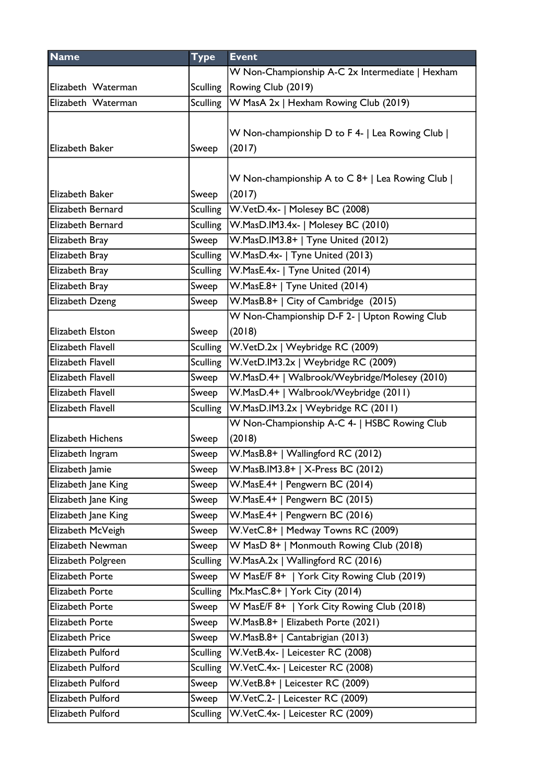| <b>Name</b>         | <b>Type</b>     | <b>Event</b>                                    |
|---------------------|-----------------|-------------------------------------------------|
|                     |                 | W Non-Championship A-C 2x Intermediate   Hexham |
| Elizabeth Waterman  | <b>Sculling</b> | Rowing Club (2019)                              |
| Elizabeth Waterman  | Sculling        | W MasA 2x   Hexham Rowing Club (2019)           |
|                     |                 |                                                 |
|                     |                 | W Non-championship D to F 4-   Lea Rowing Club  |
| Elizabeth Baker     | Sweep           | (2017)                                          |
|                     |                 |                                                 |
|                     |                 | W Non-championship A to C 8+   Lea Rowing Club  |
| Elizabeth Baker     | Sweep           | (2017)                                          |
| Elizabeth Bernard   | <b>Sculling</b> | W.VetD.4x-   Molesey BC (2008)                  |
| Elizabeth Bernard   | <b>Sculling</b> | W.MasD.IM3.4x-   Molesey BC (2010)              |
| Elizabeth Bray      | Sweep           | W.MasD.IM3.8+   Tyne United (2012)              |
| Elizabeth Bray      | <b>Sculling</b> | W.MasD.4x-   Tyne United (2013)                 |
| Elizabeth Bray      | <b>Sculling</b> | W.MasE.4x-   Tyne United (2014)                 |
| Elizabeth Bray      | Sweep           | W.MasE.8+   Tyne United (2014)                  |
| Elizabeth Dzeng     | Sweep           | W.MasB.8+   City of Cambridge (2015)            |
|                     |                 | W Non-Championship D-F 2-   Upton Rowing Club   |
| Elizabeth Elston    | Sweep           | (2018)                                          |
| Elizabeth Flavell   | <b>Sculling</b> | W.VetD.2x   Weybridge RC (2009)                 |
| Elizabeth Flavell   | <b>Sculling</b> | W.VetD.IM3.2x   Weybridge RC (2009)             |
| Elizabeth Flavell   | Sweep           | W.MasD.4+   Walbrook/Weybridge/Molesey (2010)   |
| Elizabeth Flavell   | Sweep           | W.MasD.4+   Walbrook/Weybridge (2011)           |
| Elizabeth Flavell   | <b>Sculling</b> | W.MasD.IM3.2x   Weybridge RC (2011)             |
|                     |                 | W Non-Championship A-C 4-   HSBC Rowing Club    |
| Elizabeth Hichens   | Sweep           | (2018)                                          |
| Elizabeth Ingram    | Sweep           | W.MasB.8+   Wallingford RC (2012)               |
| Elizabeth Jamie     | Sweep           | W.MasB.IM3.8+   X-Press BC (2012)               |
| Elizabeth Jane King | Sweep           | W.MasE.4+   Pengwern BC (2014)                  |
| Elizabeth Jane King | Sweep           | W.MasE.4+   Pengwern BC (2015)                  |
| Elizabeth Jane King | Sweep           | W.MasE.4+   Pengwern BC (2016)                  |
| Elizabeth McVeigh   | Sweep           | W.VetC.8+   Medway Towns RC (2009)              |
| Elizabeth Newman    | Sweep           | W MasD 8+   Monmouth Rowing Club (2018)         |
| Elizabeth Polgreen  | <b>Sculling</b> | W.MasA.2x   Wallingford RC (2016)               |
| Elizabeth Porte     | Sweep           | W MasE/F 8+   York City Rowing Club (2019)      |
| Elizabeth Porte     | <b>Sculling</b> | Mx.MasC.8+   York City (2014)                   |
| Elizabeth Porte     | Sweep           | W MasE/F 8+   York City Rowing Club (2018)      |
| Elizabeth Porte     | Sweep           | W.MasB.8+   Elizabeth Porte (2021)              |
| Elizabeth Price     | Sweep           | W.MasB.8+   Cantabrigian (2013)                 |
| Elizabeth Pulford   | <b>Sculling</b> | W.VetB.4x-   Leicester RC (2008)                |
| Elizabeth Pulford   | <b>Sculling</b> | W.VetC.4x-   Leicester RC (2008)                |
| Elizabeth Pulford   | Sweep           | W.VetB.8+   Leicester RC (2009)                 |
| Elizabeth Pulford   | Sweep           | W.VetC.2-   Leicester RC (2009)                 |
| Elizabeth Pulford   | <b>Sculling</b> | W.VetC.4x-   Leicester RC (2009)                |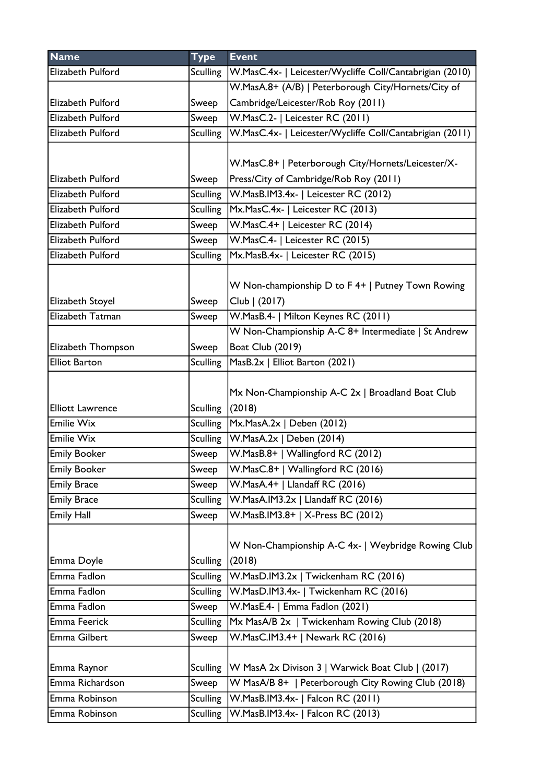| <b>Name</b>             | <b>Type</b>     | <b>Event</b>                                             |
|-------------------------|-----------------|----------------------------------------------------------|
| Elizabeth Pulford       | Sculling        | W.MasC.4x-   Leicester/Wycliffe Coll/Cantabrigian (2010) |
|                         |                 | W.MasA.8+ (A/B)   Peterborough City/Hornets/City of      |
| Elizabeth Pulford       | Sweep           | Cambridge/Leicester/Rob Roy (2011)                       |
| Elizabeth Pulford       | Sweep           | W.MasC.2-   Leicester RC (2011)                          |
| Elizabeth Pulford       | <b>Sculling</b> | W.MasC.4x-   Leicester/Wycliffe Coll/Cantabrigian (2011) |
|                         |                 |                                                          |
|                         |                 | W.MasC.8+   Peterborough City/Hornets/Leicester/X-       |
| Elizabeth Pulford       | Sweep           | Press/City of Cambridge/Rob Roy (2011)                   |
| Elizabeth Pulford       | Sculling        | W.MasB.IM3.4x-   Leicester RC (2012)                     |
| Elizabeth Pulford       | <b>Sculling</b> | Mx.MasC.4x-   Leicester RC (2013)                        |
| Elizabeth Pulford       | Sweep           | W.MasC.4+   Leicester RC (2014)                          |
| Elizabeth Pulford       | Sweep           | W.MasC.4-   Leicester RC (2015)                          |
| Elizabeth Pulford       | <b>Sculling</b> | Mx.MasB.4x-   Leicester RC (2015)                        |
|                         |                 |                                                          |
|                         |                 | W Non-championship D to F 4+   Putney Town Rowing        |
| Elizabeth Stoyel        | Sweep           | Club   (2017)                                            |
| Elizabeth Tatman        | Sweep           | W.MasB.4-   Milton Keynes RC (2011)                      |
|                         |                 | W Non-Championship A-C 8+ Intermediate   St Andrew       |
| Elizabeth Thompson      | Sweep           | Boat Club (2019)                                         |
| <b>Elliot Barton</b>    | <b>Sculling</b> | MasB.2x   Elliot Barton (2021)                           |
|                         |                 |                                                          |
|                         |                 | Mx Non-Championship A-C 2x   Broadland Boat Club         |
| <b>Elliott Lawrence</b> | <b>Sculling</b> | (2018)                                                   |
| Emilie Wix              | Sculling        | Mx.MasA.2x   Deben (2012)                                |
| <b>Emilie Wix</b>       |                 | Sculling   W.MasA.2x   Deben (2014)                      |
| <b>Emily Booker</b>     | Sweep           | W.MasB.8+   Wallingford RC (2012)                        |
| <b>Emily Booker</b>     | Sweep           | W.MasC.8+   Wallingford RC (2016)                        |
| <b>Emily Brace</b>      | Sweep           | W.MasA.4+   Llandaff RC (2016)                           |
| <b>Emily Brace</b>      | <b>Sculling</b> | W.MasA.IM3.2x   Llandaff RC (2016)                       |
| <b>Emily Hall</b>       | Sweep           | W.MasB.IM3.8+   X-Press BC (2012)                        |
|                         |                 |                                                          |
|                         |                 | W Non-Championship A-C 4x-   Weybridge Rowing Club       |
| Emma Doyle              | <b>Sculling</b> | (2018)                                                   |
| Emma Fadlon             | <b>Sculling</b> | W.MasD.IM3.2x   Twickenham RC (2016)                     |
| Emma Fadlon             | <b>Sculling</b> | W.MasD.IM3.4x-   Twickenham RC (2016)                    |
| Emma Fadlon             | Sweep           | W.MasE.4-   Emma Fadlon (2021)                           |
| Emma Feerick            | <b>Sculling</b> | Mx MasA/B 2x   Twickenham Rowing Club (2018)             |
| Emma Gilbert            | Sweep           | W.MasC.IM3.4+   Newark RC (2016)                         |
|                         |                 |                                                          |
| Emma Raynor             | <b>Sculling</b> | W MasA 2x Divison 3   Warwick Boat Club   (2017)         |
| Emma Richardson         | Sweep           | W MasA/B 8+   Peterborough City Rowing Club (2018)       |
| Emma Robinson           | <b>Sculling</b> | W.MasB.IM3.4x-   Falcon RC (2011)                        |
| Emma Robinson           | <b>Sculling</b> | W.MasB.IM3.4x-   Falcon RC (2013)                        |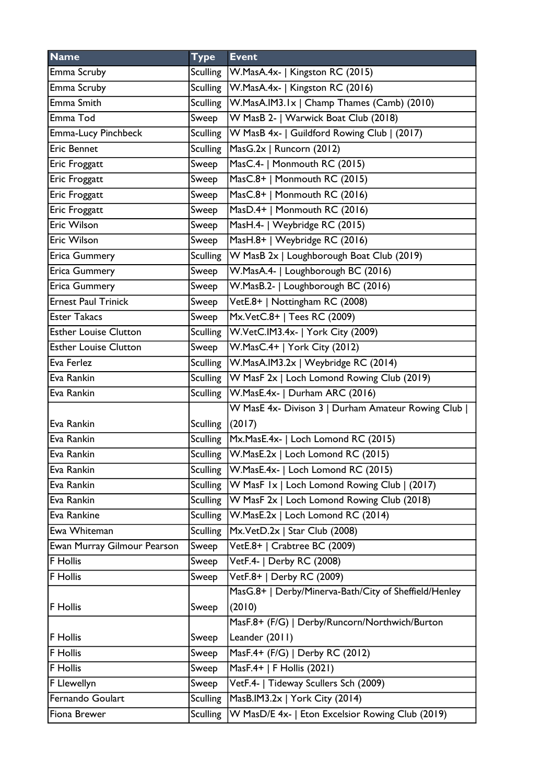| <b>Name</b>                  | <b>Type</b>       | <b>Event</b>                                           |
|------------------------------|-------------------|--------------------------------------------------------|
| Emma Scruby                  |                   | Sculling   W. MasA. 4x -   Kingston RC (2015)          |
| Emma Scruby                  |                   | Sculling   W. MasA. 4x -   Kingston RC (2016)          |
| Emma Smith                   |                   | Sculling   W.MasA.IM3.1x   Champ Thames (Camb) (2010)  |
| Emma Tod                     | Sweep             | W MasB 2-   Warwick Boat Club (2018)                   |
| Emma-Lucy Pinchbeck          |                   | Sculling   W MasB 4x-   Guildford Rowing Club   (2017) |
| <b>Eric Bennet</b>           | <b>Sculling</b>   | MasG.2x   Runcorn (2012)                               |
| Eric Froggatt                | Sweep             | MasC.4-   Monmouth RC (2015)                           |
| Eric Froggatt                | Sweep             | MasC.8+   Monmouth RC (2015)                           |
| Eric Froggatt                | Sweep             | MasC.8+   Monmouth RC (2016)                           |
| Eric Froggatt                | Sweep             | MasD.4+   Monmouth RC (2016)                           |
| Eric Wilson                  | Sweep             | MasH.4-   Weybridge RC (2015)                          |
| <b>Eric Wilson</b>           | Sweep             | MasH.8+   Weybridge RC (2016)                          |
| <b>Erica Gummery</b>         | Sculling          | W MasB 2x   Loughborough Boat Club (2019)              |
| <b>Erica Gummery</b>         | Sweep             | W.MasA.4-   Loughborough BC (2016)                     |
| <b>Erica Gummery</b>         | Sweep             | W.MasB.2-   Loughborough BC (2016)                     |
| <b>Ernest Paul Trinick</b>   | Sweep             | VetE.8+   Nottingham RC (2008)                         |
| <b>Ester Takacs</b>          | Sweep             | Mx.VetC.8+   Tees RC (2009)                            |
| <b>Esther Louise Clutton</b> | <b>Sculling</b>   | W.VetC.IM3.4x-   York City (2009)                      |
| <b>Esther Louise Clutton</b> | Sweep             | W.MasC.4+   York City (2012)                           |
| Eva Ferlez                   | Sculling          | W.MasA.IM3.2x   Weybridge RC (2014)                    |
| Eva Rankin                   | Sculling          | W MasF 2x   Loch Lomond Rowing Club (2019)             |
| Eva Rankin                   |                   | Sculling   W. Mas E. 4x -   Durham ARC (2016)          |
|                              |                   | W MasE 4x- Divison 3   Durham Amateur Rowing Club      |
| Eva Rankin                   | Sculling $(2017)$ |                                                        |
| Eva Rankin                   |                   | Sculling   Mx. Mas E.4x-   Loch Lomond RC (2015)       |
| Eva Rankin                   |                   | Sculling W.MasE.2x   Loch Lomond RC (2015)             |
| Eva Rankin                   | <b>Sculling</b>   | W.MasE.4x-   Loch Lomond RC (2015)                     |
| Eva Rankin                   | <b>Sculling</b>   | W MasF Ix   Loch Lomond Rowing Club   (2017)           |
| Eva Rankin                   | <b>Sculling</b>   | W MasF 2x   Loch Lomond Rowing Club (2018)             |
| Eva Rankine                  | <b>Sculling</b>   | W.MasE.2x   Loch Lomond RC (2014)                      |
| Ewa Whiteman                 | <b>Sculling</b>   | Mx.VetD.2x   Star Club (2008)                          |
| Ewan Murray Gilmour Pearson  | Sweep             | VetE.8+   Crabtree BC (2009)                           |
| <b>F</b> Hollis              | Sweep             | VetF.4-   Derby RC (2008)                              |
| F Hollis                     | Sweep             | VetF.8+   Derby RC (2009)                              |
|                              |                   | MasG.8+   Derby/Minerva-Bath/City of Sheffield/Henley  |
| <b>F</b> Hollis              | Sweep             | (2010)                                                 |
|                              |                   | MasF.8+ (F/G)   Derby/Runcorn/Northwich/Burton         |
| <b>F</b> Hollis              | Sweep             | Leander (2011)                                         |
| <b>F</b> Hollis              | Sweep             | MasF.4+ (F/G)   Derby RC (2012)                        |
| F Hollis                     | Sweep             | MasF.4+   F Hollis (2021)                              |
| F Llewellyn                  | Sweep             | VetF.4-   Tideway Scullers Sch (2009)                  |
| Fernando Goulart             | <b>Sculling</b>   | MasB.IM3.2x   York City (2014)                         |
| Fiona Brewer                 | <b>Sculling</b>   | W MasD/E 4x-   Eton Excelsior Rowing Club (2019)       |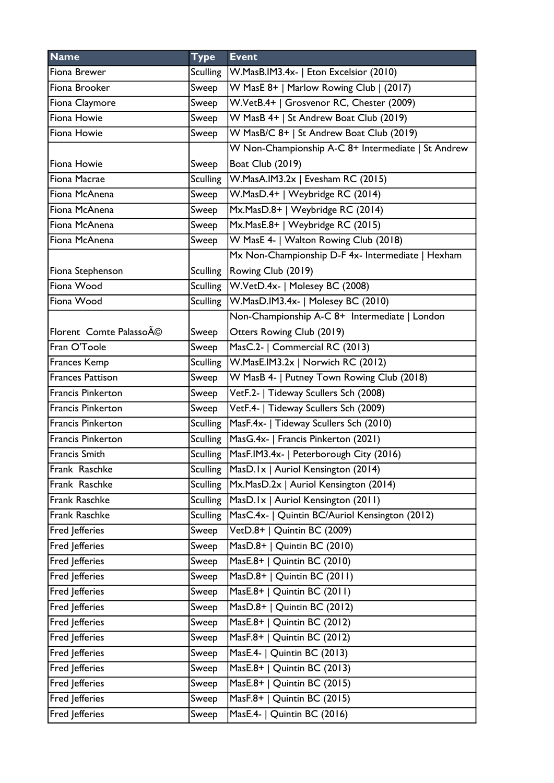| <b>Name</b>              | <b>Type</b>     | <b>Event</b>                                       |
|--------------------------|-----------------|----------------------------------------------------|
| Fiona Brewer             | <b>Sculling</b> | W.MasB.IM3.4x-   Eton Excelsior (2010)             |
| Fiona Brooker            | Sweep           | W MasE 8+   Marlow Rowing Club   (2017)            |
| Fiona Claymore           | Sweep           | W.VetB.4+   Grosvenor RC, Chester (2009)           |
| Fiona Howie              | Sweep           | W MasB 4+   St Andrew Boat Club (2019)             |
| Fiona Howie              | Sweep           | W MasB/C 8+   St Andrew Boat Club (2019)           |
|                          |                 | W Non-Championship A-C 8+ Intermediate   St Andrew |
| Fiona Howie              | Sweep           | <b>Boat Club (2019)</b>                            |
| Fiona Macrae             | <b>Sculling</b> | W.MasA.IM3.2x   Evesham RC (2015)                  |
| Fiona McAnena            | Sweep           | W.MasD.4+   Weybridge RC (2014)                    |
| Fiona McAnena            | Sweep           | Mx.MasD.8+   Weybridge RC (2014)                   |
| Fiona McAnena            | Sweep           | Mx.MasE.8+   Weybridge RC (2015)                   |
| Fiona McAnena            | Sweep           | W MasE 4-   Walton Rowing Club (2018)              |
|                          |                 | Mx Non-Championship D-F 4x- Intermediate   Hexham  |
| Fiona Stephenson         | <b>Sculling</b> | Rowing Club (2019)                                 |
| Fiona Wood               | <b>Sculling</b> | W.VetD.4x-   Molesey BC (2008)                     |
| Fiona Wood               | <b>Sculling</b> | W.MasD.IM3.4x-   Molesey BC (2010)                 |
|                          |                 | Non-Championship A-C 8+ Intermediate   London      |
| Florent Comte PalassoA©  | Sweep           | Otters Rowing Club (2019)                          |
| Fran O'Toole             | Sweep           | MasC.2-   Commercial RC (2013)                     |
| Frances Kemp             | <b>Sculling</b> | W.MasE.IM3.2x   Norwich RC (2012)                  |
| <b>Frances Pattison</b>  | Sweep           | W MasB 4-   Putney Town Rowing Club (2018)         |
| <b>Francis Pinkerton</b> | Sweep           | VetF.2-   Tideway Scullers Sch (2008)              |
| <b>Francis Pinkerton</b> | Sweep           | VetF.4-   Tideway Scullers Sch (2009)              |
| <b>Francis Pinkerton</b> | <b>Sculling</b> | MasF.4x-   Tideway Scullers Sch (2010)             |
| <b>Francis Pinkerton</b> | <b>Sculling</b> | MasG.4x-   Francis Pinkerton (2021)                |
| <b>Francis Smith</b>     | <b>Sculling</b> | MasF.IM3.4x-   Peterborough City (2016)            |
| Frank Raschke            | <b>Sculling</b> | MasD.1x   Auriol Kensington (2014)                 |
| Frank Raschke            | <b>Sculling</b> | Mx.MasD.2x   Auriol Kensington (2014)              |
| Frank Raschke            | <b>Sculling</b> | MasD.Ix   Auriol Kensington (2011)                 |
| Frank Raschke            | <b>Sculling</b> | MasC.4x-   Quintin BC/Auriol Kensington (2012)     |
| Fred Jefferies           | Sweep           | $\overline{\text{Vect}}$ D.8+   Quintin BC (2009)  |
| Fred Jefferies           | Sweep           | $MasD.8+  $ Quintin BC (2010)                      |
| Fred Jefferies           | Sweep           | MasE.8+   Quintin BC (2010)                        |
| Fred Jefferies           | Sweep           | MasD.8+   Quintin BC (2011)                        |
| Fred Jefferies           | Sweep           | MasE.8+   Quintin BC $(2011)$                      |
| Fred Jefferies           | Sweep           | MasD.8+   Quintin BC (2012)                        |
| Fred Jefferies           | Sweep           | MasE.8+   Quintin BC (2012)                        |
| Fred Jefferies           | Sweep           | MasF.8+   Quintin BC (2012)                        |
| Fred Jefferies           | Sweep           | MasE.4-   Quintin BC (2013)                        |
| Fred Jefferies           | Sweep           | MasE.8+   Quintin BC (2013)                        |
| Fred Jefferies           | Sweep           | MasE.8+   Quintin BC (2015)                        |
| Fred Jefferies           | Sweep           | MasF.8+   Quintin BC (2015)                        |
| Fred Jefferies           | Sweep           | MasE.4-   Quintin BC (2016)                        |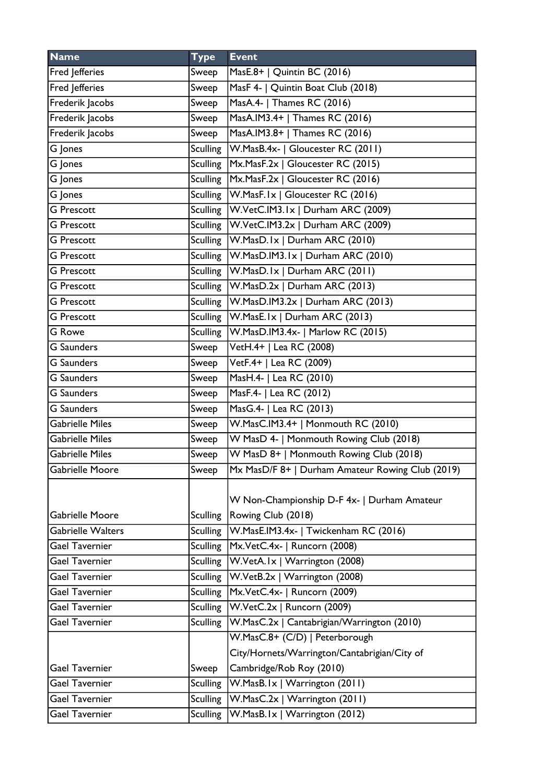| <b>Name</b>           | <b>Type</b>     | <b>Event</b>                                     |
|-----------------------|-----------------|--------------------------------------------------|
| Fred Jefferies        | Sweep           | MasE.8+   Quintin BC (2016)                      |
| Fred Jefferies        | Sweep           | MasF 4-   Quintin Boat Club (2018)               |
| Frederik Jacobs       | Sweep           | MasA.4-   Thames RC (2016)                       |
| Frederik Jacobs       | Sweep           | MasA.IM3.4+   Thames RC (2016)                   |
| Frederik Jacobs       | Sweep           | MasA.IM3.8+   Thames RC (2016)                   |
| $\overline{G}$ Jones  | <b>Sculling</b> | W.MasB.4x-   Gloucester RC (2011)                |
| G Jones               | <b>Sculling</b> | Mx.MasF.2x   Gloucester RC (2015)                |
| G Jones               | <b>Sculling</b> | Mx.MasF.2x   Gloucester RC (2016)                |
| G Jones               | Sculling        | W.MasF.Ix   Gloucester RC (2016)                 |
| <b>G</b> Prescott     | Sculling        | W.VetC.IM3.1x   Durham ARC (2009)                |
| <b>G</b> Prescott     |                 | Sculling   W.VetC.IM3.2x   Durham ARC (2009)     |
| <b>G</b> Prescott     | Sculling        | W.MasD.Ix   Durham ARC (2010)                    |
| <b>G</b> Prescott     | <b>Sculling</b> | W.MasD.IM3.1x   Durham ARC (2010)                |
| <b>G</b> Prescott     | <b>Sculling</b> | W.MasD.Ix   Durham ARC (2011)                    |
| <b>G</b> Prescott     | <b>Sculling</b> | W.MasD.2x   Durham ARC (2013)                    |
| <b>G</b> Prescott     |                 | Sculling   W.MasD.IM3.2x   Durham ARC (2013)     |
| <b>G</b> Prescott     | <b>Sculling</b> | W.MasE.Ix   Durham ARC (2013)                    |
| G Rowe                | <b>Sculling</b> | W.MasD.IM3.4x-   Marlow RC (2015)                |
| <b>G</b> Saunders     | Sweep           | VetH.4+   Lea RC (2008)                          |
| <b>G</b> Saunders     | Sweep           | VetF.4+   Lea RC (2009)                          |
| <b>G</b> Saunders     | Sweep           | MasH.4-   Lea RC (2010)                          |
| <b>G</b> Saunders     | Sweep           | MasF.4-   Lea RC (2012)                          |
| <b>G</b> Saunders     | Sweep           | MasG.4-   Lea RC (2013)                          |
| Gabrielle Miles       | Sweep           | W.MasC.IM3.4+   Monmouth RC (2010)               |
| Gabrielle Miles       | Sweep           | W MasD 4-   Monmouth Rowing Club (2018)          |
| Gabrielle Miles       | Sweep           | W MasD 8+   Monmouth Rowing Club (2018)          |
| Gabrielle Moore       | Sweep           | Mx MasD/F 8+   Durham Amateur Rowing Club (2019) |
|                       |                 | W Non-Championship D-F 4x-   Durham Amateur      |
| Gabrielle Moore       | <b>Sculling</b> | Rowing Club (2018)                               |
| Gabrielle Walters     | <b>Sculling</b> | W.MasE.IM3.4x-   Twickenham RC (2016)            |
| Gael Tavernier        | <b>Sculling</b> | Mx.VetC.4x-   Runcorn (2008)                     |
| Gael Tavernier        | <b>Sculling</b> | W.VetA.Ix   Warrington (2008)                    |
| Gael Tavernier        | <b>Sculling</b> | W.VetB.2x   Warrington (2008)                    |
| Gael Tavernier        | <b>Sculling</b> | Mx.VetC.4x-   Runcorn (2009)                     |
| Gael Tavernier        | <b>Sculling</b> | W.VetC.2x   Runcorn (2009)                       |
| Gael Tavernier        | <b>Sculling</b> | W.MasC.2x   Cantabrigian/Warrington (2010)       |
|                       |                 | W.MasC.8+ (C/D)   Peterborough                   |
|                       |                 | City/Hornets/Warrington/Cantabrigian/City of     |
| <b>Gael Tavernier</b> | Sweep           | Cambridge/Rob Roy (2010)                         |
| <b>Gael Tavernier</b> | <b>Sculling</b> | W.MasB.Ix   Warrington (2011)                    |
| Gael Tavernier        | <b>Sculling</b> | W.MasC.2x   Warrington (2011)                    |
| Gael Tavernier        | <b>Sculling</b> | W.MasB.Ix   Warrington (2012)                    |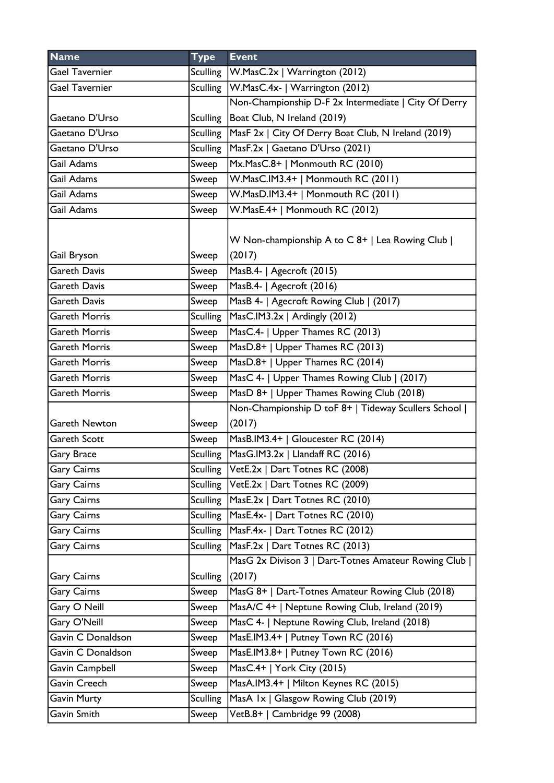| <b>Name</b>          | <b>Type</b>     | <b>Event</b>                                         |
|----------------------|-----------------|------------------------------------------------------|
| Gael Tavernier       | Sculling        | W.MasC.2x   Warrington (2012)                        |
| Gael Tavernier       | Sculling        | W.MasC.4x-   Warrington (2012)                       |
|                      |                 | Non-Championship D-F 2x Intermediate   City Of Derry |
| Gaetano D'Urso       | <b>Sculling</b> | Boat Club, N Ireland (2019)                          |
| Gaetano D'Urso       | <b>Sculling</b> | MasF 2x   City Of Derry Boat Club, N Ireland (2019)  |
| Gaetano D'Urso       | <b>Sculling</b> | MasF.2x   Gaetano D'Urso (2021)                      |
| Gail Adams           | Sweep           | Mx.MasC.8+   Monmouth RC (2010)                      |
| Gail Adams           | Sweep           | W.MasC.IM3.4+   Monmouth RC (2011)                   |
| Gail Adams           | Sweep           | W.MasD.IM3.4+   Monmouth RC (2011)                   |
| Gail Adams           | Sweep           | W.MasE.4+   Monmouth RC (2012)                       |
|                      |                 |                                                      |
|                      |                 | W Non-championship A to C 8+   Lea Rowing Club       |
| Gail Bryson          | Sweep           | (2017)                                               |
| Gareth Davis         | Sweep           | MasB.4-   Agecroft (2015)                            |
| Gareth Davis         | Sweep           | MasB.4-   Agecroft (2016)                            |
| Gareth Davis         | Sweep           | MasB 4-   Agecroft Rowing Club   (2017)              |
| Gareth Morris        | <b>Sculling</b> | MasC.IM3.2x   Ardingly (2012)                        |
| Gareth Morris        | Sweep           | MasC.4-   Upper Thames RC (2013)                     |
| Gareth Morris        | Sweep           | MasD.8+   Upper Thames RC (2013)                     |
| Gareth Morris        | Sweep           | MasD.8+   Upper Thames RC (2014)                     |
| Gareth Morris        | Sweep           | MasC 4-   Upper Thames Rowing Club   (2017)          |
| Gareth Morris        | Sweep           | MasD 8+   Upper Thames Rowing Club (2018)            |
|                      |                 | Non-Championship D toF 8+   Tideway Scullers School  |
| <b>Gareth Newton</b> | Sweep           | (2017)                                               |
| <b>Gareth Scott</b>  | Sweep           | MasB.IM3.4+   Gloucester RC (2014)                   |
| Gary Brace           | <b>Sculling</b> | MasG.IM3.2x   Llandaff RC (2016)                     |
| Gary Cairns          | <b>Sculling</b> | VetE.2x   Dart Totnes RC (2008)                      |
| <b>Gary Cairns</b>   | Sculling        | VetE.2x   Dart Totnes RC (2009)                      |
| <b>Gary Cairns</b>   | <b>Sculling</b> | MasE.2x   Dart Totnes RC (2010)                      |
| Gary Cairns          | <b>Sculling</b> | MasE.4x-   Dart Totnes RC (2010)                     |
| <b>Gary Cairns</b>   | Sculling        | MasF.4x-   Dart Totnes RC (2012)                     |
| <b>Gary Cairns</b>   | <b>Sculling</b> | MasF.2x   Dart Totnes RC (2013)                      |
|                      |                 | MasG 2x Divison 3   Dart-Totnes Amateur Rowing Club  |
| <b>Gary Cairns</b>   | <b>Sculling</b> | (2017)                                               |
| <b>Gary Cairns</b>   | Sweep           | MasG 8+   Dart-Totnes Amateur Rowing Club (2018)     |
| Gary O Neill         | Sweep           | MasA/C 4+   Neptune Rowing Club, Ireland (2019)      |
| Gary O'Neill         | Sweep           | MasC 4-   Neptune Rowing Club, Ireland (2018)        |
| Gavin C Donaldson    | Sweep           | MasE.IM3.4+   Putney Town RC (2016)                  |
| Gavin C Donaldson    | Sweep           | MasE.IM3.8+   Putney Town RC (2016)                  |
| Gavin Campbell       | Sweep           | MasC.4+   York City (2015)                           |
| Gavin Creech         | Sweep           | MasA.IM3.4+   Milton Keynes RC (2015)                |
| Gavin Murty          | <b>Sculling</b> | MasA Ix   Glasgow Rowing Club (2019)                 |
| Gavin Smith          | Sweep           | VetB.8+   Cambridge 99 (2008)                        |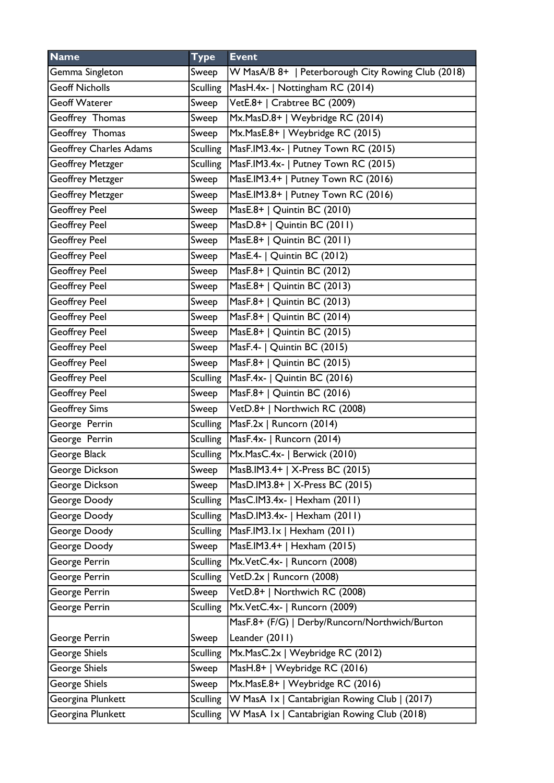| <b>Name</b>                   | <b>Type</b>     | <b>Event</b>                                       |
|-------------------------------|-----------------|----------------------------------------------------|
| Gemma Singleton               | Sweep           | W MasA/B 8+   Peterborough City Rowing Club (2018) |
| <b>Geoff Nicholls</b>         | <b>Sculling</b> | MasH.4x-   Nottingham RC (2014)                    |
| <b>Geoff Waterer</b>          | Sweep           | VetE.8+   Crabtree BC (2009)                       |
| Geoffrey Thomas               | Sweep           | Mx.MasD.8+   Weybridge RC (2014)                   |
| Geoffrey Thomas               | Sweep           | Mx.MasE.8+   Weybridge RC (2015)                   |
| <b>Geoffrey Charles Adams</b> | <b>Sculling</b> | MasF.IM3.4x-   Putney Town RC (2015)               |
| <b>Geoffrey Metzger</b>       | <b>Sculling</b> | MasF.IM3.4x-   Putney Town RC (2015)               |
| <b>Geoffrey Metzger</b>       | Sweep           | MasE.IM3.4+   Putney Town RC (2016)                |
| <b>Geoffrey Metzger</b>       | Sweep           | MasE.IM3.8+   Putney Town RC (2016)                |
| <b>Geoffrey Peel</b>          | Sweep           | MasE.8+   Quintin BC (2010)                        |
| <b>Geoffrey Peel</b>          | Sweep           | MasD.8+   Quintin BC (2011)                        |
| <b>Geoffrey Peel</b>          | Sweep           | MasE.8+   Quintin BC (2011)                        |
| <b>Geoffrey Peel</b>          | Sweep           | MasE.4-   Quintin BC (2012)                        |
| <b>Geoffrey Peel</b>          | Sweep           | MasF.8+   Quintin BC (2012)                        |
| <b>Geoffrey Peel</b>          | Sweep           | MasE.8+   Quintin BC (2013)                        |
| <b>Geoffrey Peel</b>          | Sweep           | MasF.8+   Quintin BC (2013)                        |
| <b>Geoffrey Peel</b>          | Sweep           | MasF.8+   Quintin BC (2014)                        |
| <b>Geoffrey Peel</b>          | Sweep           | MasE.8+   Quintin BC (2015)                        |
| <b>Geoffrey Peel</b>          | Sweep           | MasF.4-   Quintin BC (2015)                        |
| <b>Geoffrey Peel</b>          | Sweep           | MasF.8+   Quintin BC (2015)                        |
| <b>Geoffrey Peel</b>          | <b>Sculling</b> | MasF.4x-   Quintin BC (2016)                       |
| <b>Geoffrey Peel</b>          | Sweep           | MasF.8+   Quintin BC (2016)                        |
| <b>Geoffrey Sims</b>          | Sweep           | VetD.8+   Northwich RC (2008)                      |
| George Perrin                 | Sculling        | MasF.2x   Runcorn (2014)                           |
| George Perrin                 | <b>Sculling</b> | MasF.4x-   Runcorn (2014)                          |
| George Black                  | Sculling        | Mx.MasC.4x-   Berwick (2010)                       |
| George Dickson                | Sweep           | MasB.IM3.4+   X-Press BC (2015)                    |
| George Dickson                | Sweep           | MasD.IM3.8+   X-Press BC (2015)                    |
| George Doody                  | <b>Sculling</b> | MasC.IM3.4x-   Hexham (2011)                       |
| George Doody                  | <b>Sculling</b> | MasD.IM3.4x-   Hexham (2011)                       |
| George Doody                  | <b>Sculling</b> | MasF.IM3.1x   Hexham (2011)                        |
| George Doody                  | Sweep           | MasE.IM3.4+   Hexham (2015)                        |
| George Perrin                 | <b>Sculling</b> | Mx.VetC.4x-   Runcorn (2008)                       |
| George Perrin                 | <b>Sculling</b> | VetD.2x   Runcorn (2008)                           |
| George Perrin                 | Sweep           | VetD.8+   Northwich RC (2008)                      |
| George Perrin                 | <b>Sculling</b> | Mx.VetC.4x-   Runcorn (2009)                       |
|                               |                 | MasF.8+ (F/G)   Derby/Runcorn/Northwich/Burton     |
| George Perrin                 | Sweep           | Leander (2011)                                     |
| George Shiels                 | <b>Sculling</b> | Mx.MasC.2x   Weybridge RC (2012)                   |
| George Shiels                 | Sweep           | MasH.8+   Weybridge RC (2016)                      |
| George Shiels                 | Sweep           | Mx.MasE.8+   Weybridge RC (2016)                   |
| Georgina Plunkett             | <b>Sculling</b> | W MasA Ix   Cantabrigian Rowing Club   (2017)      |
| Georgina Plunkett             | <b>Sculling</b> | W MasA Ix   Cantabrigian Rowing Club (2018)        |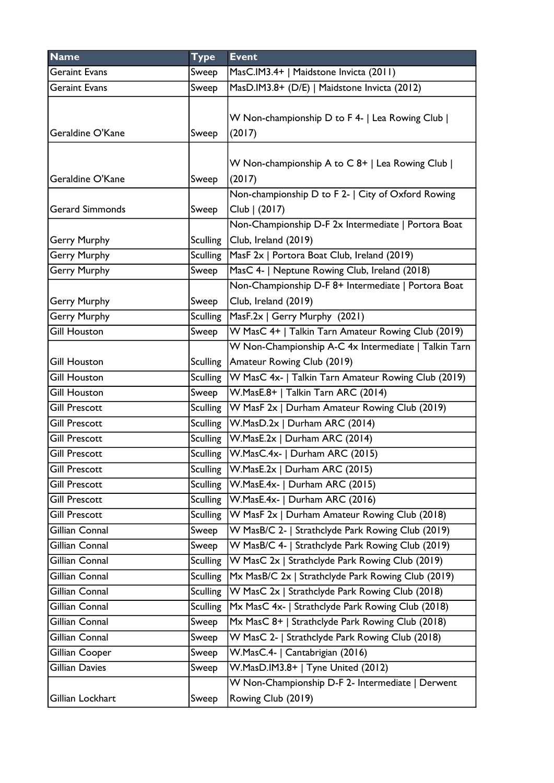| <b>Name</b>            | <b>Type</b>     | <b>Event</b>                                                                |
|------------------------|-----------------|-----------------------------------------------------------------------------|
| <b>Geraint Evans</b>   | Sweep           | MasC.IM3.4+   Maidstone Invicta (2011)                                      |
| <b>Geraint Evans</b>   | Sweep           | MasD.IM3.8+ (D/E)   Maidstone Invicta (2012)                                |
| Geraldine O'Kane       | Sweep           | W Non-championship D to F 4-   Lea Rowing Club  <br>(2017)                  |
| Geraldine O'Kane       | Sweep           | W Non-championship A to C 8+   Lea Rowing Club  <br>(2017)                  |
| <b>Gerard Simmonds</b> | Sweep           | Non-championship D to F 2-   City of Oxford Rowing<br>Club   (2017)         |
| <b>Gerry Murphy</b>    | <b>Sculling</b> | Non-Championship D-F 2x Intermediate   Portora Boat<br>Club, Ireland (2019) |
| <b>Gerry Murphy</b>    | <b>Sculling</b> | MasF 2x   Portora Boat Club, Ireland (2019)                                 |
| <b>Gerry Murphy</b>    | Sweep           | MasC 4-   Neptune Rowing Club, Ireland (2018)                               |
|                        |                 | Non-Championship D-F 8+ Intermediate   Portora Boat                         |
| <b>Gerry Murphy</b>    | Sweep           | Club, Ireland (2019)                                                        |
| <b>Gerry Murphy</b>    | Sculling        | MasF.2x   Gerry Murphy (2021)                                               |
| <b>Gill Houston</b>    | Sweep           | W MasC 4+   Talkin Tarn Amateur Rowing Club (2019)                          |
|                        |                 | W Non-Championship A-C 4x Intermediate   Talkin Tarn                        |
| <b>Gill Houston</b>    | <b>Sculling</b> | Amateur Rowing Club (2019)                                                  |
| <b>Gill Houston</b>    | <b>Sculling</b> | W MasC 4x-   Talkin Tarn Amateur Rowing Club (2019)                         |
| <b>Gill Houston</b>    | Sweep           | W.MasE.8+   Talkin Tarn ARC (2014)                                          |
| <b>Gill Prescott</b>   | <b>Sculling</b> | W MasF 2x   Durham Amateur Rowing Club (2019)                               |
| <b>Gill Prescott</b>   | Sculling        | W.MasD.2x   Durham ARC (2014)                                               |
| <b>Gill Prescott</b>   | <b>Sculling</b> | W.MasE.2x   Durham ARC (2014)                                               |
| <b>Gill Prescott</b>   | <b>Sculling</b> | W.MasC.4x-   Durham ARC (2015)                                              |
| <b>Gill Prescott</b>   | Sculling        | $ W_{.}$ MasE.2x   Durham ARC (2015)                                        |
| <b>Gill Prescott</b>   | Sculling        | W.MasE.4x-   Durham ARC (2015)                                              |
| <b>Gill Prescott</b>   | <b>Sculling</b> | W.MasE.4x-   Durham ARC (2016)                                              |
| <b>Gill Prescott</b>   | <b>Sculling</b> | W MasF 2x   Durham Amateur Rowing Club (2018)                               |
| Gillian Connal         | Sweep           | W MasB/C 2-   Strathclyde Park Rowing Club (2019)                           |
| Gillian Connal         | Sweep           | W MasB/C 4-   Strathclyde Park Rowing Club (2019)                           |
| Gillian Connal         | <b>Sculling</b> | W MasC 2x   Strathclyde Park Rowing Club (2019)                             |
| Gillian Connal         | <b>Sculling</b> | Mx MasB/C 2x   Strathclyde Park Rowing Club (2019)                          |
| Gillian Connal         | <b>Sculling</b> | W MasC 2x   Strathclyde Park Rowing Club (2018)                             |
| Gillian Connal         | <b>Sculling</b> | Mx MasC 4x-   Strathclyde Park Rowing Club (2018)                           |
| Gillian Connal         | Sweep           | Mx MasC 8+   Strathclyde Park Rowing Club (2018)                            |
| Gillian Connal         | Sweep           | W MasC 2-   Strathclyde Park Rowing Club (2018)                             |
| Gillian Cooper         | Sweep           | W.MasC.4-   Cantabrigian (2016)                                             |
| Gillian Davies         | Sweep           | W.MasD.IM3.8+   Tyne United (2012)                                          |
|                        |                 | W Non-Championship D-F 2- Intermediate   Derwent                            |
| Gillian Lockhart       | Sweep           | Rowing Club (2019)                                                          |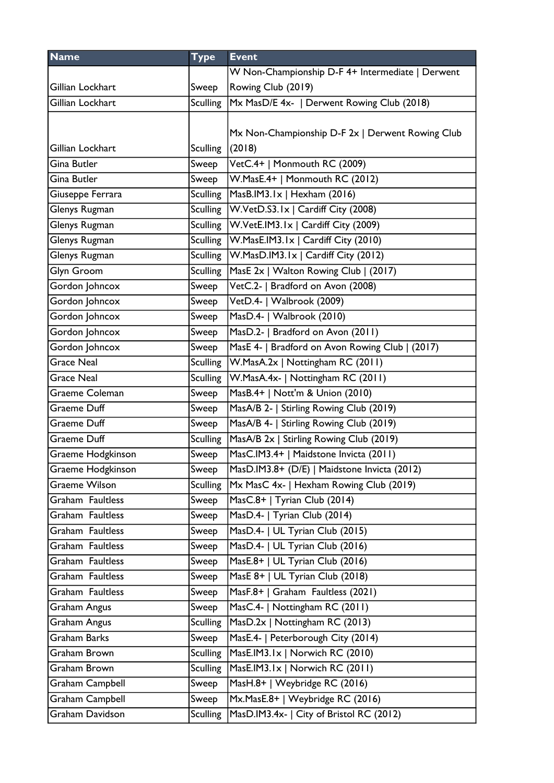| <b>Name</b>           | <b>Type</b>     | <b>Event</b>                                         |
|-----------------------|-----------------|------------------------------------------------------|
|                       |                 | W Non-Championship D-F 4+ Intermediate   Derwent     |
| Gillian Lockhart      | Sweep           | Rowing Club (2019)                                   |
| Gillian Lockhart      | <b>Sculling</b> | Mx MasD/E 4x-   Derwent Rowing Club (2018)           |
|                       |                 |                                                      |
|                       |                 | Mx Non-Championship D-F 2x   Derwent Rowing Club     |
| Gillian Lockhart      | <b>Sculling</b> | (2018)                                               |
| Gina Butler           | Sweep           | VetC.4+   Monmouth RC (2009)                         |
| <b>Gina Butler</b>    | Sweep           | W.MasE.4+   Monmouth RC (2012)                       |
| Giuseppe Ferrara      | <b>Sculling</b> | MasB.IM3.1x   Hexham (2016)                          |
| Glenys Rugman         | <b>Sculling</b> | W.VetD.S3.1x   Cardiff City (2008)                   |
| Glenys Rugman         | Sculling        | W.VetE.IM3.Ix   Cardiff City (2009)                  |
| Glenys Rugman         |                 | Sculling   W. Mas E. IM 3. 1 x   Cardiff City (2010) |
| Glenys Rugman         | Sculling        | W.MasD.IM3.1x   Cardiff City (2012)                  |
| <b>Glyn Groom</b>     | Sculling        | MasE 2x   Walton Rowing Club   (2017)                |
| Gordon Johncox        | Sweep           | VetC.2-   Bradford on Avon (2008)                    |
| Gordon Johncox        | Sweep           | VetD.4-   Walbrook (2009)                            |
| Gordon Johncox        | Sweep           | MasD.4-   Walbrook (2010)                            |
| Gordon Johncox        | Sweep           | MasD.2-   Bradford on Avon (2011)                    |
| Gordon Johncox        | Sweep           | MasE 4-   Bradford on Avon Rowing Club   (2017)      |
| <b>Grace Neal</b>     | <b>Sculling</b> | W.MasA.2x   Nottingham RC (2011)                     |
| <b>Grace Neal</b>     | <b>Sculling</b> | W.MasA.4x-   Nottingham RC (2011)                    |
| <b>Graeme Coleman</b> | Sweep           | MasB.4+   Nott'm & Union (2010)                      |
| <b>Graeme Duff</b>    | Sweep           | MasA/B 2-   Stirling Rowing Club (2019)              |
| <b>Graeme Duff</b>    | Sweep           | MasA/B 4-   Stirling Rowing Club (2019)              |
| <b>Graeme Duff</b>    | <b>Sculling</b> | MasA/B 2x   Stirling Rowing Club (2019)              |
| Graeme Hodgkinson     | Sweep           | MasC.IM3.4+   Maidstone Invicta (2011)               |
| Graeme Hodgkinson     | Sweep           | MasD.IM3.8+ (D/E)   Maidstone Invicta (2012)         |
| Graeme Wilson         | <b>Sculling</b> | Mx MasC 4x-   Hexham Rowing Club (2019)              |
| Graham Faultless      | Sweep           | MasC.8+   Tyrian Club (2014)                         |
| Graham Faultless      | Sweep           | MasD.4-   Tyrian Club (2014)                         |
| Graham Faultless      | Sweep           | MasD.4-   UL Tyrian Club (2015)                      |
| Graham Faultless      | Sweep           | MasD.4-   UL Tyrian Club (2016)                      |
| Graham Faultless      | Sweep           | MasE.8+   UL Tyrian Club (2016)                      |
| Graham Faultless      | Sweep           | MasE 8+   UL Tyrian Club (2018)                      |
| Graham Faultless      | Sweep           | MasF.8+   Graham Faultless (2021)                    |
| <b>Graham Angus</b>   | Sweep           | MasC.4-   Nottingham RC (2011)                       |
| <b>Graham Angus</b>   | <b>Sculling</b> | MasD.2x   Nottingham RC (2013)                       |
| <b>Graham Barks</b>   | Sweep           | MasE.4-   Peterborough City (2014)                   |
| Graham Brown          | <b>Sculling</b> | MasE.IM3.1x   Norwich RC (2010)                      |
| <b>Graham Brown</b>   | <b>Sculling</b> | MasE.IM3.1x   Norwich RC (2011)                      |
| Graham Campbell       | Sweep           | MasH.8+   Weybridge RC (2016)                        |
| Graham Campbell       | Sweep           | Mx.MasE.8+   Weybridge RC (2016)                     |
| Graham Davidson       | <b>Sculling</b> | MasD.IM3.4x-   City of Bristol RC (2012)             |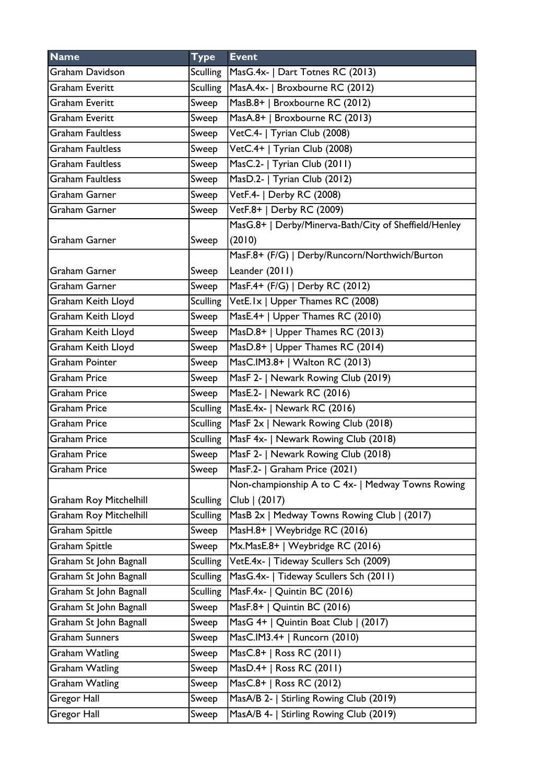| <b>Name</b>                   | <b>Type</b>     | <b>Event</b>                                          |
|-------------------------------|-----------------|-------------------------------------------------------|
| <b>Graham Davidson</b>        | Sculling        | MasG.4x-   Dart Totnes RC (2013)                      |
| <b>Graham Everitt</b>         | <b>Sculling</b> | MasA.4x-   Broxbourne RC (2012)                       |
| <b>Graham Everitt</b>         | Sweep           | MasB.8+   Broxbourne RC (2012)                        |
| <b>Graham Everitt</b>         | Sweep           | MasA.8+   Broxbourne RC (2013)                        |
| <b>Graham Faultless</b>       | Sweep           | VetC.4-   Tyrian Club (2008)                          |
| <b>Graham Faultless</b>       | Sweep           | VetC.4+   Tyrian Club (2008)                          |
| <b>Graham Faultless</b>       | Sweep           | MasC.2-   Tyrian Club (2011)                          |
| <b>Graham Faultless</b>       | Sweep           | MasD.2-   Tyrian Club (2012)                          |
| Graham Garner                 | Sweep           | VetF.4-   Derby RC (2008)                             |
| Graham Garner                 | Sweep           | VetF.8+   Derby RC (2009)                             |
|                               |                 | MasG.8+   Derby/Minerva-Bath/City of Sheffield/Henley |
| <b>Graham Garner</b>          | Sweep           | (2010)                                                |
|                               |                 | MasF.8+ (F/G)   Derby/Runcorn/Northwich/Burton        |
| Graham Garner                 | Sweep           | Leander (2011)                                        |
| <b>Graham Garner</b>          | Sweep           | MasF.4+ (F/G)   Derby RC (2012)                       |
| Graham Keith Lloyd            | Sculling        | VetE.1x   Upper Thames RC (2008)                      |
| <b>Graham Keith Lloyd</b>     | Sweep           | MasE.4+   Upper Thames RC (2010)                      |
| Graham Keith Lloyd            | Sweep           | MasD.8+   Upper Thames RC (2013)                      |
| Graham Keith Lloyd            | Sweep           | MasD.8+   Upper Thames RC (2014)                      |
| <b>Graham Pointer</b>         | Sweep           | MasC.IM3.8+   Walton RC (2013)                        |
| <b>Graham Price</b>           | Sweep           | MasF 2-   Newark Rowing Club (2019)                   |
| <b>Graham Price</b>           | Sweep           | MasE.2-   Newark RC (2016)                            |
| <b>Graham Price</b>           | <b>Sculling</b> | MasE.4x-   Newark RC (2016)                           |
| <b>Graham Price</b>           | Sculling        | MasF 2x   Newark Rowing Club (2018)                   |
| <b>Graham Price</b>           | Sculling        | MasF 4x-   Newark Rowing Club (2018)                  |
| <b>Graham Price</b>           | Sweep           | MasF 2-   Newark Rowing Club (2018)                   |
| Graham Price                  | Sweep           | MasF.2-   Graham Price (2021)                         |
|                               |                 | Non-championship A to C 4x-   Medway Towns Rowing     |
| <b>Graham Roy Mitchelhill</b> | <b>Sculling</b> | Club   (2017)                                         |
| <b>Graham Roy Mitchelhill</b> | <b>Sculling</b> | MasB 2x   Medway Towns Rowing Club   (2017)           |
| Graham Spittle                | Sweep           | MasH.8+   Weybridge RC (2016)                         |
| <b>Graham Spittle</b>         | Sweep           | Mx.MasE.8+   Weybridge RC (2016)                      |
| Graham St John Bagnall        | <b>Sculling</b> | VetE.4x-   Tideway Scullers Sch (2009)                |
| Graham St John Bagnall        | <b>Sculling</b> | MasG.4x-   Tideway Scullers Sch (2011)                |
| Graham St John Bagnall        | <b>Sculling</b> | MasF.4x-   Quintin BC (2016)                          |
| Graham St John Bagnall        | Sweep           | MasF.8+   Quintin BC (2016)                           |
| Graham St John Bagnall        | Sweep           | MasG 4+   Quintin Boat Club   (2017)                  |
| <b>Graham Sunners</b>         | Sweep           | MasC.IM3.4+   Runcorn (2010)                          |
| <b>Graham Watling</b>         | Sweep           | MasC.8+   Ross RC (2011)                              |
| <b>Graham Watling</b>         | Sweep           | MasD.4+   Ross RC (2011)                              |
| <b>Graham Watling</b>         | Sweep           | MasC.8+   Ross RC (2012)                              |
| Gregor Hall                   | Sweep           | MasA/B 2-   Stirling Rowing Club (2019)               |
| Gregor Hall                   | Sweep           | MasA/B 4-   Stirling Rowing Club (2019)               |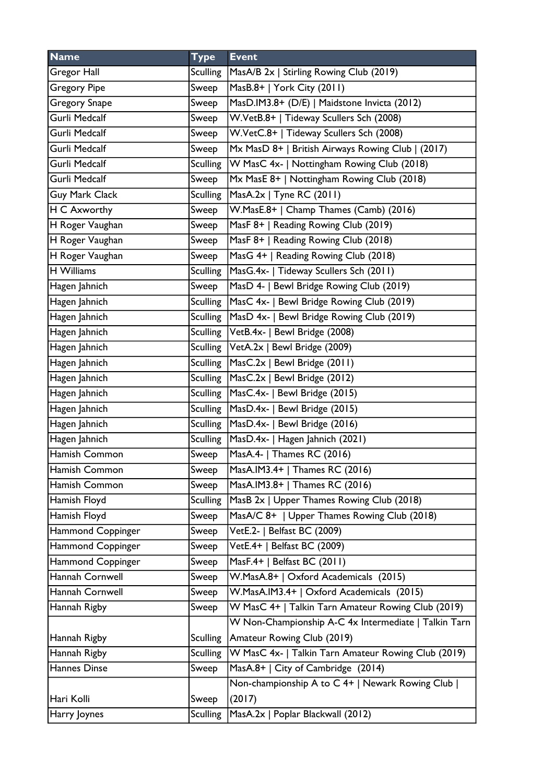| <b>Name</b>         | <b>Type</b>     | <b>Event</b>                                         |
|---------------------|-----------------|------------------------------------------------------|
| Gregor Hall         | Sculling        | MasA/B 2x   Stirling Rowing Club (2019)              |
| <b>Gregory Pipe</b> | Sweep           | MasB.8+   York City (2011)                           |
| Gregory Snape       | Sweep           | MasD.IM3.8+ (D/E)   Maidstone Invicta (2012)         |
| Gurli Medcalf       | Sweep           | W.VetB.8+   Tideway Scullers Sch (2008)              |
| Gurli Medcalf       | Sweep           | W.VetC.8+   Tideway Scullers Sch (2008)              |
| Gurli Medcalf       | Sweep           | Mx MasD 8+   British Airways Rowing Club   (2017)    |
| Gurli Medcalf       | <b>Sculling</b> | W MasC 4x-   Nottingham Rowing Club (2018)           |
| Gurli Medcalf       | Sweep           | Mx MasE 8+   Nottingham Rowing Club (2018)           |
| Guy Mark Clack      |                 | Sculling   MasA.2x   Tyne RC (2011)                  |
| H C Axworthy        | Sweep           | W.MasE.8+   Champ Thames (Camb) (2016)               |
| H Roger Vaughan     | Sweep           | MasF 8+   Reading Rowing Club (2019)                 |
| H Roger Vaughan     | Sweep           | MasF 8+   Reading Rowing Club (2018)                 |
| H Roger Vaughan     | Sweep           | MasG 4+   Reading Rowing Club (2018)                 |
| H Williams          |                 | Sculling   MasG.4x-   Tideway Scullers Sch (2011)    |
| Hagen Jahnich       | Sweep           | MasD 4-   Bewl Bridge Rowing Club (2019)             |
| Hagen Jahnich       |                 | Sculling   MasC 4x-   Bewl Bridge Rowing Club (2019) |
| Hagen Jahnich       |                 | Sculling   MasD 4x-   Bewl Bridge Rowing Club (2019) |
| Hagen Jahnich       |                 | Sculling   VetB.4x-   Bewl Bridge (2008)             |
| Hagen Jahnich       |                 | Sculling   VetA.2x   Bewl Bridge (2009)              |
| Hagen Jahnich       |                 | Sculling   MasC.2x   Bewl Bridge (2011)              |
| Hagen Jahnich       |                 | Sculling   MasC.2x   Bewl Bridge (2012)              |
| Hagen Jahnich       |                 | Sculling   MasC.4x-   Bewl Bridge (2015)             |
| Hagen Jahnich       |                 | Sculling   MasD.4x-   Bewl Bridge (2015)             |
| Hagen Jahnich       |                 | Sculling   MasD.4x-   Bewl Bridge (2016)             |
| Hagen Jahnich       |                 | Sculling   MasD.4x-   Hagen Jahnich (2021)           |
| Hamish Common       | Sweep           | MasA.4-   Thames RC (2016)                           |
| Hamish Common       | Sweep           | MasA.IM3.4+   Thames RC (2016)                       |
| Hamish Common       | Sweep           | MasA.IM3.8+   Thames RC (2016)                       |
| Hamish Floyd        | <b>Sculling</b> | MasB 2x   Upper Thames Rowing Club (2018)            |
| Hamish Floyd        | Sweep           | MasA/C 8+   Upper Thames Rowing Club (2018)          |
| Hammond Coppinger   | Sweep           | VetE.2-   Belfast BC (2009)                          |
| Hammond Coppinger   | Sweep           | VetE.4+   Belfast BC (2009)                          |
| Hammond Coppinger   | Sweep           | MasF.4+   Belfast BC (2011)                          |
| Hannah Cornwell     | Sweep           | W.MasA.8+   Oxford Academicals (2015)                |
| Hannah Cornwell     | Sweep           | W.MasA.IM3.4+   Oxford Academicals (2015)            |
| Hannah Rigby        | Sweep           | W MasC 4+   Talkin Tarn Amateur Rowing Club (2019)   |
|                     |                 | W Non-Championship A-C 4x Intermediate   Talkin Tarn |
| Hannah Rigby        | <b>Sculling</b> | Amateur Rowing Club (2019)                           |
| Hannah Rigby        | Sculling        | W MasC 4x-   Talkin Tarn Amateur Rowing Club (2019)  |
| Hannes Dinse        | Sweep           | MasA.8+   City of Cambridge (2014)                   |
|                     |                 | Non-championship A to C 4+   Newark Rowing Club      |
| Hari Kolli          | Sweep           | (2017)                                               |
| Harry Joynes        | <b>Sculling</b> | MasA.2x   Poplar Blackwall (2012)                    |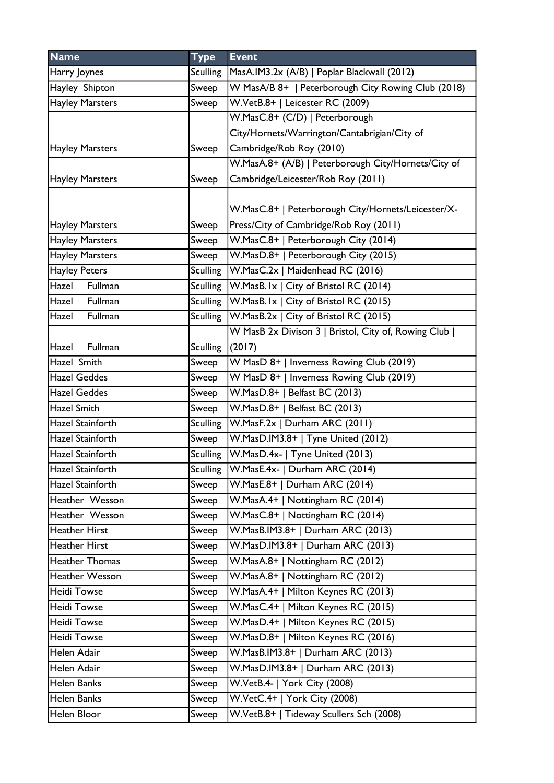| <b>Name</b>             | <b>Type</b>     | <b>Event</b>                                        |
|-------------------------|-----------------|-----------------------------------------------------|
| Harry Joynes            | <b>Sculling</b> | MasA.IM3.2x (A/B)   Poplar Blackwall (2012)         |
| Hayley Shipton          | Sweep           | W MasA/B 8+   Peterborough City Rowing Club (2018)  |
| <b>Hayley Marsters</b>  | Sweep           | W.VetB.8+   Leicester RC (2009)                     |
|                         |                 | W.MasC.8+ (C/D)   Peterborough                      |
|                         |                 | City/Hornets/Warrington/Cantabrigian/City of        |
| <b>Hayley Marsters</b>  | Sweep           | Cambridge/Rob Roy (2010)                            |
|                         |                 | W.MasA.8+ (A/B)   Peterborough City/Hornets/City of |
| <b>Hayley Marsters</b>  | Sweep           | Cambridge/Leicester/Rob Roy (2011)                  |
|                         |                 |                                                     |
|                         |                 | W.MasC.8+   Peterborough City/Hornets/Leicester/X-  |
| <b>Hayley Marsters</b>  | Sweep           | Press/City of Cambridge/Rob Roy (2011)              |
| <b>Hayley Marsters</b>  | Sweep           | W.MasC.8+   Peterborough City (2014)                |
| <b>Hayley Marsters</b>  | Sweep           | W.MasD.8+   Peterborough City (2015)                |
| <b>Hayley Peters</b>    | Sculling        | W.MasC.2x   Maidenhead RC (2016)                    |
| Hazel Fullman           | <b>Sculling</b> | W.MasB.Ix   City of Bristol RC (2014)               |
| Hazel Fullman           | Sculling        | $ W.MasB.Ix $ City of Bristol RC (2015)             |
| Hazel<br>Fullman        |                 | Sculling   W. Mas B.2x   City of Bristol RC (2015)  |
|                         |                 | W MasB 2x Divison 3   Bristol, City of, Rowing Club |
| Fullman<br>Hazel        | <b>Sculling</b> | (2017)                                              |
| Hazel Smith             | Sweep           | W MasD 8+   Inverness Rowing Club (2019)            |
| <b>Hazel Geddes</b>     | Sweep           | W MasD 8+   Inverness Rowing Club (2019)            |
| <b>Hazel Geddes</b>     | Sweep           | W.MasD.8+   Belfast BC (2013)                       |
| <b>Hazel Smith</b>      | Sweep           | W.MasD.8+   Belfast BC (2013)                       |
| Hazel Stainforth        | <b>Sculling</b> | W.MasF.2x   Durham ARC (2011)                       |
| Hazel Stainforth        | Sweep           | W.MasD.IM3.8+   Tyne United (2012)                  |
| <b>Hazel Stainforth</b> | Sculling        | W.MasD.4x-   Tyne United (2013)                     |
| Hazel Stainforth        | Sculling        | $ W.MasE.4x- $ Durham ARC (2014)                    |
| Hazel Stainforth        | Sweep           | W.MasE.8+   Durham ARC (2014)                       |
| Heather Wesson          | Sweep           | W.MasA.4+   Nottingham RC (2014)                    |
| Heather Wesson          | Sweep           | W.MasC.8+   Nottingham RC (2014)                    |
| <b>Heather Hirst</b>    | Sweep           | W.MasB.IM3.8+   Durham ARC (2013)                   |
| <b>Heather Hirst</b>    | Sweep           | W.MasD.IM3.8+   Durham ARC (2013)                   |
| <b>Heather Thomas</b>   | Sweep           | W.MasA.8+   Nottingham RC (2012)                    |
| <b>Heather Wesson</b>   | Sweep           | W.MasA.8+   Nottingham RC (2012)                    |
| <b>Heidi Towse</b>      | Sweep           | W.MasA.4+   Milton Keynes RC (2013)                 |
| Heidi Towse             | Sweep           | W.MasC.4+   Milton Keynes RC (2015)                 |
| <b>Heidi Towse</b>      | Sweep           | W.MasD.4+   Milton Keynes RC (2015)                 |
| <b>Heidi Towse</b>      | Sweep           | W.MasD.8+   Milton Keynes RC (2016)                 |
| Helen Adair             | Sweep           | W.MasB.IM3.8+   Durham ARC (2013)                   |
| Helen Adair             | Sweep           | W.MasD.IM3.8+   Durham ARC (2013)                   |
| Helen Banks             | Sweep           | W.VetB.4-   York City (2008)                        |
| Helen Banks             | Sweep           | W.VetC.4+   York City (2008)                        |
| Helen Bloor             | Sweep           | W.VetB.8+   Tideway Scullers Sch (2008)             |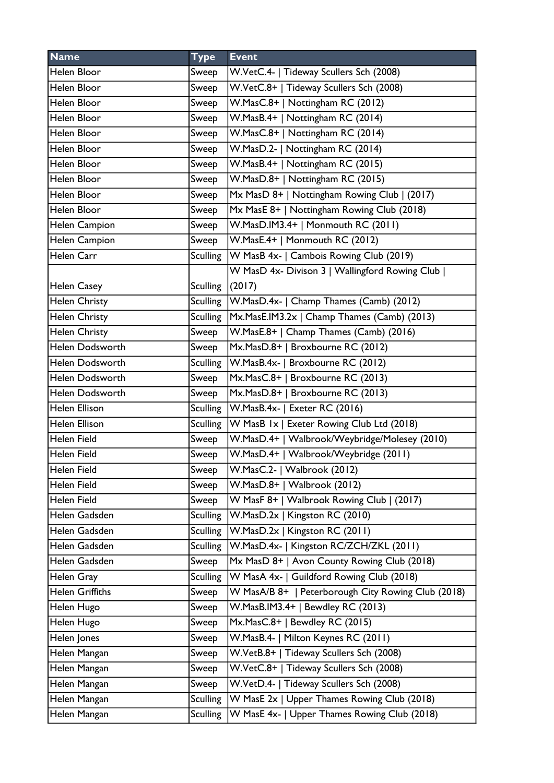| <b>Name</b>            | <b>Type</b>     | <b>Event</b>                                               |
|------------------------|-----------------|------------------------------------------------------------|
| Helen Bloor            | Sweep           | W.VetC.4-   Tideway Scullers Sch (2008)                    |
| Helen Bloor            | Sweep           | W.VetC.8+   Tideway Scullers Sch (2008)                    |
| Helen Bloor            | Sweep           | W.MasC.8+   Nottingham RC (2012)                           |
| Helen Bloor            | Sweep           | W.MasB.4+   Nottingham RC (2014)                           |
| Helen Bloor            | Sweep           | W.MasC.8+   Nottingham RC (2014)                           |
| Helen Bloor            | Sweep           | W.MasD.2-   Nottingham RC (2014)                           |
| Helen Bloor            | Sweep           | W.MasB.4+   Nottingham RC (2015)                           |
| Helen Bloor            | Sweep           | W.MasD.8+   Nottingham RC (2015)                           |
| Helen Bloor            | Sweep           | Mx MasD 8+   Nottingham Rowing Club   (2017)               |
| Helen Bloor            | Sweep           | Mx MasE 8+   Nottingham Rowing Club (2018)                 |
| Helen Campion          | Sweep           | W.MasD.IM3.4+   Monmouth RC (2011)                         |
| Helen Campion          | Sweep           | W.MasE.4+   Monmouth RC (2012)                             |
| Helen Carr             | <b>Sculling</b> | W MasB 4x-   Cambois Rowing Club (2019)                    |
|                        |                 | W MasD 4x- Divison 3   Wallingford Rowing Club             |
| <b>Helen Casey</b>     | <b>Sculling</b> | (2017)                                                     |
| <b>Helen Christy</b>   |                 | Sculling   W. Mas D. 4x -   Champ Thames (Camb) (2012)     |
| Helen Christy          |                 | Sculling   Mx. Mas E. IM 3.2x   Champ Thames (Camb) (2013) |
| <b>Helen Christy</b>   | Sweep           | W.MasE.8+   Champ Thames (Camb) (2016)                     |
| Helen Dodsworth        | Sweep           | Mx.MasD.8+   Broxbourne RC (2012)                          |
| Helen Dodsworth        | <b>Sculling</b> | W.MasB.4x-   Broxbourne RC (2012)                          |
| Helen Dodsworth        | Sweep           | Mx.MasC.8+   Broxbourne RC (2013)                          |
| Helen Dodsworth        | Sweep           | Mx.MasD.8+   Broxbourne RC (2013)                          |
| <b>Helen Ellison</b>   | <b>Sculling</b> | W.MasB.4x-   Exeter RC (2016)                              |
| Helen Ellison          | <b>Sculling</b> | W MasB Ix   Exeter Rowing Club Ltd (2018)                  |
| Helen Field            | Sweep           | W.MasD.4+   Walbrook/Weybridge/Molesey (2010)              |
| Helen Field            | Sweep           | W.MasD.4+   Walbrook/Weybridge (2011)                      |
| Helen Field            | Sweep           | W.MasC.2-   Walbrook (2012)                                |
| Helen Field            | Sweep           | W.MasD.8+   Walbrook (2012)                                |
| Helen Field            | Sweep           | W MasF 8+   Walbrook Rowing Club   (2017)                  |
| Helen Gadsden          | <b>Sculling</b> | W.MasD.2x   Kingston RC (2010)                             |
| Helen Gadsden          | <b>Sculling</b> | W.MasD.2x   Kingston RC (2011)                             |
| Helen Gadsden          | <b>Sculling</b> | W.MasD.4x-   Kingston RC/ZCH/ZKL (2011)                    |
| Helen Gadsden          | Sweep           | Mx MasD 8+   Avon County Rowing Club (2018)                |
| Helen Gray             | <b>Sculling</b> | W MasA 4x-   Guildford Rowing Club (2018)                  |
| <b>Helen Griffiths</b> | Sweep           | W MasA/B 8+   Peterborough City Rowing Club (2018)         |
| Helen Hugo             | Sweep           | W.MasB.IM3.4+   Bewdley RC (2013)                          |
| Helen Hugo             | Sweep           | Mx.MasC.8+   Bewdley RC (2015)                             |
| Helen Jones            | Sweep           | W.MasB.4-   Milton Keynes RC (2011)                        |
| Helen Mangan           | Sweep           | W.VetB.8+   Tideway Scullers Sch (2008)                    |
| Helen Mangan           | Sweep           | W.VetC.8+   Tideway Scullers Sch (2008)                    |
| Helen Mangan           | Sweep           | W.VetD.4-   Tideway Scullers Sch (2008)                    |
| Helen Mangan           | <b>Sculling</b> | W MasE 2x   Upper Thames Rowing Club (2018)                |
| Helen Mangan           | <b>Sculling</b> | W MasE 4x-   Upper Thames Rowing Club (2018)               |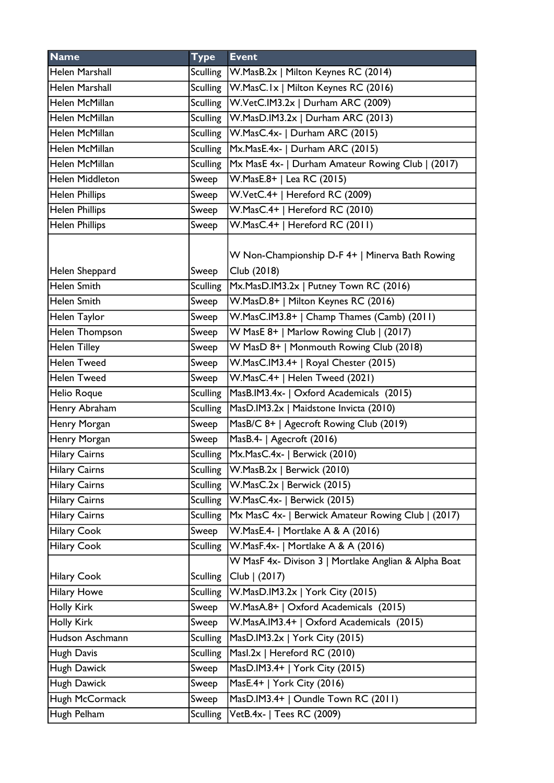| <b>Name</b>           | <b>Type</b>     | <b>Event</b>                                                   |
|-----------------------|-----------------|----------------------------------------------------------------|
| <b>Helen Marshall</b> | <b>Sculling</b> | W.MasB.2x   Milton Keynes RC (2014)                            |
| <b>Helen Marshall</b> | Sculling        | W.MasC.Ix   Milton Keynes RC (2016)                            |
| Helen McMillan        | Sculling        | W.VetC.IM3.2x   Durham ARC (2009)                              |
| Helen McMillan        | Sculling        | $ W.MasD.IM3.2x $ Durham ARC (2013)                            |
| Helen McMillan        |                 | Sculling W.MasC.4x-   Durham ARC (2015)                        |
| Helen McMillan        |                 | Sculling   Mx. Mas E.4x -   Durham ARC (2015)                  |
| Helen McMillan        | <b>Sculling</b> | Mx MasE 4x-   Durham Amateur Rowing Club   (2017)              |
| Helen Middleton       | Sweep           | W.MasE.8+   Lea RC (2015)                                      |
| <b>Helen Phillips</b> | Sweep           | W.VetC.4+   Hereford RC (2009)                                 |
| <b>Helen Phillips</b> | Sweep           | W.MasC.4+   Hereford RC (2010)                                 |
| <b>Helen Phillips</b> | Sweep           | W.MasC.4+   Hereford RC (2011)                                 |
| Helen Sheppard        | Sweep           | W Non-Championship D-F 4+   Minerva Bath Rowing<br>Club (2018) |
| <b>Helen Smith</b>    | <b>Sculling</b> | Mx.MasD.IM3.2x   Putney Town RC (2016)                         |
| Helen Smith           | Sweep           | W.MasD.8+   Milton Keynes RC (2016)                            |
| <b>Helen Taylor</b>   | Sweep           | W.MasC.IM3.8+   Champ Thames (Camb) (2011)                     |
| Helen Thompson        | Sweep           | W MasE 8+   Marlow Rowing Club   (2017)                        |
| Helen Tilley          | Sweep           | W MasD 8+   Monmouth Rowing Club (2018)                        |
| <b>Helen Tweed</b>    | Sweep           | W.MasC.IM3.4+   Royal Chester (2015)                           |
| <b>Helen Tweed</b>    | Sweep           | W.MasC.4+   Helen Tweed (2021)                                 |
| Helio Roque           | <b>Sculling</b> | MasB.IM3.4x-   Oxford Academicals (2015)                       |
| Henry Abraham         | <b>Sculling</b> | MasD.IM3.2x   Maidstone Invicta (2010)                         |
| Henry Morgan          | Sweep           | MasB/C 8+   Agecroft Rowing Club (2019)                        |
| Henry Morgan          | Sweep           | MasB.4-   Agecroft (2016)                                      |
| <b>Hilary Cairns</b>  | Sculling        | Mx.MasC.4x-   Berwick (2010)                                   |
| <b>Hilary Cairns</b>  |                 | Sculling   W.MasB.2x   Berwick (2010)                          |
| <b>Hilary Cairns</b>  | <b>Sculling</b> | W.MasC.2x   Berwick (2015)                                     |
| <b>Hilary Cairns</b>  | <b>Sculling</b> | W.MasC.4x-   Berwick (2015)                                    |
| <b>Hilary Cairns</b>  | <b>Sculling</b> | Mx MasC 4x-   Berwick Amateur Rowing Club   (2017)             |
| <b>Hilary Cook</b>    | Sweep           | W.MasE.4-   Mortlake A & A (2016)                              |
| <b>Hilary Cook</b>    | Sculling        | W.MasF.4x-   Mortlake A & A (2016)                             |
|                       |                 | W MasF 4x- Divison 3   Mortlake Anglian & Alpha Boat           |
| <b>Hilary Cook</b>    | <b>Sculling</b> | Club   (2017)                                                  |
| <b>Hilary Howe</b>    | <b>Sculling</b> | W.MasD.IM3.2x   York City (2015)                               |
| <b>Holly Kirk</b>     | Sweep           | W.MasA.8+   Oxford Academicals (2015)                          |
| <b>Holly Kirk</b>     | Sweep           | W.MasA.IM3.4+   Oxford Academicals (2015)                      |
| Hudson Aschmann       | <b>Sculling</b> | MasD.IM3.2x   York City (2015)                                 |
| Hugh Davis            | <b>Sculling</b> | Masl.2x   Hereford RC (2010)                                   |
| Hugh Dawick           | Sweep           | MasD.IM3.4+   York City (2015)                                 |
| Hugh Dawick           | Sweep           | MasE.4+   York City (2016)                                     |
| Hugh McCormack        | Sweep           | $\overline{\text{MasD.IM3.4+  }}$ Oundle Town RC (2011)        |
| Hugh Pelham           | <b>Sculling</b> | VetB.4x-   Tees RC (2009)                                      |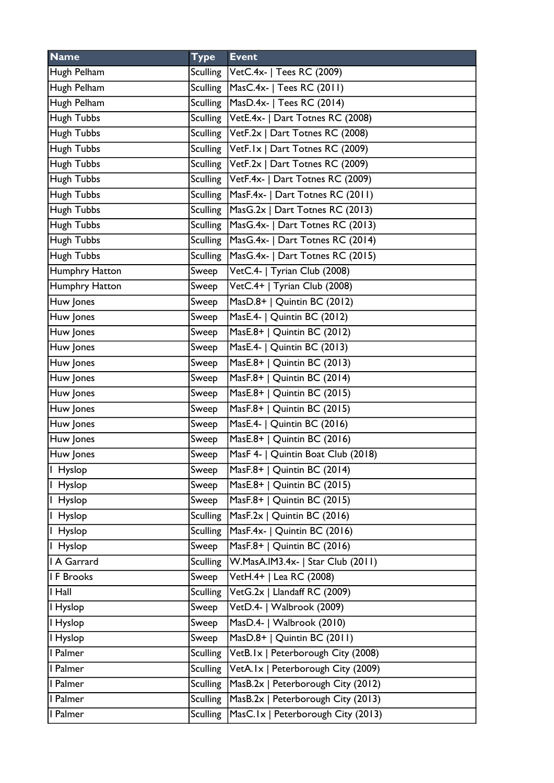| <b>Name</b>    | <b>Type</b>     | <b>Event</b>                                      |
|----------------|-----------------|---------------------------------------------------|
| Hugh Pelham    |                 | Sculling   VetC.4x-   Tees RC (2009)              |
| Hugh Pelham    |                 | Sculling   MasC.4x-   Tees RC (2011)              |
| Hugh Pelham    |                 | Sculling   MasD.4x-   Tees RC (2014)              |
| Hugh Tubbs     |                 | Sculling   VetE.4x-   Dart Totnes RC (2008)       |
| Hugh Tubbs     |                 | Sculling   VetF.2x   Dart Totnes RC (2008)        |
| Hugh Tubbs     |                 | Sculling VetF.1x   Dart Totnes RC (2009)          |
| Hugh Tubbs     |                 | Sculling VetF.2x   Dart Totnes RC (2009)          |
| Hugh Tubbs     |                 | Sculling   VetF.4x-   Dart Totnes RC (2009)       |
| Hugh Tubbs     |                 | Sculling   MasF.4x-   Dart Totnes RC (2011)       |
| Hugh Tubbs     |                 | Sculling   MasG.2x   Dart Totnes RC (2013)        |
| Hugh Tubbs     |                 | Sculling   MasG.4x-   Dart Totnes RC (2013)       |
| Hugh Tubbs     | Sculling        | MasG.4x-   Dart Totnes RC (2014)                  |
| Hugh Tubbs     | Sculling        | MasG.4x-   Dart Totnes RC (2015)                  |
| Humphry Hatton | Sweep           | VetC.4-   Tyrian Club (2008)                      |
| Humphry Hatton | Sweep           | $\overline{\text{VectC}.4+}$   Tyrian Club (2008) |
| Huw Jones      | Sweep           | MasD.8+   Quintin BC (2012)                       |
| Huw Jones      | Sweep           | MasE.4-   Quintin BC (2012)                       |
| Huw Jones      | Sweep           | MasE.8+   Quintin BC (2012)                       |
| Huw Jones      | Sweep           | MasE.4-   Quintin BC (2013)                       |
| Huw Jones      | Sweep           | MasE.8+   Quintin BC (2013)                       |
| Huw Jones      | Sweep           | MasF.8+   Quintin BC (2014)                       |
| Huw Jones      | Sweep           | MasE.8+   Quintin BC (2015)                       |
| Huw Jones      | Sweep           | MasF.8+   Quintin BC (2015)                       |
| Huw Jones      | Sweep           | MasE.4-   Quintin BC (2016)                       |
| Huw Jones      | Sweep           | MasE.8+   Quintin BC (2016)                       |
| Huw Jones      | Sweep           | MasF 4-   Quintin Boat Club (2018)                |
| Hyslop         | Sweep           | MasF.8+   Quintin BC (2014)                       |
| I Hyslop       | Sweep           | MasE.8+   Quintin BC (2015)                       |
| I Hyslop       | Sweep           | MasF.8+   Quintin BC (2015)                       |
| I Hyslop       | <b>Sculling</b> | MasF.2x   Quintin BC (2016)                       |
| I Hyslop       | <b>Sculling</b> | MasF.4x-   Quintin BC (2016)                      |
| I Hyslop       | Sweep           | MasF.8+   Quintin BC (2016)                       |
| I A Garrard    | <b>Sculling</b> | W.MasA.IM3.4x-   Star Club (2011)                 |
| I F Brooks     | Sweep           | VetH.4+   Lea RC (2008)                           |
| I Hall         | <b>Sculling</b> | VetG.2x   Llandaff RC (2009)                      |
| I Hyslop       | Sweep           | VetD.4-   Walbrook (2009)                         |
| I Hyslop       | Sweep           | MasD.4-   Walbrook (2010)                         |
| I Hyslop       | Sweep           | MasD.8+   Quintin BC (2011)                       |
| I Palmer       | <b>Sculling</b> | VetB.Ix   Peterborough City (2008)                |
| I Palmer       | <b>Sculling</b> | VetA.Ix   Peterborough City (2009)                |
| I Palmer       | <b>Sculling</b> | MasB.2x   Peterborough City (2012)                |
| I Palmer       | <b>Sculling</b> | MasB.2x   Peterborough City (2013)                |
| I Palmer       | <b>Sculling</b> | MasC.Ix   Peterborough City (2013)                |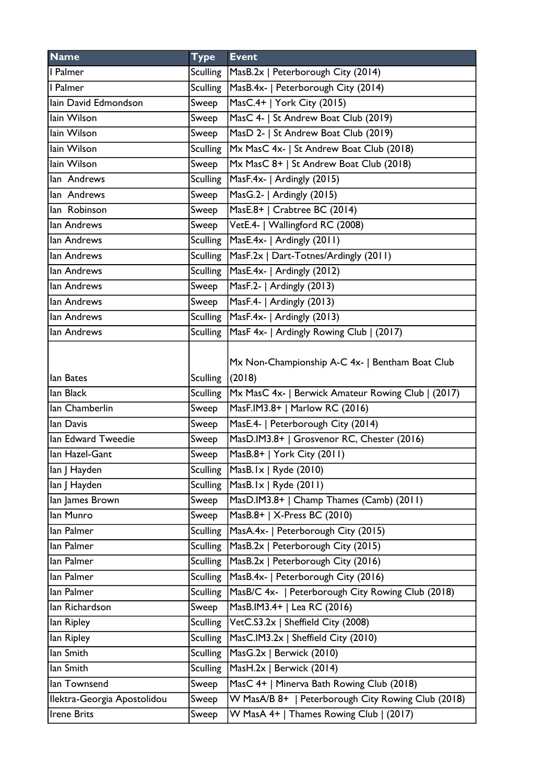| <b>Name</b>                 | <b>Type</b>     | <b>Event</b>                                       |
|-----------------------------|-----------------|----------------------------------------------------|
| I Palmer                    |                 | Sculling   MasB.2x   Peterborough City (2014)      |
| I Palmer                    | <b>Sculling</b> | MasB.4x-   Peterborough City (2014)                |
| lain David Edmondson        | Sweep           | MasC.4+   York City (2015)                         |
| lain Wilson                 | Sweep           | MasC 4-   St Andrew Boat Club (2019)               |
| lain Wilson                 | Sweep           | MasD 2-   St Andrew Boat Club (2019)               |
| lain Wilson                 | <b>Sculling</b> | Mx MasC 4x-   St Andrew Boat Club (2018)           |
| lain Wilson                 | Sweep           | Mx MasC 8+   St Andrew Boat Club (2018)            |
| lan Andrews                 | Sculling        | MasF.4x-   Ardingly (2015)                         |
| lan Andrews                 | Sweep           | MasG.2-   Ardingly (2015)                          |
| lan Robinson                | Sweep           | MasE.8+   Crabtree BC (2014)                       |
| lan Andrews                 | Sweep           | VetE.4-   Wallingford RC (2008)                    |
| lan Andrews                 | Sculling        | MasE.4x-   Ardingly (2011)                         |
| lan Andrews                 | <b>Sculling</b> | MasF.2x   Dart-Totnes/Ardingly (2011)              |
| lan Andrews                 | Sculling        | MasE.4x-   Ardingly (2012)                         |
| lan Andrews                 | Sweep           | MasF.2-   Ardingly (2013)                          |
| lan Andrews                 | Sweep           | MasF.4-   Ardingly (2013)                          |
| lan Andrews                 |                 | Sculling $Mase.4x-$   Ardingly (2013)              |
| lan Andrews                 | <b>Sculling</b> | MasF 4x-   Ardingly Rowing Club   (2017)           |
|                             |                 |                                                    |
|                             |                 | Mx Non-Championship A-C 4x-   Bentham Boat Club    |
| lan Bates                   | <b>Sculling</b> | (2018)                                             |
| lan Black                   | <b>Sculling</b> | Mx MasC 4x-   Berwick Amateur Rowing Club   (2017) |
| lan Chamberlin              | Sweep           | MasF.IM3.8+   Marlow RC (2016)                     |
| lan Davis                   | Sweep           | MasE.4-   Peterborough City (2014)                 |
| lan Edward Tweedie          | Sweep           | MasD.IM3.8+   Grosvenor RC, Chester (2016)         |
| lan Hazel-Gant              | Sweep           | MasB.8+   York City (2011)                         |
| lan   Hayden                | Sculling        | MasB.Ix   Ryde (2010)                              |
| lan J Hayden                | Sculling        | Mash.lx   Ryde (2011)                              |
| lan James Brown             | Sweep           | MasD.IM3.8+   Champ Thames (Camb) (2011)           |
| lan Munro                   | Sweep           | MasB.8+   X-Press BC (2010)                        |
| lan Palmer                  | <b>Sculling</b> | MasA.4x-   Peterborough City (2015)                |
| lan Palmer                  | <b>Sculling</b> | MasB.2x   Peterborough City (2015)                 |
| lan Palmer                  | <b>Sculling</b> | MasB.2x   Peterborough City (2016)                 |
| lan Palmer                  | <b>Sculling</b> | MasB.4x-   Peterborough City (2016)                |
| lan Palmer                  | <b>Sculling</b> | MasB/C 4x-   Peterborough City Rowing Club (2018)  |
| lan Richardson              | Sweep           | MasB.IM3.4+   Lea RC (2016)                        |
| lan Ripley                  | <b>Sculling</b> | VetC.S3.2x   Sheffield City (2008)                 |
| lan Ripley                  | <b>Sculling</b> | MasC.IM3.2x   Sheffield City (2010)                |
| lan Smith                   | <b>Sculling</b> | MasG.2x   Berwick (2010)                           |
| lan Smith                   | <b>Sculling</b> | MasH.2x   Berwick (2014)                           |
| lan Townsend                | Sweep           | MasC 4+   Minerva Bath Rowing Club (2018)          |
| Ilektra-Georgia Apostolidou | Sweep           | W MasA/B 8+   Peterborough City Rowing Club (2018) |
| <b>Irene Brits</b>          | Sweep           | W MasA 4+   Thames Rowing Club   (2017)            |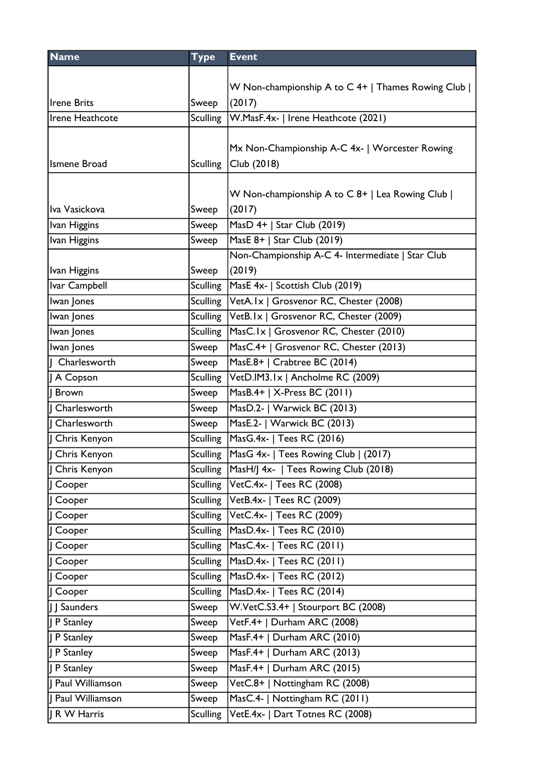| <b>Name</b>     | <b>Type</b>     | <b>Event</b>                                      |
|-----------------|-----------------|---------------------------------------------------|
|                 |                 |                                                   |
|                 |                 | W Non-championship A to C 4+   Thames Rowing Club |
| Irene Brits     | Sweep           | (2017)                                            |
| Irene Heathcote | <b>Sculling</b> | W.MasF.4x-   Irene Heathcote (2021)               |
|                 |                 |                                                   |
|                 |                 | Mx Non-Championship A-C 4x-   Worcester Rowing    |
| Ismene Broad    | <b>Sculling</b> | Club (2018)                                       |
|                 |                 |                                                   |
|                 |                 | W Non-championship A to C 8+   Lea Rowing Club    |
| Iva Vasickova   | Sweep           | (2017)                                            |
| Ivan Higgins    | Sweep           | MasD 4+   Star Club (2019)                        |
| Ivan Higgins    | Sweep           | MasE 8+   Star Club (2019)                        |
|                 |                 | Non-Championship A-C 4- Intermediate   Star Club  |
| Ivan Higgins    | Sweep           | (2019)                                            |
| Ivar Campbell   | <b>Sculling</b> | MasE 4x-   Scottish Club (2019)                   |
| Iwan Jones      | <b>Sculling</b> | VetA.Ix   Grosvenor RC, Chester (2008)            |
| Iwan Jones      | <b>Sculling</b> | VetB.Ix   Grosvenor RC, Chester (2009)            |
| Iwan Jones      | <b>Sculling</b> | MasC.Ix   Grosvenor RC, Chester (2010)            |
| Iwan Jones      | Sweep           | MasC.4+   Grosvenor RC, Chester (2013)            |
| Charlesworth    | Sweep           | MasE.8+   Crabtree BC (2014)                      |
| A Copson        | <b>Sculling</b> | VetD.IM3.1x   Ancholme RC (2009)                  |
| Brown           | Sweep           | MasB.4+   X-Press BC (2011)                       |
| Charlesworth    | Sweep           | MasD.2-   Warwick BC (2013)                       |
| Charlesworth    | Sweep           | MasE.2-   Warwick BC (2013)                       |
| Chris Kenyon    | <b>Sculling</b> | MasG.4x-   Tees RC (2016)                         |
| J Chris Kenyon  | <b>Sculling</b> | MasG 4x-   Tees Rowing Club   (2017)              |
| Chris Kenyon    |                 | Sculling MasH/J 4x-   Tees Rowing Club (2018)     |
| Cooper          |                 | Sculling   VetC.4x-   Tees RC (2008)              |
| J Cooper        |                 | Sculling VetB.4x-   Tees RC (2009)                |
| Cooper          | Sculling        | VetC.4x-   Tees RC (2009)                         |
| Cooper          | Sculling        | MasD.4x-   Tees RC (2010)                         |
| Cooper          | <b>Sculling</b> | MasC.4x-   Tees RC (2011)                         |
| J Cooper        | <b>Sculling</b> | MasD.4x-   Tees RC (2011)                         |
| Cooper          | <b>Sculling</b> | MasD.4x-   Tees RC (2012)                         |
| Cooper          | Sculling        | MasD.4x-   Tees RC (2014)                         |
| J Saunders      | Sweep           | W.VetC.S3.4+   Stourport BC (2008)                |
| J P Stanley     | Sweep           | VetF.4+   Durham ARC (2008)                       |
| P Stanley       | Sweep           | MasF.4+   Durham ARC (2010)                       |
| P Stanley       | Sweep           | MasF.4+   Durham ARC (2013)                       |
| P Stanley       | Sweep           | MasF.4+   Durham ARC (2015)                       |
| Paul Williamson | Sweep           | VetC.8+   Nottingham RC (2008)                    |
| Paul Williamson | Sweep           | MasC.4-   Nottingham RC (2011)                    |
| R W Harris      | <b>Sculling</b> | VetE.4x-   Dart Totnes RC (2008)                  |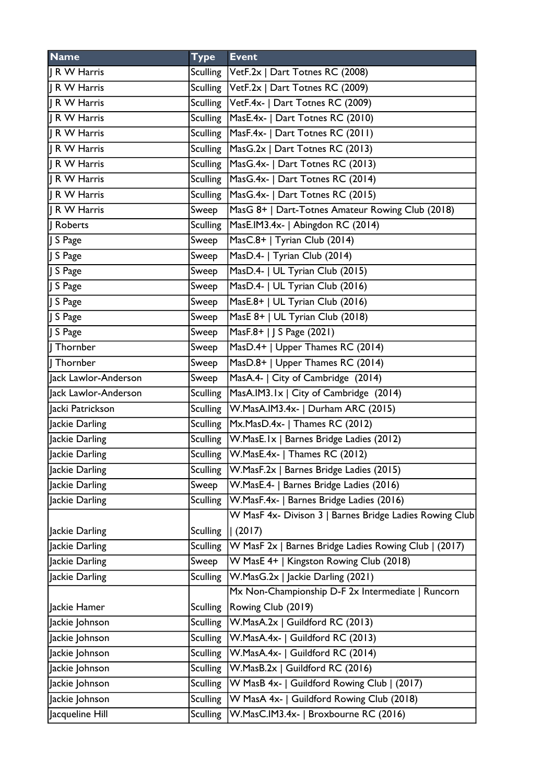| <b>Name</b>          | <b>Type</b>     | <b>Event</b>                                            |
|----------------------|-----------------|---------------------------------------------------------|
| IR W Harris          |                 | Sculling   VetF.2x   Dart Totnes RC (2008)              |
| IR W Harris          |                 | Sculling   VetF.2x   Dart Totnes RC (2009)              |
| IR W Harris          |                 | Sculling   VetF.4x-   Dart Totnes RC (2009)             |
| R W Harris           | Sculling        | MasE.4x-   Dart Totnes RC (2010)                        |
| R W Harris           |                 | Sculling   MasF.4x-   Dart Totnes RC (2011)             |
| IR W Harris          |                 | Sculling   MasG.2x   Dart Totnes RC (2013)              |
| IR W Harris          | <b>Sculling</b> | MasG.4x-   Dart Totnes RC (2013)                        |
| IR W Harris          |                 | Sculling   MasG.4x-   Dart Totnes RC (2014)             |
| IR W Harris          |                 | Sculling   MasG.4x-   Dart Totnes RC (2015)             |
| R W Harris           | Sweep           | MasG 8+   Dart-Totnes Amateur Rowing Club (2018)        |
| Roberts              | Sculling        | MasE.IM3.4x-   Abingdon RC (2014)                       |
| S Page               | Sweep           | MasC.8+   Tyrian Club (2014)                            |
| S Page               | Sweep           | MasD.4-   Tyrian Club (2014)                            |
| I S Page             | Sweep           | MasD.4-   UL Tyrian Club (2015)                         |
| S Page               | Sweep           | MasD.4-   UL Tyrian Club (2016)                         |
| S Page               | Sweep           | MasE.8+   UL Tyrian Club (2016)                         |
| I S Page             | Sweep           | MasE 8+   UL Tyrian Club (2018)                         |
| I S Page             | Sweep           | MasF.8+   J S Page (2021)                               |
| Thornber             | Sweep           | MasD.4+   Upper Thames RC (2014)                        |
| Thornber             | Sweep           | MasD.8+   Upper Thames RC (2014)                        |
| Jack Lawlor-Anderson | Sweep           | MasA.4-   City of Cambridge (2014)                      |
| Jack Lawlor-Anderson | <b>Sculling</b> | MasA.IM3.1x   City of Cambridge (2014)                  |
| Jacki Patrickson     | <b>Sculling</b> | W.MasA.IM3.4x-   Durham ARC (2015)                      |
| Jackie Darling       |                 | Sculling   Mx. Mas D. 4x -   Thames RC (2012)           |
| Jackie Darling       |                 | Sculling   W. Mas E. Ix   Barnes Bridge Ladies (2012)   |
| Jackie Darling       |                 | Sculling   W.MasE.4x-   Thames RC (2012)                |
| Jackie Darling       | <b>Sculling</b> | W.MasF.2x   Barnes Bridge Ladies (2015)                 |
| Jackie Darling       | Sweep           | W.MasE.4-   Barnes Bridge Ladies (2016)                 |
| Jackie Darling       | Sculling        | W.MasF.4x-   Barnes Bridge Ladies (2016)                |
|                      |                 | W MasF 4x- Divison 3   Barnes Bridge Ladies Rowing Club |
| Jackie Darling       | <b>Sculling</b> | (2017)                                                  |
| Jackie Darling       | Sculling        | W MasF 2x   Barnes Bridge Ladies Rowing Club   (2017)   |
| Jackie Darling       | Sweep           | W MasE 4+   Kingston Rowing Club (2018)                 |
| Jackie Darling       | Sculling        | W.MasG.2x   Jackie Darling (2021)                       |
|                      |                 | Mx Non-Championship D-F 2x Intermediate   Runcorn       |
| Jackie Hamer         | <b>Sculling</b> | Rowing Club (2019)                                      |
| Jackie Johnson       | <b>Sculling</b> | W.MasA.2x   Guildford RC (2013)                         |
| Jackie Johnson       | <b>Sculling</b> | W.MasA.4x-   Guildford RC (2013)                        |
| Jackie Johnson       | Sculling        | W.MasA.4x-   Guildford RC (2014)                        |
| Jackie Johnson       | <b>Sculling</b> | W.MasB.2x   Guildford RC (2016)                         |
| Jackie Johnson       | <b>Sculling</b> | W MasB 4x-   Guildford Rowing Club   (2017)             |
| Jackie Johnson       | <b>Sculling</b> | W MasA 4x-   Guildford Rowing Club (2018)               |
| Jacqueline Hill      | Sculling        | W.MasC.IM3.4x-   Broxbourne RC (2016)                   |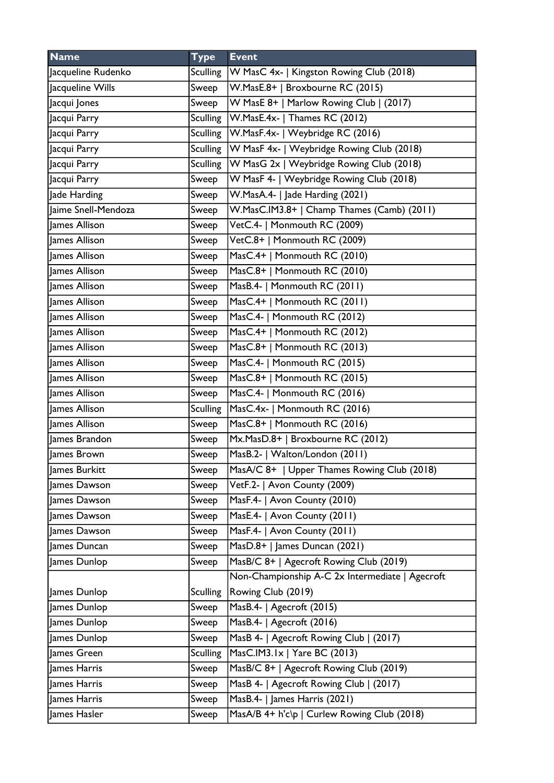| <b>Name</b>         | <b>Type</b>     | <b>Event</b>                                    |
|---------------------|-----------------|-------------------------------------------------|
| Jacqueline Rudenko  | Sculling        | W MasC 4x-   Kingston Rowing Club (2018)        |
| Jacqueline Wills    | Sweep           | W.MasE.8+   Broxbourne RC (2015)                |
| Jacqui Jones        | Sweep           | W MasE 8+   Marlow Rowing Club   (2017)         |
| Jacqui Parry        | Sculling        | W.MasE.4x-   Thames RC (2012)                   |
| Jacqui Parry        | Sculling        | W.MasF.4x-   Weybridge RC (2016)                |
| Jacqui Parry        | <b>Sculling</b> | W MasF 4x-   Weybridge Rowing Club (2018)       |
| Jacqui Parry        | <b>Sculling</b> | W MasG 2x   Weybridge Rowing Club (2018)        |
| Jacqui Parry        | Sweep           | W MasF 4-   Weybridge Rowing Club (2018)        |
| Jade Harding        | Sweep           | W.MasA.4-   Jade Harding (2021)                 |
| Jaime Snell-Mendoza | Sweep           | W.MasC.IM3.8+   Champ Thames (Camb) (2011)      |
| James Allison       | Sweep           | VetC.4-   Monmouth RC (2009)                    |
| James Allison       | Sweep           | VetC.8+   Monmouth RC (2009)                    |
| James Allison       | Sweep           | MasC.4+   Monmouth RC (2010)                    |
| James Allison       | Sweep           | MasC.8+   Monmouth RC (2010)                    |
| James Allison       | Sweep           | MasB.4-   Monmouth RC (2011)                    |
| James Allison       | Sweep           | MasC.4+   Monmouth RC (2011)                    |
| James Allison       | Sweep           | MasC.4-   Monmouth RC (2012)                    |
| James Allison       | Sweep           | MasC.4+   Monmouth RC (2012)                    |
| James Allison       | Sweep           | MasC.8+   Monmouth RC (2013)                    |
| James Allison       | Sweep           | MasC.4-   Monmouth RC (2015)                    |
| James Allison       | Sweep           | MasC.8+   Monmouth RC (2015)                    |
| James Allison       | Sweep           | MasC.4-   Monmouth RC (2016)                    |
| James Allison       | <b>Sculling</b> | MasC.4x-   Monmouth RC (2016)                   |
| James Allison       | Sweep           | MasC.8+   Monmouth RC (2016)                    |
| James Brandon       | Sweep           | Mx.MasD.8+   Broxbourne RC (2012)               |
| James Brown         | Sweep           | MasB.2-   Walton/London (2011)                  |
| James Burkitt       | Sweep           | MasA/C 8+   Upper Thames Rowing Club (2018)     |
| James Dawson        | Sweep           | VetF.2-   Avon County (2009)                    |
| James Dawson        | Sweep           | MasF.4-   Avon County (2010)                    |
| James Dawson        | Sweep           | MasE.4-   Avon County (2011)                    |
| James Dawson        | Sweep           | MasF.4-   Avon County (2011)                    |
| James Duncan        | Sweep           | MasD.8+   James Duncan (2021)                   |
| James Dunlop        | Sweep           | MasB/C 8+   Agecroft Rowing Club (2019)         |
|                     |                 | Non-Championship A-C 2x Intermediate   Agecroft |
| James Dunlop        | <b>Sculling</b> | Rowing Club (2019)                              |
| James Dunlop        | Sweep           | MasB.4-   Agecroft (2015)                       |
| James Dunlop        | Sweep           | MasB.4-   Agecroft (2016)                       |
| James Dunlop        | Sweep           | MasB 4-   Agecroft Rowing Club   (2017)         |
| James Green         | <b>Sculling</b> | MasC.IM3.1x   Yare BC (2013)                    |
| James Harris        | Sweep           | MasB/C 8+   Agecroft Rowing Club (2019)         |
| James Harris        | Sweep           | MasB 4-   Agecroft Rowing Club   (2017)         |
| James Harris        | Sweep           | MasB.4-   James Harris (2021)                   |
| James Hasler        | Sweep           | MasA/B 4+ h'c\p   Curlew Rowing Club (2018)     |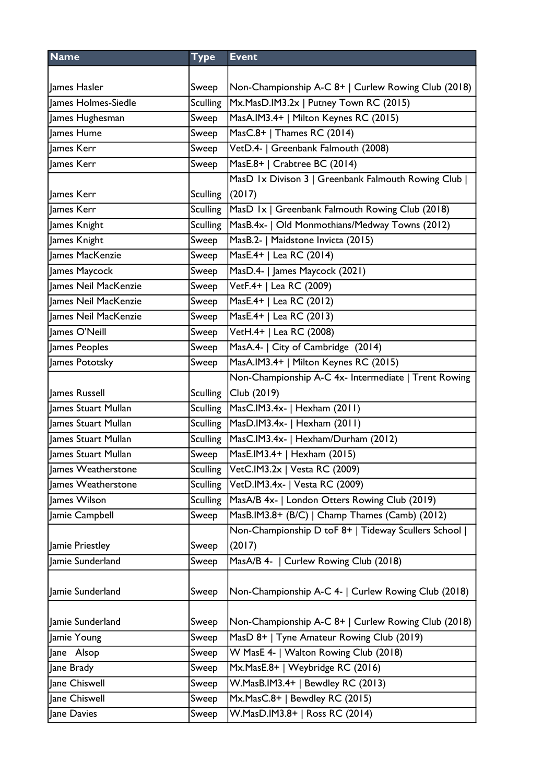| <b>Name</b>          | <b>Type</b>     | <b>Event</b>                                         |
|----------------------|-----------------|------------------------------------------------------|
|                      |                 |                                                      |
| James Hasler         | Sweep           | Non-Championship A-C 8+   Curlew Rowing Club (2018)  |
| James Holmes-Siedle  | <b>Sculling</b> | Mx.MasD.IM3.2x   Putney Town RC (2015)               |
| James Hughesman      | Sweep           | MasA.IM3.4+   Milton Keynes RC (2015)                |
| James Hume           | Sweep           | MasC.8+   Thames RC (2014)                           |
| James Kerr           | Sweep           | VetD.4-   Greenbank Falmouth (2008)                  |
| James Kerr           | Sweep           | MasE.8+   Crabtree BC (2014)                         |
|                      |                 | MasD 1x Divison 3   Greenbank Falmouth Rowing Club   |
| James Kerr           | <b>Sculling</b> | (2017)                                               |
| James Kerr           | <b>Sculling</b> | MasD 1x   Greenbank Falmouth Rowing Club (2018)      |
| James Knight         | <b>Sculling</b> | MasB.4x-   Old Monmothians/Medway Towns (2012)       |
| James Knight         | Sweep           | MasB.2-   Maidstone Invicta (2015)                   |
| James MacKenzie      | Sweep           | MasE.4+   Lea RC (2014)                              |
| James Maycock        | Sweep           | MasD.4-   James Maycock (2021)                       |
| James Neil MacKenzie | Sweep           | VetF.4+   Lea RC (2009)                              |
| James Neil MacKenzie | Sweep           | MasE.4+   Lea RC (2012)                              |
| James Neil MacKenzie | Sweep           | MasE.4+   Lea RC (2013)                              |
| James O'Neill        | Sweep           | VetH.4+   Lea RC (2008)                              |
| James Peoples        | Sweep           | MasA.4-   City of Cambridge (2014)                   |
| James Pototsky       | Sweep           | MasA.IM3.4+   Milton Keynes RC (2015)                |
|                      |                 | Non-Championship A-C 4x- Intermediate   Trent Rowing |
| James Russell        | <b>Sculling</b> | Club (2019)                                          |
| James Stuart Mullan  | <b>Sculling</b> | MasC.IM3.4x-   Hexham (2011)                         |
| James Stuart Mullan  | <b>Sculling</b> | MasD.IM3.4x-   Hexham (2011)                         |
| James Stuart Mullan  | Sculling        | MasC.IM3.4x-   Hexham/Durham (2012)                  |
| James Stuart Mullan  | Sweep           | MasE.IM3.4+   Hexham (2015)                          |
| James Weatherstone   | <b>Sculling</b> | VetC.IM3.2x   Vesta RC (2009)                        |
| James Weatherstone   | <b>Sculling</b> | VetD.IM3.4x-   Vesta RC (2009)                       |
| James Wilson         | <b>Sculling</b> | MasA/B 4x-   London Otters Rowing Club (2019)        |
| Jamie Campbell       | Sweep           | MasB.IM3.8+ (B/C)   Champ Thames (Camb) (2012)       |
|                      |                 | Non-Championship D toF 8+   Tideway Scullers School  |
| Jamie Priestley      | Sweep           | (2017)                                               |
| Jamie Sunderland     | Sweep           | MasA/B 4-   Curlew Rowing Club (2018)                |
|                      |                 |                                                      |
| Jamie Sunderland     | Sweep           | Non-Championship A-C 4-   Curlew Rowing Club (2018)  |
|                      |                 |                                                      |
| Jamie Sunderland     | Sweep           | Non-Championship A-C 8+   Curlew Rowing Club (2018)  |
| Jamie Young          | Sweep           | MasD 8+   Tyne Amateur Rowing Club (2019)            |
| Jane Alsop           | Sweep           | W MasE 4-   Walton Rowing Club (2018)                |
| Jane Brady           | Sweep           | Mx.MasE.8+   Weybridge RC (2016)                     |
| Jane Chiswell        | Sweep           | W.MasB.IM3.4+   Bewdley RC (2013)                    |
| Jane Chiswell        | Sweep           | Mx.MasC.8+   Bewdley RC (2015)                       |
| Jane Davies          | Sweep           | W.MasD.IM3.8+   Ross RC (2014)                       |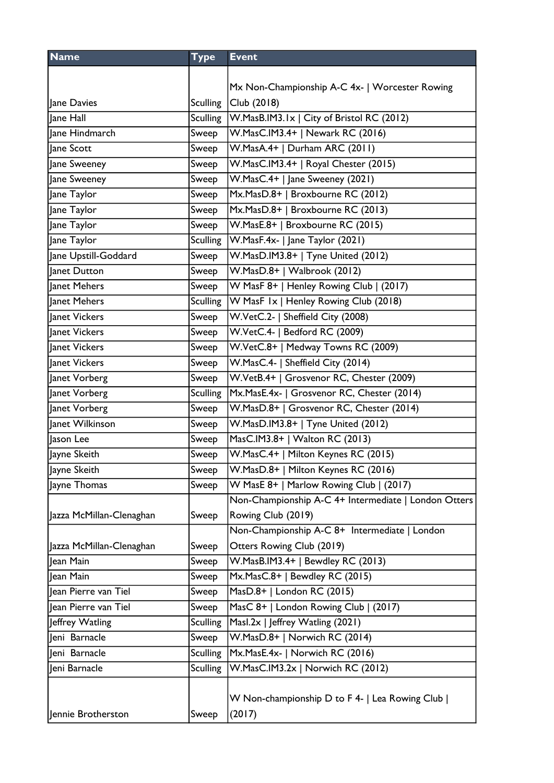| <b>Name</b>              | <b>Type</b>     | <b>Event</b>                                         |
|--------------------------|-----------------|------------------------------------------------------|
|                          |                 |                                                      |
|                          |                 | Mx Non-Championship A-C 4x-   Worcester Rowing       |
| Jane Davies              | <b>Sculling</b> | Club (2018)                                          |
| lane Hall                | <b>Sculling</b> | W.MasB.IM3.1x   City of Bristol RC (2012)            |
| Jane Hindmarch           | Sweep           | W.MasC.IM3.4+   Newark RC (2016)                     |
| Jane Scott               | Sweep           | W.MasA.4+   Durham ARC (2011)                        |
| Jane Sweeney             | Sweep           | W.MasC.IM3.4+   Royal Chester (2015)                 |
| Jane Sweeney             | Sweep           | W.MasC.4+   Jane Sweeney (2021)                      |
| Jane Taylor              | Sweep           | Mx.MasD.8+   Broxbourne RC (2012)                    |
| Jane Taylor              | Sweep           | Mx.MasD.8+   Broxbourne RC (2013)                    |
| Jane Taylor              | Sweep           | W.MasE.8+   Broxbourne RC (2015)                     |
| Jane Taylor              | Sculling        | W.MasF.4x-   Jane Taylor (2021)                      |
| Jane Upstill-Goddard     | Sweep           | W.MasD.IM3.8+   Tyne United (2012)                   |
| lanet Dutton             | Sweep           | W.MasD.8+   Walbrook (2012)                          |
| Janet Mehers             | Sweep           | W MasF 8+   Henley Rowing Club   (2017)              |
| Janet Mehers             | <b>Sculling</b> | W MasF Ix   Henley Rowing Club (2018)                |
| Janet Vickers            | Sweep           | W.VetC.2-   Sheffield City (2008)                    |
| Janet Vickers            | Sweep           | W.VetC.4-   Bedford RC (2009)                        |
| Janet Vickers            | Sweep           | W.VetC.8+   Medway Towns RC (2009)                   |
| Janet Vickers            | Sweep           | W.MasC.4-   Sheffield City (2014)                    |
| Janet Vorberg            | Sweep           | W.VetB.4+   Grosvenor RC, Chester (2009)             |
| Janet Vorberg            | <b>Sculling</b> | Mx.MasE.4x-   Grosvenor RC, Chester (2014)           |
| Janet Vorberg            | Sweep           | W.MasD.8+   Grosvenor RC, Chester (2014)             |
| Janet Wilkinson          | Sweep           | W.MasD.IM3.8+   Tyne United (2012)                   |
| Jason Lee                | Sweep           | MasC.IM3.8+   Walton RC (2013)                       |
| Jayne Skeith             | Sweep           | W.MasC.4+   Milton Keynes RC (2015)                  |
| Jayne Skeith             | Sweep           | W.MasD.8+   Milton Keynes RC (2016)                  |
| Jayne Thomas             | Sweep           | W MasE 8+   Marlow Rowing Club   (2017)              |
|                          |                 | Non-Championship A-C 4+ Intermediate   London Otters |
| Jazza McMillan-Clenaghan | Sweep           | Rowing Club (2019)                                   |
|                          |                 | Non-Championship A-C 8+ Intermediate   London        |
| Jazza McMillan-Clenaghan | Sweep           | Otters Rowing Club (2019)                            |
| Jean Main                | Sweep           | W.MasB.IM3.4+   Bewdley RC (2013)                    |
| Jean Main                | Sweep           | Mx.MasC.8+   Bewdley RC (2015)                       |
| Jean Pierre van Tiel     | Sweep           | MasD.8+   London RC (2015)                           |
| Jean Pierre van Tiel     | Sweep           | MasC 8+   London Rowing Club   (2017)                |
| Jeffrey Watling          | <b>Sculling</b> | Masl.2x   Jeffrey Watling (2021)                     |
| Jeni Barnacle            | Sweep           | W.MasD.8+   Norwich RC (2014)                        |
| Jeni Barnacle            | <b>Sculling</b> | Mx.MasE.4x-   Norwich RC (2016)                      |
| Jeni Barnacle            | <b>Sculling</b> | W.MasC.IM3.2x   Norwich RC (2012)                    |
|                          |                 |                                                      |
|                          |                 | W Non-championship D to F 4-   Lea Rowing Club       |
| Jennie Brotherston       | Sweep           | (2017)                                               |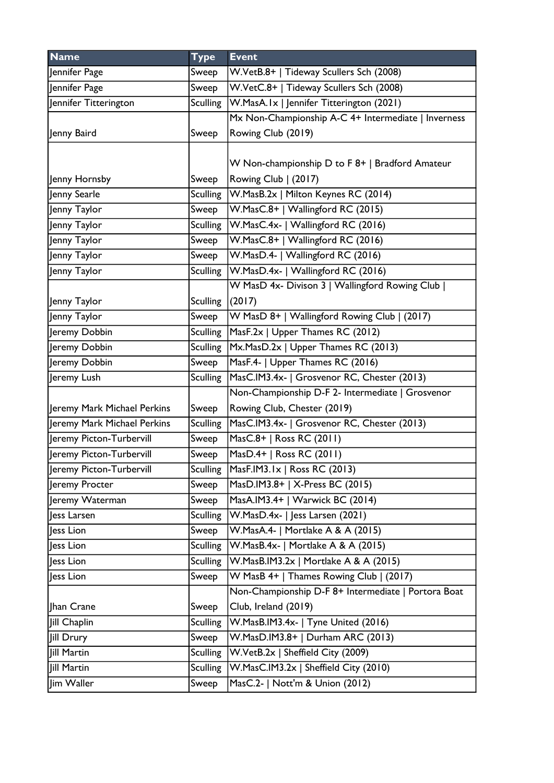| <b>Name</b>                 | <b>Type</b>     | <b>Event</b>                                        |
|-----------------------------|-----------------|-----------------------------------------------------|
| Jennifer Page               | Sweep           | W.VetB.8+   Tideway Scullers Sch (2008)             |
| Jennifer Page               | Sweep           | W.VetC.8+   Tideway Scullers Sch (2008)             |
| Jennifer Titterington       | <b>Sculling</b> | W.MasA.Ix   Jennifer Titterington (2021)            |
|                             |                 | Mx Non-Championship A-C 4+ Intermediate   Inverness |
| Jenny Baird                 | Sweep           | Rowing Club (2019)                                  |
|                             |                 |                                                     |
|                             |                 | W Non-championship D to F 8+   Bradford Amateur     |
| Jenny Hornsby               | Sweep           | Rowing Club   (2017)                                |
| Jenny Searle                | Sculling        | W.MasB.2x   Milton Keynes RC (2014)                 |
| Jenny Taylor                | Sweep           | W.MasC.8+   Wallingford RC (2015)                   |
| Jenny Taylor                | <b>Sculling</b> | W.MasC.4x-   Wallingford RC (2016)                  |
| Jenny Taylor                | Sweep           | W.MasC.8+   Wallingford RC (2016)                   |
| Jenny Taylor                | Sweep           | W.MasD.4-   Wallingford RC (2016)                   |
| Jenny Taylor                | <b>Sculling</b> | W.MasD.4x-   Wallingford RC (2016)                  |
|                             |                 | W MasD 4x- Divison 3   Wallingford Rowing Club      |
| Jenny Taylor                | <b>Sculling</b> | (2017)                                              |
| Jenny Taylor                | Sweep           | W MasD 8+   Wallingford Rowing Club   (2017)        |
| Jeremy Dobbin               | <b>Sculling</b> | MasF.2x   Upper Thames RC (2012)                    |
| Jeremy Dobbin               | <b>Sculling</b> | Mx.MasD.2x   Upper Thames RC (2013)                 |
| Jeremy Dobbin               | Sweep           | MasF.4-   Upper Thames RC (2016)                    |
| Jeremy Lush                 | <b>Sculling</b> | MasC.IM3.4x-   Grosvenor RC, Chester (2013)         |
|                             |                 | Non-Championship D-F 2- Intermediate   Grosvenor    |
| Jeremy Mark Michael Perkins | Sweep           | Rowing Club, Chester (2019)                         |
| Jeremy Mark Michael Perkins | <b>Sculling</b> | MasC.IM3.4x-   Grosvenor RC, Chester (2013)         |
| Jeremy Picton-Turbervill    | Sweep           | MasC.8+   Ross RC (2011)                            |
| Jeremy Picton-Turbervill    | Sweep           | MasD.4+   Ross RC (2011)                            |
| Jeremy Picton-Turbervill    | <b>Sculling</b> | MasF.IM3.1x   Ross RC (2013)                        |
| Jeremy Procter              | Sweep           | MasD.IM3.8+   X-Press BC (2015)                     |
| Jeremy Waterman             | Sweep           | MasA.IM3.4+   Warwick BC (2014)                     |
| Jess Larsen                 | <b>Sculling</b> | W.MasD.4x-   Jess Larsen (2021)                     |
| less Lion                   | Sweep           | W.MasA.4-   Mortlake A & A (2015)                   |
| Jess Lion                   | <b>Sculling</b> | W.MasB.4x-   Mortlake A & A (2015)                  |
| less Lion                   | <b>Sculling</b> | W.MasB.IM3.2x   Mortlake A & A (2015)               |
| Jess Lion                   | Sweep           | W MasB 4+   Thames Rowing Club   (2017)             |
|                             |                 | Non-Championship D-F 8+ Intermediate   Portora Boat |
| Jhan Crane                  | Sweep           | Club, Ireland (2019)                                |
| Jill Chaplin                | <b>Sculling</b> | W.MasB.IM3.4x-   Tyne United (2016)                 |
| Jill Drury                  | Sweep           | W.MasD.IM3.8+   Durham ARC (2013)                   |
| Jill Martin                 | <b>Sculling</b> | W.VetB.2x   Sheffield City (2009)                   |
| <b>Jill Martin</b>          | <b>Sculling</b> | W.MasC.IM3.2x   Sheffield City (2010)               |
| Jim Waller                  | Sweep           | MasC.2-   Nott'm & Union (2012)                     |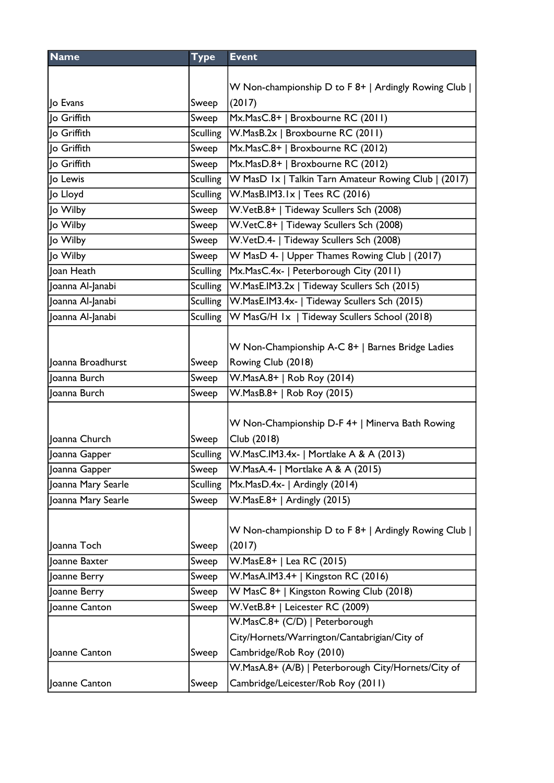| <b>Name</b>        | <b>Type</b>     | <b>Event</b>                                         |
|--------------------|-----------------|------------------------------------------------------|
|                    |                 |                                                      |
|                    |                 | W Non-championship D to F 8+   Ardingly Rowing Club  |
| lo Evans           | Sweep           | (2017)                                               |
| lo Griffith        | Sweep           | Mx.MasC.8+   Broxbourne RC (2011)                    |
| lo Griffith        | <b>Sculling</b> | W.MasB.2x   Broxbourne RC (2011)                     |
| lo Griffith        | Sweep           | Mx.MasC.8+   Broxbourne RC (2012)                    |
| lo Griffith        | Sweep           | Mx.MasD.8+   Broxbourne RC (2012)                    |
| Jo Lewis           | <b>Sculling</b> | W MasD Ix   Talkin Tarn Amateur Rowing Club   (2017) |
| Jo Lloyd           | <b>Sculling</b> | W.MasB.IM3.1x   Tees RC (2016)                       |
| Jo Wilby           | Sweep           | W.VetB.8+   Tideway Scullers Sch (2008)              |
| Jo Wilby           | Sweep           | W.VetC.8+   Tideway Scullers Sch (2008)              |
| Jo Wilby           | Sweep           | W.VetD.4-   Tideway Scullers Sch (2008)              |
| Jo Wilby           | Sweep           | W MasD 4-   Upper Thames Rowing Club   (2017)        |
| Joan Heath         | <b>Sculling</b> | Mx.MasC.4x-   Peterborough City (2011)               |
| Joanna Al-Janabi   | <b>Sculling</b> | W.MasE.IM3.2x   Tideway Scullers Sch (2015)          |
| Joanna Al-Janabi   | <b>Sculling</b> | W.MasE.IM3.4x-   Tideway Scullers Sch (2015)         |
| Joanna Al-Janabi   | <b>Sculling</b> | W MasG/H Ix   Tideway Scullers School (2018)         |
|                    |                 |                                                      |
|                    |                 | W Non-Championship A-C 8+   Barnes Bridge Ladies     |
| Joanna Broadhurst  | Sweep           | Rowing Club (2018)                                   |
| Joanna Burch       | Sweep           | W.MasA.8+   Rob Roy (2014)                           |
| Joanna Burch       | Sweep           | W.MasB.8+   Rob Roy (2015)                           |
|                    |                 |                                                      |
|                    |                 | W Non-Championship D-F 4+   Minerva Bath Rowing      |
| Joanna Church      | Sweep           | Club (2018)                                          |
| Joanna Gapper      | <b>Sculling</b> | W.MasC.IM3.4x-   Mortlake A & A (2013)               |
| Joanna Gapper      | Sweep           | W.MasA.4-   Mortlake A & A (2015)                    |
| Joanna Mary Searle | <b>Sculling</b> | Mx.MasD.4x-   Ardingly (2014)                        |
| Joanna Mary Searle | Sweep           | W.MasE.8+   Ardingly (2015)                          |
|                    |                 |                                                      |
|                    |                 | W Non-championship D to F 8+   Ardingly Rowing Club  |
| Joanna Toch        | Sweep           | (2017)                                               |
| Joanne Baxter      | Sweep           | W.MasE.8+   Lea RC (2015)                            |
| Joanne Berry       | Sweep           | W.MasA.IM3.4+   Kingston RC (2016)                   |
| Joanne Berry       | Sweep           | W MasC 8+   Kingston Rowing Club (2018)              |
| Joanne Canton      | Sweep           | W.VetB.8+   Leicester RC (2009)                      |
|                    |                 | W.MasC.8+ (C/D)   Peterborough                       |
|                    |                 | City/Hornets/Warrington/Cantabrigian/City of         |
| Joanne Canton      | Sweep           | Cambridge/Rob Roy (2010)                             |
|                    |                 | W.MasA.8+ (A/B)   Peterborough City/Hornets/City of  |
| Joanne Canton      | Sweep           | Cambridge/Leicester/Rob Roy (2011)                   |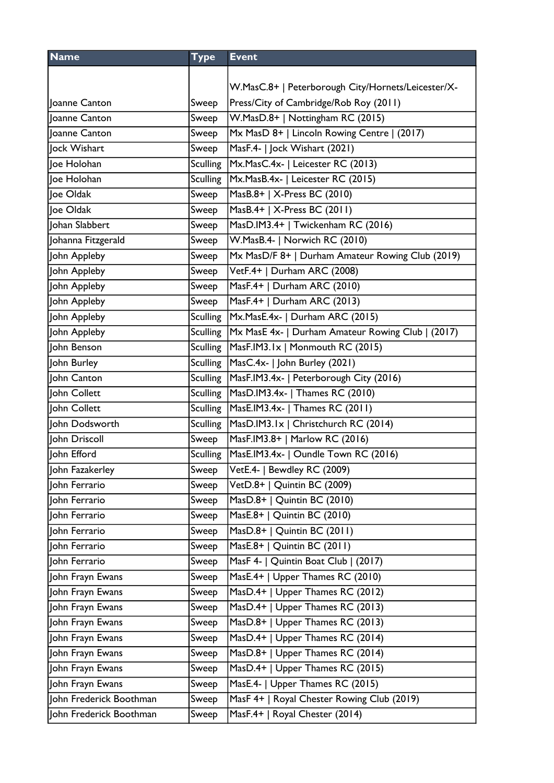| <b>Name</b>             | <b>Type</b>     | <b>Event</b>                                       |
|-------------------------|-----------------|----------------------------------------------------|
|                         |                 |                                                    |
|                         |                 | W.MasC.8+   Peterborough City/Hornets/Leicester/X- |
| Joanne Canton           | Sweep           | Press/City of Cambridge/Rob Roy (2011)             |
| Joanne Canton           | Sweep           | W.MasD.8+   Nottingham RC (2015)                   |
| Joanne Canton           | Sweep           | Mx MasD 8+   Lincoln Rowing Centre   (2017)        |
| Jock Wishart            | Sweep           | MasF.4-   Jock Wishart (2021)                      |
| Joe Holohan             | <b>Sculling</b> | Mx.MasC.4x-   Leicester RC (2013)                  |
| Joe Holohan             | <b>Sculling</b> | Mx.MasB.4x-   Leicester RC (2015)                  |
| Joe Oldak               | Sweep           | MasB.8+   X-Press BC (2010)                        |
| Joe Oldak               | Sweep           | MasB.4+   X-Press BC (2011)                        |
| Johan Slabbert          | Sweep           | MasD.IM3.4+   Twickenham RC (2016)                 |
| Johanna Fitzgerald      | Sweep           | W.MasB.4-   Norwich RC (2010)                      |
| John Appleby            | Sweep           | Mx MasD/F 8+   Durham Amateur Rowing Club (2019)   |
| John Appleby            | Sweep           | VetF.4+   Durham ARC (2008)                        |
| John Appleby            | Sweep           | MasF.4+   Durham ARC (2010)                        |
| John Appleby            | Sweep           | MasF.4+   Durham ARC (2013)                        |
| John Appleby            | <b>Sculling</b> | Mx.MasE.4x-   Durham ARC (2015)                    |
| John Appleby            | <b>Sculling</b> | Mx MasE 4x-   Durham Amateur Rowing Club   (2017)  |
| John Benson             | <b>Sculling</b> | MasF.IM3.1x   Monmouth RC (2015)                   |
| John Burley             | <b>Sculling</b> | MasC.4x-   John Burley (2021)                      |
| John Canton             | <b>Sculling</b> | MasF.IM3.4x-   Peterborough City (2016)            |
| John Collett            | <b>Sculling</b> | MasD.IM3.4x-   Thames RC (2010)                    |
| John Collett            | <b>Sculling</b> | MasE.IM3.4x-   Thames RC (2011)                    |
| John Dodsworth          | Sculling        | MasD.IM3.1x   Christchurch RC (2014)               |
| John Driscoll           | Sweep           | MasF.IM3.8+   Marlow RC (2016)                     |
| John Efford             | <b>Sculling</b> | MasE.IM3.4x-   Oundle Town RC (2016)               |
| John Fazakerley         | Sweep           | VetE.4-   Bewdley RC (2009)                        |
| John Ferrario           | Sweep           | VetD.8+   Quintin BC (2009)                        |
| John Ferrario           | Sweep           | MasD.8+   Quintin BC (2010)                        |
| John Ferrario           | Sweep           | MasE.8+   Quintin BC (2010)                        |
| John Ferrario           | Sweep           | MasD.8+   Quintin BC (2011)                        |
| John Ferrario           | Sweep           | MasE.8+   Quintin BC (2011)                        |
| John Ferrario           | Sweep           | MasF 4-   Quintin Boat Club   (2017)               |
| John Frayn Ewans        | Sweep           | MasE.4+   Upper Thames RC (2010)                   |
| John Frayn Ewans        | Sweep           | MasD.4+   Upper Thames RC (2012)                   |
| John Frayn Ewans        | Sweep           | MasD.4+   Upper Thames RC (2013)                   |
| John Frayn Ewans        | Sweep           | MasD.8+   Upper Thames RC (2013)                   |
| John Frayn Ewans        | Sweep           | MasD.4+   Upper Thames RC (2014)                   |
| John Frayn Ewans        | Sweep           | MasD.8+   Upper Thames RC (2014)                   |
| John Frayn Ewans        | Sweep           | MasD.4+   Upper Thames RC (2015)                   |
| John Frayn Ewans        | Sweep           | MasE.4-   Upper Thames RC (2015)                   |
| John Frederick Boothman | Sweep           | MasF 4+   Royal Chester Rowing Club (2019)         |
| John Frederick Boothman | Sweep           | MasF.4+   Royal Chester (2014)                     |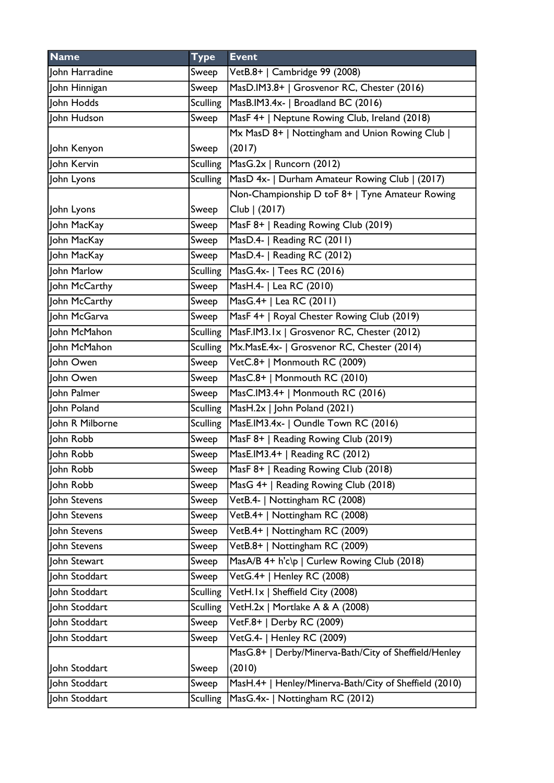| <b>Name</b>     | <b>Type</b>     | <b>Event</b>                                           |
|-----------------|-----------------|--------------------------------------------------------|
| John Harradine  | Sweep           | VetB.8+   Cambridge 99 (2008)                          |
| John Hinnigan   | Sweep           | MasD.IM3.8+   Grosvenor RC, Chester (2016)             |
| John Hodds      | <b>Sculling</b> | MasB.IM3.4x-   Broadland BC (2016)                     |
| John Hudson     | Sweep           | MasF 4+   Neptune Rowing Club, Ireland (2018)          |
|                 |                 | Mx MasD 8+   Nottingham and Union Rowing Club          |
| John Kenyon     | Sweep           | (2017)                                                 |
| John Kervin     | <b>Sculling</b> | MasG.2x   Runcorn (2012)                               |
| John Lyons      | <b>Sculling</b> | MasD 4x-   Durham Amateur Rowing Club   (2017)         |
|                 |                 | Non-Championship D toF 8+   Tyne Amateur Rowing        |
| John Lyons      | Sweep           | Club   (2017)                                          |
| John MacKay     | Sweep           | MasF 8+   Reading Rowing Club (2019)                   |
| John MacKay     | Sweep           | MasD.4-   Reading RC (2011)                            |
| John MacKay     | Sweep           | MasD.4-   Reading RC (2012)                            |
| John Marlow     | <b>Sculling</b> | MasG.4x-   Tees RC (2016)                              |
| John McCarthy   | Sweep           | MasH.4-   Lea RC (2010)                                |
| John McCarthy   | Sweep           | MasG.4+   Lea RC (2011)                                |
| John McGarva    | Sweep           | MasF 4+   Royal Chester Rowing Club (2019)             |
| John McMahon    | <b>Sculling</b> | MasF.IM3.1x   Grosvenor RC, Chester (2012)             |
| John McMahon    | <b>Sculling</b> | Mx.MasE.4x-   Grosvenor RC, Chester (2014)             |
| ohn Owen        | Sweep           | VetC.8+   Monmouth RC (2009)                           |
| John Owen       | Sweep           | MasC.8+   Monmouth RC (2010)                           |
| John Palmer     | Sweep           | MasC.IM3.4+   Monmouth RC (2016)                       |
| John Poland     | <b>Sculling</b> | MasH.2x   John Poland (2021)                           |
| John R Milborne | <b>Sculling</b> | MasE.IM3.4x-   Oundle Town RC (2016)                   |
| John Robb       | Sweep           | MasF 8+   Reading Rowing Club (2019)                   |
| John Robb       | Sweep           | MasE.IM3.4+   Reading RC (2012)                        |
| lohn Robb       | Sweep           | MasF 8+   Reading Rowing Club (2018)                   |
| John Robb       | Sweep           | MasG 4+   Reading Rowing Club (2018)                   |
| John Stevens    | Sweep           | VetB.4-   Nottingham RC (2008)                         |
| John Stevens    | Sweep           | VetB.4+   Nottingham RC (2008)                         |
| John Stevens    | Sweep           | VetB.4+   Nottingham RC (2009)                         |
| John Stevens    | Sweep           | VetB.8+   Nottingham RC (2009)                         |
| John Stewart    | Sweep           | MasA/B 4+ h'c\p   Curlew Rowing Club (2018)            |
| John Stoddart   | Sweep           | VetG.4+   Henley RC (2008)                             |
| John Stoddart   | <b>Sculling</b> | VetH.1x   Sheffield City (2008)                        |
| John Stoddart   | <b>Sculling</b> | VetH.2x   Mortlake A & A (2008)                        |
| John Stoddart   | Sweep           | VetF.8+   Derby RC (2009)                              |
| John Stoddart   | Sweep           | VetG.4-   Henley RC (2009)                             |
|                 |                 | MasG.8+   Derby/Minerva-Bath/City of Sheffield/Henley  |
| John Stoddart   | Sweep           | (2010)                                                 |
| John Stoddart   | Sweep           | MasH.4+   Henley/Minerva-Bath/City of Sheffield (2010) |
| John Stoddart   | <b>Sculling</b> | MasG.4x-   Nottingham RC (2012)                        |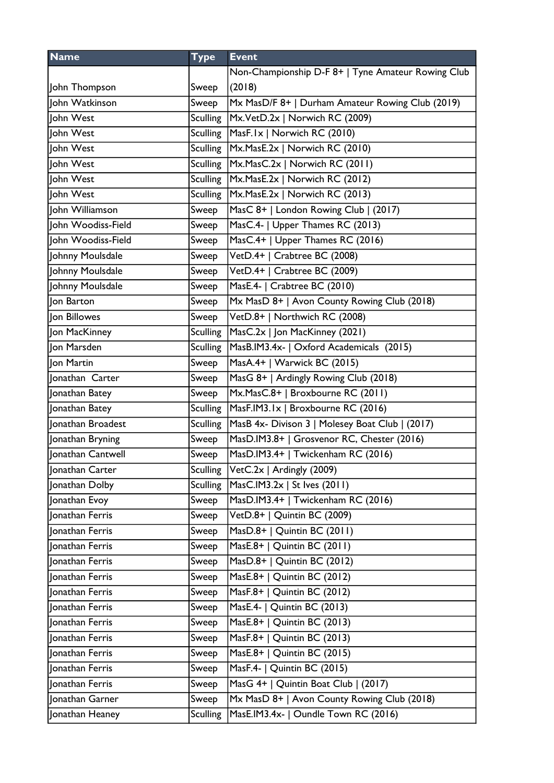| <b>Name</b>            | <b>Type</b>     | <b>Event</b>                                       |
|------------------------|-----------------|----------------------------------------------------|
|                        |                 | Non-Championship D-F 8+   Tyne Amateur Rowing Club |
| John Thompson          | Sweep           | (2018)                                             |
| John Watkinson         | Sweep           | Mx MasD/F 8+   Durham Amateur Rowing Club (2019)   |
| ohn West               | <b>Sculling</b> | Mx.VetD.2x   Norwich RC (2009)                     |
| John West              | <b>Sculling</b> | MasF.1x   Norwich RC (2010)                        |
| John West              | <b>Sculling</b> | Mx.MasE.2x   Norwich RC (2010)                     |
| John West              | <b>Sculling</b> | Mx.MasC.2x   Norwich RC (2011)                     |
| John West              | Sculling        | Mx.MasE.2x   Norwich RC (2012)                     |
| John West              | <b>Sculling</b> | Mx.MasE.2x   Norwich RC (2013)                     |
| John Williamson        | Sweep           | MasC 8+   London Rowing Club   (2017)              |
| John Woodiss-Field     | Sweep           | MasC.4-   Upper Thames RC (2013)                   |
| John Woodiss-Field     | Sweep           | MasC.4+   Upper Thames RC (2016)                   |
| Johnny Moulsdale       | Sweep           | VetD.4+   Crabtree BC (2008)                       |
| Johnny Moulsdale       | Sweep           | VetD.4+   Crabtree BC (2009)                       |
| Johnny Moulsdale       | Sweep           | MasE.4-   Crabtree BC (2010)                       |
| Jon Barton             | Sweep           | Mx MasD 8+   Avon County Rowing Club (2018)        |
| Jon Billowes           | Sweep           | VetD.8+   Northwich RC (2008)                      |
| Jon MacKinney          | <b>Sculling</b> | MasC.2x   Jon MacKinney (2021)                     |
| Jon Marsden            | <b>Sculling</b> | MasB.IM3.4x-   Oxford Academicals (2015)           |
| Jon Martin             | Sweep           | MasA.4+   Warwick BC (2015)                        |
| Jonathan Carter        | Sweep           | MasG 8+   Ardingly Rowing Club (2018)              |
| Jonathan Batey         | Sweep           | Mx.MasC.8+   Broxbourne RC (2011)                  |
| Jonathan Batey         | <b>Sculling</b> | MasF.IM3.1x   Broxbourne RC (2016)                 |
| Jonathan Broadest      | <b>Sculling</b> | MasB 4x- Divison 3   Molesey Boat Club   (2017)    |
| Jonathan Bryning       | Sweep           | MasD.IM3.8+   Grosvenor RC, Chester (2016)         |
| Jonathan Cantwell      | Sweep           | MasD.IM3.4+   Twickenham RC (2016)                 |
| Jonathan Carter        |                 | Sculling VetC.2x   Ardingly (2009)                 |
| Jonathan Dolby         | <b>Sculling</b> | $ MasC.IM3.2x $ St Ives (2011)                     |
| Jonathan Evoy          | Sweep           | MasD.IM3.4+   Twickenham RC (2016)                 |
| Jonathan Ferris        | Sweep           | VetD.8+   Quintin BC (2009)                        |
| onathan Ferris         | Sweep           | MasD.8+   Quintin BC $(2011)$                      |
| <b>Jonathan Ferris</b> | Sweep           | MasE.8+   Quintin BC (2011)                        |
| Jonathan Ferris        | Sweep           | MasD.8+   Quintin BC $(2012)$                      |
| Jonathan Ferris        | Sweep           | MasE.8+   Quintin BC (2012)                        |
| <b>Onathan Ferris</b>  | Sweep           | MasF.8+   Quintin BC $(2012)$                      |
| Jonathan Ferris        | Sweep           | MasE.4-   Quintin BC (2013)                        |
| Jonathan Ferris        | Sweep           | MasE.8+   Quintin BC (2013)                        |
| Jonathan Ferris        | Sweep           | MasF.8+   Quintin BC (2013)                        |
| Jonathan Ferris        | Sweep           | MasE.8+   Quintin BC (2015)                        |
| Jonathan Ferris        | Sweep           | MasF.4-   Quintin BC (2015)                        |
| Jonathan Ferris        | Sweep           | MasG 4+   Quintin Boat Club   (2017)               |
| Jonathan Garner        | Sweep           | Mx MasD 8+   Avon County Rowing Club (2018)        |
| Jonathan Heaney        | <b>Sculling</b> | MasE.IM3.4x-   Oundle Town RC (2016)               |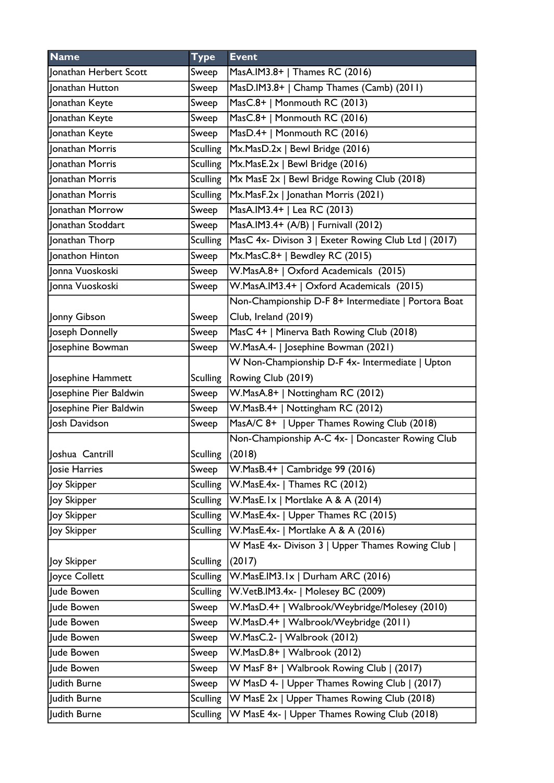| <b>Name</b>            | <b>Type</b>     | <b>Event</b>                                         |
|------------------------|-----------------|------------------------------------------------------|
| Jonathan Herbert Scott | Sweep           | MasA.IM3.8+   Thames RC (2016)                       |
| Jonathan Hutton        | Sweep           | MasD.IM3.8+   Champ Thames (Camb) (2011)             |
| Jonathan Keyte         | Sweep           | MasC.8+   Monmouth RC (2013)                         |
| Jonathan Keyte         | Sweep           | MasC.8+   Monmouth RC (2016)                         |
| Jonathan Keyte         | Sweep           | MasD.4+   Monmouth RC (2016)                         |
| Jonathan Morris        | <b>Sculling</b> | Mx.MasD.2x   Bewl Bridge (2016)                      |
| Jonathan Morris        | <b>Sculling</b> | Mx.MasE.2x   Bewl Bridge (2016)                      |
| Jonathan Morris        | <b>Sculling</b> | Mx MasE 2x   Bewl Bridge Rowing Club (2018)          |
| Jonathan Morris        | <b>Sculling</b> | Mx.MasF.2x   Jonathan Morris (2021)                  |
| Jonathan Morrow        | Sweep           | MasA.IM3.4+   Lea RC (2013)                          |
| Jonathan Stoddart      | Sweep           | MasA.IM3.4+ (A/B)   Furnivall (2012)                 |
| Jonathan Thorp         | <b>Sculling</b> | MasC 4x- Divison 3   Exeter Rowing Club Ltd   (2017) |
| Jonathon Hinton        | Sweep           | Mx.MasC.8+   Bewdley RC (2015)                       |
| Jonna Vuoskoski        | Sweep           | W.MasA.8+   Oxford Academicals (2015)                |
| Jonna Vuoskoski        | Sweep           | W.MasA.IM3.4+   Oxford Academicals (2015)            |
|                        |                 | Non-Championship D-F 8+ Intermediate   Portora Boat  |
| Jonny Gibson           | Sweep           | Club, Ireland (2019)                                 |
| Joseph Donnelly        | Sweep           | MasC 4+   Minerva Bath Rowing Club (2018)            |
| Josephine Bowman       | Sweep           | W.MasA.4-   Josephine Bowman (2021)                  |
|                        |                 | W Non-Championship D-F 4x- Intermediate   Upton      |
| Josephine Hammett      | <b>Sculling</b> | Rowing Club (2019)                                   |
| Josephine Pier Baldwin | Sweep           | W.MasA.8+   Nottingham RC (2012)                     |
| Josephine Pier Baldwin | Sweep           | W.MasB.4+   Nottingham RC (2012)                     |
| Josh Davidson          | Sweep           | MasA/C 8+   Upper Thames Rowing Club (2018)          |
|                        |                 | Non-Championship A-C 4x-   Doncaster Rowing Club     |
| Joshua Cantrill        | <b>Sculling</b> | (2018)                                               |
| Josie Harries          | Sweep           | W.MasB.4+   Cambridge 99 (2016)                      |
| Joy Skipper            | <b>Sculling</b> | W.MasE.4x-   Thames RC (2012)                        |
| Joy Skipper            | <b>Sculling</b> | W.MasE.Ix   Mortlake A & A (2014)                    |
| Joy Skipper            | <b>Sculling</b> | W.MasE.4x-   Upper Thames RC (2015)                  |
| Joy Skipper            | <b>Sculling</b> | W.MasE.4x-   Mortlake A & A (2016)                   |
|                        |                 | W MasE 4x- Divison 3   Upper Thames Rowing Club      |
| Joy Skipper            | <b>Sculling</b> | (2017)                                               |
| Joyce Collett          | <b>Sculling</b> | W.MasE.IM3.1x   Durham ARC (2016)                    |
| Jude Bowen             | <b>Sculling</b> | W.VetB.IM3.4x-   Molesey BC (2009)                   |
| Jude Bowen             | Sweep           | W.MasD.4+   Walbrook/Weybridge/Molesey (2010)        |
| Jude Bowen             | Sweep           | W.MasD.4+   Walbrook/Weybridge (2011)                |
| Jude Bowen             | Sweep           | W.MasC.2-   Walbrook (2012)                          |
| Jude Bowen             | Sweep           | W.MasD.8+   Walbrook (2012)                          |
| Jude Bowen             | Sweep           | W MasF 8+   Walbrook Rowing Club   (2017)            |
| Judith Burne           | Sweep           | W MasD 4-   Upper Thames Rowing Club   (2017)        |
| Judith Burne           | <b>Sculling</b> | W MasE 2x   Upper Thames Rowing Club (2018)          |
| Judith Burne           | <b>Sculling</b> | W MasE 4x-   Upper Thames Rowing Club (2018)         |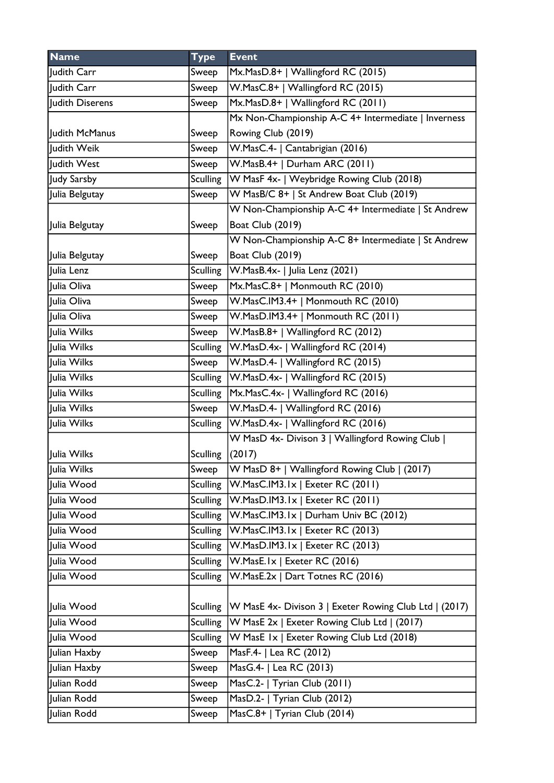| <b>Name</b>     | <b>Type</b>     | <b>Event</b>                                           |
|-----------------|-----------------|--------------------------------------------------------|
| Judith Carr     | Sweep           | Mx.MasD.8+   Wallingford RC (2015)                     |
| Judith Carr     | Sweep           | W.MasC.8+   Wallingford RC (2015)                      |
| Judith Diserens | Sweep           | Mx.MasD.8+   Wallingford RC (2011)                     |
|                 |                 | Mx Non-Championship A-C 4+ Intermediate   Inverness    |
| Judith McManus  | Sweep           | Rowing Club (2019)                                     |
| Judith Weik     | Sweep           | W.MasC.4-   Cantabrigian (2016)                        |
| Judith West     | Sweep           | W.MasB.4+   Durham ARC (2011)                          |
| Judy Sarsby     | <b>Sculling</b> | W MasF 4x-   Weybridge Rowing Club (2018)              |
| Julia Belgutay  | Sweep           | W MasB/C 8+   St Andrew Boat Club (2019)               |
|                 |                 | W Non-Championship A-C 4+ Intermediate   St Andrew     |
| Julia Belgutay  | Sweep           | <b>Boat Club (2019)</b>                                |
|                 |                 | W Non-Championship A-C 8+ Intermediate   St Andrew     |
| Julia Belgutay  | Sweep           | <b>Boat Club (2019)</b>                                |
| Julia Lenz      | <b>Sculling</b> | $ W.MasB.4x- $ Julia Lenz (2021)                       |
| Julia Oliva     | Sweep           | Mx.MasC.8+   Monmouth RC (2010)                        |
| Julia Oliva     | Sweep           | W.MasC.IM3.4+   Monmouth RC (2010)                     |
| Julia Oliva     | Sweep           | W.MasD.IM3.4+   Monmouth RC (2011)                     |
| Julia Wilks     | Sweep           | W.MasB.8+   Wallingford RC (2012)                      |
| Julia Wilks     | <b>Sculling</b> | W.MasD.4x-   Wallingford RC (2014)                     |
| Julia Wilks     | Sweep           | W.MasD.4-   Wallingford RC (2015)                      |
| Julia Wilks     | <b>Sculling</b> | W.MasD.4x-   Wallingford RC (2015)                     |
| Julia Wilks     | <b>Sculling</b> | Mx.MasC.4x-   Wallingford RC (2016)                    |
| Julia Wilks     | Sweep           | W.MasD.4-   Wallingford RC (2016)                      |
| Julia Wilks     | <b>Sculling</b> | W.MasD.4x-   Wallingford RC (2016)                     |
|                 |                 | W MasD 4x- Divison 3   Wallingford Rowing Club         |
| Julia Wilks     | <b>Sculling</b> | (2017)                                                 |
| Julia Wilks     | Sweep           | W MasD 8+   Wallingford Rowing Club   (2017)           |
| Julia Wood      | <b>Sculling</b> | W.MasC.IM3.1x   Exeter RC (2011)                       |
| Julia Wood      | <b>Sculling</b> | W.MasD.IM3.1x   Exeter RC (2011)                       |
| Julia Wood      | <b>Sculling</b> | W.MasC.IM3.1x   Durham Univ BC (2012)                  |
| Julia Wood      | <b>Sculling</b> | W.MasC.IM3.1x   Exeter RC (2013)                       |
| Julia Wood      | <b>Sculling</b> | W.MasD.IM3.1x   Exeter RC (2013)                       |
| Julia Wood      | <b>Sculling</b> | W.MasE.Ix   Exeter RC (2016)                           |
| Julia Wood      | <b>Sculling</b> | W.MasE.2x   Dart Totnes RC (2016)                      |
|                 |                 |                                                        |
| Julia Wood      | <b>Sculling</b> | W MasE 4x- Divison 3   Exeter Rowing Club Ltd   (2017) |
| Julia Wood      | <b>Sculling</b> | W MasE 2x   Exeter Rowing Club Ltd   (2017)            |
| Julia Wood      | <b>Sculling</b> | W MasE 1x   Exeter Rowing Club Ltd (2018)              |
| Julian Haxby    | Sweep           | MasF.4-   Lea RC (2012)                                |
| Julian Haxby    | Sweep           | MasG.4-   Lea RC (2013)                                |
| Julian Rodd     | Sweep           | MasC.2-   Tyrian Club (2011)                           |
| Julian Rodd     | Sweep           | MasD.2-   Tyrian Club (2012)                           |
| Julian Rodd     | Sweep           | MasC.8+   Tyrian Club (2014)                           |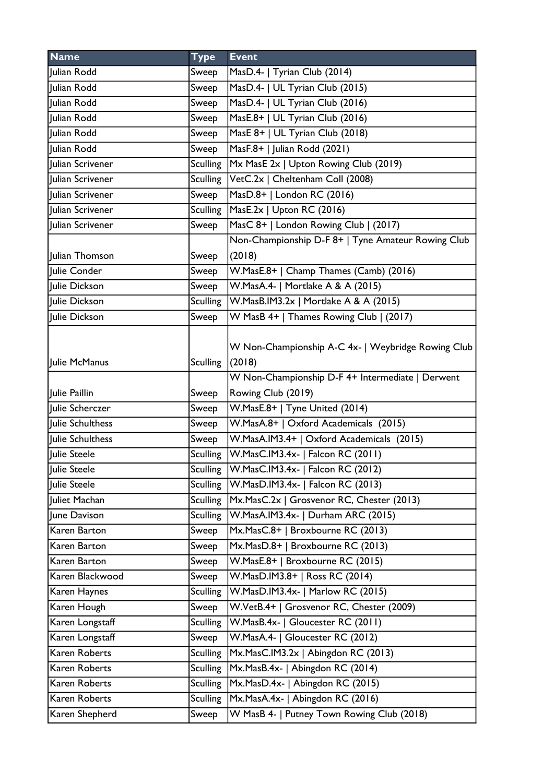| <b>Name</b>        | <b>Type</b>     | <b>Event</b>                                                                                                     |
|--------------------|-----------------|------------------------------------------------------------------------------------------------------------------|
| Julian Rodd        | Sweep           | MasD.4-   Tyrian Club (2014)                                                                                     |
| Julian Rodd        | Sweep           | MasD.4-   UL Tyrian Club (2015)                                                                                  |
| Julian Rodd        | Sweep           | MasD.4-   UL Tyrian Club (2016)                                                                                  |
| <b>Julian Rodd</b> | Sweep           | MasE.8+   UL Tyrian Club (2016)                                                                                  |
| Julian Rodd        | Sweep           | MasE 8+   UL Tyrian Club (2018)                                                                                  |
| Julian Rodd        | Sweep           | MasF.8+   Julian Rodd (2021)                                                                                     |
| Julian Scrivener   | <b>Sculling</b> | Mx MasE 2x   Upton Rowing Club (2019)                                                                            |
| Julian Scrivener   | <b>Sculling</b> | VetC.2x   Cheltenham Coll (2008)                                                                                 |
| Julian Scrivener   | Sweep           | MasD.8+   London RC (2016)                                                                                       |
| Julian Scrivener   | <b>Sculling</b> | MasE.2x   Upton RC (2016)                                                                                        |
| Julian Scrivener   | Sweep           | MasC 8+   London Rowing Club   (2017)                                                                            |
|                    |                 | Non-Championship D-F 8+   Tyne Amateur Rowing Club                                                               |
| Julian Thomson     | Sweep           | (2018)                                                                                                           |
| Julie Conder       | Sweep           | W.MasE.8+   Champ Thames (Camb) (2016)                                                                           |
| Julie Dickson      | Sweep           | W.MasA.4-   Mortlake A & A (2015)                                                                                |
| Julie Dickson      | Sculling        | W.MasB.IM3.2x   Mortlake A & A (2015)                                                                            |
| Julie Dickson      | Sweep           | W MasB 4+   Thames Rowing Club   (2017)                                                                          |
| Julie McManus      | <b>Sculling</b> | W Non-Championship A-C 4x-   Weybridge Rowing Club<br>(2018)<br>W Non-Championship D-F 4+ Intermediate   Derwent |
| Julie Paillin      | Sweep           | Rowing Club (2019)                                                                                               |
| Julie Scherczer    | Sweep           | W.MasE.8+   Tyne United (2014)                                                                                   |
| Julie Schulthess   | Sweep           | W.MasA.8+   Oxford Academicals (2015)                                                                            |
| Julie Schulthess   | Sweep           | W.MasA.IM3.4+   Oxford Academicals (2015)                                                                        |
| Julie Steele       | <b>Sculling</b> | W.MasC.IM3.4x-   Falcon RC (2011)                                                                                |
| Julie Steele       | Sculling        | W.MasC.IM3.4x-   Falcon RC (2012)                                                                                |
| Julie Steele       | <b>Sculling</b> | W.MasD.IM3.4x-   Falcon RC (2013)                                                                                |
| Juliet Machan      | <b>Sculling</b> | Mx.MasC.2x   Grosvenor RC, Chester (2013)                                                                        |
| June Davison       | <b>Sculling</b> | W.MasA.IM3.4x-   Durham ARC (2015)                                                                               |
| Karen Barton       | Sweep           | Mx.MasC.8+   Broxbourne RC (2013)                                                                                |
| Karen Barton       | Sweep           | Mx.MasD.8+   Broxbourne RC (2013)                                                                                |
| Karen Barton       | Sweep           | W.MasE.8+   Broxbourne RC (2015)                                                                                 |
| Karen Blackwood    | Sweep           | W.MasD.IM3.8+   Ross RC (2014)                                                                                   |
| Karen Haynes       | <b>Sculling</b> | W.MasD.IM3.4x-   Marlow RC (2015)                                                                                |
| Karen Hough        | Sweep           | W.VetB.4+   Grosvenor RC, Chester (2009)                                                                         |
| Karen Longstaff    | <b>Sculling</b> | W.MasB.4x-   Gloucester RC (2011)                                                                                |
| Karen Longstaff    | Sweep           | W.MasA.4-   Gloucester RC (2012)                                                                                 |
| Karen Roberts      | <b>Sculling</b> | Mx.MasC.IM3.2x   Abingdon RC (2013)                                                                              |
| Karen Roberts      | <b>Sculling</b> | Mx.MasB.4x-   Abingdon RC (2014)                                                                                 |
| Karen Roberts      | <b>Sculling</b> | Mx.MasD.4x-   Abingdon RC (2015)                                                                                 |
| Karen Roberts      | <b>Sculling</b> | Mx.MasA.4x-   Abingdon RC (2016)                                                                                 |
| Karen Shepherd     | Sweep           | W MasB 4-   Putney Town Rowing Club (2018)                                                                       |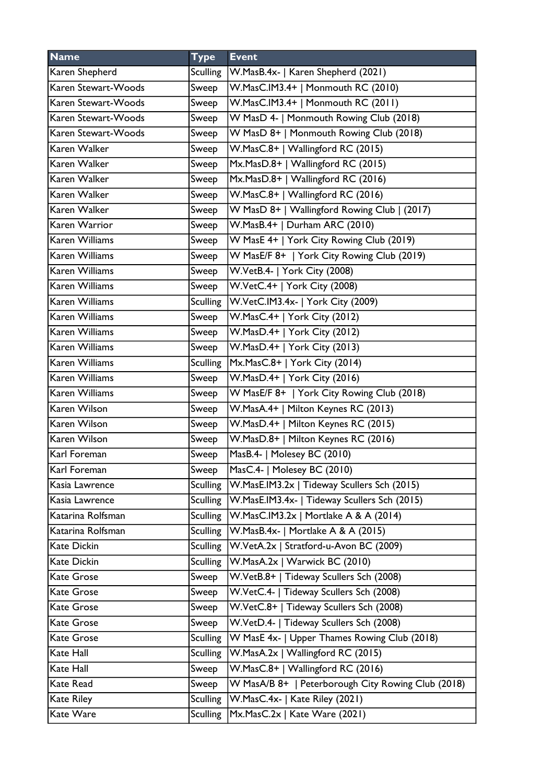| <b>Name</b>           | <b>Type</b>     | <b>Event</b>                                       |
|-----------------------|-----------------|----------------------------------------------------|
| Karen Shepherd        | <b>Sculling</b> | W.MasB.4x-   Karen Shepherd (2021)                 |
| Karen Stewart-Woods   | Sweep           | W.MasC.IM3.4+   Monmouth RC (2010)                 |
| Karen Stewart-Woods   | Sweep           | W.MasC.IM3.4+   Monmouth RC (2011)                 |
| Karen Stewart-Woods   | Sweep           | W MasD 4-   Monmouth Rowing Club (2018)            |
| Karen Stewart-Woods   | Sweep           | W MasD 8+   Monmouth Rowing Club (2018)            |
| Karen Walker          | Sweep           | W.MasC.8+   Wallingford RC (2015)                  |
| Karen Walker          | Sweep           | Mx.MasD.8+   Wallingford RC (2015)                 |
| Karen Walker          | Sweep           | Mx.MasD.8+   Wallingford RC (2016)                 |
| Karen Walker          | Sweep           | W.MasC.8+   Wallingford RC (2016)                  |
| Karen Walker          | Sweep           | W MasD 8+   Wallingford Rowing Club   (2017)       |
| Karen Warrior         | Sweep           | W.MasB.4+   Durham ARC (2010)                      |
| <b>Karen Williams</b> | Sweep           | W MasE 4+   York City Rowing Club (2019)           |
| Karen Williams        | Sweep           | W MasE/F 8+   York City Rowing Club (2019)         |
| Karen Williams        | Sweep           | W.VetB.4-   York City (2008)                       |
| <b>Karen Williams</b> | Sweep           | W.VetC.4+   York City (2008)                       |
| <b>Karen Williams</b> | <b>Sculling</b> | W.VetC.IM3.4x-   York City (2009)                  |
| Karen Williams        | Sweep           | W.MasC.4+   York City (2012)                       |
| Karen Williams        | Sweep           | W.MasD.4+   York City (2012)                       |
| Karen Williams        | Sweep           | W.MasD.4+   York City (2013)                       |
| <b>Karen Williams</b> | <b>Sculling</b> | Mx.MasC.8+   York City (2014)                      |
| Karen Williams        | Sweep           | W.MasD.4+   York City (2016)                       |
| Karen Williams        | Sweep           | W MasE/F 8+   York City Rowing Club (2018)         |
| Karen Wilson          | Sweep           | W.MasA.4+   Milton Keynes RC (2013)                |
| Karen Wilson          | Sweep           | W.MasD.4+   Milton Keynes RC (2015)                |
| Karen Wilson          | Sweep           | W.MasD.8+   Milton Keynes RC (2016)                |
| Karl Foreman          | Sweep           | MasB.4-   Molesey BC (2010)                        |
| Karl Foreman          | Sweep           | MasC.4-   Molesey BC (2010)                        |
| Kasia Lawrence        | Sculling        | W.MasE.IM3.2x   Tideway Scullers Sch (2015)        |
| Kasia Lawrence        | <b>Sculling</b> | W.MasE.IM3.4x-   Tideway Scullers Sch (2015)       |
| Katarina Rolfsman     | <b>Sculling</b> | W.MasC.IM3.2x   Mortlake A & A (2014)              |
| Katarina Rolfsman     | <b>Sculling</b> | W.MasB.4x-   Mortlake A & A (2015)                 |
| Kate Dickin           | <b>Sculling</b> | W.VetA.2x   Stratford-u-Avon BC (2009)             |
| Kate Dickin           | <b>Sculling</b> | W.MasA.2x   Warwick BC (2010)                      |
| Kate Grose            | Sweep           | W.VetB.8+   Tideway Scullers Sch (2008)            |
| Kate Grose            | Sweep           | W.VetC.4-   Tideway Scullers Sch (2008)            |
| <b>Kate Grose</b>     | Sweep           | W.VetC.8+   Tideway Scullers Sch (2008)            |
| Kate Grose            | Sweep           | W.VetD.4-   Tideway Scullers Sch (2008)            |
| Kate Grose            | <b>Sculling</b> | W MasE 4x-   Upper Thames Rowing Club (2018)       |
| Kate Hall             | Sculling        | W.MasA.2x   Wallingford RC (2015)                  |
| Kate Hall             | Sweep           | W.MasC.8+   Wallingford RC (2016)                  |
| Kate Read             | Sweep           | W MasA/B 8+   Peterborough City Rowing Club (2018) |
| Kate Riley            | <b>Sculling</b> | W.MasC.4x-   Kate Riley (2021)                     |
| Kate Ware             | <b>Sculling</b> | Mx.MasC.2x   Kate Ware (2021)                      |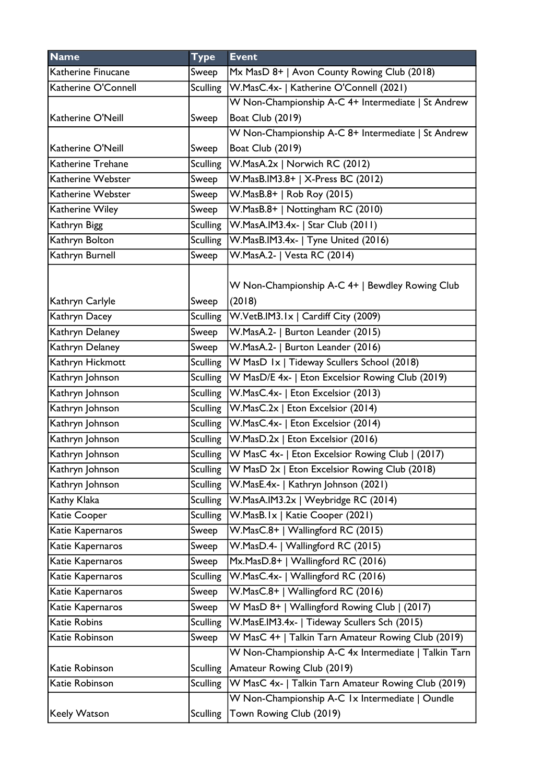| <b>Name</b>         | <b>Type</b>     | <b>Event</b>                                                |
|---------------------|-----------------|-------------------------------------------------------------|
| Katherine Finucane  | Sweep           | Mx MasD 8+   Avon County Rowing Club (2018)                 |
| Katherine O'Connell | <b>Sculling</b> | W.MasC.4x-   Katherine O'Connell (2021)                     |
|                     |                 | W Non-Championship A-C 4+ Intermediate   St Andrew          |
| Katherine O'Neill   | Sweep           | <b>Boat Club (2019)</b>                                     |
|                     |                 | W Non-Championship A-C 8+ Intermediate   St Andrew          |
| Katherine O'Neill   | Sweep           | <b>Boat Club (2019)</b>                                     |
| Katherine Trehane   | <b>Sculling</b> | W.MasA.2x   Norwich RC (2012)                               |
| Katherine Webster   | Sweep           | W.MasB.IM3.8+   X-Press BC (2012)                           |
| Katherine Webster   | Sweep           | W.MasB.8+   Rob Roy (2015)                                  |
| Katherine Wiley     | Sweep           | W.MasB.8+   Nottingham RC (2010)                            |
| Kathryn Bigg        | <b>Sculling</b> | W.MasA.IM3.4x-   Star Club (2011)                           |
| Kathryn Bolton      | <b>Sculling</b> | W.MasB.IM3.4x-   Tyne United (2016)                         |
| Kathryn Burnell     | Sweep           | W.MasA.2-   Vesta RC (2014)                                 |
| Kathryn Carlyle     | Sweep           | W Non-Championship A-C 4+   Bewdley Rowing Club<br>(2018)   |
| Kathryn Dacey       | <b>Sculling</b> | W.VetB.IM3.1x   Cardiff City (2009)                         |
| Kathryn Delaney     | Sweep           | W.MasA.2-   Burton Leander (2015)                           |
| Kathryn Delaney     | Sweep           | W.MasA.2-   Burton Leander (2016)                           |
| Kathryn Hickmott    | Sculling        | W MasD 1x   Tideway Scullers School (2018)                  |
| Kathryn Johnson     | <b>Sculling</b> | W MasD/E 4x-   Eton Excelsior Rowing Club (2019)            |
| Kathryn Johnson     | <b>Sculling</b> | W.MasC.4x-   Eton Excelsior (2013)                          |
| Kathryn Johnson     | <b>Sculling</b> | W.MasC.2x   Eton Excelsior (2014)                           |
| Kathryn Johnson     |                 | Sculling   W. Mas C. 4x -   Eton Excelsior (2014)           |
| Kathryn Johnson     |                 | Sculling   W. Mas D. 2x   Eton Excelsior (2016)             |
| Kathryn Johnson     |                 | Sculling   W MasC 4x-   Eton Excelsior Rowing Club   (2017) |
| Kathryn Johnson     | Sculling        | $ W$ MasD $2x$   Eton Excelsior Rowing Club (2018)          |
| Kathryn Johnson     | <b>Sculling</b> | W.MasE.4x-   Kathryn Johnson (2021)                         |
| Kathy Klaka         | <b>Sculling</b> | W.MasA.IM3.2x   Weybridge RC (2014)                         |
| Katie Cooper        | <b>Sculling</b> | W.MasB.Ix   Katie Cooper (2021)                             |
| Katie Kapernaros    | Sweep           | W.MasC.8+   Wallingford RC (2015)                           |
| Katie Kapernaros    | Sweep           | W.MasD.4-   Wallingford RC (2015)                           |
| Katie Kapernaros    | Sweep           | Mx.MasD.8+   Wallingford RC (2016)                          |
| Katie Kapernaros    | <b>Sculling</b> | W.MasC.4x-   Wallingford RC (2016)                          |
| Katie Kapernaros    | Sweep           | W.MasC.8+   Wallingford RC (2016)                           |
| Katie Kapernaros    | Sweep           | W MasD 8+   Wallingford Rowing Club   (2017)                |
| Katie Robins        | <b>Sculling</b> | W.MasE.IM3.4x-   Tideway Scullers Sch (2015)                |
| Katie Robinson      | Sweep           | W MasC 4+   Talkin Tarn Amateur Rowing Club (2019)          |
|                     |                 | W Non-Championship A-C 4x Intermediate   Talkin Tarn        |
| Katie Robinson      | <b>Sculling</b> | Amateur Rowing Club (2019)                                  |
| Katie Robinson      | <b>Sculling</b> | W MasC 4x-   Talkin Tarn Amateur Rowing Club (2019)         |
|                     |                 | W Non-Championship A-C 1x Intermediate   Oundle             |
| Keely Watson        | <b>Sculling</b> | Town Rowing Club (2019)                                     |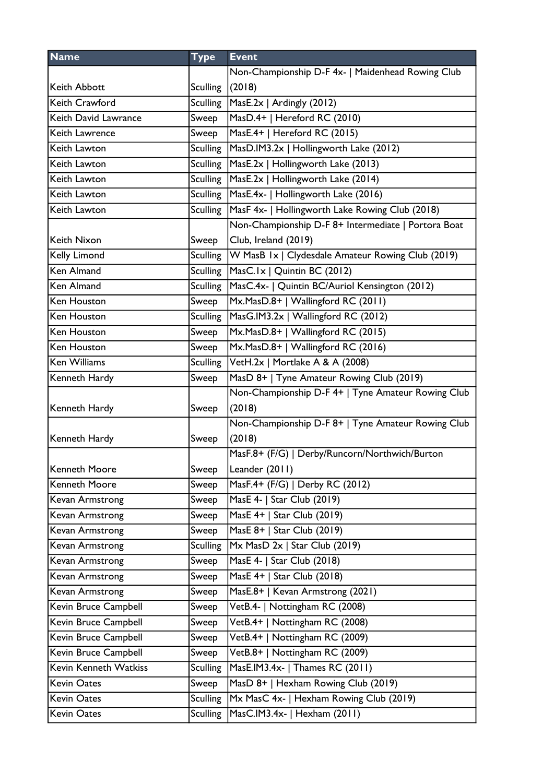| <b>Name</b>           | <b>Type</b>     | <b>Event</b>                                        |
|-----------------------|-----------------|-----------------------------------------------------|
|                       |                 | Non-Championship D-F 4x-   Maidenhead Rowing Club   |
| Keith Abbott          | <b>Sculling</b> | (2018)                                              |
| Keith Crawford        | <b>Sculling</b> | MasE.2x   Ardingly (2012)                           |
| Keith David Lawrance  | Sweep           | MasD.4+   Hereford RC (2010)                        |
| Keith Lawrence        | Sweep           | MasE.4+   Hereford RC (2015)                        |
| Keith Lawton          | <b>Sculling</b> | MasD.IM3.2x   Hollingworth Lake (2012)              |
| Keith Lawton          | <b>Sculling</b> | MasE.2x   Hollingworth Lake (2013)                  |
| Keith Lawton          |                 | Sculling   MasE.2x   Hollingworth Lake (2014)       |
| Keith Lawton          |                 | Sculling   MasE.4x-   Hollingworth Lake (2016)      |
| Keith Lawton          | <b>Sculling</b> | MasF 4x-   Hollingworth Lake Rowing Club (2018)     |
|                       |                 | Non-Championship D-F 8+ Intermediate   Portora Boat |
| Keith Nixon           | Sweep           | Club, Ireland (2019)                                |
| Kelly Limond          | <b>Sculling</b> | W MasB Ix   Clydesdale Amateur Rowing Club (2019)   |
| <b>Ken Almand</b>     | <b>Sculling</b> | MasC.1x   Quintin BC (2012)                         |
| Ken Almand            | <b>Sculling</b> | MasC.4x-   Quintin BC/Auriol Kensington (2012)      |
| Ken Houston           | Sweep           | Mx.MasD.8+   Wallingford RC (2011)                  |
| Ken Houston           | <b>Sculling</b> | MasG.IM3.2x   Wallingford RC (2012)                 |
| Ken Houston           | Sweep           | Mx.MasD.8+   Wallingford RC (2015)                  |
| Ken Houston           | Sweep           | Mx.MasD.8+   Wallingford RC (2016)                  |
| <b>Ken Williams</b>   | <b>Sculling</b> | VetH.2x   Mortlake A & A (2008)                     |
| Kenneth Hardy         | Sweep           | MasD 8+   Tyne Amateur Rowing Club (2019)           |
|                       |                 | Non-Championship D-F 4+   Tyne Amateur Rowing Club  |
| Kenneth Hardy         | Sweep           | (2018)                                              |
|                       |                 | Non-Championship D-F 8+   Tyne Amateur Rowing Club  |
| Kenneth Hardy         | Sweep           | (2018)                                              |
|                       |                 | MasF.8+ (F/G)   Derby/Runcorn/Northwich/Burton      |
| Kenneth Moore         | Sweep           | Leander (2011)                                      |
| Kenneth Moore         | Sweep           | MasF.4+ (F/G)   Derby RC (2012)                     |
| Kevan Armstrong       | Sweep           | MasE 4-   Star Club (2019)                          |
| Kevan Armstrong       | Sweep           | MasE 4+   Star Club (2019)                          |
| Kevan Armstrong       | Sweep           | MasE 8+   Star Club (2019)                          |
| Kevan Armstrong       | <b>Sculling</b> | $Mx$ MasD 2x   Star Club (2019)                     |
| Kevan Armstrong       | Sweep           | MasE 4-   Star Club (2018)                          |
| Kevan Armstrong       | Sweep           | MasE 4+   Star Club (2018)                          |
| Kevan Armstrong       | Sweep           | MasE.8+   Kevan Armstrong (2021)                    |
| Kevin Bruce Campbell  | Sweep           | VetB.4-   Nottingham RC (2008)                      |
| Kevin Bruce Campbell  | Sweep           | VetB.4+   Nottingham RC (2008)                      |
| Kevin Bruce Campbell  | Sweep           | VetB.4+   Nottingham RC (2009)                      |
| Kevin Bruce Campbell  | Sweep           | VetB.8+   Nottingham RC (2009)                      |
| Kevin Kenneth Watkiss | <b>Sculling</b> | MasE.IM3.4x-   Thames RC (2011)                     |
| <b>Kevin Oates</b>    | Sweep           | MasD 8+   Hexham Rowing Club (2019)                 |
| <b>Kevin Oates</b>    | <b>Sculling</b> | Mx MasC 4x-   Hexham Rowing Club (2019)             |
| <b>Kevin Oates</b>    | Sculling        | MasC.IM3.4x-   Hexham (2011)                        |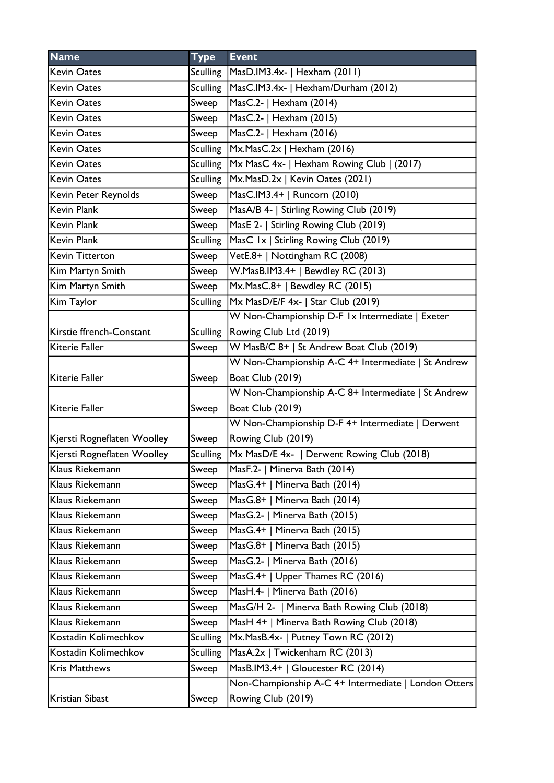| <b>Name</b>                 | <b>Type</b>     | <b>Event</b>                                         |
|-----------------------------|-----------------|------------------------------------------------------|
| <b>Kevin Oates</b>          | Sculling        | MasD.IM3.4x-   Hexham (2011)                         |
| <b>Kevin Oates</b>          | <b>Sculling</b> | MasC.IM3.4x-   Hexham/Durham (2012)                  |
| <b>Kevin Oates</b>          | Sweep           | MasC.2-   Hexham (2014)                              |
| <b>Kevin Oates</b>          | Sweep           | MasC.2-   Hexham (2015)                              |
| <b>Kevin Oates</b>          | Sweep           | MasC.2-   Hexham (2016)                              |
| <b>Kevin Oates</b>          | <b>Sculling</b> | Mx.MasC.2x   Hexham (2016)                           |
| <b>Kevin Oates</b>          | <b>Sculling</b> | Mx MasC 4x-   Hexham Rowing Club   (2017)            |
| <b>Kevin Oates</b>          | <b>Sculling</b> | Mx.MasD.2x   Kevin Oates (2021)                      |
| Kevin Peter Reynolds        | Sweep           | MasC.IM3.4+   Runcorn (2010)                         |
| <b>Kevin Plank</b>          | Sweep           | MasA/B 4-   Stirling Rowing Club (2019)              |
| <b>Kevin Plank</b>          | Sweep           | MasE 2-   Stirling Rowing Club (2019)                |
| <b>Kevin Plank</b>          | <b>Sculling</b> | MasC 1x   Stirling Rowing Club (2019)                |
| Kevin Titterton             | Sweep           | VetE.8+   Nottingham RC (2008)                       |
| Kim Martyn Smith            | Sweep           | W.MasB.IM3.4+   Bewdley RC (2013)                    |
| Kim Martyn Smith            | Sweep           | Mx.MasC.8+   Bewdley RC (2015)                       |
| Kim Taylor                  | <b>Sculling</b> | Mx MasD/E/F 4x-   Star Club (2019)                   |
|                             |                 | W Non-Championship D-F 1x Intermediate   Exeter      |
| Kirstie ffrench-Constant    | <b>Sculling</b> | Rowing Club Ltd (2019)                               |
| Kiterie Faller              | Sweep           | W MasB/C 8+   St Andrew Boat Club (2019)             |
|                             |                 | W Non-Championship A-C 4+ Intermediate   St Andrew   |
| Kiterie Faller              | Sweep           | <b>Boat Club (2019)</b>                              |
|                             |                 | W Non-Championship A-C 8+ Intermediate   St Andrew   |
| Kiterie Faller              | Sweep           | <b>Boat Club (2019)</b>                              |
|                             |                 | W Non-Championship D-F 4+ Intermediate   Derwent     |
| Kjersti Rogneflaten Woolley | Sweep           | Rowing Club (2019)                                   |
| Kjersti Rogneflaten Woolley | <b>Sculling</b> | Mx MasD/E 4x-   Derwent Rowing Club (2018)           |
| Klaus Riekemann             | Sweep           | MasF.2-   Minerva Bath (2014)                        |
| Klaus Riekemann             | Sweep           | MasG.4+   Minerva Bath (2014)                        |
| Klaus Riekemann             | Sweep           | MasG.8+   Minerva Bath (2014)                        |
| Klaus Riekemann             | Sweep           | MasG.2-   Minerva Bath (2015)                        |
| Klaus Riekemann             | Sweep           | MasG.4+   Minerva Bath (2015)                        |
| Klaus Riekemann             | Sweep           | MasG.8+   Minerva Bath (2015)                        |
| Klaus Riekemann             | Sweep           | MasG.2-   Minerva Bath (2016)                        |
| Klaus Riekemann             | Sweep           | MasG.4+   Upper Thames RC (2016)                     |
| Klaus Riekemann             | Sweep           | MasH.4-   Minerva Bath (2016)                        |
| Klaus Riekemann             | Sweep           | MasG/H 2-   Minerva Bath Rowing Club (2018)          |
| Klaus Riekemann             | Sweep           | MasH 4+   Minerva Bath Rowing Club (2018)            |
| Kostadin Kolimechkov        | <b>Sculling</b> | Mx.MasB.4x-   Putney Town RC (2012)                  |
| Kostadin Kolimechkov        | <b>Sculling</b> | MasA.2x   Twickenham RC (2013)                       |
| Kris Matthews               | Sweep           | MasB.IM3.4+   Gloucester RC (2014)                   |
|                             |                 | Non-Championship A-C 4+ Intermediate   London Otters |
| Kristian Sibast             | Sweep           | Rowing Club (2019)                                   |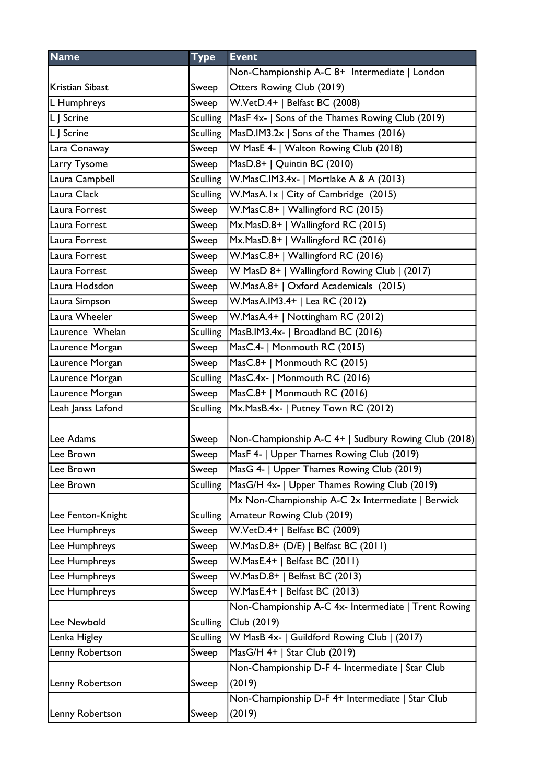| <b>Name</b>       | <b>Type</b>     | <b>Event</b>                                         |
|-------------------|-----------------|------------------------------------------------------|
|                   |                 | Non-Championship A-C 8+ Intermediate   London        |
| Kristian Sibast   | Sweep           | Otters Rowing Club (2019)                            |
| L Humphreys       | Sweep           | W.VetD.4+   Belfast BC (2008)                        |
| L J Scrine        | <b>Sculling</b> | MasF 4x-   Sons of the Thames Rowing Club (2019)     |
| L J Scrine        | <b>Sculling</b> | MasD.IM3.2x   Sons of the Thames (2016)              |
| Lara Conaway      | Sweep           | W MasE 4-   Walton Rowing Club (2018)                |
| Larry Tysome      | Sweep           | MasD.8+   Quintin BC (2010)                          |
| Laura Campbell    | <b>Sculling</b> | W.MasC.IM3.4x-   Mortlake A & A (2013)               |
| Laura Clack       | <b>Sculling</b> | W.MasA.Ix   City of Cambridge (2015)                 |
| Laura Forrest     | Sweep           | W.MasC.8+   Wallingford RC (2015)                    |
| Laura Forrest     | Sweep           | Mx.MasD.8+   Wallingford RC (2015)                   |
| Laura Forrest     | Sweep           | Mx.MasD.8+   Wallingford RC (2016)                   |
| Laura Forrest     | Sweep           | W.MasC.8+   Wallingford RC (2016)                    |
| Laura Forrest     | Sweep           | W MasD 8+   Wallingford Rowing Club   (2017)         |
| Laura Hodsdon     | Sweep           | W.MasA.8+   Oxford Academicals (2015)                |
| Laura Simpson     | Sweep           | W.MasA.IM3.4+   Lea RC (2012)                        |
| Laura Wheeler     | Sweep           | W.MasA.4+   Nottingham RC (2012)                     |
| Laurence Whelan   | <b>Sculling</b> | MasB.IM3.4x-   Broadland BC (2016)                   |
| Laurence Morgan   | Sweep           | MasC.4-   Monmouth RC (2015)                         |
| Laurence Morgan   | Sweep           | MasC.8+   Monmouth RC (2015)                         |
| Laurence Morgan   | <b>Sculling</b> | MasC.4x-   Monmouth RC (2016)                        |
| Laurence Morgan   | Sweep           | MasC.8+   Monmouth RC (2016)                         |
| Leah Janss Lafond | <b>Sculling</b> | Mx.MasB.4x-   Putney Town RC (2012)                  |
|                   |                 |                                                      |
| lLee Adams        | Sweep           | Non-Championship A-C 4+   Sudbury Rowing Club (2018) |
| Lee Brown         | Sweep           | MasF 4-   Upper Thames Rowing Club (2019)            |
| Lee Brown         | Sweep           | MasG 4-   Upper Thames Rowing Club (2019)            |
| Lee Brown         | <b>Sculling</b> | MasG/H 4x-   Upper Thames Rowing Club (2019)         |
|                   |                 | Mx Non-Championship A-C 2x Intermediate   Berwick    |
| Lee Fenton-Knight | <b>Sculling</b> | Amateur Rowing Club (2019)                           |
| Lee Humphreys     | Sweep           | W.VetD.4+   Belfast BC (2009)                        |
| Lee Humphreys     | Sweep           | W.MasD.8+ (D/E)   Belfast BC (2011)                  |
| Lee Humphreys     | Sweep           | W.MasE.4+   Belfast BC (2011)                        |
| Lee Humphreys     | Sweep           | W.MasD.8+   Belfast BC (2013)                        |
| Lee Humphreys     | Sweep           | W.MasE.4+   Belfast BC (2013)                        |
|                   |                 | Non-Championship A-C 4x- Intermediate   Trent Rowing |
| Lee Newbold       | <b>Sculling</b> | Club (2019)                                          |
| Lenka Higley      | <b>Sculling</b> | W MasB 4x-   Guildford Rowing Club   (2017)          |
| Lenny Robertson   | Sweep           | MasG/H 4+   Star Club (2019)                         |
|                   |                 | Non-Championship D-F 4- Intermediate   Star Club     |
| Lenny Robertson   | Sweep           | (2019)                                               |
|                   |                 | Non-Championship D-F 4+ Intermediate   Star Club     |
| Lenny Robertson   | Sweep           | (2019)                                               |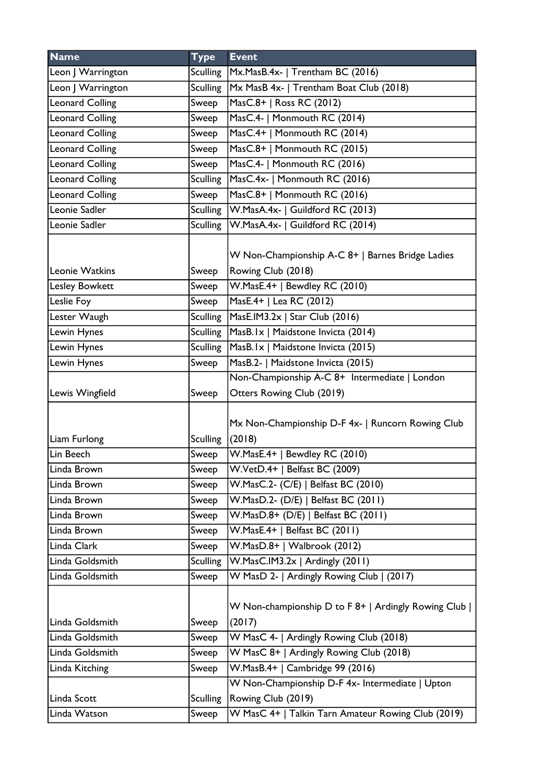| <b>Name</b>            | <b>Type</b>     | <b>Event</b>                                                           |
|------------------------|-----------------|------------------------------------------------------------------------|
| Leon   Warrington      | Sculling        | Mx.MasB.4x-   Trentham BC (2016)                                       |
| Leon J Warrington      | <b>Sculling</b> | Mx MasB 4x-   Trentham Boat Club (2018)                                |
| <b>Leonard Colling</b> | Sweep           | MasC.8+   Ross RC (2012)                                               |
| <b>Leonard Colling</b> | Sweep           | MasC.4-   Monmouth RC (2014)                                           |
| <b>Leonard Colling</b> | Sweep           | MasC.4+   Monmouth RC (2014)                                           |
| <b>Leonard Colling</b> | Sweep           | MasC.8+   Monmouth RC (2015)                                           |
| <b>Leonard Colling</b> | Sweep           | MasC.4-   Monmouth RC (2016)                                           |
| <b>Leonard Colling</b> | <b>Sculling</b> | MasC.4x-   Monmouth RC (2016)                                          |
| <b>Leonard Colling</b> | Sweep           | MasC.8+   Monmouth RC (2016)                                           |
| Leonie Sadler          | <b>Sculling</b> | W.MasA.4x-   Guildford RC (2013)                                       |
| Leonie Sadler          | Sculling        | W.MasA.4x-   Guildford RC (2014)                                       |
| Leonie Watkins         | Sweep           | W Non-Championship A-C 8+   Barnes Bridge Ladies<br>Rowing Club (2018) |
| <b>Lesley Bowkett</b>  | Sweep           | W.MasE.4+   Bewdley RC (2010)                                          |
| Leslie Foy             | Sweep           | MasE.4+   Lea RC (2012)                                                |
| Lester Waugh           | <b>Sculling</b> | MasE.IM3.2x   Star Club (2016)                                         |
| Lewin Hynes            | <b>Sculling</b> | MasB.Ix   Maidstone Invicta (2014)                                     |
| Lewin Hynes            | <b>Sculling</b> | MasB.Ix   Maidstone Invicta (2015)                                     |
| Lewin Hynes            | Sweep           | MasB.2-   Maidstone Invicta (2015)                                     |
|                        |                 | Non-Championship A-C 8+ Intermediate   London                          |
| Lewis Wingfield        | Sweep           | Otters Rowing Club (2019)                                              |
| Liam Furlong           | <b>Sculling</b> | Mx Non-Championship D-F 4x-   Runcorn Rowing Club<br>(2018)            |
| Lin Beech              | Sweep           | W.MasE.4+   Bewdley RC (2010)                                          |
| Linda Brown            | Sweep           | W.VetD.4+   Belfast BC (2009)                                          |
| Linda Brown            | Sweep           | W.MasC.2- (C/E)   Belfast BC (2010)                                    |
| Linda Brown            | Sweep           | W.MasD.2- (D/E)   Belfast BC (2011)                                    |
| Linda Brown            | Sweep           | W.MasD.8+ (D/E)   Belfast BC (2011)                                    |
| Linda Brown            | Sweep           | W.MasE.4+   Belfast BC (2011)                                          |
| Linda Clark            | Sweep           | W.MasD.8+   Walbrook (2012)                                            |
| Linda Goldsmith        | <b>Sculling</b> | W.MasC.IM3.2x   Ardingly (2011)                                        |
| Linda Goldsmith        | Sweep           | W MasD 2-   Ardingly Rowing Club   (2017)                              |
| Linda Goldsmith        | Sweep           | W Non-championship D to F 8+   Ardingly Rowing Club  <br>(2017)        |
| Linda Goldsmith        | Sweep           | W MasC 4-   Ardingly Rowing Club (2018)                                |
| Linda Goldsmith        | Sweep           | W MasC 8+   Ardingly Rowing Club (2018)                                |
| Linda Kitching         | Sweep           | W.MasB.4+   Cambridge 99 (2016)                                        |
|                        |                 | W Non-Championship D-F 4x- Intermediate   Upton                        |
| Linda Scott            | <b>Sculling</b> | Rowing Club (2019)                                                     |
| Linda Watson           | Sweep           | W MasC 4+   Talkin Tarn Amateur Rowing Club (2019)                     |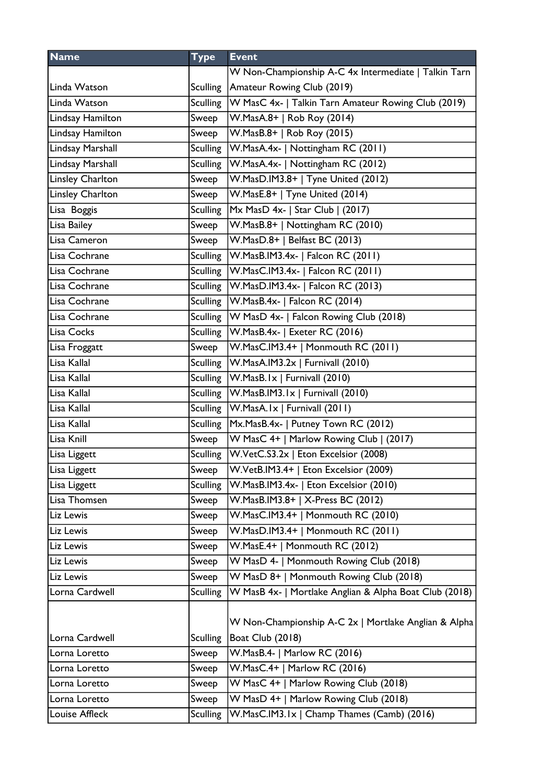| <b>Name</b>      | <b>Type</b>     | <b>Event</b>                                                             |
|------------------|-----------------|--------------------------------------------------------------------------|
|                  |                 | W Non-Championship A-C 4x Intermediate   Talkin Tarn                     |
| Linda Watson     |                 | Sculling   Amateur Rowing Club (2019)                                    |
| Linda Watson     |                 | Sculling   W MasC 4x-   Talkin Tarn Amateur Rowing Club (2019)           |
| Lindsay Hamilton | Sweep           | W.MasA.8+   Rob Roy (2014)                                               |
| Lindsay Hamilton | Sweep           | W.MasB.8+   Rob Roy (2015)                                               |
| Lindsay Marshall |                 | Sculling W.MasA.4x-   Nottingham RC (2011)                               |
| Lindsay Marshall | Sculling        | W.MasA.4x-   Nottingham RC (2012)                                        |
| Linsley Charlton | Sweep           | W.MasD.IM3.8+   Tyne United (2012)                                       |
| Linsley Charlton | Sweep           | W.MasE.8+   Tyne United (2014)                                           |
| Lisa Boggis      | <b>Sculling</b> | $MX \text{ MasD } 4x - \text{Star Club } (2017)$                         |
| Lisa Bailey      | Sweep           | W.MasB.8+   Nottingham RC (2010)                                         |
| Lisa Cameron     | Sweep           | W.MasD.8+   Belfast BC (2013)                                            |
| Lisa Cochrane    |                 | Sculling   W.MasB.IM3.4x-   Falcon RC (2011)                             |
| Lisa Cochrane    |                 | Sculling   W.MasC.IM3.4x-   Falcon RC (2011)                             |
| Lisa Cochrane    |                 | Sculling   W.MasD.IM3.4x-   Falcon RC (2013)                             |
| Lisa Cochrane    |                 | Sculling   W.MasB.4x-   Falcon RC (2014)                                 |
| Lisa Cochrane    |                 | Sculling   W MasD 4x-   Falcon Rowing Club (2018)                        |
| Lisa Cocks       |                 | Sculling   W.MasB.4x-   Exeter RC (2016)                                 |
| Lisa Froggatt    | Sweep           | W.MasC.IM3.4+   Monmouth RC (2011)                                       |
| Lisa Kallal      |                 | Sculling   W.MasA.IM3.2x   Furnivall (2010)                              |
| Lisa Kallal      |                 | Sculling   W.MasB.Ix   Furnivall (2010)                                  |
| Lisa Kallal      |                 | Sculling   W.MasB.IM3.1x   Furnivall (2010)                              |
| Lisa Kallal      |                 | Sculling   W.MasA.Ix   Furnivall (2011)                                  |
| Lisa Kallal      |                 | Sculling   Mx. Mas B.4x -   Putney Town RC (2012)                        |
| Lisa Knill       | Sweep           | W MasC 4+   Marlow Rowing Club   (2017)                                  |
| Lisa Liggett     |                 | Sculling   W.VetC.S3.2x   Eton Excelsior (2008)                          |
| Lisa Liggett     | Sweep           | W.VetB.IM3.4+   Eton Excelsior (2009)                                    |
| Lisa Liggett     | <b>Sculling</b> | W.MasB.IM3.4x-   Eton Excelsior (2010)                                   |
| Lisa Thomsen     | Sweep           | W.MasB.IM3.8+   X-Press BC (2012)                                        |
| Liz Lewis        | Sweep           | W.MasC.IM3.4+   Monmouth RC (2010)                                       |
| Liz Lewis        | Sweep           | W.MasD.IM3.4+   Monmouth RC (2011)                                       |
| Liz Lewis        | Sweep           | W.MasE.4+   Monmouth RC (2012)                                           |
| Liz Lewis        | Sweep           | W MasD 4-   Monmouth Rowing Club (2018)                                  |
| Liz Lewis        | Sweep           | W MasD 8+   Monmouth Rowing Club (2018)                                  |
| Lorna Cardwell   | <b>Sculling</b> | W MasB 4x-   Mortlake Anglian & Alpha Boat Club (2018)                   |
| Lorna Cardwell   | <b>Sculling</b> | W Non-Championship A-C 2x   Mortlake Anglian & Alpha<br>Boat Club (2018) |
| Lorna Loretto    | Sweep           | W.MasB.4-   Marlow RC (2016)                                             |
| Lorna Loretto    | Sweep           | W.MasC.4+   Marlow RC (2016)                                             |
| Lorna Loretto    | Sweep           | W MasC 4+   Marlow Rowing Club (2018)                                    |
| Lorna Loretto    | Sweep           | W MasD 4+   Marlow Rowing Club (2018)                                    |
| Louise Affleck   | <b>Sculling</b> | W.MasC.IM3.1x   Champ Thames (Camb) (2016)                               |
|                  |                 |                                                                          |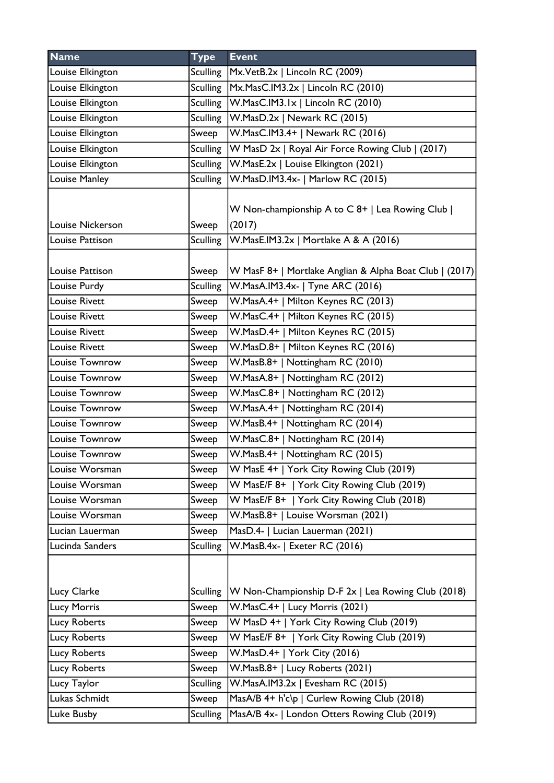| <b>Name</b>                     | <b>Type</b>              | <b>Event</b>                                                                                |
|---------------------------------|--------------------------|---------------------------------------------------------------------------------------------|
| Louise Elkington                | Sculling                 | Mx.VetB.2x   Lincoln RC (2009)                                                              |
| Louise Elkington                | Sculling                 | Mx.MasC.IM3.2x   Lincoln RC (2010)                                                          |
| Louise Elkington                | Sculling                 | $ W.MasC.IM3.Ix $ Lincoln RC (2010)                                                         |
| Louise Elkington                | <b>Sculling</b>          | W.MasD.2x   Newark RC (2015)                                                                |
| Louise Elkington                | Sweep                    | W.MasC.IM3.4+   Newark RC (2016)                                                            |
| Louise Elkington                | <b>Sculling</b>          | W MasD 2x   Royal Air Force Rowing Club   (2017)                                            |
| Louise Elkington                | <b>Sculling</b>          | W.MasE.2x   Louise Elkington (2021)                                                         |
| Louise Manley                   | Sculling                 | W.MasD.IM3.4x-   Marlow RC (2015)                                                           |
| Louise Nickerson                | Sweep                    | W Non-championship A to C 8+   Lea Rowing Club  <br>(2017)                                  |
| Louise Pattison                 | <b>Sculling</b>          | W.MasE.IM3.2x   Mortlake A & A (2016)                                                       |
| Louise Pattison<br>Louise Purdy | Sweep<br><b>Sculling</b> | W MasF 8+   Mortlake Anglian & Alpha Boat Club   (2017)<br>W.MasA.IM3.4x-   Tyne ARC (2016) |
| Louise Rivett                   | Sweep                    | W.MasA.4+   Milton Keynes RC (2013)                                                         |
| Louise Rivett                   | Sweep                    | W.MasC.4+   Milton Keynes RC (2015)                                                         |
| <b>Louise Rivett</b>            | Sweep                    | W.MasD.4+   Milton Keynes RC (2015)                                                         |
| <b>Louise Rivett</b>            | Sweep                    | W.MasD.8+   Milton Keynes RC (2016)                                                         |
| Louise Townrow                  | Sweep                    | W.MasB.8+   Nottingham RC (2010)                                                            |
| Louise Townrow                  | Sweep                    | W.MasA.8+   Nottingham RC (2012)                                                            |
| Louise Townrow                  | Sweep                    | W.MasC.8+   Nottingham RC (2012)                                                            |
| Louise Townrow                  | Sweep                    | W.MasA.4+   Nottingham RC (2014)                                                            |
| Louise Townrow                  | Sweep                    | W.MasB.4+   Nottingham RC (2014)                                                            |
| Louise Townrow                  | Sweep                    | W.MasC.8+   Nottingham RC (2014)                                                            |
| Louise Townrow                  | Sweep                    | W.MasB.4+   Nottingham RC (2015)                                                            |
| Louise Worsman                  | Sweep                    | W MasE 4+   York City Rowing Club (2019)                                                    |
| Louise Worsman                  | Sweep                    | W MasE/F 8+   York City Rowing Club (2019)                                                  |
| Louise Worsman                  | Sweep                    | W MasE/F 8+   York City Rowing Club (2018)                                                  |
| Louise Worsman                  | Sweep                    | W.MasB.8+   Louise Worsman (2021)                                                           |
| Lucian Lauerman                 | Sweep                    | MasD.4-   Lucian Lauerman (2021)                                                            |
| Lucinda Sanders                 | Sculling                 | W.MasB.4x-   Exeter RC (2016)                                                               |
|                                 |                          |                                                                                             |
| Lucy Clarke                     | <b>Sculling</b>          | W Non-Championship D-F 2x   Lea Rowing Club (2018)                                          |
| Lucy Morris                     | Sweep                    | W.MasC.4+   Lucy Morris (2021)                                                              |
| Lucy Roberts                    | Sweep                    | W MasD 4+   York City Rowing Club (2019)                                                    |
| <b>Lucy Roberts</b>             | Sweep                    | W MasE/F 8+   York City Rowing Club (2019)                                                  |
| Lucy Roberts                    | Sweep                    | W.MasD.4+   York City (2016)                                                                |
| Lucy Roberts                    | Sweep                    | W.MasB.8+   Lucy Roberts (2021)                                                             |
| Lucy Taylor                     | <b>Sculling</b>          | W.MasA.IM3.2x   Evesham RC (2015)                                                           |
| Lukas Schmidt                   | Sweep                    | MasA/B 4+ h'c\p   Curlew Rowing Club (2018)                                                 |
| Luke Busby                      | <b>Sculling</b>          | MasA/B 4x-   London Otters Rowing Club (2019)                                               |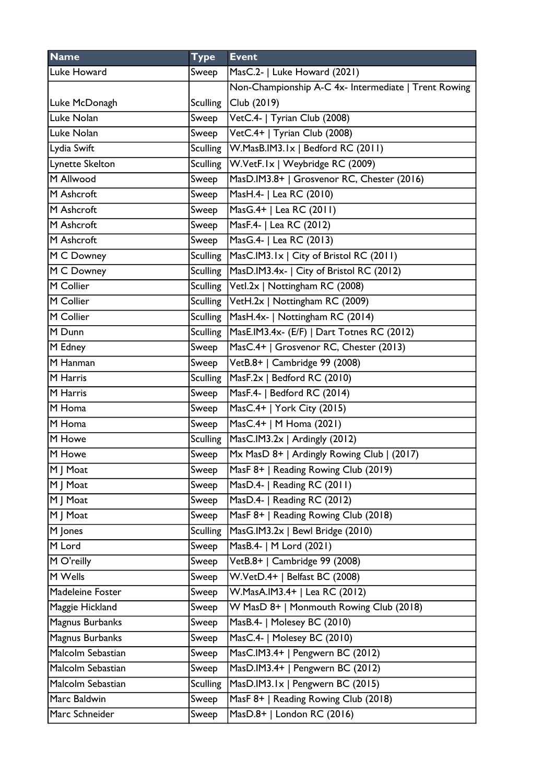| <b>Name</b>       | <b>Type</b>     | <b>Event</b>                                         |
|-------------------|-----------------|------------------------------------------------------|
| Luke Howard       | Sweep           | MasC.2-   Luke Howard (2021)                         |
|                   |                 | Non-Championship A-C 4x- Intermediate   Trent Rowing |
| Luke McDonagh     | <b>Sculling</b> | Club (2019)                                          |
| Luke Nolan        | Sweep           | VetC.4-   Tyrian Club (2008)                         |
| Luke Nolan        | Sweep           | VetC.4+   Tyrian Club (2008)                         |
| Lydia Swift       | Sculling        | W.MasB.IM3.1x   Bedford RC (2011)                    |
| Lynette Skelton   | <b>Sculling</b> | W.VetF.Ix   Weybridge RC (2009)                      |
| M Allwood         | Sweep           | MasD.IM3.8+   Grosvenor RC, Chester (2016)           |
| M Ashcroft        | Sweep           | MasH.4-   Lea RC (2010)                              |
| M Ashcroft        | Sweep           | MasG.4+   Lea RC (2011)                              |
| M Ashcroft        | Sweep           | MasF.4-   Lea RC (2012)                              |
| M Ashcroft        | Sweep           | MasG.4-   Lea RC (2013)                              |
| M C Downey        | <b>Sculling</b> | MasC.IM3.1x   City of Bristol RC (2011)              |
| M C Downey        |                 | Sculling   MasD.IM3.4x-   City of Bristol RC (2012)  |
| M Collier         | Sculling        | Vetl.2x   Nottingham RC (2008)                       |
| M Collier         |                 | Sculling   VetH.2x   Nottingham RC (2009)            |
| M Collier         |                 | Sculling   MasH.4x-   Nottingham RC (2014)           |
| M Dunn            | <b>Sculling</b> | MasE.IM3.4x- (E/F)   Dart Totnes RC (2012)           |
| M Edney           | Sweep           | MasC.4+   Grosvenor RC, Chester (2013)               |
| M Hanman          | Sweep           | VetB.8+   Cambridge 99 (2008)                        |
| M Harris          | <b>Sculling</b> | MasF.2x   Bedford RC (2010)                          |
| M Harris          | Sweep           | MasF.4-   Bedford RC (2014)                          |
| M Homa            | Sweep           | MasC.4+   York City (2015)                           |
| M Homa            | Sweep           | MasC.4+   M Homa (2021)                              |
| M Howe            | Sculling        | MasC.IM3.2x   Ardingly (2012)                        |
| M Howe            | Sweep           | Mx MasD 8+   Ardingly Rowing Club   (2017)           |
| M   Moat          | Sweep           | MasF 8+   Reading Rowing Club (2019)                 |
| M   Moat          | Sweep           | MasD.4-   Reading RC (2011)                          |
| M   Moat          | Sweep           | MasD.4-   Reading RC (2012)                          |
| M   Moat          | Sweep           | MasF 8+   Reading Rowing Club (2018)                 |
| M Jones           | <b>Sculling</b> | MasG.IM3.2x   Bewl Bridge (2010)                     |
| M Lord            | Sweep           | MasB.4-   M Lord (2021)                              |
| M O'reilly        | Sweep           | VetB.8+   Cambridge 99 (2008)                        |
| M Wells           | Sweep           | W.VetD.4+   Belfast BC (2008)                        |
| Madeleine Foster  | Sweep           | W.MasA.IM3.4+   Lea RC (2012)                        |
| Maggie Hickland   | Sweep           | W MasD 8+   Monmouth Rowing Club (2018)              |
| Magnus Burbanks   | Sweep           | MasB.4-   Molesey BC (2010)                          |
| Magnus Burbanks   | Sweep           | MasC.4-   Molesey BC (2010)                          |
| Malcolm Sebastian | Sweep           | MasC.IM3.4+   Pengwern BC (2012)                     |
| Malcolm Sebastian | Sweep           | MasD.IM3.4+   Pengwern BC (2012)                     |
| Malcolm Sebastian | <b>Sculling</b> | MasD.IM3.1x   Pengwern BC (2015)                     |
| Marc Baldwin      | Sweep           | MasF 8+   Reading Rowing Club (2018)                 |
| Marc Schneider    | Sweep           | MasD.8+   London RC (2016)                           |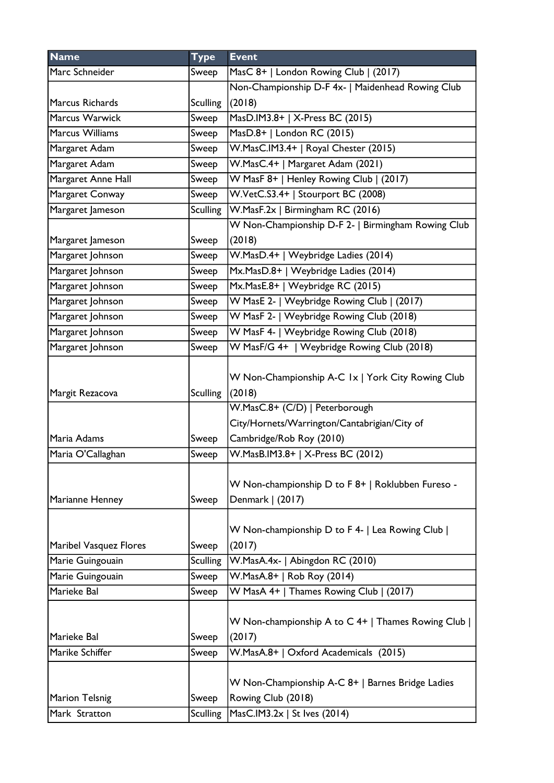| <b>Name</b>                     | <b>Type</b>       | <b>Event</b>                                                                                           |
|---------------------------------|-------------------|--------------------------------------------------------------------------------------------------------|
| Marc Schneider                  | Sweep             | MasC 8+   London Rowing Club   (2017)                                                                  |
|                                 |                   | Non-Championship D-F 4x-   Maidenhead Rowing Club                                                      |
| Marcus Richards                 | <b>Sculling</b>   | (2018)                                                                                                 |
| Marcus Warwick                  | Sweep             | MasD.IM3.8+   X-Press BC (2015)                                                                        |
| Marcus Williams                 | Sweep             | MasD.8+   London RC (2015)                                                                             |
| Margaret Adam                   | Sweep             | W.MasC.IM3.4+   Royal Chester (2015)                                                                   |
| Margaret Adam                   | Sweep             | W.MasC.4+   Margaret Adam (2021)                                                                       |
| Margaret Anne Hall              | Sweep             | W MasF 8+   Henley Rowing Club   (2017)                                                                |
| Margaret Conway                 | Sweep             | W.VetC.S3.4+   Stourport BC (2008)                                                                     |
| Margaret Jameson                | <b>Sculling</b>   | W.MasF.2x   Birmingham RC (2016)                                                                       |
|                                 |                   | W Non-Championship D-F 2-   Birmingham Rowing Club                                                     |
| Margaret Jameson                | Sweep             | (2018)                                                                                                 |
| Margaret Johnson                | Sweep             | W.MasD.4+   Weybridge Ladies (2014)                                                                    |
| Margaret Johnson                | Sweep             | Mx.MasD.8+   Weybridge Ladies (2014)                                                                   |
| Margaret Johnson                | Sweep             | Mx.MasE.8+   Weybridge RC (2015)                                                                       |
| Margaret Johnson                | Sweep             | W MasE 2-   Weybridge Rowing Club   (2017)                                                             |
| Margaret Johnson                | Sweep             | W MasF 2-   Weybridge Rowing Club (2018)                                                               |
| Margaret Johnson                | Sweep             | W MasF 4-   Weybridge Rowing Club (2018)                                                               |
| Margaret Johnson                | Sweep             | W MasF/G 4+   Weybridge Rowing Club (2018)                                                             |
| Margit Rezacova                 | <b>Sculling</b>   | W Non-Championship A-C 1x   York City Rowing Club<br>(2018)<br>W.MasC.8+ (C/D)   Peterborough          |
|                                 |                   | City/Hornets/Warrington/Cantabrigian/City of                                                           |
| Maria Adams                     | Sweep             | Cambridge/Rob Roy (2010)                                                                               |
| Maria O'Callaghan               | Sweep             | W.MasB.IM3.8+   X-Press BC (2012)                                                                      |
| Marianne Henney                 | Sweep             | W Non-championship D to F 8+   Roklubben Fureso -<br>Denmark   (2017)                                  |
| <b>Maribel Vasquez Flores</b>   | Sweep             | W Non-championship D to F 4-   Lea Rowing Club  <br>(2017)                                             |
| Marie Guingouain                | <b>Sculling</b>   | W.MasA.4x-   Abingdon RC (2010)                                                                        |
| Marie Guingouain                | Sweep             | W.MasA.8+   Rob Roy (2014)                                                                             |
| Marieke Bal                     | Sweep             | W MasA 4+   Thames Rowing Club   (2017)                                                                |
| Marieke Bal<br>Marike Schiffer  | Sweep<br>Sweep    | W Non-championship A to C 4+   Thames Rowing Club  <br>(2017)<br>W.MasA.8+   Oxford Academicals (2015) |
| Marion Telsnig<br>Mark Stratton | Sweep<br>Sculling | W Non-Championship A-C 8+   Barnes Bridge Ladies<br>Rowing Club (2018)<br>MasC.IM3.2x   St Ives (2014) |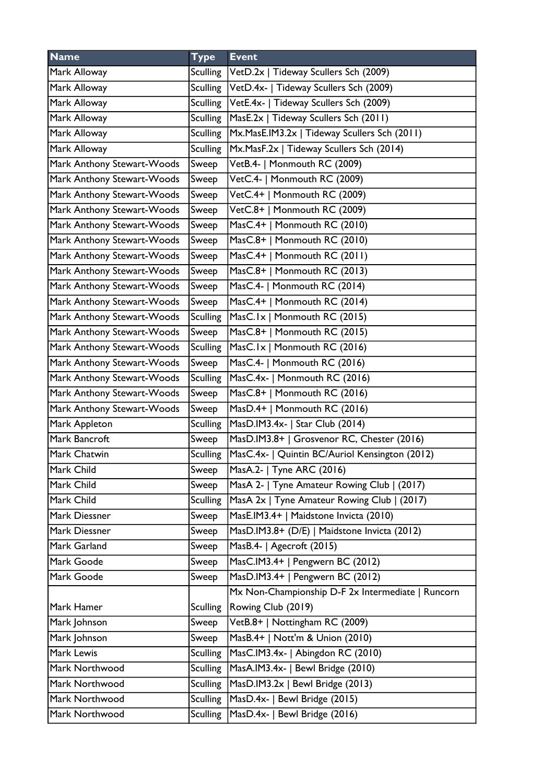| <b>Name</b>                | <b>Type</b>     | <b>Event</b>                                      |
|----------------------------|-----------------|---------------------------------------------------|
| Mark Alloway               | <b>Sculling</b> | VetD.2x   Tideway Scullers Sch (2009)             |
| Mark Alloway               | Sculling        | VetD.4x-   Tideway Scullers Sch (2009)            |
| Mark Alloway               |                 | Sculling   VetE.4x-   Tideway Scullers Sch (2009) |
| Mark Alloway               | <b>Sculling</b> | MasE.2x   Tideway Scullers Sch (2011)             |
| Mark Alloway               | <b>Sculling</b> | Mx.MasE.IM3.2x   Tideway Scullers Sch (2011)      |
| Mark Alloway               | <b>Sculling</b> | Mx.MasF.2x   Tideway Scullers Sch (2014)          |
| Mark Anthony Stewart-Woods | Sweep           | VetB.4-   Monmouth RC (2009)                      |
| Mark Anthony Stewart-Woods | Sweep           | VetC.4-   Monmouth RC (2009)                      |
| Mark Anthony Stewart-Woods | Sweep           | VetC.4+   Monmouth RC (2009)                      |
| Mark Anthony Stewart-Woods | Sweep           | VetC.8+   Monmouth RC (2009)                      |
| Mark Anthony Stewart-Woods | Sweep           | MasC.4+   Monmouth RC (2010)                      |
| Mark Anthony Stewart-Woods | Sweep           | MasC.8+   Monmouth RC (2010)                      |
| Mark Anthony Stewart-Woods | Sweep           | MasC.4+   Monmouth RC (2011)                      |
| Mark Anthony Stewart-Woods | Sweep           | MasC.8+   Monmouth RC (2013)                      |
| Mark Anthony Stewart-Woods | Sweep           | MasC.4-   Monmouth RC (2014)                      |
| Mark Anthony Stewart-Woods | Sweep           | MasC.4+   Monmouth RC (2014)                      |
| Mark Anthony Stewart-Woods | <b>Sculling</b> | MasC.1x   Monmouth RC (2015)                      |
| Mark Anthony Stewart-Woods | Sweep           | MasC.8+   Monmouth RC (2015)                      |
| Mark Anthony Stewart-Woods | <b>Sculling</b> | MasC.1x   Monmouth RC (2016)                      |
| Mark Anthony Stewart-Woods | Sweep           | MasC.4-   Monmouth RC (2016)                      |
| Mark Anthony Stewart-Woods | <b>Sculling</b> | MasC.4x-   Monmouth RC (2016)                     |
| Mark Anthony Stewart-Woods | Sweep           | MasC.8+   Monmouth RC (2016)                      |
| Mark Anthony Stewart-Woods | Sweep           | MasD.4+   Monmouth RC (2016)                      |
| Mark Appleton              | <b>Sculling</b> | MasD.IM3.4x-   Star Club (2014)                   |
| Mark Bancroft              | Sweep           | MasD.IM3.8+   Grosvenor RC, Chester (2016)        |
| Mark Chatwin               | <b>Sculling</b> | MasC.4x-   Quintin BC/Auriol Kensington (2012)    |
| Mark Child                 | Sweep           | MasA.2-   Tyne ARC (2016)                         |
| Mark Child                 | Sweep           | MasA 2-   Tyne Amateur Rowing Club   (2017)       |
| Mark Child                 | <b>Sculling</b> | MasA 2x   Tyne Amateur Rowing Club   (2017)       |
| Mark Diessner              | Sweep           | MasE.IM3.4+   Maidstone Invicta (2010)            |
| Mark Diessner              | Sweep           | MasD.IM3.8+ (D/E)   Maidstone Invicta (2012)      |
| Mark Garland               | Sweep           | MasB.4-   Agecroft (2015)                         |
| Mark Goode                 | Sweep           | MasC.IM3.4+   Pengwern BC (2012)                  |
| Mark Goode                 | Sweep           | MasD.IM3.4+   Pengwern BC (2012)                  |
|                            |                 | Mx Non-Championship D-F 2x Intermediate   Runcorn |
| Mark Hamer                 | <b>Sculling</b> | Rowing Club (2019)                                |
| Mark Johnson               | Sweep           | VetB.8+   Nottingham RC (2009)                    |
| Mark Johnson               | Sweep           | MasB.4+   Nott'm & Union (2010)                   |
| Mark Lewis                 | <b>Sculling</b> | MasC.IM3.4x-   Abingdon RC (2010)                 |
| Mark Northwood             | <b>Sculling</b> | MasA.IM3.4x-   Bewl Bridge (2010)                 |
| Mark Northwood             | <b>Sculling</b> | MasD.IM3.2x   Bewl Bridge (2013)                  |
| Mark Northwood             | <b>Sculling</b> | MasD.4x-   Bewl Bridge (2015)                     |
| Mark Northwood             | <b>Sculling</b> | MasD.4x-   Bewl Bridge (2016)                     |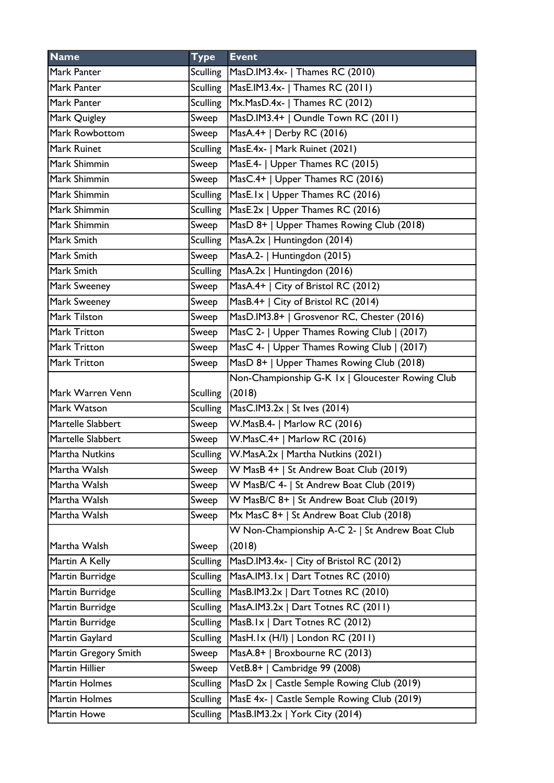| <b>Name</b>          | <b>Type</b>     | <b>Event</b>                                     |
|----------------------|-----------------|--------------------------------------------------|
| Mark Panter          | <b>Sculling</b> | MasD.IM3.4x-   Thames RC (2010)                  |
| Mark Panter          | <b>Sculling</b> | MasE.IM3.4x-   Thames RC (2011)                  |
| Mark Panter          | <b>Sculling</b> | Mx.MasD.4x-   Thames RC (2012)                   |
| Mark Quigley         | Sweep           | MasD.IM3.4+   Oundle Town RC (2011)              |
| Mark Rowbottom       | Sweep           | MasA.4+   Derby RC (2016)                        |
| Mark Ruinet          | <b>Sculling</b> | MasE.4x-   Mark Ruinet (2021)                    |
| Mark Shimmin         | Sweep           | MasE.4-   Upper Thames RC (2015)                 |
| Mark Shimmin         | Sweep           | MasC.4+   Upper Thames RC (2016)                 |
| Mark Shimmin         | <b>Sculling</b> | MasE.Ix   Upper Thames RC (2016)                 |
| Mark Shimmin         | <b>Sculling</b> | MasE.2x   Upper Thames RC (2016)                 |
| Mark Shimmin         | Sweep           | MasD 8+   Upper Thames Rowing Club (2018)        |
| Mark Smith           | <b>Sculling</b> | MasA.2x   Huntingdon (2014)                      |
| Mark Smith           | Sweep           | MasA.2-   Huntingdon (2015)                      |
| Mark Smith           | <b>Sculling</b> | MasA.2x   Huntingdon (2016)                      |
| Mark Sweeney         | Sweep           | MasA.4+   City of Bristol RC (2012)              |
| Mark Sweeney         | Sweep           | MasB.4+   City of Bristol RC (2014)              |
| Mark Tilston         | Sweep           | MasD.IM3.8+   Grosvenor RC, Chester (2016)       |
| <b>Mark Tritton</b>  | Sweep           | MasC 2-   Upper Thames Rowing Club   (2017)      |
| Mark Tritton         | Sweep           | MasC 4-   Upper Thames Rowing Club   (2017)      |
| Mark Tritton         | Sweep           | MasD 8+   Upper Thames Rowing Club (2018)        |
|                      |                 | Non-Championship G-K 1x   Gloucester Rowing Club |
| Mark Warren Venn     | <b>Sculling</b> | (2018)                                           |
| Mark Watson          | <b>Sculling</b> | MasC.IM3.2x   St Ives (2014)                     |
| Martelle Slabbert    | Sweep           | W.MasB.4-   Marlow RC (2016)                     |
| Martelle Slabbert    | Sweep           | W.MasC.4+   Marlow RC (2016)                     |
| Martha Nutkins       | <b>Sculling</b> | W.MasA.2x   Martha Nutkins (2021)                |
| Martha Walsh         | Sweep           | W MasB 4+   St Andrew Boat Club (2019)           |
| Martha Walsh         | Sweep           | W MasB/C 4-   St Andrew Boat Club (2019)         |
| Martha Walsh         | Sweep           | W MasB/C 8+   St Andrew Boat Club (2019)         |
| Martha Walsh         | Sweep           | Mx MasC 8+   St Andrew Boat Club (2018)          |
|                      |                 | W Non-Championship A-C 2-   St Andrew Boat Club  |
| Martha Walsh         | Sweep           | (2018)                                           |
| Martin A Kelly       | <b>Sculling</b> | MasD.IM3.4x-   City of Bristol RC (2012)         |
| Martin Burridge      | <b>Sculling</b> | MasA.IM3.1x   Dart Totnes RC (2010)              |
| Martin Burridge      | <b>Sculling</b> | MasB.IM3.2x   Dart Totnes RC (2010)              |
| Martin Burridge      | <b>Sculling</b> | MasA.IM3.2x   Dart Totnes RC (2011)              |
| Martin Burridge      | <b>Sculling</b> | MasB.Ix   Dart Totnes RC (2012)                  |
| Martin Gaylard       | <b>Sculling</b> | MasH.1x (H/I)   London RC (2011)                 |
| Martin Gregory Smith | Sweep           | MasA.8+   Broxbourne RC (2013)                   |
| Martin Hillier       | Sweep           | VetB.8+   Cambridge 99 (2008)                    |
| Martin Holmes        | <b>Sculling</b> | MasD 2x   Castle Semple Rowing Club (2019)       |
| <b>Martin Holmes</b> | <b>Sculling</b> | MasE 4x-   Castle Semple Rowing Club (2019)      |
| Martin Howe          | <b>Sculling</b> | MasB.IM3.2x   York City (2014)                   |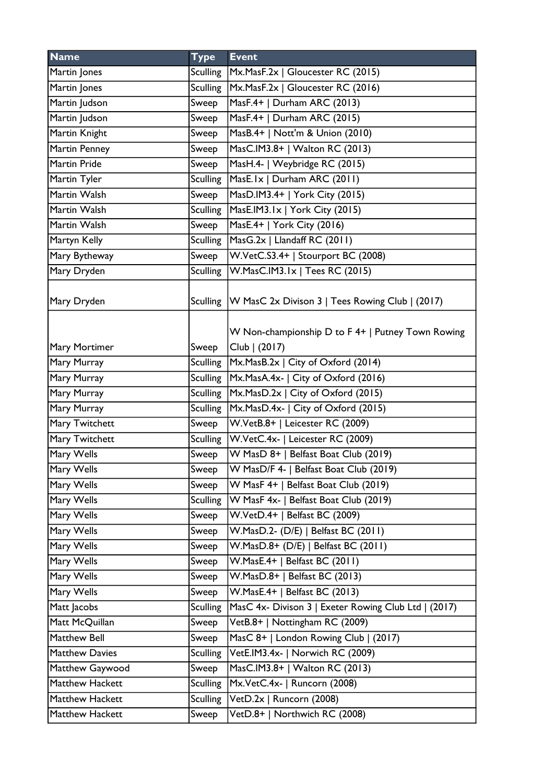| <b>Name</b>           | <b>Type</b>     | <b>Event</b>                                               |
|-----------------------|-----------------|------------------------------------------------------------|
| Martin Jones          |                 | Sculling   Mx. Mas F. 2x   Gloucester RC (2015)            |
| Martin Jones          | <b>Sculling</b> | Mx.MasF.2x   Gloucester RC (2016)                          |
| Martin Judson         | Sweep           | MasF.4+   Durham ARC (2013)                                |
| Martin Judson         | Sweep           | MasF.4+   Durham ARC (2015)                                |
| Martin Knight         | Sweep           | MasB.4+   Nott'm & Union (2010)                            |
| Martin Penney         | Sweep           | MasC.IM3.8+   Walton RC (2013)                             |
| Martin Pride          | Sweep           | MasH.4-   Weybridge RC (2015)                              |
| Martin Tyler          | <b>Sculling</b> | MasE.Ix   Durham ARC (2011)                                |
| Martin Walsh          | Sweep           | MasD.IM3.4+   York City (2015)                             |
| Martin Walsh          | <b>Sculling</b> | MasE.IM3.1x   York City (2015)                             |
| Martin Walsh          | Sweep           | MasE.4+   York City (2016)                                 |
| Martyn Kelly          | Sculling        | MasG.2x   Llandaff RC (2011)                               |
| Mary Bytheway         | Sweep           | W.VetC.S3.4+   Stourport BC (2008)                         |
| Mary Dryden           | <b>Sculling</b> | W.MasC.IM3.1x   Tees RC (2015)                             |
| Mary Dryden           |                 | Sculling   W MasC 2x Divison 3   Tees Rowing Club   (2017) |
|                       |                 | W Non-championship D to F 4+   Putney Town Rowing          |
| Mary Mortimer         | Sweep           | Club   (2017)                                              |
| Mary Murray           |                 | Sculling   Mx. Mas B. 2x   City of Oxford (2014)           |
| Mary Murray           |                 | Sculling   Mx. MasA. 4x-   City of Oxford (2016)           |
| Mary Murray           | Sculling        | Mx.MasD.2x   City of Oxford (2015)                         |
| Mary Murray           | <b>Sculling</b> | Mx.MasD.4x-   City of Oxford (2015)                        |
| Mary Twitchett        | Sweep           | W.VetB.8+   Leicester RC (2009)                            |
| Mary Twitchett        |                 | Sculling   W.VetC.4x-   Leicester RC (2009)                |
| Mary Wells            | Sweep           | W MasD 8+   Belfast Boat Club (2019)                       |
| Mary Wells            | Sweep           | W MasD/F 4-   Belfast Boat Club (2019)                     |
| Mary Wells            | Sweep           | W MasF 4+   Belfast Boat Club (2019)                       |
| Mary Wells            | <b>Sculling</b> | W MasF 4x-   Belfast Boat Club (2019)                      |
| Mary Wells            | Sweep           | W.VetD.4+   Belfast BC (2009)                              |
| Mary Wells            | Sweep           | W.MasD.2- (D/E)   Belfast BC (2011)                        |
| Mary Wells            | Sweep           | W.MasD.8+ (D/E)   Belfast BC (2011)                        |
| Mary Wells            | Sweep           | W.MasE.4+   Belfast BC (2011)                              |
| Mary Wells            | Sweep           | W.MasD.8+   Belfast BC (2013)                              |
| Mary Wells            | Sweep           | W.MasE.4+   Belfast BC (2013)                              |
| Matt Jacobs           | <b>Sculling</b> | MasC 4x- Divison 3   Exeter Rowing Club Ltd   (2017)       |
| Matt McQuillan        | Sweep           | VetB.8+   Nottingham RC (2009)                             |
| Matthew Bell          | Sweep           | MasC 8+   London Rowing Club   (2017)                      |
| <b>Matthew Davies</b> | <b>Sculling</b> | VetE.IM3.4x-   Norwich RC (2009)                           |
| Matthew Gaywood       | Sweep           | MasC.IM3.8+   Walton RC (2013)                             |
| Matthew Hackett       | <b>Sculling</b> | Mx.VetC.4x-   Runcorn (2008)                               |
| Matthew Hackett       | <b>Sculling</b> | VetD.2x   Runcorn (2008)                                   |
| Matthew Hackett       | Sweep           | VetD.8+   Northwich RC (2008)                              |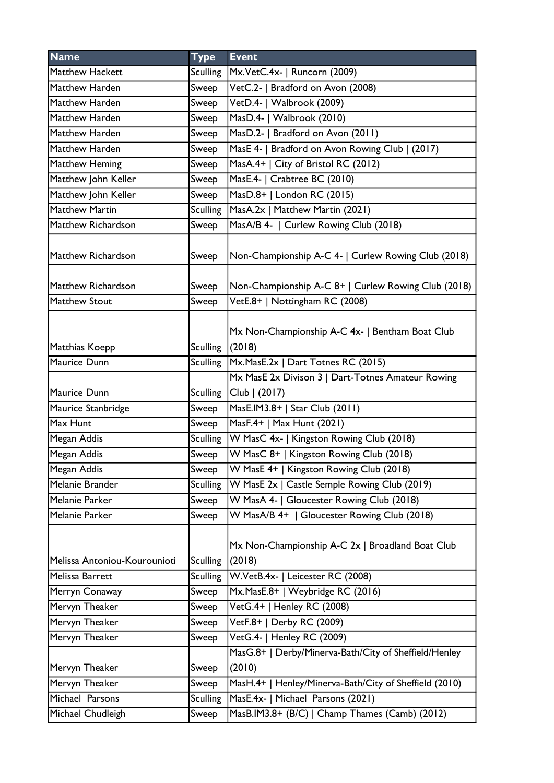| <b>Name</b>                  | <b>Type</b>     | <b>Event</b>                                                    |
|------------------------------|-----------------|-----------------------------------------------------------------|
| Matthew Hackett              | <b>Sculling</b> | Mx.VetC.4x-   Runcorn (2009)                                    |
| Matthew Harden               | Sweep           | VetC.2-   Bradford on Avon (2008)                               |
| Matthew Harden               | Sweep           | VetD.4-   Walbrook (2009)                                       |
| Matthew Harden               | Sweep           | MasD.4-   Walbrook (2010)                                       |
| Matthew Harden               | Sweep           | MasD.2-   Bradford on Avon (2011)                               |
| Matthew Harden               | Sweep           | MasE 4-   Bradford on Avon Rowing Club   (2017)                 |
| Matthew Heming               | Sweep           | MasA.4+   City of Bristol RC (2012)                             |
| Matthew John Keller          | Sweep           | MasE.4-   Crabtree BC (2010)                                    |
| Matthew John Keller          | Sweep           | MasD.8+   London RC (2015)                                      |
| <b>Matthew Martin</b>        | <b>Sculling</b> | MasA.2x   Matthew Martin (2021)                                 |
| Matthew Richardson           | Sweep           | MasA/B 4-   Curlew Rowing Club (2018)                           |
| Matthew Richardson           | Sweep           | Non-Championship A-C 4-   Curlew Rowing Club (2018)             |
| Matthew Richardson           | Sweep           | Non-Championship A-C 8+   Curlew Rowing Club (2018)             |
| <b>Matthew Stout</b>         | Sweep           | VetE.8+   Nottingham RC (2008)                                  |
| Matthias Koepp               | <b>Sculling</b> | Mx Non-Championship A-C 4x-   Bentham Boat Club<br>(2018)       |
| Maurice Dunn                 |                 | Sculling   Mx. Mas E. 2x   Dart Totnes RC (2015)                |
|                              |                 | Mx MasE 2x Divison 3   Dart-Totnes Amateur Rowing               |
| Maurice Dunn                 | <b>Sculling</b> | Club   (2017)                                                   |
| Maurice Stanbridge           | Sweep           | MasE.IM3.8+   Star Club (2011)                                  |
| Max Hunt                     | Sweep           | MasF.4+   Max Hunt (2021)                                       |
| Megan Addis                  | <b>Sculling</b> | W MasC 4x-   Kingston Rowing Club (2018)                        |
| Megan Addis                  | Sweep           | W MasC 8+   Kingston Rowing Club (2018)                         |
| Megan Addis                  | Sweep           | W MasE 4+   Kingston Rowing Club (2018)                         |
| Melanie Brander              | <b>Sculling</b> | W MasE 2x   Castle Semple Rowing Club (2019)                    |
| Melanie Parker               | Sweep           | W MasA 4-   Gloucester Rowing Club (2018)                       |
| Melanie Parker               | Sweep           | W MasA/B 4+   Gloucester Rowing Club (2018)                     |
| Melissa Antoniou-Kourounioti | <b>Sculling</b> | Mx Non-Championship A-C 2x   Broadland Boat Club<br>(2018)      |
| Melissa Barrett              | <b>Sculling</b> | W.VetB.4x-   Leicester RC (2008)                                |
| Merryn Conaway               | Sweep           | Mx.MasE.8+   Weybridge RC (2016)                                |
| Mervyn Theaker               | Sweep           | VetG.4+   Henley RC (2008)                                      |
| Mervyn Theaker               | Sweep           | VetF.8+   Derby RC (2009)                                       |
| Mervyn Theaker               | Sweep           | VetG.4-   Henley RC (2009)                                      |
| Mervyn Theaker               | Sweep           | MasG.8+   Derby/Minerva-Bath/City of Sheffield/Henley<br>(2010) |
| Mervyn Theaker               | Sweep           | MasH.4+   Henley/Minerva-Bath/City of Sheffield (2010)          |
| Michael Parsons              | <b>Sculling</b> | MasE.4x-   Michael Parsons (2021)                               |
| Michael Chudleigh            | Sweep           | MasB.IM3.8+ (B/C)   Champ Thames (Camb) (2012)                  |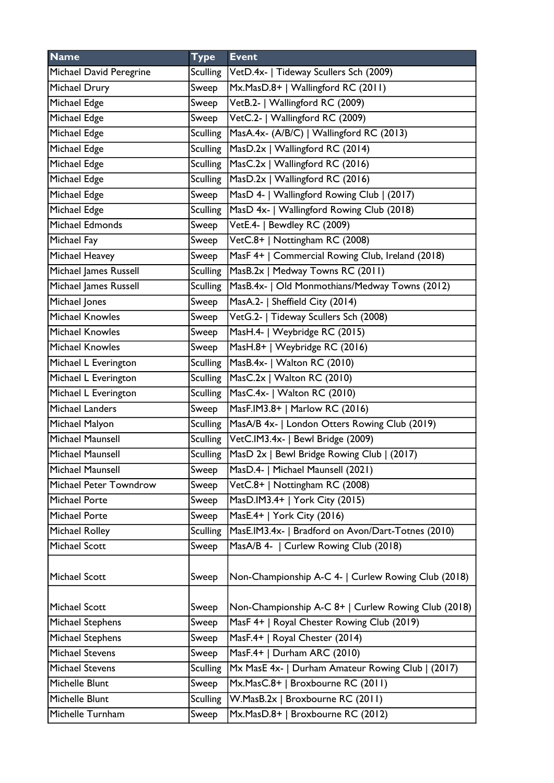| <b>Name</b>             | <b>Type</b>     | <b>Event</b>                                             |
|-------------------------|-----------------|----------------------------------------------------------|
| Michael David Peregrine | Sculling        | VetD.4x-   Tideway Scullers Sch (2009)                   |
| Michael Drury           | Sweep           | Mx.MasD.8+   Wallingford RC (2011)                       |
| Michael Edge            | Sweep           | VetB.2-   Wallingford RC (2009)                          |
| Michael Edge            | Sweep           | VetC.2-   Wallingford RC (2009)                          |
| Michael Edge            | Sculling        | MasA.4x- (A/B/C)   Wallingford RC (2013)                 |
| Michael Edge            | Sculling        | MasD.2x   Wallingford RC (2014)                          |
| Michael Edge            | <b>Sculling</b> | MasC.2x   Wallingford RC (2016)                          |
| Michael Edge            | Sculling        | MasD.2x   Wallingford RC (2016)                          |
| Michael Edge            | Sweep           | MasD 4-   Wallingford Rowing Club   (2017)               |
| Michael Edge            | <b>Sculling</b> | MasD 4x-   Wallingford Rowing Club (2018)                |
| Michael Edmonds         | Sweep           | VetE.4-   Bewdley RC (2009)                              |
| Michael Fay             | Sweep           | VetC.8+   Nottingham RC (2008)                           |
| Michael Heavey          | Sweep           | MasF 4+   Commercial Rowing Club, Ireland (2018)         |
| Michael James Russell   | <b>Sculling</b> | MasB.2x   Medway Towns RC (2011)                         |
| Michael James Russell   | <b>Sculling</b> | MasB.4x-   Old Monmothians/Medway Towns (2012)           |
| Michael Jones           | Sweep           | MasA.2-   Sheffield City (2014)                          |
| Michael Knowles         | Sweep           | VetG.2-   Tideway Scullers Sch (2008)                    |
| <b>Michael Knowles</b>  | Sweep           | MasH.4-   Weybridge RC (2015)                            |
| <b>Michael Knowles</b>  | Sweep           | MasH.8+   Weybridge RC (2016)                            |
| Michael L Everington    | <b>Sculling</b> | $Mase.4x-$   Walton RC (2010)                            |
| Michael L Everington    | <b>Sculling</b> | $Masc.2x$   Walton RC (2010)                             |
| Michael L Everington    |                 | Sculling   MasC.4x-   Walton RC (2010)                   |
| <b>Michael Landers</b>  | Sweep           | MasF.IM3.8+   Marlow RC (2016)                           |
| Michael Malyon          |                 | Sculling   MasA/B 4x-   London Otters Rowing Club (2019) |
| Michael Maunsell        |                 | Sculling VetC.IM3.4x-   Bewl Bridge (2009)               |
| Michael Maunsell        |                 | Sculling   MasD 2x   Bewl Bridge Rowing Club   (2017)    |
| Michael Maunsell        | Sweep           | MasD.4-   Michael Maunsell (2021)                        |
| Michael Peter Towndrow  | Sweep           | VetC.8+   Nottingham RC (2008)                           |
| Michael Porte           | Sweep           | MasD.IM3.4+   York City (2015)                           |
| Michael Porte           | Sweep           | MasE.4+   York City (2016)                               |
| Michael Rolley          | <b>Sculling</b> | MasE.IM3.4x-   Bradford on Avon/Dart-Totnes (2010)       |
| Michael Scott           | Sweep           | MasA/B 4-   Curlew Rowing Club (2018)                    |
| Michael Scott           | Sweep           | Non-Championship A-C 4-   Curlew Rowing Club (2018)      |
| Michael Scott           | Sweep           | Non-Championship A-C 8+   Curlew Rowing Club (2018)      |
| Michael Stephens        | Sweep           | MasF 4+   Royal Chester Rowing Club (2019)               |
| Michael Stephens        | Sweep           | MasF.4+   Royal Chester (2014)                           |
| <b>Michael Stevens</b>  | Sweep           | MasF.4+   Durham ARC (2010)                              |
| Michael Stevens         | <b>Sculling</b> | Mx MasE 4x-   Durham Amateur Rowing Club   (2017)        |
| Michelle Blunt          | Sweep           | Mx.MasC.8+   Broxbourne RC (2011)                        |
| Michelle Blunt          | <b>Sculling</b> | W.MasB.2x   Broxbourne RC (2011)                         |
| Michelle Turnham        | Sweep           | Mx.MasD.8+   Broxbourne RC (2012)                        |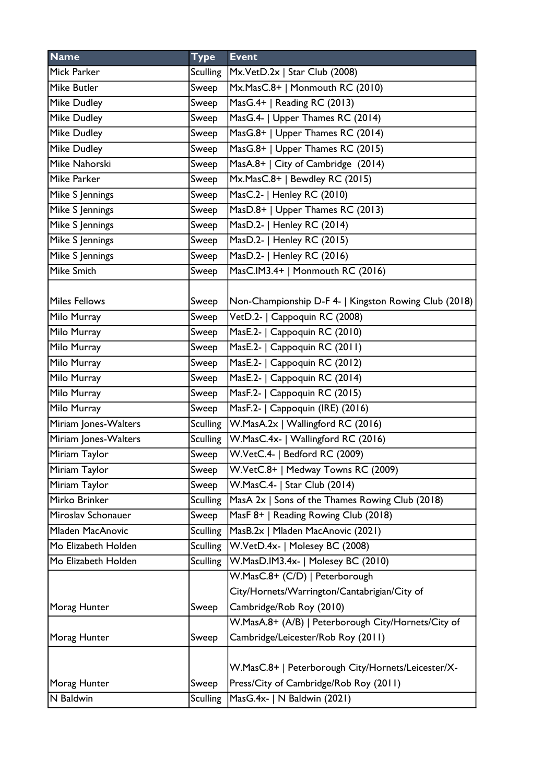| <b>Name</b>          | <b>Type</b>     | <b>Event</b>                                          |
|----------------------|-----------------|-------------------------------------------------------|
| Mick Parker          | Sculling        | Mx.VetD.2x   Star Club (2008)                         |
| <b>Mike Butler</b>   | Sweep           | Mx.MasC.8+   Monmouth RC (2010)                       |
| <b>Mike Dudley</b>   | Sweep           | MasG.4+   Reading RC (2013)                           |
| <b>Mike Dudley</b>   | Sweep           | MasG.4-   Upper Thames RC (2014)                      |
| <b>Mike Dudley</b>   | Sweep           | MasG.8+   Upper Thames RC (2014)                      |
| <b>Mike Dudley</b>   | Sweep           | MasG.8+   Upper Thames RC (2015)                      |
| Mike Nahorski        | Sweep           | MasA.8+   City of Cambridge (2014)                    |
| Mike Parker          | Sweep           | Mx.MasC.8+   Bewdley RC (2015)                        |
| Mike S Jennings      | Sweep           | MasC.2-   Henley RC (2010)                            |
| Mike S Jennings      | Sweep           | MasD.8+   Upper Thames RC (2013)                      |
| Mike S Jennings      | Sweep           | MasD.2-   Henley RC (2014)                            |
| Mike S Jennings      | Sweep           | MasD.2-   Henley RC (2015)                            |
| Mike S Jennings      | Sweep           | MasD.2-   Henley RC (2016)                            |
| <b>Mike Smith</b>    | Sweep           | MasC.IM3.4+   Monmouth RC (2016)                      |
|                      |                 |                                                       |
| <b>Miles Fellows</b> | Sweep           | Non-Championship D-F 4-   Kingston Rowing Club (2018) |
| Milo Murray          | Sweep           | VetD.2-   Cappoquin RC (2008)                         |
| Milo Murray          | Sweep           | MasE.2-   Cappoquin RC (2010)                         |
| Milo Murray          | Sweep           | MasE.2-   Cappoquin RC (2011)                         |
| Milo Murray          | Sweep           | MasE.2-   Cappoquin RC (2012)                         |
| Milo Murray          | Sweep           | MasE.2-   Cappoquin RC (2014)                         |
| Milo Murray          | Sweep           | MasF.2-   Cappoquin RC (2015)                         |
| Milo Murray          | Sweep           | MasF.2-   Cappoquin (IRE) (2016)                      |
| Miriam Jones-Walters | Sculling        | W.MasA.2x   Wallingford RC (2016)                     |
| Miriam Jones-Walters | <b>Sculling</b> | W.MasC.4x-   Wallingford RC (2016)                    |
| Miriam Taylor        | Sweep           | W.VetC.4-   Bedford RC (2009)                         |
| Miriam Taylor        | Sweep           | W.VetC.8+   Medway Towns RC (2009)                    |
| Miriam Taylor        | Sweep           | W.MasC.4-   Star Club (2014)                          |
| Mirko Brinker        | <b>Sculling</b> | MasA 2x   Sons of the Thames Rowing Club (2018)       |
| Miroslav Schonauer   | Sweep           | MasF 8+   Reading Rowing Club (2018)                  |
| Mladen MacAnovic     | <b>Sculling</b> | MasB.2x   Mladen MacAnovic (2021)                     |
| Mo Elizabeth Holden  | <b>Sculling</b> | W.VetD.4x-   Molesey BC (2008)                        |
| Mo Elizabeth Holden  | <b>Sculling</b> | W.MasD.IM3.4x-   Molesey BC (2010)                    |
|                      |                 | W.MasC.8+ (C/D)   Peterborough                        |
|                      |                 | City/Hornets/Warrington/Cantabrigian/City of          |
| Morag Hunter         | Sweep           | Cambridge/Rob Roy (2010)                              |
|                      |                 | W.MasA.8+ (A/B)   Peterborough City/Hornets/City of   |
| Morag Hunter         | Sweep           | Cambridge/Leicester/Rob Roy (2011)                    |
|                      |                 |                                                       |
|                      |                 | W.MasC.8+   Peterborough City/Hornets/Leicester/X-    |
| Morag Hunter         | Sweep           | Press/City of Cambridge/Rob Roy (2011)                |
| N Baldwin            | <b>Sculling</b> | MasG.4x-   N Baldwin (2021)                           |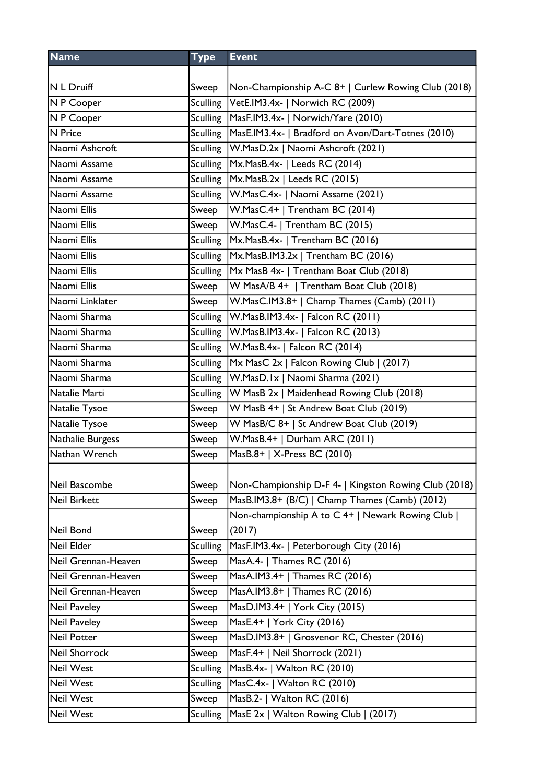| <b>Type</b>     | <b>Event</b>                                                                                      |
|-----------------|---------------------------------------------------------------------------------------------------|
|                 |                                                                                                   |
| Sweep           | Non-Championship A-C 8+   Curlew Rowing Club (2018)                                               |
| <b>Sculling</b> | VetE.IM3.4x-   Norwich RC (2009)                                                                  |
| Sculling        | MasF.IM3.4x-   Norwich/Yare (2010)                                                                |
| <b>Sculling</b> | MasE.IM3.4x-   Bradford on Avon/Dart-Totnes (2010)                                                |
| Sculling        | W.MasD.2x   Naomi Ashcroft (2021)                                                                 |
| <b>Sculling</b> | Mx.MasB.4x-   Leeds RC (2014)                                                                     |
| Sculling        | $Mx.MasB.2x$   Leeds RC (2015)                                                                    |
| Sculling        | W.MasC.4x-   Naomi Assame (2021)                                                                  |
| Sweep           | W.MasC.4+   Trentham BC (2014)                                                                    |
| Sweep           | W.MasC.4-   Trentham BC (2015)                                                                    |
| Sculling        | Mx.MasB.4x-   Trentham BC (2016)                                                                  |
| Sculling        | Mx.MasB.IM3.2x   Trentham BC (2016)                                                               |
| <b>Sculling</b> | Mx MasB 4x-   Trentham Boat Club (2018)                                                           |
| Sweep           | W MasA/B 4+   Trentham Boat Club (2018)                                                           |
| Sweep           | W.MasC.IM3.8+   Champ Thames (Camb) (2011)                                                        |
| <b>Sculling</b> | $W.MasB.IM3.4x-$   Falcon RC (2011)                                                               |
| <b>Sculling</b> | W.MasB.IM3.4x-   Falcon RC (2013)                                                                 |
| <b>Sculling</b> | W.MasB.4x-   Falcon RC (2014)                                                                     |
| <b>Sculling</b> | Mx MasC 2x   Falcon Rowing Club   (2017)                                                          |
| <b>Sculling</b> | W.MasD.Ix   Naomi Sharma (2021)                                                                   |
| <b>Sculling</b> | W MasB 2x   Maidenhead Rowing Club (2018)                                                         |
| Sweep           | W MasB 4+   St Andrew Boat Club (2019)                                                            |
| Sweep           | W MasB/C 8+   St Andrew Boat Club (2019)                                                          |
| Sweep           | W.MasB.4+   Durham ARC (2011)                                                                     |
| Sweep           | MasB.8+   X-Press BC (2010)                                                                       |
|                 |                                                                                                   |
| Sweep           | Non-Championship D-F 4-   Kingston Rowing Club (2018)                                             |
| Sweep           | MasB.IM3.8+ (B/C)   Champ Thames (Camb) (2012)                                                    |
|                 | Non-championship A to C 4+   Newark Rowing Club                                                   |
| Sweep           | (2017)                                                                                            |
| <b>Sculling</b> | MasF.IM3.4x-   Peterborough City (2016)                                                           |
| Sweep           | MasA.4-   Thames RC (2016)                                                                        |
|                 | MasA.IM3.4+   Thames RC (2016)                                                                    |
|                 | MasA.IM3.8+   Thames RC (2016)                                                                    |
|                 | MasD.IM3.4+   York City (2015)                                                                    |
|                 | MasE.4+   York City (2016)                                                                        |
|                 | MasD.IM3.8+   Grosvenor RC, Chester (2016)                                                        |
|                 | MasF.4+   Neil Shorrock (2021)                                                                    |
|                 | MasB.4x-   Walton RC (2010)                                                                       |
|                 | MasC.4x-   Walton RC (2010)                                                                       |
|                 | MasB.2-   Walton RC (2016)                                                                        |
| <b>Sculling</b> | MasE 2x   Walton Rowing Club   (2017)                                                             |
|                 | Sweep<br>Sweep<br>Sweep<br>Sweep<br>Sweep<br>Sweep<br><b>Sculling</b><br><b>Sculling</b><br>Sweep |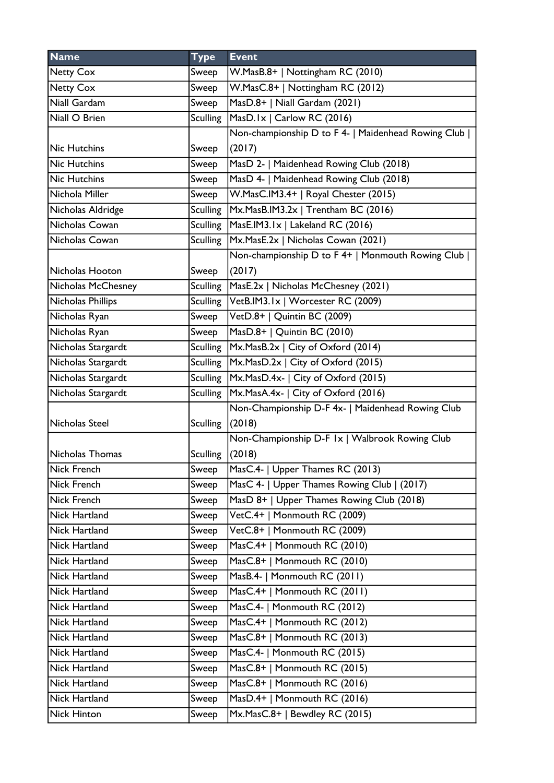| <b>Name</b>         | <b>Type</b>     | <b>Event</b>                                        |
|---------------------|-----------------|-----------------------------------------------------|
| <b>Netty Cox</b>    | Sweep           | W.MasB.8+   Nottingham RC (2010)                    |
| <b>Netty Cox</b>    | Sweep           | W.MasC.8+   Nottingham RC (2012)                    |
| Niall Gardam        | Sweep           | MasD.8+   Niall Gardam (2021)                       |
| Niall O Brien       | <b>Sculling</b> | $MasD.1x$   Carlow RC (2016)                        |
|                     |                 | Non-championship D to F 4-   Maidenhead Rowing Club |
| Nic Hutchins        | Sweep           | (2017)                                              |
| <b>Nic Hutchins</b> | Sweep           | MasD 2-   Maidenhead Rowing Club (2018)             |
| <b>Nic Hutchins</b> | Sweep           | MasD 4-   Maidenhead Rowing Club (2018)             |
| Nichola Miller      | Sweep           | W.MasC.IM3.4+   Royal Chester (2015)                |
| Nicholas Aldridge   | <b>Sculling</b> | Mx.MasB.IM3.2x   Trentham BC (2016)                 |
| Nicholas Cowan      |                 | Sculling   MasE.IM3.1x   Lakeland RC (2016)         |
| Nicholas Cowan      | Sculling        | Mx.MasE.2x   Nicholas Cowan (2021)                  |
|                     |                 | Non-championship D to F 4+   Monmouth Rowing Club   |
| Nicholas Hooton     | Sweep           | (2017)                                              |
| Nicholas McChesney  | <b>Sculling</b> | MasE.2x   Nicholas McChesney (2021)                 |
| Nicholas Phillips   |                 | Sculling   VetB.IM3.1x   Worcester RC (2009)        |
| Nicholas Ryan       | Sweep           | VetD.8+   Quintin BC (2009)                         |
| Nicholas Ryan       | Sweep           | MasD.8+   Quintin BC (2010)                         |
| Nicholas Stargardt  | Sculling        | Mx.MasB.2x   City of Oxford (2014)                  |
| Nicholas Stargardt  |                 | Sculling   Mx. Mas D. 2x   City of Oxford (2015)    |
| Nicholas Stargardt  |                 | Sculling   Mx. Mas D. 4x -   City of Oxford (2015)  |
| Nicholas Stargardt  |                 | Sculling   Mx. MasA. 4x -   City of Oxford (2016)   |
|                     |                 | Non-Championship D-F 4x-   Maidenhead Rowing Club   |
| Nicholas Steel      | <b>Sculling</b> | (2018)                                              |
|                     |                 | Non-Championship D-F Ix   Walbrook Rowing Club      |
| Nicholas Thomas     | <b>Sculling</b> | (2018)                                              |
| Nick French         | Sweep           | MasC.4-   Upper Thames RC (2013)                    |
| Nick French         | Sweep           | MasC 4-   Upper Thames Rowing Club   (2017)         |
| Nick French         | Sweep           | MasD 8+   Upper Thames Rowing Club (2018)           |
| Nick Hartland       | Sweep           | VetC.4+   Monmouth RC (2009)                        |
| Nick Hartland       | Sweep           | VetC.8+   Monmouth RC (2009)                        |
| Nick Hartland       | Sweep           | MasC.4+   Monmouth RC (2010)                        |
| Nick Hartland       | Sweep           | MasC.8+   Monmouth RC (2010)                        |
| Nick Hartland       | Sweep           | MasB.4-   Monmouth RC (2011)                        |
| Nick Hartland       | Sweep           | MasC.4+   Monmouth RC (2011)                        |
| Nick Hartland       | Sweep           | MasC.4-   Monmouth RC (2012)                        |
| Nick Hartland       | Sweep           | MasC.4+   Monmouth RC (2012)                        |
| Nick Hartland       | Sweep           | MasC.8+   Monmouth RC (2013)                        |
| Nick Hartland       | Sweep           | MasC.4-   Monmouth RC (2015)                        |
| Nick Hartland       | Sweep           | MasC.8+   Monmouth RC (2015)                        |
| Nick Hartland       | Sweep           | MasC.8+   Monmouth RC (2016)                        |
| Nick Hartland       | Sweep           | MasD.4+   Monmouth RC (2016)                        |
| Nick Hinton         | Sweep           | Mx.MasC.8+   Bewdley RC (2015)                      |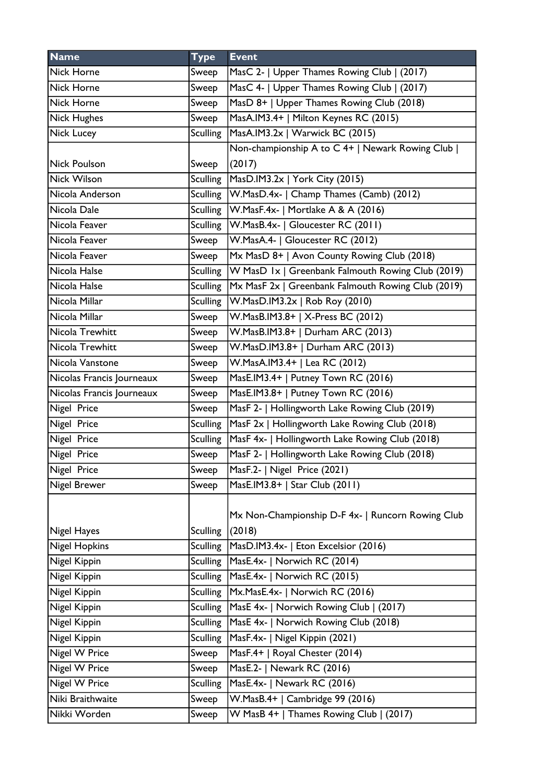| <b>Name</b>               | <b>Type</b>     | <b>Event</b>                                                |
|---------------------------|-----------------|-------------------------------------------------------------|
| Nick Horne                | Sweep           | MasC 2-   Upper Thames Rowing Club   (2017)                 |
| <b>Nick Horne</b>         | Sweep           | MasC 4-   Upper Thames Rowing Club   (2017)                 |
| Nick Horne                | Sweep           | MasD 8+   Upper Thames Rowing Club (2018)                   |
| Nick Hughes               | Sweep           | MasA.IM3.4+   Milton Keynes RC (2015)                       |
| Nick Lucey                | <b>Sculling</b> | MasA.IM3.2x   Warwick BC (2015)                             |
|                           |                 | Non-championship A to C 4+   Newark Rowing Club             |
| Nick Poulson              | Sweep           | (2017)                                                      |
| <b>Nick Wilson</b>        | <b>Sculling</b> | MasD.IM3.2x   York City (2015)                              |
| Nicola Anderson           | <b>Sculling</b> | W.MasD.4x-   Champ Thames (Camb) (2012)                     |
| Nicola Dale               | <b>Sculling</b> | W.MasF.4x-   Mortlake A & A (2016)                          |
| Nicola Feaver             | <b>Sculling</b> | W.MasB.4x-   Gloucester RC (2011)                           |
| Nicola Feaver             | Sweep           | W.MasA.4-   Gloucester RC (2012)                            |
| Nicola Feaver             | Sweep           | Mx MasD 8+   Avon County Rowing Club (2018)                 |
| Nicola Halse              |                 | Sculling W MasD 1x   Greenbank Falmouth Rowing Club (2019)  |
| Nicola Halse              | <b>Sculling</b> | Mx MasF 2x   Greenbank Falmouth Rowing Club (2019)          |
| Nicola Millar             | <b>Sculling</b> | $ W.Ma sD.IM3.2x $ Rob Roy (2010)                           |
| Nicola Millar             | Sweep           | W.MasB.IM3.8+   X-Press BC (2012)                           |
| Nicola Trewhitt           | Sweep           | W.MasB.IM3.8+   Durham ARC (2013)                           |
| Nicola Trewhitt           | Sweep           | W.MasD.IM3.8+   Durham ARC (2013)                           |
| Nicola Vanstone           | Sweep           | W.MasA.IM3.4+   Lea RC (2012)                               |
| Nicolas Francis Journeaux | Sweep           | MasE.IM3.4+   Putney Town RC (2016)                         |
| Nicolas Francis Journeaux | Sweep           | MasE.IM3.8+   Putney Town RC (2016)                         |
| Nigel Price               | Sweep           | MasF 2-   Hollingworth Lake Rowing Club (2019)              |
| Nigel Price               | <b>Sculling</b> | MasF 2x   Hollingworth Lake Rowing Club (2018)              |
| Nigel Price               | <b>Sculling</b> | MasF 4x-   Hollingworth Lake Rowing Club (2018)             |
| Nigel Price               | Sweep           | MasF 2-   Hollingworth Lake Rowing Club (2018)              |
| Nigel Price               | Sweep           | MasF.2-   Nigel Price (2021)                                |
| <b>Nigel Brewer</b>       | Sweep           | MasE.IM3.8+   Star Club (2011)                              |
| Nigel Hayes               | <b>Sculling</b> | Mx Non-Championship D-F 4x-   Runcorn Rowing Club<br>(2018) |
| <b>Nigel Hopkins</b>      | <b>Sculling</b> | MasD.IM3.4x-   Eton Excelsior (2016)                        |
| Nigel Kippin              | <b>Sculling</b> | MasE.4x-   Norwich RC (2014)                                |
| Nigel Kippin              | <b>Sculling</b> | MasE.4x-   Norwich RC (2015)                                |
| Nigel Kippin              | <b>Sculling</b> | Mx.MasE.4x-   Norwich RC (2016)                             |
| Nigel Kippin              | <b>Sculling</b> | MasE 4x-   Norwich Rowing Club   (2017)                     |
| Nigel Kippin              | <b>Sculling</b> | MasE 4x-   Norwich Rowing Club (2018)                       |
| Nigel Kippin              | <b>Sculling</b> | MasF.4x-   Nigel Kippin (2021)                              |
| Nigel W Price             | Sweep           | MasF.4+   Royal Chester (2014)                              |
| Nigel W Price             | Sweep           | MasE.2-   Newark RC (2016)                                  |
| Nigel W Price             | <b>Sculling</b> | MasE.4x-   Newark RC (2016)                                 |
| Niki Braithwaite          | Sweep           | W.MasB.4+   Cambridge 99 (2016)                             |
| Nikki Worden              | Sweep           | W MasB 4+   Thames Rowing Club   (2017)                     |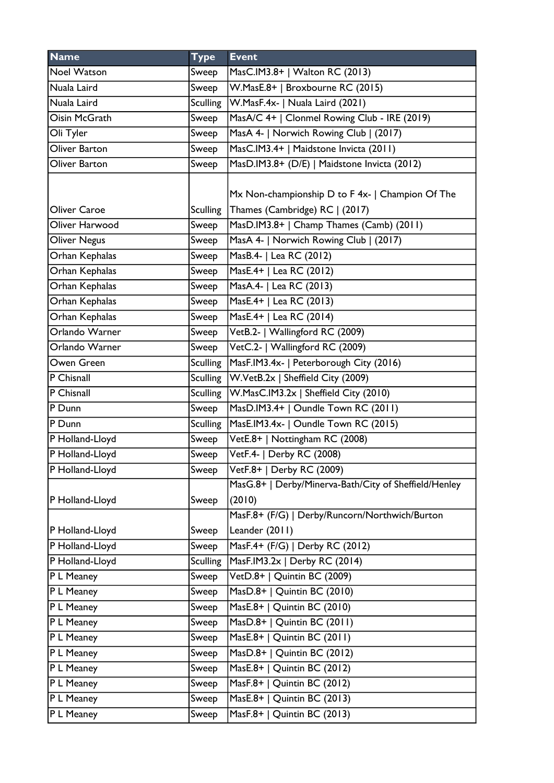| <b>Name</b>         | <b>Type</b>     | <b>Event</b>                                          |
|---------------------|-----------------|-------------------------------------------------------|
| <b>Noel Watson</b>  | Sweep           | MasC.IM3.8+   Walton RC (2013)                        |
| Nuala Laird         | Sweep           | W.MasE.8+   Broxbourne RC (2015)                      |
| Nuala Laird         | <b>Sculling</b> | W.MasF.4x-   Nuala Laird (2021)                       |
| Oisin McGrath       | Sweep           | MasA/C 4+   Clonmel Rowing Club - IRE (2019)          |
| Oli Tyler           | Sweep           | MasA 4-   Norwich Rowing Club   (2017)                |
| Oliver Barton       | Sweep           | MasC.IM3.4+   Maidstone Invicta (2011)                |
| Oliver Barton       | Sweep           | MasD.IM3.8+ (D/E)   Maidstone Invicta (2012)          |
|                     |                 |                                                       |
|                     |                 | Mx Non-championship D to F 4x-   Champion Of The      |
| Oliver Caroe        | <b>Sculling</b> | Thames (Cambridge) RC   (2017)                        |
| Oliver Harwood      | Sweep           | MasD.IM3.8+   Champ Thames (Camb) (2011)              |
| <b>Oliver Negus</b> | Sweep           | MasA 4-   Norwich Rowing Club   (2017)                |
| Orhan Kephalas      | Sweep           | MasB.4-   Lea RC (2012)                               |
| Orhan Kephalas      | Sweep           | MasE.4+   Lea RC (2012)                               |
| Orhan Kephalas      | Sweep           | MasA.4-   Lea RC (2013)                               |
| Orhan Kephalas      | Sweep           | MasE.4+   Lea RC (2013)                               |
| Orhan Kephalas      | Sweep           | MasE.4+   Lea RC (2014)                               |
| Orlando Warner      | Sweep           | VetB.2-   Wallingford RC (2009)                       |
| Orlando Warner      | Sweep           | VetC.2-   Wallingford RC (2009)                       |
| Owen Green          | <b>Sculling</b> | MasF.IM3.4x-   Peterborough City (2016)               |
| P Chisnall          | <b>Sculling</b> | W.VetB.2x   Sheffield City (2009)                     |
| P Chisnall          | <b>Sculling</b> | W.MasC.IM3.2x   Sheffield City (2010)                 |
| P Dunn              | Sweep           | MasD.IM3.4+   Oundle Town RC (2011)                   |
| P Dunn              | <b>Sculling</b> | MasE.IM3.4x-   Oundle Town RC (2015)                  |
| P Holland-Lloyd     | Sweep           | VetE.8+   Nottingham RC (2008)                        |
| P Holland-Lloyd     | Sweep           | VetF.4-   Derby RC (2008)                             |
| P Holland-Lloyd     | Sweep           | VetF.8+   Derby RC (2009)                             |
|                     |                 | MasG.8+   Derby/Minerva-Bath/City of Sheffield/Henley |
| P Holland-Lloyd     | Sweep           | (2010)                                                |
|                     |                 | MasF.8+ (F/G)   Derby/Runcorn/Northwich/Burton        |
| P Holland-Lloyd     | Sweep           | Leander (2011)                                        |
| P Holland-Lloyd     | Sweep           | MasF.4+ (F/G)   Derby RC (2012)                       |
| P Holland-Lloyd     | <b>Sculling</b> | MasF.IM3.2x   Derby RC (2014)                         |
| P L Meaney          | Sweep           | VetD.8+   Quintin BC (2009)                           |
| P L Meaney          | Sweep           | MasD.8+   Quintin BC $(2010)$                         |
| P L Meaney          | Sweep           | MasE.8+   Quintin BC (2010)                           |
| P L Meaney          | Sweep           | MasD.8+   Quintin BC (2011)                           |
| P L Meaney          | Sweep           | MasE.8+   Quintin BC (2011)                           |
| P L Meaney          | Sweep           | MasD.8+   Quintin BC (2012)                           |
| P L Meaney          | Sweep           | MasE.8+   Quintin BC (2012)                           |
| P L Meaney          | Sweep           | MasF.8+   Quintin BC (2012)                           |
| P L Meaney          | Sweep           | MasE.8+   Quintin BC (2013)                           |
| P L Meaney          | Sweep           | MasF.8+   Quintin BC (2013)                           |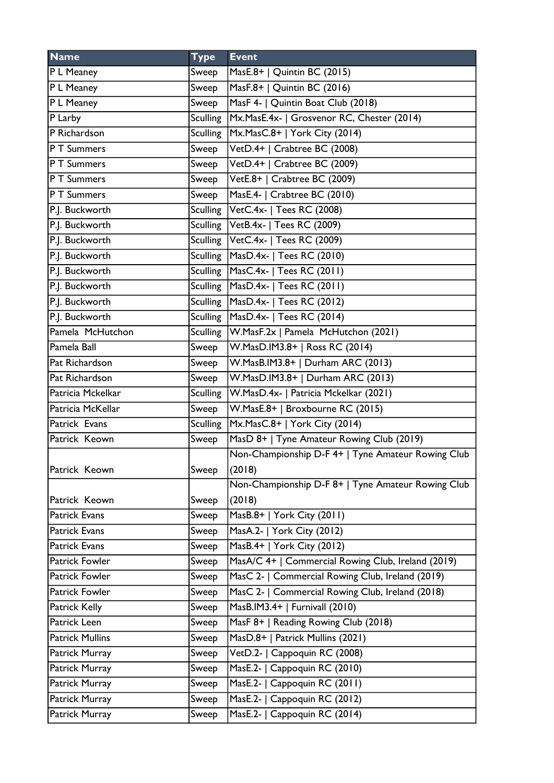| <b>Name</b>            | <b>Type</b>     | <b>Event</b>                                       |
|------------------------|-----------------|----------------------------------------------------|
| P L Meaney             | Sweep           | MasE.8+   Quintin BC (2015)                        |
| P L Meaney             | Sweep           | MasF.8+   Quintin BC (2016)                        |
| P L Meaney             | Sweep           | MasF 4-   Quintin Boat Club (2018)                 |
| P Larby                | <b>Sculling</b> | Mx.MasE.4x-   Grosvenor RC, Chester (2014)         |
| P Richardson           |                 | Sculling   Mx. Mas C.8+   York City (2014)         |
| P T Summers            | Sweep           | VetD.4+   Crabtree BC (2008)                       |
| P T Summers            | Sweep           | VetD.4+   Crabtree BC (2009)                       |
| P T Summers            | Sweep           | VetE.8+   Crabtree BC (2009)                       |
| P T Summers            | Sweep           | MasE.4-   Crabtree BC (2010)                       |
| P.J. Buckworth         |                 | Sculling VetC.4x-   Tees RC (2008)                 |
| P.J. Buckworth         |                 | Sculling VetB.4x-   Tees RC (2009)                 |
| P.J. Buckworth         |                 | Sculling   VetC.4x-   Tees RC (2009)               |
| P.J. Buckworth         |                 | Sculling   MasD.4x-   Tees RC (2010)               |
| P.J. Buckworth         | Sculling        | MasC.4x-   Tees RC (2011)                          |
| P.J. Buckworth         | Sculling        | MasD.4x-   Tees RC (2011)                          |
| P.J. Buckworth         | Sculling        | MasD.4x-   Tees RC (2012)                          |
| P.J. Buckworth         | Sculling        | MasD.4x-   Tees RC (2014)                          |
| Pamela McHutchon       | <b>Sculling</b> | W.MasF.2x   Pamela McHutchon (2021)                |
| Pamela Ball            | Sweep           | W.MasD.IM3.8+   Ross RC (2014)                     |
| Pat Richardson         | Sweep           | W.MasB.IM3.8+   Durham ARC (2013)                  |
| Pat Richardson         | Sweep           | W.MasD.IM3.8+   Durham ARC (2013)                  |
| Patricia Mckelkar      | Sculling        | W.MasD.4x-   Patricia Mckelkar (2021)              |
| Patricia McKellar      | Sweep           | W.MasE.8+   Broxbourne RC (2015)                   |
| Patrick Evans          | Sculling        | Mx.MasC.8+   York City (2014)                      |
| Patrick Keown          | Sweep           | MasD 8+   Tyne Amateur Rowing Club (2019)          |
|                        |                 | Non-Championship D-F 4+   Tyne Amateur Rowing Club |
| Patrick Keown          | Sweep           | (2018)                                             |
|                        |                 | Non-Championship D-F 8+   Tyne Amateur Rowing Club |
| Patrick Keown          | Sweep           | (2018)                                             |
| <b>Patrick Evans</b>   | Sweep           | MasB.8+   York City (2011)                         |
| <b>Patrick Evans</b>   | Sweep           | MasA.2-   York City (2012)                         |
| <b>Patrick Evans</b>   | Sweep           | MasB.4+   York City (2012)                         |
| Patrick Fowler         | Sweep           | MasA/C 4+   Commercial Rowing Club, Ireland (2019) |
| Patrick Fowler         | Sweep           | MasC 2-   Commercial Rowing Club, Ireland (2019)   |
| Patrick Fowler         | Sweep           | MasC 2-   Commercial Rowing Club, Ireland (2018)   |
| Patrick Kelly          | Sweep           | MasB.IM3.4+   Furnivall (2010)                     |
| Patrick Leen           | Sweep           | MasF 8+   Reading Rowing Club (2018)               |
| <b>Patrick Mullins</b> | Sweep           | MasD.8+   Patrick Mullins (2021)                   |
| Patrick Murray         | Sweep           | VetD.2-   Cappoquin RC (2008)                      |
| Patrick Murray         | Sweep           | MasE.2-   Cappoquin RC (2010)                      |
| Patrick Murray         | Sweep           | MasE.2-   Cappoquin RC (2011)                      |
| Patrick Murray         | Sweep           | MasE.2-   Cappoquin RC (2012)                      |
|                        |                 |                                                    |
| Patrick Murray         | Sweep           | MasE.2-   Cappoquin RC (2014)                      |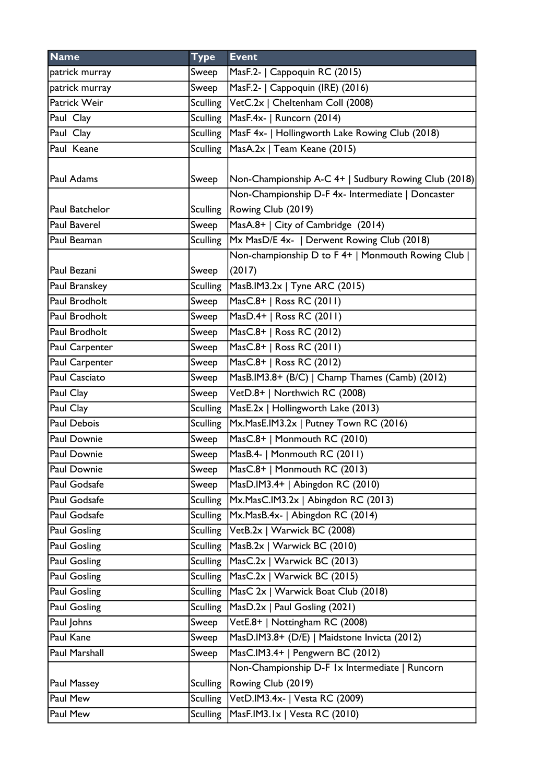| <b>Name</b>          | <b>Type</b>     | <b>Event</b>                                             |
|----------------------|-----------------|----------------------------------------------------------|
| patrick murray       | Sweep           | MasF.2-   Cappoquin RC (2015)                            |
| patrick murray       | Sweep           | MasF.2-   Cappoquin (IRE) (2016)                         |
| Patrick Weir         |                 | Sculling VetC.2x   Cheltenham Coll (2008)                |
| Paul Clay            | Sculling        | MasF.4x-   Runcorn (2014)                                |
| Paul Clay            |                 | Sculling MasF 4x-   Hollingworth Lake Rowing Club (2018) |
| Paul Keane           | Sculling        | MasA.2x   Team Keane (2015)                              |
|                      |                 |                                                          |
| Paul Adams           | Sweep           | Non-Championship A-C 4+   Sudbury Rowing Club (2018)     |
|                      |                 | Non-Championship D-F 4x- Intermediate   Doncaster        |
| Paul Batchelor       |                 | Sculling   Rowing Club (2019)                            |
| Paul Baverel         | Sweep           | MasA.8+   City of Cambridge (2014)                       |
| Paul Beaman          | Sculling        | Mx MasD/E 4x-   Derwent Rowing Club (2018)               |
|                      |                 | Non-championship D to F 4+   Monmouth Rowing Club        |
| Paul Bezani          | Sweep           | (2017)                                                   |
| Paul Branskey        | <b>Sculling</b> | MasB.IM3.2x   Tyne ARC (2015)                            |
| Paul Brodholt        | Sweep           | MasC.8+   Ross RC (2011)                                 |
| Paul Brodholt        | Sweep           | MasD.4+   Ross RC (2011)                                 |
| Paul Brodholt        | Sweep           | MasC.8+   Ross RC (2012)                                 |
| Paul Carpenter       | Sweep           | MasC.8+   Ross RC (2011)                                 |
| Paul Carpenter       | Sweep           | MasC.8+   Ross RC (2012)                                 |
| <b>Paul Casciato</b> | Sweep           | MasB.IM3.8+ (B/C)   Champ Thames (Camb) (2012)           |
| Paul Clay            | Sweep           | VetD.8+   Northwich RC (2008)                            |
| Paul Clay            | <b>Sculling</b> | MasE.2x   Hollingworth Lake (2013)                       |
| Paul Debois          | Sculling        | Mx.MasE.IM3.2x   Putney Town RC (2016)                   |
| Paul Downie          | Sweep           | MasC.8+   Monmouth RC (2010)                             |
| Paul Downie          | Sweep           | MasB.4-   Monmouth RC (2011)                             |
| Paul Downie          | Sweep           | MasC.8+   Monmouth RC (2013)                             |
| Paul Godsafe         | Sweep           | MasD.IM3.4+   Abingdon RC (2010)                         |
| Paul Godsafe         | <b>Sculling</b> | Mx.MasC.IM3.2x   Abingdon RC (2013)                      |
| Paul Godsafe         | <b>Sculling</b> | Mx.MasB.4x-   Abingdon RC (2014)                         |
| Paul Gosling         | <b>Sculling</b> | VetB.2x   Warwick BC (2008)                              |
| Paul Gosling         | Sculling        | MasB.2x   Warwick BC (2010)                              |
| Paul Gosling         | <b>Sculling</b> | MasC.2x   Warwick BC (2013)                              |
| Paul Gosling         | <b>Sculling</b> | MasC.2x   Warwick BC (2015)                              |
| Paul Gosling         | <b>Sculling</b> | MasC 2x   Warwick Boat Club (2018)                       |
| Paul Gosling         | <b>Sculling</b> | MasD.2x   Paul Gosling (2021)                            |
| Paul Johns           | Sweep           | VetE.8+   Nottingham RC (2008)                           |
| Paul Kane            | Sweep           | MasD.IM3.8+ (D/E)   Maidstone Invicta (2012)             |
| Paul Marshall        | Sweep           | MasC.IM3.4+   Pengwern BC (2012)                         |
|                      |                 | Non-Championship D-F 1x Intermediate   Runcorn           |
| Paul Massey          | <b>Sculling</b> | Rowing Club (2019)                                       |
| Paul Mew             | <b>Sculling</b> | VetD.IM3.4x-   Vesta RC (2009)                           |
| Paul Mew             | <b>Sculling</b> | MasF.IM3.1x   Vesta RC (2010)                            |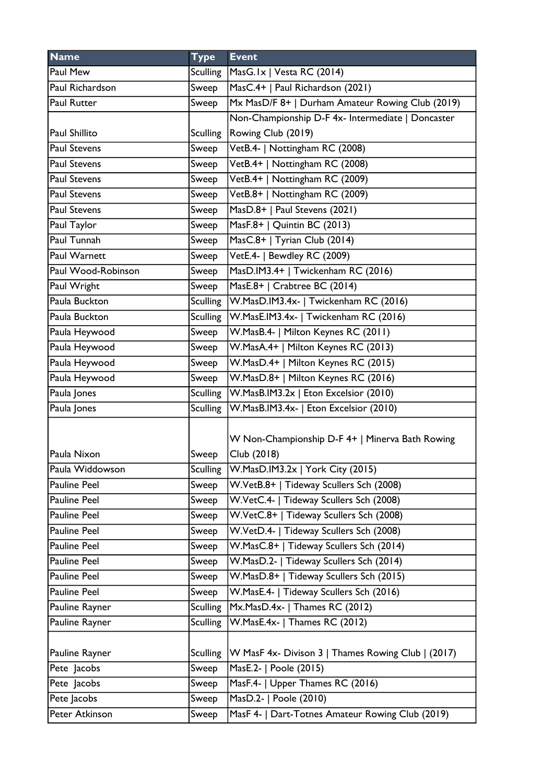| <b>Name</b>         | <b>Type</b>     | <b>Event</b>                                                   |
|---------------------|-----------------|----------------------------------------------------------------|
| Paul Mew            | Sculling        | MasG.Ix   Vesta RC (2014)                                      |
| Paul Richardson     | Sweep           | MasC.4+   Paul Richardson (2021)                               |
| Paul Rutter         | Sweep           | Mx MasD/F 8+   Durham Amateur Rowing Club (2019)               |
|                     |                 | Non-Championship D-F 4x- Intermediate   Doncaster              |
| Paul Shillito       |                 | Sculling   Rowing Club (2019)                                  |
| <b>Paul Stevens</b> | Sweep           | VetB.4-   Nottingham RC (2008)                                 |
| <b>Paul Stevens</b> | Sweep           | VetB.4+   Nottingham RC (2008)                                 |
| <b>Paul Stevens</b> | Sweep           | VetB.4+   Nottingham RC (2009)                                 |
| <b>Paul Stevens</b> | Sweep           | VetB.8+   Nottingham RC (2009)                                 |
| <b>Paul Stevens</b> | Sweep           | MasD.8+   Paul Stevens (2021)                                  |
| Paul Taylor         | Sweep           | MasF.8+   Quintin BC (2013)                                    |
| Paul Tunnah         | Sweep           | MasC.8+   Tyrian Club (2014)                                   |
| Paul Warnett        | Sweep           | VetE.4-   Bewdley RC (2009)                                    |
| Paul Wood-Robinson  | Sweep           | MasD.IM3.4+   Twickenham RC (2016)                             |
| Paul Wright         | Sweep           | MasE.8+   Crabtree BC (2014)                                   |
| Paula Buckton       | Sculling        | W.MasD.IM3.4x-   Twickenham RC (2016)                          |
| Paula Buckton       | <b>Sculling</b> | W.MasE.IM3.4x-   Twickenham RC (2016)                          |
| Paula Heywood       | Sweep           | W.MasB.4-   Milton Keynes RC (2011)                            |
| Paula Heywood       | Sweep           | W.MasA.4+   Milton Keynes RC (2013)                            |
| Paula Heywood       | Sweep           | W.MasD.4+   Milton Keynes RC (2015)                            |
| Paula Heywood       | Sweep           | W.MasD.8+   Milton Keynes RC (2016)                            |
| Paula Jones         | Sculling        | W.MasB.IM3.2x   Eton Excelsior (2010)                          |
| Paula Jones         | <b>Sculling</b> | W.MasB.IM3.4x-   Eton Excelsior (2010)                         |
| Paula Nixon         | Sweep           | W Non-Championship D-F 4+   Minerva Bath Rowing<br>Club (2018) |
| Paula Widdowson     | Sculling        | W.MasD.IM3.2x   York City (2015)                               |
| <b>Pauline Peel</b> | Sweep           | W.VetB.8+   Tideway Scullers Sch (2008)                        |
| Pauline Peel        | Sweep           | W.VetC.4-   Tideway Scullers Sch (2008)                        |
| Pauline Peel        | Sweep           | W.VetC.8+   Tideway Scullers Sch (2008)                        |
| Pauline Peel        | Sweep           | W.VetD.4-   Tideway Scullers Sch (2008)                        |
| <b>Pauline Peel</b> | Sweep           | W.MasC.8+   Tideway Scullers Sch (2014)                        |
| Pauline Peel        | Sweep           | W.MasD.2-   Tideway Scullers Sch (2014)                        |
| Pauline Peel        | Sweep           | W.MasD.8+   Tideway Scullers Sch (2015)                        |
| Pauline Peel        | Sweep           | W.MasE.4-   Tideway Scullers Sch (2016)                        |
| Pauline Rayner      | <b>Sculling</b> | Mx.MasD.4x-   Thames RC (2012)                                 |
| Pauline Rayner      | <b>Sculling</b> | W.MasE.4x-   Thames RC (2012)                                  |
| Pauline Rayner      | <b>Sculling</b> | W MasF 4x- Divison 3   Thames Rowing Club   (2017)             |
| Pete Jacobs         | Sweep           | MasE.2-   Poole (2015)                                         |
| Pete Jacobs         | Sweep           | MasF.4-   Upper Thames RC (2016)                               |
| Pete Jacobs         | Sweep           | MasD.2-   Poole (2010)                                         |
| Peter Atkinson      | Sweep           | MasF 4-   Dart-Totnes Amateur Rowing Club (2019)               |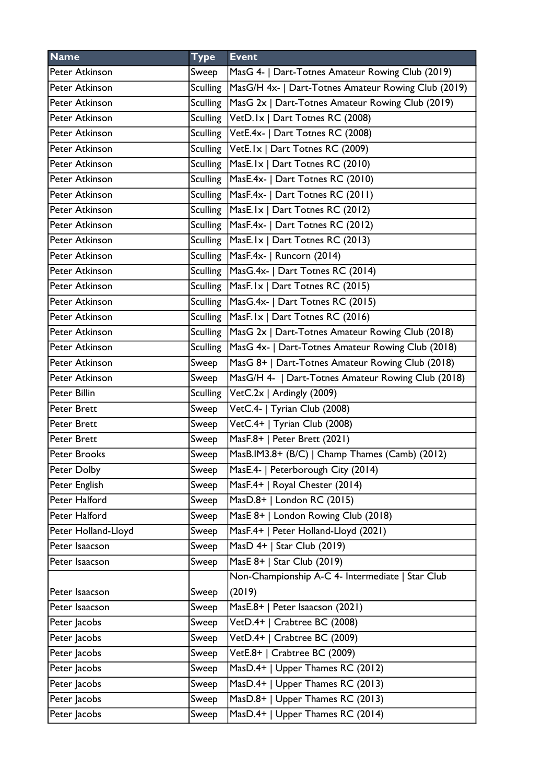| <b>Name</b>         | <b>Type</b> | <b>Event</b>                                                |
|---------------------|-------------|-------------------------------------------------------------|
| Peter Atkinson      | Sweep       | MasG 4-   Dart-Totnes Amateur Rowing Club (2019)            |
| Peter Atkinson      | Sculling    | MasG/H 4x-   Dart-Totnes Amateur Rowing Club (2019)         |
| Peter Atkinson      |             | Sculling   MasG 2x   Dart-Totnes Amateur Rowing Club (2019) |
| Peter Atkinson      |             | Sculling   VetD. 1x   Dart Totnes RC (2008)                 |
| Peter Atkinson      |             | Sculling VetE.4x-   Dart Totnes RC (2008)                   |
| Peter Atkinson      |             | Sculling VetE.Ix   Dart Totnes RC (2009)                    |
| Peter Atkinson      |             | Sculling MasE.Ix   Dart Totnes RC (2010)                    |
| Peter Atkinson      |             | Sculling   MasE.4x-   Dart Totnes RC (2010)                 |
| Peter Atkinson      |             | Sculling   MasF.4x-   Dart Totnes RC (2011)                 |
| Peter Atkinson      |             | Sculling MasE. Ix   Dart Totnes RC (2012)                   |
| Peter Atkinson      |             | Sculling MasF.4x-   Dart Totnes RC (2012)                   |
| Peter Atkinson      |             | Sculling   MasE. Ix   Dart Totnes RC (2013)                 |
| Peter Atkinson      |             | Sculling   MasF.4x-   Runcorn (2014)                        |
| Peter Atkinson      |             | Sculling   MasG.4x-   Dart Totnes RC (2014)                 |
| Peter Atkinson      |             | Sculling   MasF. Ix   Dart Totnes RC (2015)                 |
| Peter Atkinson      |             | Sculling   MasG.4x-   Dart Totnes RC (2015)                 |
| Peter Atkinson      |             | Sculling   MasF. Ix   Dart Totnes RC (2016)                 |
| Peter Atkinson      |             | Sculling   MasG 2x   Dart-Totnes Amateur Rowing Club (2018) |
| Peter Atkinson      | Sculling    | MasG 4x-   Dart-Totnes Amateur Rowing Club (2018)           |
| Peter Atkinson      | Sweep       | MasG 8+   Dart-Totnes Amateur Rowing Club (2018)            |
| Peter Atkinson      | Sweep       | MasG/H 4-   Dart-Totnes Amateur Rowing Club (2018)          |
| Peter Billin        | Sculling    | VetC.2x   Ardingly (2009)                                   |
| <b>Peter Brett</b>  | Sweep       | VetC.4-   Tyrian Club (2008)                                |
| <b>Peter Brett</b>  | Sweep       | VetC.4+   Tyrian Club (2008)                                |
| <b>Peter Brett</b>  | Sweep       | MasF.8+   Peter Brett (2021)                                |
| <b>Peter Brooks</b> | Sweep       | MasB.IM3.8+ (B/C)   Champ Thames (Camb) (2012)              |
| Peter Dolby         | Sweep       | MasE.4-   Peterborough City (2014)                          |
| Peter English       | Sweep       | MasF.4+   Royal Chester (2014)                              |
| Peter Halford       | Sweep       | MasD.8+   London RC (2015)                                  |
| Peter Halford       | Sweep       | MasE 8+   London Rowing Club (2018)                         |
| Peter Holland-Lloyd | Sweep       | MasF.4+   Peter Holland-Lloyd (2021)                        |
| Peter Isaacson      | Sweep       | MasD 4+   Star Club (2019)                                  |
| Peter Isaacson      | Sweep       | MasE 8+   Star Club (2019)                                  |
|                     |             | Non-Championship A-C 4- Intermediate   Star Club            |
| Peter Isaacson      | Sweep       | (2019)                                                      |
| Peter Isaacson      | Sweep       | MasE.8+   Peter Isaacson (2021)                             |
| Peter Jacobs        | Sweep       | VetD.4+   Crabtree BC (2008)                                |
| Peter Jacobs        | Sweep       | VetD.4+   Crabtree BC (2009)                                |
| Peter Jacobs        | Sweep       | VetE.8+   Crabtree BC (2009)                                |
| Peter Jacobs        | Sweep       | MasD.4+   Upper Thames RC (2012)                            |
| Peter Jacobs        | Sweep       | MasD.4+   Upper Thames RC (2013)                            |
| Peter Jacobs        | Sweep       | MasD.8+   Upper Thames RC (2013)                            |
| Peter Jacobs        | Sweep       | MasD.4+   Upper Thames RC (2014)                            |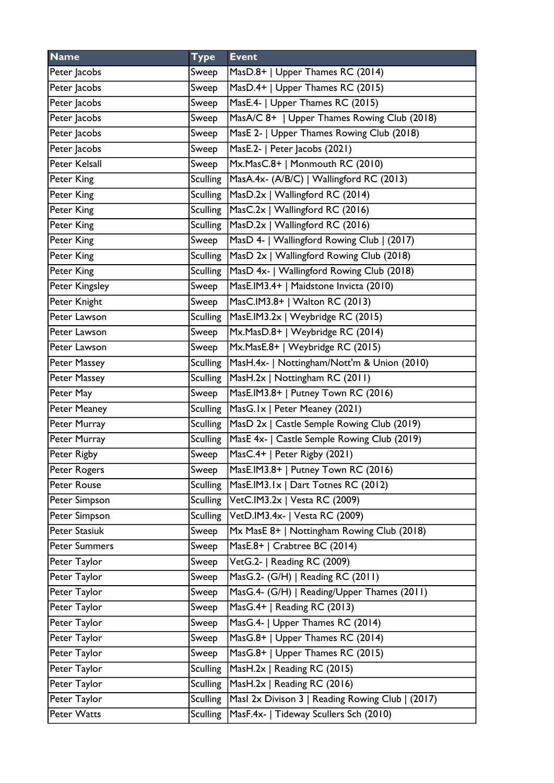| <b>Name</b>          | <b>Type</b>     | <b>Event</b>                                     |
|----------------------|-----------------|--------------------------------------------------|
| Peter Jacobs         | Sweep           | MasD.8+   Upper Thames RC (2014)                 |
| Peter Jacobs         | Sweep           | MasD.4+   Upper Thames RC (2015)                 |
| Peter Jacobs         | Sweep           | MasE.4-   Upper Thames RC (2015)                 |
| Peter Jacobs         | Sweep           | MasA/C 8+   Upper Thames Rowing Club (2018)      |
| Peter Jacobs         | Sweep           | MasE 2-   Upper Thames Rowing Club (2018)        |
| Peter Jacobs         | Sweep           | MasE.2-   Peter Jacobs (2021)                    |
| Peter Kelsall        | Sweep           | Mx.MasC.8+   Monmouth RC (2010)                  |
| Peter King           | <b>Sculling</b> | MasA.4x- (A/B/C)   Wallingford RC (2013)         |
| Peter King           | <b>Sculling</b> | MasD.2x   Wallingford RC (2014)                  |
| Peter King           | <b>Sculling</b> | MasC.2x   Wallingford RC (2016)                  |
| Peter King           | <b>Sculling</b> | MasD.2x   Wallingford RC (2016)                  |
| Peter King           | Sweep           | MasD 4-   Wallingford Rowing Club   (2017)       |
| Peter King           | <b>Sculling</b> | MasD 2x   Wallingford Rowing Club (2018)         |
| Peter King           | <b>Sculling</b> | MasD 4x-   Wallingford Rowing Club (2018)        |
| Peter Kingsley       | Sweep           | MasE.IM3.4+   Maidstone Invicta (2010)           |
| Peter Knight         | Sweep           | MasC.IM3.8+   Walton RC (2013)                   |
| Peter Lawson         | <b>Sculling</b> | MasE.IM3.2x   Weybridge RC (2015)                |
| Peter Lawson         | Sweep           | Mx.MasD.8+   Weybridge RC (2014)                 |
| Peter Lawson         | Sweep           | Mx.MasE.8+   Weybridge RC (2015)                 |
| Peter Massey         | <b>Sculling</b> | MasH.4x-   Nottingham/Nott'm & Union (2010)      |
| Peter Massey         | <b>Sculling</b> | MasH.2x   Nottingham RC (2011)                   |
| Peter May            | Sweep           | MasE.IM3.8+   Putney Town RC (2016)              |
| Peter Meaney         | <b>Sculling</b> | MasG.1x   Peter Meaney (2021)                    |
| Peter Murray         | <b>Sculling</b> | MasD 2x   Castle Semple Rowing Club (2019)       |
| Peter Murray         | <b>Sculling</b> | MasE 4x-   Castle Semple Rowing Club (2019)      |
| Peter Rigby          | Sweep           | MasC.4+   Peter Rigby (2021)                     |
| Peter Rogers         | Sweep           | MasE.IM3.8+   Putney Town RC (2016)              |
| Peter Rouse          | <b>Sculling</b> | MasE.IM3.1x   Dart Totnes RC (2012)              |
| Peter Simpson        | <b>Sculling</b> | VetC.IM3.2x   Vesta RC (2009)                    |
| Peter Simpson        | <b>Sculling</b> | VetD.IM3.4x-   Vesta RC (2009)                   |
| Peter Stasiuk        | Sweep           | Mx MasE 8+   Nottingham Rowing Club (2018)       |
| <b>Peter Summers</b> | Sweep           | MasE.8+   Crabtree BC (2014)                     |
| Peter Taylor         | Sweep           | VetG.2-   Reading RC (2009)                      |
| Peter Taylor         | Sweep           | MasG.2- (G/H)   Reading RC (2011)                |
| Peter Taylor         | Sweep           | MasG.4- (G/H)   Reading/Upper Thames (2011)      |
| Peter Taylor         | Sweep           | MasG.4+   Reading RC (2013)                      |
| Peter Taylor         | Sweep           | MasG.4-   Upper Thames RC (2014)                 |
| Peter Taylor         | Sweep           | MasG.8+   Upper Thames RC (2014)                 |
| Peter Taylor         | Sweep           | MasG.8+   Upper Thames RC (2015)                 |
| Peter Taylor         | <b>Sculling</b> | MasH.2x   Reading RC (2015)                      |
| Peter Taylor         | <b>Sculling</b> | MasH.2x   Reading RC (2016)                      |
| Peter Taylor         | <b>Sculling</b> | Masl 2x Divison 3   Reading Rowing Club   (2017) |
| Peter Watts          | <b>Sculling</b> | MasF.4x-   Tideway Scullers Sch (2010)           |
|                      |                 |                                                  |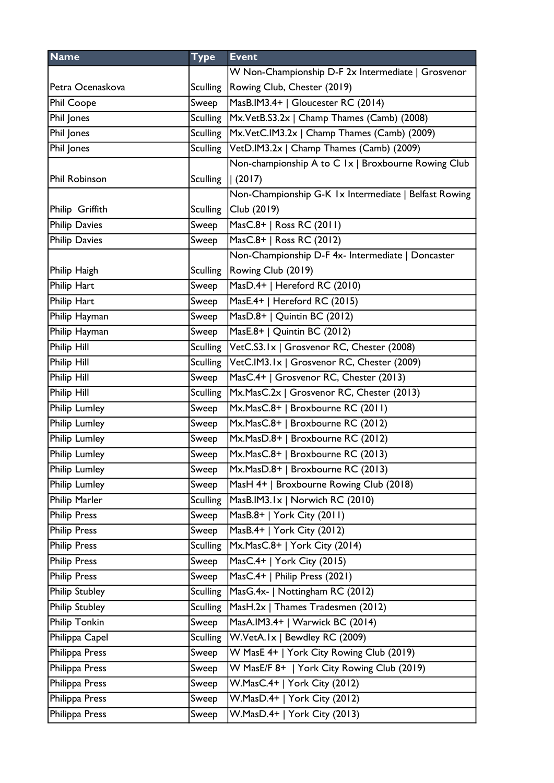| <b>Name</b>          | <b>Type</b>     | <b>Event</b>                                          |
|----------------------|-----------------|-------------------------------------------------------|
|                      |                 | W Non-Championship D-F 2x Intermediate   Grosvenor    |
| Petra Ocenaskova     | <b>Sculling</b> | Rowing Club, Chester (2019)                           |
| Phil Coope           | Sweep           | MasB.IM3.4+   Gloucester RC (2014)                    |
| Phil Jones           | Sculling        | Mx.VetB.S3.2x   Champ Thames (Camb) (2008)            |
| Phil Jones           | <b>Sculling</b> | Mx.VetC.IM3.2x   Champ Thames (Camb) (2009)           |
| Phil Jones           | <b>Sculling</b> | VetD.IM3.2x   Champ Thames (Camb) (2009)              |
|                      |                 | Non-championship A to C 1x   Broxbourne Rowing Club   |
| Phil Robinson        | <b>Sculling</b> | (2017)                                                |
|                      |                 | Non-Championship G-K 1x Intermediate   Belfast Rowing |
| Philip Griffith      | <b>Sculling</b> | Club (2019)                                           |
| <b>Philip Davies</b> | Sweep           | MasC.8+   Ross RC (2011)                              |
| <b>Philip Davies</b> | Sweep           | MasC.8+   Ross RC (2012)                              |
|                      |                 | Non-Championship D-F 4x- Intermediate   Doncaster     |
| Philip Haigh         | <b>Sculling</b> | Rowing Club (2019)                                    |
| Philip Hart          | Sweep           | MasD.4+   Hereford RC (2010)                          |
| Philip Hart          | Sweep           | MasE.4+   Hereford RC (2015)                          |
| Philip Hayman        | Sweep           | MasD.8+   Quintin BC (2012)                           |
| Philip Hayman        | Sweep           | MasE.8+   Quintin BC (2012)                           |
| Philip Hill          | <b>Sculling</b> | VetC.S3.1x   Grosvenor RC, Chester (2008)             |
| Philip Hill          | <b>Sculling</b> | VetC.IM3.1x   Grosvenor RC, Chester (2009)            |
| Philip Hill          | Sweep           | MasC.4+   Grosvenor RC, Chester (2013)                |
| Philip Hill          | <b>Sculling</b> | Mx.MasC.2x   Grosvenor RC, Chester (2013)             |
| Philip Lumley        | Sweep           | Mx.MasC.8+   Broxbourne RC (2011)                     |
| Philip Lumley        | Sweep           | Mx.MasC.8+   Broxbourne RC (2012)                     |
| <b>Philip Lumley</b> | Sweep           | Mx.MasD.8+   Broxbourne RC (2012)                     |
| Philip Lumley        | Sweep           | Mx.MasC.8+   Broxbourne RC (2013)                     |
| <b>Philip Lumley</b> | Sweep           | Mx.MasD.8+   Broxbourne RC (2013)                     |
| <b>Philip Lumley</b> | Sweep           | MasH 4+   Broxbourne Rowing Club (2018)               |
| Philip Marler        | <b>Sculling</b> | MasB.IM3.1x   Norwich RC (2010)                       |
| <b>Philip Press</b>  | Sweep           | MasB.8+   York City (2011)                            |
| <b>Philip Press</b>  | Sweep           | MasB.4+   York City (2012)                            |
| <b>Philip Press</b>  | <b>Sculling</b> | Mx.MasC.8+   York City (2014)                         |
| <b>Philip Press</b>  | Sweep           | MasC.4+   York City (2015)                            |
| <b>Philip Press</b>  | Sweep           | MasC.4+   Philip Press (2021)                         |
| Philip Stubley       | <b>Sculling</b> | MasG.4x-   Nottingham RC (2012)                       |
| Philip Stubley       | <b>Sculling</b> | MasH.2x   Thames Tradesmen (2012)                     |
| Philip Tonkin        | Sweep           | MasA.IM3.4+   Warwick BC (2014)                       |
| Philippa Capel       | <b>Sculling</b> | W.VetA.Ix   Bewdley RC (2009)                         |
| Philippa Press       | Sweep           | W MasE 4+   York City Rowing Club (2019)              |
| Philippa Press       | Sweep           | W MasE/F 8+   York City Rowing Club (2019)            |
| Philippa Press       | Sweep           | W.MasC.4+   York City (2012)                          |
| Philippa Press       | Sweep           | W.MasD.4+   York City (2012)                          |
| Philippa Press       | Sweep           | W.MasD.4+   York City (2013)                          |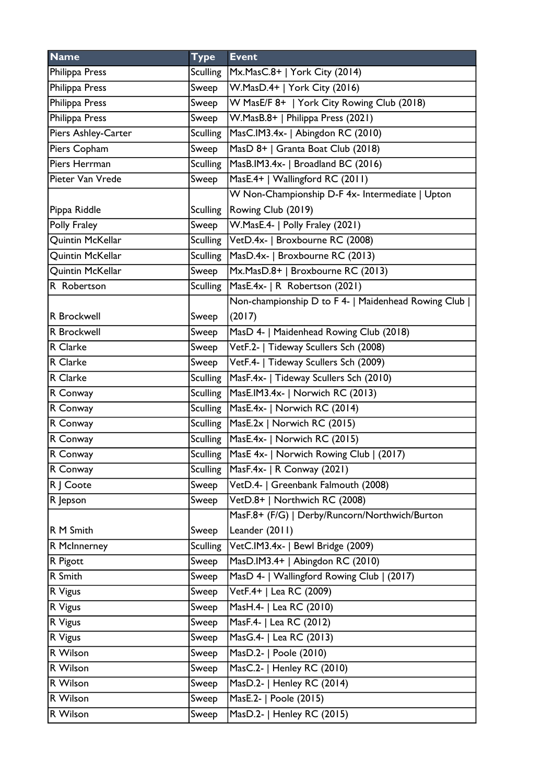| <b>Name</b>         | <b>Type</b>     | <b>Event</b>                                        |
|---------------------|-----------------|-----------------------------------------------------|
| Philippa Press      | Sculling        | Mx.MasC.8+   York City (2014)                       |
| Philippa Press      | Sweep           | W.MasD.4+   York City (2016)                        |
| Philippa Press      | Sweep           | W MasE/F 8+   York City Rowing Club (2018)          |
| Philippa Press      | Sweep           | W.MasB.8+   Philippa Press (2021)                   |
| Piers Ashley-Carter | <b>Sculling</b> | MasC.IM3.4x-   Abingdon RC (2010)                   |
| Piers Copham        | Sweep           | MasD 8+   Granta Boat Club (2018)                   |
| Piers Herrman       | <b>Sculling</b> | MasB.IM3.4x-   Broadland BC (2016)                  |
| Pieter Van Vrede    | Sweep           | MasE.4+   Wallingford RC (2011)                     |
|                     |                 | W Non-Championship D-F 4x- Intermediate   Upton     |
| Pippa Riddle        | Sculling        | Rowing Club (2019)                                  |
| Polly Fraley        | Sweep           | W.MasE.4-   Polly Fraley (2021)                     |
| Quintin McKellar    | Sculling        | VetD.4x-   Broxbourne RC (2008)                     |
| Quintin McKellar    | Sculling        | MasD.4x-   Broxbourne RC (2013)                     |
| Quintin McKellar    | Sweep           | Mx.MasD.8+   Broxbourne RC (2013)                   |
| R Robertson         | <b>Sculling</b> | MasE.4x-   R Robertson (2021)                       |
|                     |                 | Non-championship D to F 4-   Maidenhead Rowing Club |
| R Brockwell         | Sweep           | (2017)                                              |
| R Brockwell         | Sweep           | MasD 4-   Maidenhead Rowing Club (2018)             |
| R Clarke            | Sweep           | VetF.2-   Tideway Scullers Sch (2008)               |
| R Clarke            | Sweep           | VetF.4-   Tideway Scullers Sch (2009)               |
| R Clarke            | <b>Sculling</b> | MasF.4x-   Tideway Scullers Sch (2010)              |
| R Conway            | <b>Sculling</b> | MasE.IM3.4x-   Norwich RC (2013)                    |
| R Conway            | <b>Sculling</b> | MasE.4x-   Norwich RC (2014)                        |
| R Conway            |                 | Sculling   MasE.2x   Norwich RC (2015)              |
| R Conway            |                 | Sculling MasE.4x-   Norwich RC (2015)               |
| R Conway            |                 | Sculling   MasE 4x-   Norwich Rowing Club   (2017)  |
| R Conway            | <b>Sculling</b> | $MaxF.4x-   R Convay (2021)$                        |
| R   Coote           | Sweep           | VetD.4-   Greenbank Falmouth (2008)                 |
| R Jepson            | Sweep           | VetD.8+   Northwich RC (2008)                       |
|                     |                 | MasF.8+ (F/G)   Derby/Runcorn/Northwich/Burton      |
| R M Smith           | Sweep           | Leander (2011)                                      |
| R McInnerney        | <b>Sculling</b> | VetC.IM3.4x-   Bewl Bridge (2009)                   |
| R Pigott            | Sweep           | MasD.IM3.4+   Abingdon RC (2010)                    |
| R Smith             | Sweep           | MasD 4-   Wallingford Rowing Club   (2017)          |
| R Vigus             | Sweep           | VetF.4+   Lea RC (2009)                             |
| R Vigus             | Sweep           | MasH.4-   Lea RC (2010)                             |
| R Vigus             | Sweep           | MasF.4-   Lea RC (2012)                             |
| R Vigus             | Sweep           | MasG.4-   Lea RC (2013)                             |
| R Wilson            | Sweep           | MasD.2-   Poole (2010)                              |
| R Wilson            | Sweep           | MasC.2-   Henley RC (2010)                          |
| R Wilson            | Sweep           | MasD.2-   Henley RC (2014)                          |
| R Wilson            | Sweep           | MasE.2-   Poole (2015)                              |
| R Wilson            | Sweep           | MasD.2-   Henley RC (2015)                          |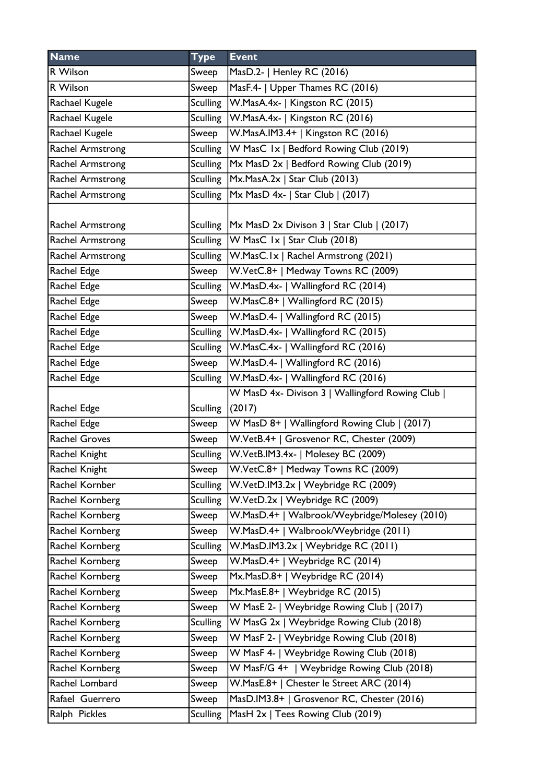| <b>Name</b>             | <b>Type</b>     | <b>Event</b>                                         |
|-------------------------|-----------------|------------------------------------------------------|
| R Wilson                | Sweep           | MasD.2-   Henley RC (2016)                           |
| R Wilson                | Sweep           | MasF.4-   Upper Thames RC (2016)                     |
| Rachael Kugele          | Sculling        | W.MasA.4x-   Kingston RC (2015)                      |
| Rachael Kugele          | <b>Sculling</b> | W.MasA.4x-   Kingston RC (2016)                      |
| Rachael Kugele          | Sweep           | W.MasA.IM3.4+   Kingston RC (2016)                   |
| <b>Rachel Armstrong</b> |                 | Sculling W MasC 1x   Bedford Rowing Club (2019)      |
| Rachel Armstrong        | <b>Sculling</b> | Mx MasD 2x   Bedford Rowing Club (2019)              |
| <b>Rachel Armstrong</b> |                 | Sculling $Mx.MasA.2x$   Star Club (2013)             |
| Rachel Armstrong        |                 | Sculling   Mx MasD 4x-   Star Club   (2017)          |
|                         |                 |                                                      |
| Rachel Armstrong        |                 | Sculling   Mx MasD 2x Divison 3   Star Club   (2017) |
| <b>Rachel Armstrong</b> |                 | Sculling $ W$ MasC $ x $ Star Club (2018)            |
| <b>Rachel Armstrong</b> |                 | Sculling   W. Mas C. Ix   Rachel Armstrong (2021)    |
| Rachel Edge             | Sweep           | W.VetC.8+   Medway Towns RC (2009)                   |
| Rachel Edge             | <b>Sculling</b> | W.MasD.4x-   Wallingford RC (2014)                   |
| Rachel Edge             | Sweep           | W.MasC.8+   Wallingford RC (2015)                    |
| Rachel Edge             | Sweep           | W.MasD.4-   Wallingford RC (2015)                    |
| Rachel Edge             | <b>Sculling</b> | W.MasD.4x-   Wallingford RC (2015)                   |
| Rachel Edge             | <b>Sculling</b> | W.MasC.4x-   Wallingford RC (2016)                   |
| Rachel Edge             | Sweep           | W.MasD.4-   Wallingford RC (2016)                    |
| Rachel Edge             | <b>Sculling</b> | W.MasD.4x-   Wallingford RC (2016)                   |
|                         |                 | W MasD 4x- Divison 3   Wallingford Rowing Club       |
| Rachel Edge             | <b>Sculling</b> | (2017)                                               |
| Rachel Edge             | Sweep           | W MasD 8+   Wallingford Rowing Club   (2017)         |
| <b>Rachel Groves</b>    | Sweep           | W.VetB.4+   Grosvenor RC, Chester (2009)             |
| Rachel Knight           |                 | Sculling   W.VetB.IM3.4x-   Molesey BC (2009)        |
| Rachel Knight           | Sweep           | W.VetC.8+   Medway Towns RC (2009)                   |
| Rachel Kornber          | <b>Sculling</b> | W.VetD.IM3.2x   Weybridge RC (2009)                  |
| Rachel Kornberg         | <b>Sculling</b> | W.VetD.2x   Weybridge RC (2009)                      |
| Rachel Kornberg         | Sweep           | W.MasD.4+   Walbrook/Weybridge/Molesey (2010)        |
| Rachel Kornberg         | Sweep           | W.MasD.4+   Walbrook/Weybridge (2011)                |
| Rachel Kornberg         | <b>Sculling</b> | W.MasD.IM3.2x   Weybridge RC (2011)                  |
| Rachel Kornberg         | Sweep           | W.MasD.4+   Weybridge RC (2014)                      |
| Rachel Kornberg         | Sweep           | Mx.MasD.8+   Weybridge RC (2014)                     |
| Rachel Kornberg         | Sweep           | Mx.MasE.8+   Weybridge RC (2015)                     |
| Rachel Kornberg         | Sweep           | W MasE 2-   Weybridge Rowing Club   (2017)           |
| Rachel Kornberg         | <b>Sculling</b> | W MasG 2x   Weybridge Rowing Club (2018)             |
| Rachel Kornberg         | Sweep           | W MasF 2-   Weybridge Rowing Club (2018)             |
| Rachel Kornberg         | Sweep           | W MasF 4-   Weybridge Rowing Club (2018)             |
| Rachel Kornberg         | Sweep           | W MasF/G 4+   Weybridge Rowing Club (2018)           |
| Rachel Lombard          | Sweep           | W.MasE.8+   Chester le Street ARC (2014)             |
| Rafael Guerrero         | Sweep           | MasD.IM3.8+   Grosvenor RC, Chester (2016)           |
| Ralph Pickles           | <b>Sculling</b> | MasH 2x   Tees Rowing Club (2019)                    |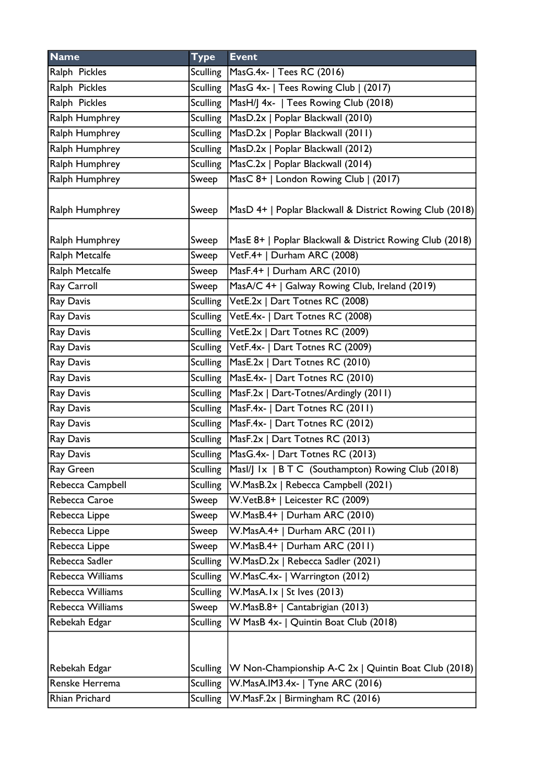| <b>Name</b>      | <b>Type</b>     | <b>Event</b>                                             |
|------------------|-----------------|----------------------------------------------------------|
| Ralph Pickles    | Sculling        | MasG.4x-   Tees RC (2016)                                |
| Ralph Pickles    |                 | Sculling   MasG 4x-   Tees Rowing Club   (2017)          |
| Ralph Pickles    | Sculling        | MasH/J 4x-   Tees Rowing Club (2018)                     |
| Ralph Humphrey   | <b>Sculling</b> | MasD.2x   Poplar Blackwall (2010)                        |
| Ralph Humphrey   | Sculling        | MasD.2x   Poplar Blackwall (2011)                        |
| Ralph Humphrey   | <b>Sculling</b> | MasD.2x   Poplar Blackwall (2012)                        |
| Ralph Humphrey   | <b>Sculling</b> | MasC.2x   Poplar Blackwall (2014)                        |
| Ralph Humphrey   | Sweep           | MasC 8+   London Rowing Club   (2017)                    |
| Ralph Humphrey   | Sweep           | MasD 4+   Poplar Blackwall & District Rowing Club (2018) |
| Ralph Humphrey   | Sweep           | MasE 8+   Poplar Blackwall & District Rowing Club (2018) |
| Ralph Metcalfe   | Sweep           | VetF.4+   Durham ARC (2008)                              |
| Ralph Metcalfe   | Sweep           | MasF.4+   Durham ARC (2010)                              |
| Ray Carroll      | Sweep           | MasA/C 4+   Galway Rowing Club, Ireland (2019)           |
| Ray Davis        | Sculling        | VetE.2x   Dart Totnes RC (2008)                          |
| Ray Davis        |                 | Sculling   VetE.4x-   Dart Totnes RC (2008)              |
| Ray Davis        |                 | Sculling VetE.2x   Dart Totnes RC (2009)                 |
| Ray Davis        |                 | Sculling   VetF.4x-   Dart Totnes RC (2009)              |
| Ray Davis        | Sculling        | MasE.2x   Dart Totnes RC (2010)                          |
| Ray Davis        |                 | Sculling   MasE.4x-   Dart Totnes RC (2010)              |
| Ray Davis        |                 | Sculling   MasF.2x   Dart-Totnes/Ardingly (2011)         |
| Ray Davis        |                 | Sculling   MasF.4x-   Dart Totnes RC (2011)              |
| Ray Davis        |                 | Sculling   MasF.4x-   Dart Totnes RC (2012)              |
| Ray Davis        |                 | Sculling   MasF.2x   Dart Totnes RC (2013)               |
| Ray Davis        |                 | Sculling   MasG.4x-   Dart Totnes RC (2013)              |
| Ray Green        | <b>Sculling</b> | Masl/J Ix   B T C (Southampton) Rowing Club (2018)       |
| Rebecca Campbell | <b>Sculling</b> | W.MasB.2x   Rebecca Campbell (2021)                      |
| Rebecca Caroe    | Sweep           | W.VetB.8+   Leicester RC (2009)                          |
| Rebecca Lippe    | Sweep           | W.MasB.4+   Durham ARC (2010)                            |
| Rebecca Lippe    | Sweep           | W.MasA.4+   Durham ARC (2011)                            |
| Rebecca Lippe    | Sweep           | W.MasB.4+   Durham ARC (2011)                            |
| Rebecca Sadler   | <b>Sculling</b> | W.MasD.2x   Rebecca Sadler (2021)                        |
| Rebecca Williams | <b>Sculling</b> | W.MasC.4x-   Warrington (2012)                           |
| Rebecca Williams | <b>Sculling</b> | W.MasA.Ix   St Ives $(2013)$                             |
| Rebecca Williams | Sweep           | W.MasB.8+   Cantabrigian (2013)                          |
| Rebekah Edgar    | <b>Sculling</b> | W MasB 4x-   Quintin Boat Club (2018)                    |
|                  |                 |                                                          |
| Rebekah Edgar    | <b>Sculling</b> | W Non-Championship A-C 2x   Quintin Boat Club (2018)     |
| Renske Herrema   | <b>Sculling</b> | W.MasA.IM3.4x-   Tyne ARC (2016)                         |
| Rhian Prichard   | <b>Sculling</b> | W.MasF.2x   Birmingham RC (2016)                         |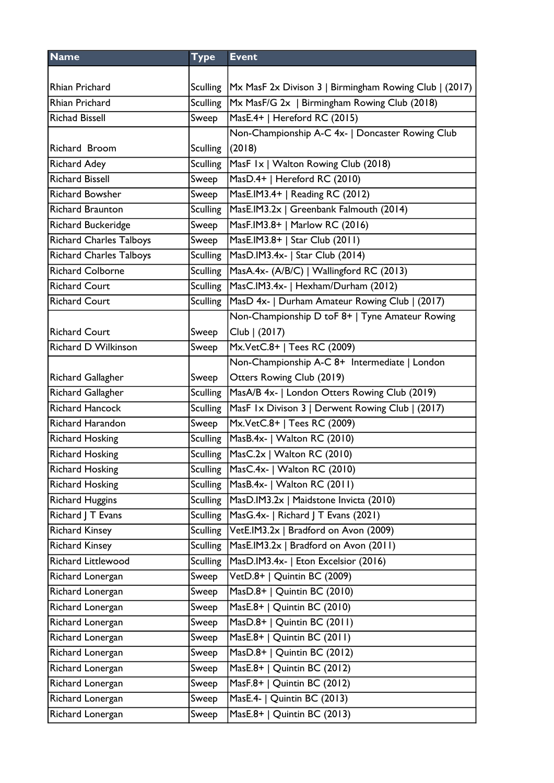| <b>Name</b>                    | <b>Type</b>     | <b>Event</b>                                                      |
|--------------------------------|-----------------|-------------------------------------------------------------------|
|                                |                 |                                                                   |
| Rhian Prichard                 |                 | Sculling   Mx MasF 2x Divison 3   Birmingham Rowing Club   (2017) |
| <b>Rhian Prichard</b>          | Sculling        | Mx MasF/G 2x   Birmingham Rowing Club (2018)                      |
| <b>Richad Bissell</b>          | Sweep           | MasE.4+   Hereford RC (2015)                                      |
|                                |                 | Non-Championship A-C 4x-   Doncaster Rowing Club                  |
| Richard Broom                  | <b>Sculling</b> | (2018)                                                            |
| <b>Richard Adey</b>            | <b>Sculling</b> | MasF 1x   Walton Rowing Club (2018)                               |
| <b>Richard Bissell</b>         | Sweep           | MasD.4+   Hereford RC (2010)                                      |
| <b>Richard Bowsher</b>         | Sweep           | MasE.IM3.4+   Reading RC (2012)                                   |
| <b>Richard Braunton</b>        | <b>Sculling</b> | MasE.IM3.2x   Greenbank Falmouth (2014)                           |
| Richard Buckeridge             | Sweep           | MasF.IM3.8+   Marlow RC (2016)                                    |
| <b>Richard Charles Talboys</b> | Sweep           | MasE.IM3.8+   Star Club (2011)                                    |
| <b>Richard Charles Talboys</b> | <b>Sculling</b> | MasD.IM3.4x-   Star Club (2014)                                   |
| <b>Richard Colborne</b>        | <b>Sculling</b> | MasA.4x- (A/B/C)   Wallingford RC (2013)                          |
| <b>Richard Court</b>           | <b>Sculling</b> | MasC.IM3.4x-   Hexham/Durham (2012)                               |
| <b>Richard Court</b>           | <b>Sculling</b> | MasD 4x-   Durham Amateur Rowing Club   (2017)                    |
|                                |                 | Non-Championship D toF 8+   Tyne Amateur Rowing                   |
| <b>Richard Court</b>           | Sweep           | Club   (2017)                                                     |
| Richard D Wilkinson            | Sweep           | Mx.VetC.8+   Tees RC (2009)                                       |
|                                |                 | Non-Championship A-C 8+ Intermediate   London                     |
| Richard Gallagher              | Sweep           | Otters Rowing Club (2019)                                         |
| Richard Gallagher              | <b>Sculling</b> | MasA/B 4x-   London Otters Rowing Club (2019)                     |
| <b>Richard Hancock</b>         | <b>Sculling</b> | MasF 1x Divison 3   Derwent Rowing Club   (2017)                  |
| <b>Richard Harandon</b>        | Sweep           | Mx.VetC.8+   Tees RC (2009)                                       |
| <b>Richard Hosking</b>         | <b>Sculling</b> | MasB.4x-   Walton RC (2010)                                       |
| <b>Richard Hosking</b>         | <b>Sculling</b> | MasC.2x   Walton RC (2010)                                        |
| <b>Richard Hosking</b>         | Sculling        | MasC.4x-   Walton RC (2010)                                       |
| <b>Richard Hosking</b>         |                 | Sculling   MasB.4x-   Walton RC (2011)                            |
| <b>Richard Huggins</b>         | <b>Sculling</b> | MasD.IM3.2x   Maidstone Invicta (2010)                            |
| Richard J T Evans              | <b>Sculling</b> | MasG.4x-   Richard   T Evans (2021)                               |
| <b>Richard Kinsey</b>          | Sculling        | VetE.IM3.2x   Bradford on Avon (2009)                             |
| <b>Richard Kinsey</b>          | <b>Sculling</b> | MasE.IM3.2x   Bradford on Avon (2011)                             |
| Richard Littlewood             | <b>Sculling</b> | MasD.IM3.4x-   Eton Excelsior (2016)                              |
| Richard Lonergan               | Sweep           | VetD.8+   Quintin BC (2009)                                       |
| Richard Lonergan               | Sweep           | $MasD.8+  $ Quintin BC (2010)                                     |
| Richard Lonergan               | Sweep           | $Mase.8+  $ Quintin BC (2010)                                     |
| Richard Lonergan               | Sweep           | MasD.8+   Quintin BC (2011)                                       |
| Richard Lonergan               | Sweep           | MasE.8+   Quintin BC $(2011)$                                     |
| Richard Lonergan               | Sweep           | MasD.8+   Quintin BC (2012)                                       |
| Richard Lonergan               | Sweep           | MasE.8+   Quintin BC (2012)                                       |
| Richard Lonergan               | Sweep           | MasF.8+   Quintin BC (2012)                                       |
| Richard Lonergan               | Sweep           | MasE.4-   Quintin BC (2013)                                       |
| Richard Lonergan               | Sweep           | MasE.8+   Quintin BC (2013)                                       |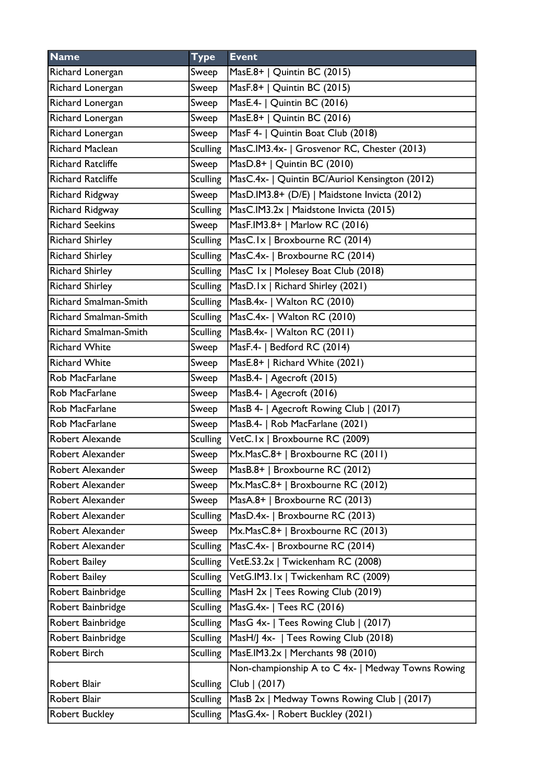| <b>Name</b>                  | <b>Type</b>     | <b>Event</b>                                      |
|------------------------------|-----------------|---------------------------------------------------|
| Richard Lonergan             | Sweep           | MasE.8+   Quintin BC (2015)                       |
| Richard Lonergan             | Sweep           | MasF.8+   Quintin BC (2015)                       |
| Richard Lonergan             | Sweep           | MasE.4-   Quintin BC (2016)                       |
| Richard Lonergan             | Sweep           | MasE.8+   Quintin BC (2016)                       |
| Richard Lonergan             | Sweep           | MasF 4-   Quintin Boat Club (2018)                |
| <b>Richard Maclean</b>       | <b>Sculling</b> | MasC.IM3.4x-   Grosvenor RC, Chester (2013)       |
| <b>Richard Ratcliffe</b>     | Sweep           | MasD.8+   Quintin BC (2010)                       |
| <b>Richard Ratcliffe</b>     | <b>Sculling</b> | MasC.4x-   Quintin BC/Auriol Kensington (2012)    |
| Richard Ridgway              | Sweep           | MasD.IM3.8+ (D/E)   Maidstone Invicta (2012)      |
| Richard Ridgway              | <b>Sculling</b> | MasC.IM3.2x   Maidstone Invicta (2015)            |
| <b>Richard Seekins</b>       | Sweep           | MasF.IM3.8+   Marlow RC (2016)                    |
| <b>Richard Shirley</b>       | <b>Sculling</b> | MasC.1x   Broxbourne RC (2014)                    |
| <b>Richard Shirley</b>       |                 | Sculling MasC.4x-   Broxbourne RC (2014)          |
| <b>Richard Shirley</b>       | <b>Sculling</b> | MasC 1x   Molesey Boat Club (2018)                |
| <b>Richard Shirley</b>       | <b>Sculling</b> | MasD.Ix   Richard Shirley (2021)                  |
| <b>Richard Smalman-Smith</b> | Sculling        | MasB.4x-   Walton RC (2010)                       |
| Richard Smalman-Smith        | <b>Sculling</b> | MasC.4x-   Walton RC (2010)                       |
| Richard Smalman-Smith        | <b>Sculling</b> | MasB.4x-   Walton RC (2011)                       |
| <b>Richard White</b>         | Sweep           | MasF.4-   Bedford RC (2014)                       |
| <b>Richard White</b>         | Sweep           | MasE.8+   Richard White (2021)                    |
| Rob MacFarlane               | Sweep           | MasB.4-   Agecroft (2015)                         |
| Rob MacFarlane               | Sweep           | MasB.4-   Agecroft (2016)                         |
| Rob MacFarlane               | Sweep           | MasB 4-   Agecroft Rowing Club   (2017)           |
| Rob MacFarlane               | Sweep           | MasB.4-   Rob MacFarlane (2021)                   |
| Robert Alexande              |                 | Sculling VetC.1x   Broxbourne RC (2009)           |
| Robert Alexander             | Sweep           | Mx.MasC.8+   Broxbourne RC (2011)                 |
| Robert Alexander             | Sweep           | MasB.8+   Broxbourne RC (2012)                    |
| Robert Alexander             | Sweep           | Mx.MasC.8+   Broxbourne RC (2012)                 |
| Robert Alexander             | Sweep           | MasA.8+   Broxbourne RC (2013)                    |
| Robert Alexander             | <b>Sculling</b> | MasD.4x-   Broxbourne RC (2013)                   |
| Robert Alexander             | Sweep           | Mx.MasC.8+   Broxbourne RC (2013)                 |
| Robert Alexander             | <b>Sculling</b> | MasC.4x-   Broxbourne RC (2014)                   |
| Robert Bailey                | <b>Sculling</b> | VetE.S3.2x   Twickenham RC (2008)                 |
| Robert Bailey                | <b>Sculling</b> | VetG.IM3.1x   Twickenham RC (2009)                |
| Robert Bainbridge            | <b>Sculling</b> | MasH 2x   Tees Rowing Club (2019)                 |
| Robert Bainbridge            | <b>Sculling</b> | MasG.4x-   Tees RC (2016)                         |
| Robert Bainbridge            | <b>Sculling</b> | MasG 4x-   Tees Rowing Club   (2017)              |
| Robert Bainbridge            | <b>Sculling</b> | MasH/J 4x-   Tees Rowing Club (2018)              |
| Robert Birch                 | <b>Sculling</b> | MasE.IM3.2x   Merchants 98 (2010)                 |
|                              |                 | Non-championship A to C 4x-   Medway Towns Rowing |
| Robert Blair                 | <b>Sculling</b> | Club   (2017)                                     |
| Robert Blair                 | <b>Sculling</b> | MasB 2x   Medway Towns Rowing Club   (2017)       |
| <b>Robert Buckley</b>        | <b>Sculling</b> | MasG.4x-   Robert Buckley (2021)                  |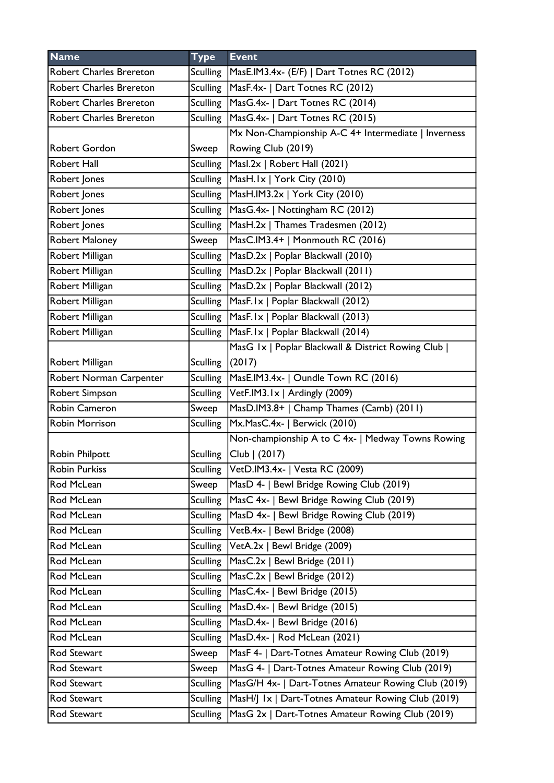| <b>Name</b>                    | <b>Type</b>     | <b>Event</b>                                        |
|--------------------------------|-----------------|-----------------------------------------------------|
| <b>Robert Charles Brereton</b> | Sculling        | MasE.IM3.4x- (E/F)   Dart Totnes RC (2012)          |
| Robert Charles Brereton        | <b>Sculling</b> | MasF.4x-   Dart Totnes RC (2012)                    |
| <b>Robert Charles Brereton</b> | Sculling        | MasG.4x-   Dart Totnes RC (2014)                    |
| Robert Charles Brereton        | Sculling        | MasG.4x-   Dart Totnes RC (2015)                    |
|                                |                 | Mx Non-Championship A-C 4+ Intermediate   Inverness |
| Robert Gordon                  | Sweep           | Rowing Club (2019)                                  |
| Robert Hall                    | <b>Sculling</b> | Masl.2x   Robert Hall (2021)                        |
| Robert Jones                   | Sculling        | MasH.1x   York City (2010)                          |
| Robert Jones                   | <b>Sculling</b> | MasH.IM3.2x   York City (2010)                      |
| Robert Jones                   | <b>Sculling</b> | MasG.4x-   Nottingham RC (2012)                     |
| Robert Jones                   | Sculling        | MasH.2x   Thames Tradesmen (2012)                   |
| Robert Maloney                 | Sweep           | MasC.IM3.4+   Monmouth RC (2016)                    |
| Robert Milligan                | <b>Sculling</b> | MasD.2x   Poplar Blackwall (2010)                   |
| Robert Milligan                |                 | Sculling   MasD.2x   Poplar Blackwall (2011)        |
| Robert Milligan                | <b>Sculling</b> | MasD.2x   Poplar Blackwall (2012)                   |
| Robert Milligan                |                 | Sculling   MasF. Ix   Poplar Blackwall (2012)       |
| Robert Milligan                |                 | Sculling MasF.Ix   Poplar Blackwall (2013)          |
| Robert Milligan                | <b>Sculling</b> | MasF.Ix   Poplar Blackwall (2014)                   |
|                                |                 | MasG 1x   Poplar Blackwall & District Rowing Club   |
| Robert Milligan                | <b>Sculling</b> | (2017)                                              |
| Robert Norman Carpenter        | <b>Sculling</b> | MasE.IM3.4x-   Oundle Town RC (2016)                |
| Robert Simpson                 | Sculling        | VetF.IM3.1x   Ardingly (2009)                       |
| Robin Cameron                  | Sweep           | MasD.IM3.8+   Champ Thames (Camb) (2011)            |
| <b>Robin Morrison</b>          | <b>Sculling</b> | Mx.MasC.4x-   Berwick (2010)                        |
|                                |                 | Non-championship A to C 4x-   Medway Towns Rowing   |
| <b>Robin Philpott</b>          | <b>Sculling</b> | Club   (2017)                                       |
| Robin Purkiss                  |                 | Sculling VetD.IM3.4x-   Vesta RC (2009)             |
| Rod McLean                     | Sweep           | MasD 4-   Bewl Bridge Rowing Club (2019)            |
| Rod McLean                     | Sculling        | MasC 4x-   Bewl Bridge Rowing Club (2019)           |
| Rod McLean                     | Sculling        | MasD 4x-   Bewl Bridge Rowing Club (2019)           |
| Rod McLean                     |                 | Sculling   VetB.4x-   Bewl Bridge (2008)            |
| Rod McLean                     | <b>Sculling</b> | VetA.2x   Bewl Bridge (2009)                        |
| Rod McLean                     | <b>Sculling</b> | MasC.2x   Bewl Bridge (2011)                        |
| Rod McLean                     | Sculling        | MasC.2x   Bewl Bridge (2012)                        |
| Rod McLean                     | Sculling        | MasC.4x-   Bewl Bridge (2015)                       |
| Rod McLean                     | <b>Sculling</b> | MasD.4x-   Bewl Bridge (2015)                       |
| Rod McLean                     | <b>Sculling</b> | MasD.4x-   Bewl Bridge (2016)                       |
| Rod McLean                     | <b>Sculling</b> | MasD.4x-   Rod McLean (2021)                        |
| Rod Stewart                    | Sweep           | MasF 4-   Dart-Totnes Amateur Rowing Club (2019)    |
| Rod Stewart                    | Sweep           | MasG 4-   Dart-Totnes Amateur Rowing Club (2019)    |
| Rod Stewart                    | <b>Sculling</b> | MasG/H 4x-   Dart-Totnes Amateur Rowing Club (2019) |
| Rod Stewart                    | <b>Sculling</b> | MasH/J Ix   Dart-Totnes Amateur Rowing Club (2019)  |
| Rod Stewart                    | <b>Sculling</b> | MasG 2x   Dart-Totnes Amateur Rowing Club (2019)    |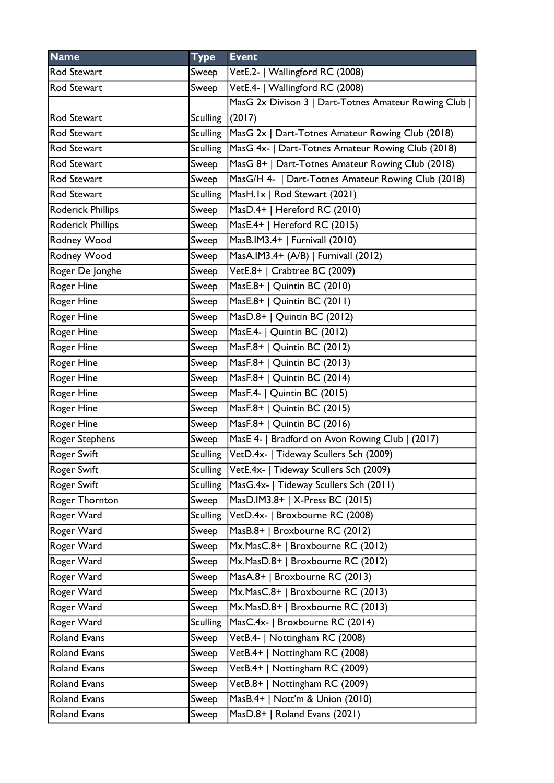| <b>Name</b>              | <b>Type</b>     | <b>Event</b>                                                |
|--------------------------|-----------------|-------------------------------------------------------------|
| Rod Stewart              | Sweep           | VetE.2-   Wallingford RC (2008)                             |
| Rod Stewart              | Sweep           | VetE.4-   Wallingford RC (2008)                             |
|                          |                 | MasG 2x Divison 3   Dart-Totnes Amateur Rowing Club         |
| Rod Stewart              | <b>Sculling</b> | (2017)                                                      |
| Rod Stewart              |                 | Sculling   MasG 2x   Dart-Totnes Amateur Rowing Club (2018) |
| Rod Stewart              | Sculling        | MasG 4x-   Dart-Totnes Amateur Rowing Club (2018)           |
| Rod Stewart              | Sweep           | MasG 8+   Dart-Totnes Amateur Rowing Club (2018)            |
| Rod Stewart              | Sweep           | MasG/H 4-   Dart-Totnes Amateur Rowing Club (2018)          |
| Rod Stewart              | <b>Sculling</b> | MasH.Ix   Rod Stewart (2021)                                |
| <b>Roderick Phillips</b> | Sweep           | MasD.4+   Hereford RC (2010)                                |
| <b>Roderick Phillips</b> | Sweep           | MasE.4+   Hereford RC (2015)                                |
| Rodney Wood              | Sweep           | MasB.IM3.4+   Furnivall (2010)                              |
| Rodney Wood              | Sweep           | MasA.IM3.4+ (A/B)   Furnivall (2012)                        |
| Roger De Jonghe          | Sweep           | VetE.8+   Crabtree BC (2009)                                |
| Roger Hine               | Sweep           | MasE.8+   Quintin BC (2010)                                 |
| Roger Hine               | Sweep           | MasE.8+   Quintin BC (2011)                                 |
| Roger Hine               | Sweep           | MasD.8+   Quintin BC (2012)                                 |
| Roger Hine               | Sweep           | MasE.4-   Quintin BC (2012)                                 |
| Roger Hine               | Sweep           | MasF.8+   Quintin BC (2012)                                 |
| Roger Hine               | Sweep           | MasF.8+   Quintin BC (2013)                                 |
| Roger Hine               | Sweep           | MasF.8+   Quintin BC (2014)                                 |
| <b>Roger Hine</b>        | Sweep           | MasF.4-   Quintin BC (2015)                                 |
| Roger Hine               | Sweep           | MasF.8+   Quintin BC (2015)                                 |
| Roger Hine               | Sweep           | MasF.8+   Quintin BC (2016)                                 |
| Roger Stephens           | Sweep           | MasE 4-   Bradford on Avon Rowing Club   (2017)             |
| <b>Roger Swift</b>       |                 | Sculling   VetD.4x-   Tideway Scullers Sch (2009)           |
| Roger Swift              | Sculling        | VetE.4x-   Tideway Scullers Sch (2009)                      |
| <b>Roger Swift</b>       | <b>Sculling</b> | MasG.4x-   Tideway Scullers Sch (2011)                      |
| Roger Thornton           | Sweep           | MasD.IM3.8+   X-Press BC (2015)                             |
| Roger Ward               | <b>Sculling</b> | VetD.4x-   Broxbourne RC (2008)                             |
| Roger Ward               | Sweep           | MasB.8+   Broxbourne RC (2012)                              |
| Roger Ward               | Sweep           | Mx.MasC.8+   Broxbourne RC (2012)                           |
| Roger Ward               | Sweep           | Mx.MasD.8+   Broxbourne RC (2012)                           |
| Roger Ward               | Sweep           | MasA.8+   Broxbourne RC (2013)                              |
| Roger Ward               | Sweep           | Mx.MasC.8+   Broxbourne RC (2013)                           |
| Roger Ward               | Sweep           | Mx.MasD.8+   Broxbourne RC (2013)                           |
| Roger Ward               | <b>Sculling</b> | MasC.4x-   Broxbourne RC (2014)                             |
| <b>Roland Evans</b>      | Sweep           | VetB.4-   Nottingham RC (2008)                              |
| Roland Evans             | Sweep           | VetB.4+   Nottingham RC (2008)                              |
| <b>Roland Evans</b>      | Sweep           | VetB.4+   Nottingham RC (2009)                              |
| <b>Roland Evans</b>      | Sweep           | VetB.8+   Nottingham RC (2009)                              |
| <b>Roland Evans</b>      | Sweep           | MasB.4+   Nott'm & Union (2010)                             |
| <b>Roland Evans</b>      | Sweep           | MasD.8+   Roland Evans (2021)                               |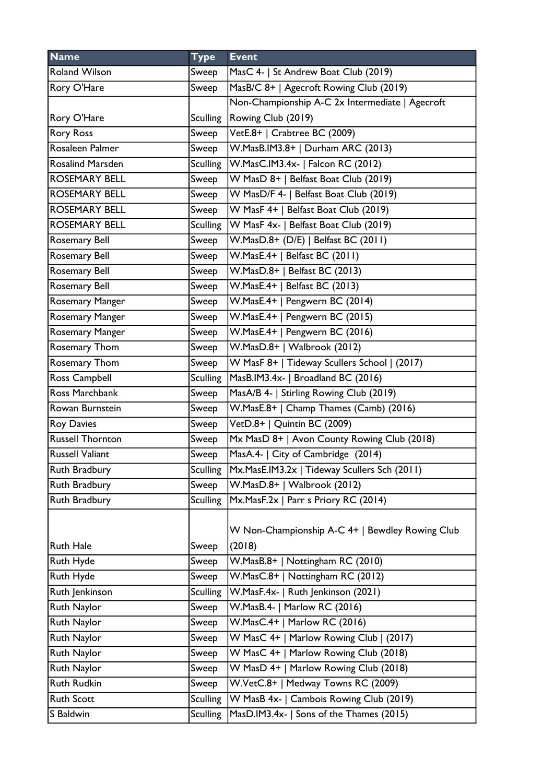| <b>Name</b>             | <b>Type</b>     | <b>Event</b>                                    |
|-------------------------|-----------------|-------------------------------------------------|
| <b>Roland Wilson</b>    | Sweep           | MasC 4-   St Andrew Boat Club (2019)            |
| Rory O'Hare             | Sweep           | MasB/C 8+   Agecroft Rowing Club (2019)         |
|                         |                 | Non-Championship A-C 2x Intermediate   Agecroft |
| Rory O'Hare             | Sculling        | Rowing Club (2019)                              |
| <b>Rory Ross</b>        | Sweep           | VetE.8+   Crabtree BC (2009)                    |
| Rosaleen Palmer         | Sweep           | W.MasB.IM3.8+   Durham ARC (2013)               |
| <b>Rosalind Marsden</b> | <b>Sculling</b> | W.MasC.IM3.4x-   Falcon RC (2012)               |
| ROSEMARY BELL           | Sweep           | W MasD 8+   Belfast Boat Club (2019)            |
| <b>ROSEMARY BELL</b>    | Sweep           | W MasD/F 4-   Belfast Boat Club (2019)          |
| ROSEMARY BELL           | Sweep           | W MasF 4+   Belfast Boat Club (2019)            |
| <b>ROSEMARY BELL</b>    | <b>Sculling</b> | W MasF 4x-   Belfast Boat Club (2019)           |
| Rosemary Bell           | Sweep           | W.MasD.8+ (D/E)   Belfast BC (2011)             |
| Rosemary Bell           | Sweep           | W.MasE.4+   Belfast BC (2011)                   |
| <b>Rosemary Bell</b>    | Sweep           | W.MasD.8+   Belfast BC (2013)                   |
| <b>Rosemary Bell</b>    | Sweep           | W.MasE.4+   Belfast BC (2013)                   |
| Rosemary Manger         | Sweep           | W.MasE.4+   Pengwern BC (2014)                  |
| Rosemary Manger         | Sweep           | W.MasE.4+   Pengwern BC (2015)                  |
| Rosemary Manger         | Sweep           | W.MasE.4+   Pengwern BC (2016)                  |
| Rosemary Thom           | Sweep           | W.MasD.8+   Walbrook (2012)                     |
| Rosemary Thom           | Sweep           | W MasF 8+   Tideway Scullers School   (2017)    |
| Ross Campbell           | <b>Sculling</b> | MasB.IM3.4x-   Broadland BC (2016)              |
| Ross Marchbank          | Sweep           | MasA/B 4-   Stirling Rowing Club (2019)         |
| Rowan Burnstein         | Sweep           | W.MasE.8+   Champ Thames (Camb) (2016)          |
| <b>Roy Davies</b>       | Sweep           | VetD.8+   Quintin BC (2009)                     |
| <b>Russell Thornton</b> | Sweep           | Mx MasD 8+   Avon County Rowing Club (2018)     |
| <b>Russell Valiant</b>  | Sweep           | MasA.4-   City of Cambridge (2014)              |
| <b>Ruth Bradbury</b>    | <b>Sculling</b> | Mx.MasE.IM3.2x   Tideway Scullers Sch (2011)    |
| Ruth Bradbury           | Sweep           | W.MasD.8+   Walbrook (2012)                     |
| Ruth Bradbury           | <b>Sculling</b> | Mx.MasF.2x   Parr s Priory RC (2014)            |
|                         |                 | W Non-Championship A-C 4+   Bewdley Rowing Club |
| <b>Ruth Hale</b>        | Sweep           | (2018)                                          |
| Ruth Hyde               | Sweep           | W.MasB.8+   Nottingham RC (2010)                |
| Ruth Hyde               | Sweep           | W.MasC.8+   Nottingham RC (2012)                |
| Ruth Jenkinson          | <b>Sculling</b> | W.MasF.4x-   Ruth Jenkinson (2021)              |
| Ruth Naylor             | Sweep           | W.MasB.4-   Marlow RC (2016)                    |
| Ruth Naylor             | Sweep           | W.MasC.4+   Marlow RC (2016)                    |
| Ruth Naylor             | Sweep           | W MasC 4+   Marlow Rowing Club   (2017)         |
| Ruth Naylor             | Sweep           | W MasC 4+   Marlow Rowing Club (2018)           |
| Ruth Naylor             | Sweep           | W MasD 4+   Marlow Rowing Club (2018)           |
| Ruth Rudkin             | Sweep           | W.VetC.8+   Medway Towns RC (2009)              |
| <b>Ruth Scott</b>       | <b>Sculling</b> | W MasB 4x-   Cambois Rowing Club (2019)         |
| S Baldwin               | <b>Sculling</b> | MasD.IM3.4x-   Sons of the Thames (2015)        |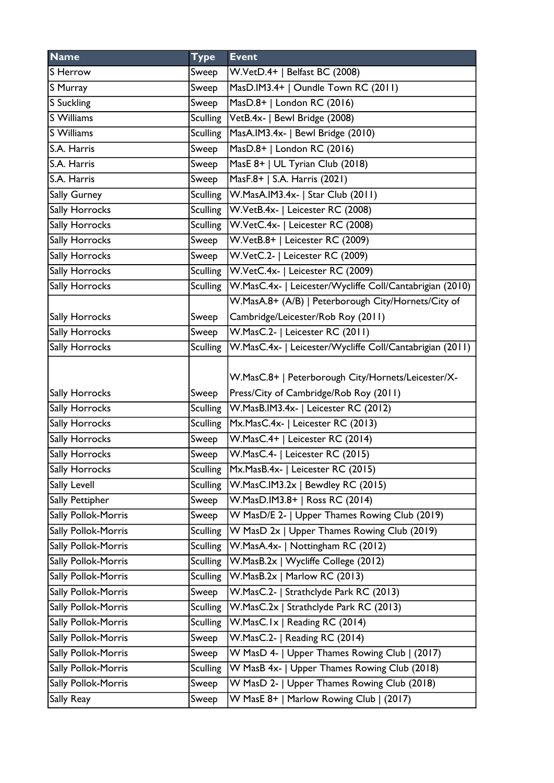| <b>Name</b>         | <b>Type</b>     | <b>Event</b>                                             |
|---------------------|-----------------|----------------------------------------------------------|
| S Herrow            | Sweep           | W.VetD.4+   Belfast BC (2008)                            |
| S Murray            | Sweep           | MasD.IM3.4+   Oundle Town RC (2011)                      |
| S Suckling          | Sweep           | MasD.8+   London RC (2016)                               |
| S Williams          | Sculling        | VetB.4x-   Bewl Bridge (2008)                            |
| S Williams          | <b>Sculling</b> | MasA.IM3.4x-   Bewl Bridge (2010)                        |
| S.A. Harris         | Sweep           | MasD.8+   London RC (2016)                               |
| S.A. Harris         | Sweep           | MasE 8+   UL Tyrian Club (2018)                          |
| S.A. Harris         | Sweep           | MasF.8+   S.A. Harris (2021)                             |
| Sally Gurney        | Sculling        | W.MasA.IM3.4x-   Star Club (2011)                        |
| Sally Horrocks      | Sculling        | W.VetB.4x-   Leicester RC (2008)                         |
| Sally Horrocks      | <b>Sculling</b> | W.VetC.4x-   Leicester RC (2008)                         |
| Sally Horrocks      | Sweep           | W.VetB.8+   Leicester RC (2009)                          |
| Sally Horrocks      | Sweep           | W.VetC.2-   Leicester RC (2009)                          |
| Sally Horrocks      | Sculling        | W.VetC.4x-   Leicester RC (2009)                         |
| Sally Horrocks      | <b>Sculling</b> | W.MasC.4x-   Leicester/Wycliffe Coll/Cantabrigian (2010) |
|                     |                 | W.MasA.8+ (A/B)   Peterborough City/Hornets/City of      |
| Sally Horrocks      | Sweep           | Cambridge/Leicester/Rob Roy (2011)                       |
| Sally Horrocks      | Sweep           | W.MasC.2-   Leicester RC (2011)                          |
| Sally Horrocks      | <b>Sculling</b> | W.MasC.4x-   Leicester/Wycliffe Coll/Cantabrigian (2011) |
|                     |                 | W.MasC.8+   Peterborough City/Hornets/Leicester/X-       |
| Sally Horrocks      | Sweep           | Press/City of Cambridge/Rob Roy (2011)                   |
| Sally Horrocks      | <b>Sculling</b> | W.MasB.IM3.4x-   Leicester RC (2012)                     |
| Sally Horrocks      | <b>Sculling</b> | Mx.MasC.4x-   Leicester RC (2013)                        |
| Sally Horrocks      | Sweep           | W.MasC.4+   Leicester RC (2014)                          |
| Sally Horrocks      | Sweep           | W.MasC.4-   Leicester RC (2015)                          |
| Sally Horrocks      | Sculling        | Mx.MasB.4x-   Leicester RC (2015)                        |
| Sally Levell        | <b>Sculling</b> | W.MasC.IM3.2x   Bewdley RC (2015)                        |
| Sally Pettipher     | Sweep           | W.MasD.IM3.8+   Ross RC (2014)                           |
| Sally Pollok-Morris | Sweep           | W MasD/E 2-   Upper Thames Rowing Club (2019)            |
| Sally Pollok-Morris | <b>Sculling</b> | W MasD 2x   Upper Thames Rowing Club (2019)              |
| Sally Pollok-Morris | <b>Sculling</b> | W.MasA.4x-   Nottingham RC (2012)                        |
| Sally Pollok-Morris | <b>Sculling</b> | W.MasB.2x   Wycliffe College (2012)                      |
| Sally Pollok-Morris | <b>Sculling</b> | W.MasB.2x   Marlow RC (2013)                             |
| Sally Pollok-Morris | Sweep           | W.MasC.2-   Strathclyde Park RC (2013)                   |
| Sally Pollok-Morris | <b>Sculling</b> | W.MasC.2x   Strathclyde Park RC (2013)                   |
| Sally Pollok-Morris | <b>Sculling</b> | W.MasC.Ix   Reading RC (2014)                            |
| Sally Pollok-Morris | Sweep           | W.MasC.2-   Reading RC (2014)                            |
| Sally Pollok-Morris | Sweep           | W MasD 4-   Upper Thames Rowing Club   (2017)            |
| Sally Pollok-Morris | <b>Sculling</b> | W MasB 4x-   Upper Thames Rowing Club (2018)             |
| Sally Pollok-Morris | Sweep           | W MasD 2-   Upper Thames Rowing Club (2018)              |
| Sally Reay          | Sweep           | W MasE 8+   Marlow Rowing Club   (2017)                  |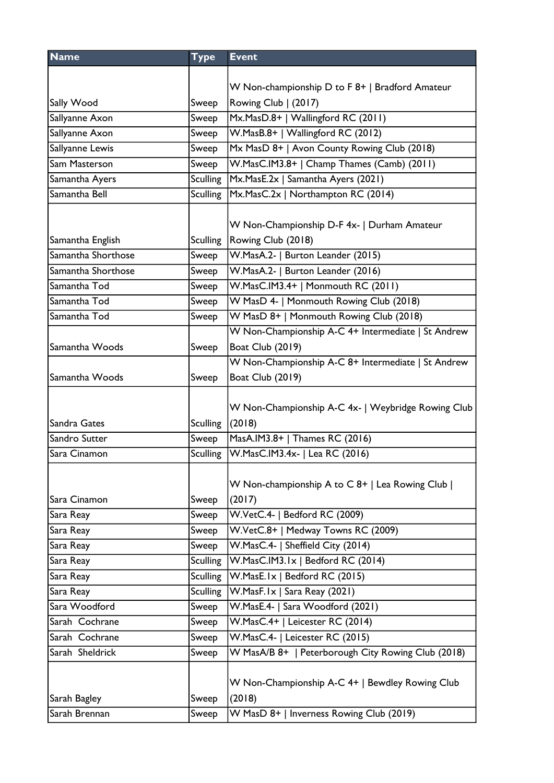| <b>Name</b>        | <b>Type</b>     | <b>Event</b>                                       |
|--------------------|-----------------|----------------------------------------------------|
|                    |                 |                                                    |
|                    |                 | W Non-championship D to F 8+   Bradford Amateur    |
| Sally Wood         | Sweep           | Rowing Club   (2017)                               |
| Sallyanne Axon     | Sweep           | Mx.MasD.8+   Wallingford RC (2011)                 |
| Sallyanne Axon     | Sweep           | W.MasB.8+   Wallingford RC (2012)                  |
| Sallyanne Lewis    | Sweep           | Mx MasD 8+   Avon County Rowing Club (2018)        |
| Sam Masterson      | Sweep           | W.MasC.IM3.8+   Champ Thames (Camb) (2011)         |
| Samantha Ayers     | <b>Sculling</b> | Mx.MasE.2x   Samantha Ayers (2021)                 |
| Samantha Bell      | Sculling        | Mx.MasC.2x   Northampton RC (2014)                 |
|                    |                 |                                                    |
|                    |                 | W Non-Championship D-F 4x-   Durham Amateur        |
| Samantha English   | <b>Sculling</b> | Rowing Club (2018)                                 |
| Samantha Shorthose | Sweep           | W.MasA.2-   Burton Leander (2015)                  |
| Samantha Shorthose | Sweep           | W.MasA.2-   Burton Leander (2016)                  |
| Samantha Tod       | Sweep           | W.MasC.IM3.4+   Monmouth RC (2011)                 |
| Samantha Tod       | Sweep           | W MasD 4-   Monmouth Rowing Club (2018)            |
| Samantha Tod       | Sweep           | W MasD 8+   Monmouth Rowing Club (2018)            |
|                    |                 | W Non-Championship A-C 4+ Intermediate   St Andrew |
| Samantha Woods     | Sweep           | <b>Boat Club (2019)</b>                            |
|                    |                 | W Non-Championship A-C 8+ Intermediate   St Andrew |
| Samantha Woods     | Sweep           | <b>Boat Club (2019)</b>                            |
|                    |                 |                                                    |
|                    |                 | W Non-Championship A-C 4x-   Weybridge Rowing Club |
| Sandra Gates       | Sculling        | (2018)                                             |
| Sandro Sutter      | Sweep           | MasA.IM3.8+   Thames RC (2016)                     |
| Sara Cinamon       | Sculling        | W.MasC.IM3.4x-   Lea RC (2016)                     |
|                    |                 |                                                    |
|                    |                 | W Non-championship A to C 8+   Lea Rowing Club     |
| Sara Cinamon       | Sweep           | (2017)                                             |
| Sara Reay          | Sweep           | W.VetC.4-   Bedford RC (2009)                      |
| Sara Reay          | Sweep           | W.VetC.8+   Medway Towns RC (2009)                 |
| Sara Reay          | Sweep           | W.MasC.4-   Sheffield City (2014)                  |
| Sara Reay          | <b>Sculling</b> | W.MasC.IM3.1x   Bedford RC (2014)                  |
| Sara Reay          | <b>Sculling</b> | W.MasE.Ix   Bedford RC (2015)                      |
| Sara Reay          | <b>Sculling</b> | W.MasF.Ix   Sara Reay (2021)                       |
| Sara Woodford      | Sweep           | W.MasE.4-   Sara Woodford (2021)                   |
| Sarah Cochrane     | Sweep           | W.MasC.4+   Leicester RC (2014)                    |
| Sarah Cochrane     | Sweep           | W.MasC.4-   Leicester RC (2015)                    |
| Sarah Sheldrick    | Sweep           | W MasA/B 8+   Peterborough City Rowing Club (2018) |
|                    |                 |                                                    |
|                    |                 | W Non-Championship A-C 4+   Bewdley Rowing Club    |
| Sarah Bagley       | Sweep           | (2018)                                             |
| Sarah Brennan      | Sweep           | W MasD 8+   Inverness Rowing Club (2019)           |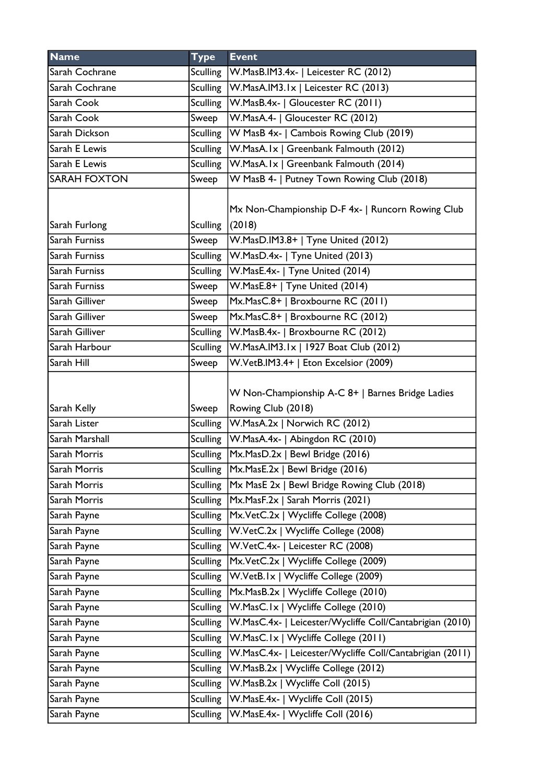| <b>Name</b>         | <b>Type</b>     | <b>Event</b>                                                           |
|---------------------|-----------------|------------------------------------------------------------------------|
| Sarah Cochrane      | Sculling        | W.MasB.IM3.4x-   Leicester RC (2012)                                   |
| Sarah Cochrane      |                 | Sculling   W.MasA.IM3.1x   Leicester RC (2013)                         |
| Sarah Cook          |                 | Sculling   W. Mas B. 4x -   Gloucester RC (2011)                       |
| Sarah Cook          | Sweep           | W.MasA.4-   Gloucester RC (2012)                                       |
| Sarah Dickson       |                 | Sculling   W MasB 4x-   Cambois Rowing Club (2019)                     |
| Sarah E Lewis       |                 | Sculling   W.MasA.Ix   Greenbank Falmouth (2012)                       |
| Sarah E Lewis       | Sculling        | W.MasA.Ix   Greenbank Falmouth (2014)                                  |
| <b>SARAH FOXTON</b> | Sweep           | W MasB 4-   Putney Town Rowing Club (2018)                             |
| Sarah Furlong       | <b>Sculling</b> | Mx Non-Championship D-F 4x-   Runcorn Rowing Club<br>(2018)            |
| Sarah Furniss       | Sweep           | W.MasD.IM3.8+   Tyne United (2012)                                     |
| Sarah Furniss       |                 | Sculling   W. Mas D. 4x -   Tyne United (2013)                         |
| Sarah Furniss       |                 | Sculling   W. Mas E. 4x -   Tyne United (2014)                         |
| Sarah Furniss       | Sweep           | W.MasE.8+   Tyne United (2014)                                         |
| Sarah Gilliver      | Sweep           | Mx.MasC.8+   Broxbourne RC (2011)                                      |
| Sarah Gilliver      | Sweep           | Mx.MasC.8+   Broxbourne RC (2012)                                      |
| Sarah Gilliver      | Sculling        | W.MasB.4x-   Broxbourne RC (2012)                                      |
| Sarah Harbour       |                 | Sculling   W.MasA.IM3.1x   1927 Boat Club (2012)                       |
| Sarah Hill          | Sweep           | W.VetB.IM3.4+   Eton Excelsior (2009)                                  |
| Sarah Kelly         | Sweep           | W Non-Championship A-C 8+   Barnes Bridge Ladies<br>Rowing Club (2018) |
| Sarah Lister        |                 | Sculling   W.MasA.2x   Norwich RC (2012)                               |
| Sarah Marshall      |                 | Sculling   W. MasA. 4x -   Abingdon RC (2010)                          |
| Sarah Morris        |                 | Sculling   Mx. Mas D. 2x   Bewl Bridge (2016)                          |
| Sarah Morris        |                 | Sculling   Mx. Mas E. 2x   Bewl Bridge (2016)                          |
| Sarah Morris        |                 | Sculling   Mx MasE 2x   Bewl Bridge Rowing Club (2018)                 |
| Sarah Morris        |                 | Sculling   Mx. Mas F. 2x   Sarah Morris (2021)                         |
| Sarah Payne         | <b>Sculling</b> | Mx.VetC.2x   Wycliffe College (2008)                                   |
| Sarah Payne         | <b>Sculling</b> | W.VetC.2x   Wycliffe College (2008)                                    |
| Sarah Payne         |                 | Sculling   W.VetC.4x-   Leicester RC (2008)                            |
| Sarah Payne         | <b>Sculling</b> | Mx.VetC.2x   Wycliffe College (2009)                                   |
| Sarah Payne         | <b>Sculling</b> | W.VetB.Ix   Wycliffe College (2009)                                    |
| Sarah Payne         | <b>Sculling</b> | Mx.MasB.2x   Wycliffe College (2010)                                   |
| Sarah Payne         | Sculling        | W.MasC.Ix   Wycliffe College (2010)                                    |
| Sarah Payne         | <b>Sculling</b> | W.MasC.4x-   Leicester/Wycliffe Coll/Cantabrigian (2010)               |
| Sarah Payne         | <b>Sculling</b> | W.MasC.Ix   Wycliffe College (2011)                                    |
| Sarah Payne         | <b>Sculling</b> | W.MasC.4x-   Leicester/Wycliffe Coll/Cantabrigian (2011)               |
| Sarah Payne         | <b>Sculling</b> | W.MasB.2x   Wycliffe College (2012)                                    |
| Sarah Payne         | <b>Sculling</b> | W.MasB.2x   Wycliffe Coll (2015)                                       |
| Sarah Payne         | <b>Sculling</b> | W.MasE.4x-   Wycliffe Coll (2015)                                      |
| Sarah Payne         | <b>Sculling</b> | W.MasE.4x-   Wycliffe Coll (2016)                                      |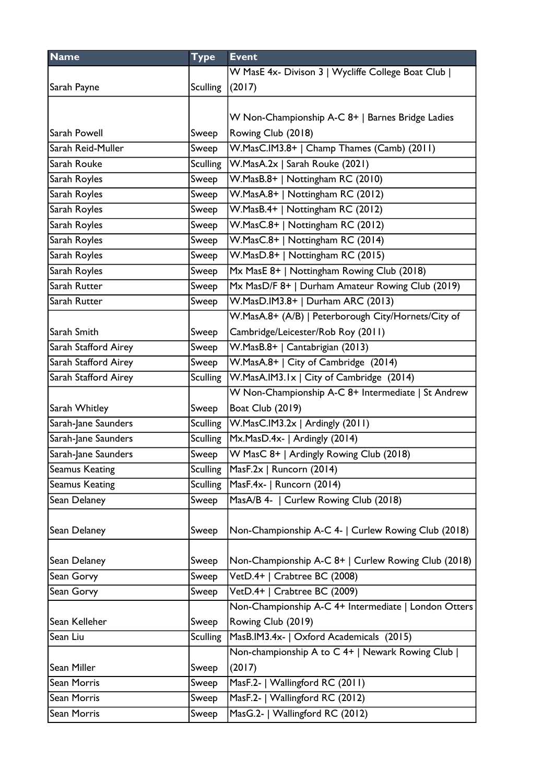| <b>Name</b>           | <b>Type</b>     | <b>Event</b>                                         |
|-----------------------|-----------------|------------------------------------------------------|
|                       |                 | W MasE 4x- Divison 3   Wycliffe College Boat Club    |
| Sarah Payne           | <b>Sculling</b> | (2017)                                               |
|                       |                 |                                                      |
|                       |                 | W Non-Championship A-C 8+   Barnes Bridge Ladies     |
| Sarah Powell          | Sweep           | Rowing Club (2018)                                   |
| Sarah Reid-Muller     | Sweep           | W.MasC.IM3.8+   Champ Thames (Camb) (2011)           |
| Sarah Rouke           | <b>Sculling</b> | W.MasA.2x   Sarah Rouke (2021)                       |
| Sarah Royles          | Sweep           | W.MasB.8+   Nottingham RC (2010)                     |
| Sarah Royles          | Sweep           | W.MasA.8+   Nottingham RC (2012)                     |
| Sarah Royles          | Sweep           | W.MasB.4+   Nottingham RC (2012)                     |
| Sarah Royles          | Sweep           | W.MasC.8+   Nottingham RC (2012)                     |
| Sarah Royles          | Sweep           | W.MasC.8+   Nottingham RC (2014)                     |
| Sarah Royles          | Sweep           | W.MasD.8+   Nottingham RC (2015)                     |
| Sarah Royles          | Sweep           | Mx MasE 8+   Nottingham Rowing Club (2018)           |
| Sarah Rutter          | Sweep           | Mx MasD/F 8+   Durham Amateur Rowing Club (2019)     |
| Sarah Rutter          | Sweep           | W.MasD.IM3.8+   Durham ARC (2013)                    |
|                       |                 | W.MasA.8+ (A/B)   Peterborough City/Hornets/City of  |
| Sarah Smith           | Sweep           | Cambridge/Leicester/Rob Roy (2011)                   |
| Sarah Stafford Airey  | Sweep           | W.MasB.8+   Cantabrigian (2013)                      |
| Sarah Stafford Airey  | Sweep           | W.MasA.8+   City of Cambridge (2014)                 |
| Sarah Stafford Airey  | <b>Sculling</b> | W.MasA.IM3.1x   City of Cambridge (2014)             |
|                       |                 | W Non-Championship A-C 8+ Intermediate   St Andrew   |
| Sarah Whitley         | Sweep           | <b>Boat Club (2019)</b>                              |
| Sarah-Jane Saunders   | <b>Sculling</b> | W.MasC.IM3.2x   Ardingly (2011)                      |
| Sarah-Jane Saunders   | <b>Sculling</b> | Mx.MasD.4x-   Ardingly (2014)                        |
| Sarah-Jane Saunders   | Sweep           | W MasC 8+   Ardingly Rowing Club (2018)              |
| Seamus Keating        |                 | Sculling MasF.2x   Runcorn (2014)                    |
| <b>Seamus Keating</b> | Sculling        | MasF.4x-   Runcorn (2014)                            |
| Sean Delaney          | Sweep           | MasA/B 4-   Curlew Rowing Club (2018)                |
|                       |                 |                                                      |
| Sean Delaney          | Sweep           | Non-Championship A-C 4-   Curlew Rowing Club (2018)  |
|                       |                 |                                                      |
| Sean Delaney          | Sweep           | Non-Championship A-C 8+   Curlew Rowing Club (2018)  |
| Sean Gorvy            | Sweep           | VetD.4+   Crabtree BC (2008)                         |
| Sean Gorvy            | Sweep           | VetD.4+   Crabtree BC (2009)                         |
|                       |                 | Non-Championship A-C 4+ Intermediate   London Otters |
| Sean Kelleher         | Sweep           | Rowing Club (2019)                                   |
| Sean Liu              | <b>Sculling</b> | MasB.IM3.4x-   Oxford Academicals (2015)             |
|                       |                 | Non-championship A to C 4+   Newark Rowing Club      |
| Sean Miller           | Sweep           | (2017)                                               |
| Sean Morris           | Sweep           | MasF.2-   Wallingford RC (2011)                      |
| Sean Morris           | Sweep           | MasF.2-   Wallingford RC (2012)                      |
| Sean Morris           | Sweep           | MasG.2-   Wallingford RC (2012)                      |
|                       |                 |                                                      |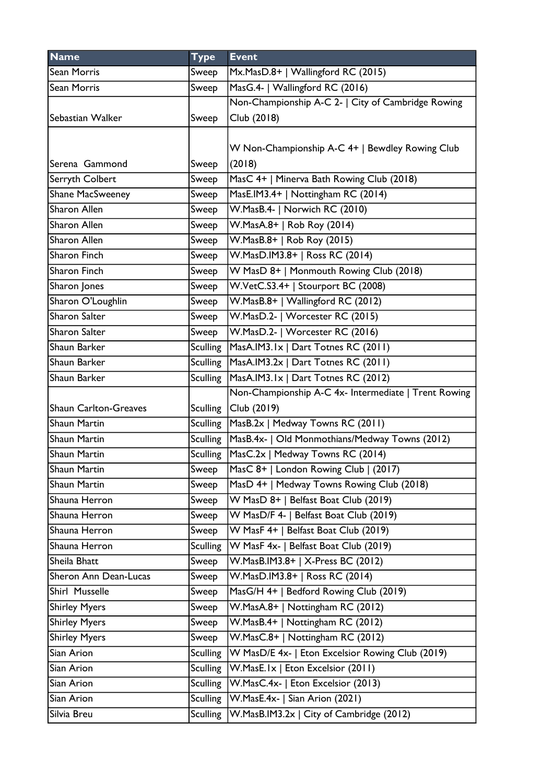| <b>Name</b>                  | <b>Type</b>     | <b>Event</b>                                              |
|------------------------------|-----------------|-----------------------------------------------------------|
| Sean Morris                  | Sweep           | Mx.MasD.8+   Wallingford RC (2015)                        |
| <b>Sean Morris</b>           | Sweep           | MasG.4-   Wallingford RC (2016)                           |
|                              |                 | Non-Championship A-C 2-   City of Cambridge Rowing        |
| Sebastian Walker             | Sweep           | Club (2018)                                               |
|                              |                 |                                                           |
|                              |                 | W Non-Championship A-C 4+   Bewdley Rowing Club           |
| Serena Gammond               | Sweep           | (2018)                                                    |
| Serryth Colbert              | Sweep           | MasC 4+   Minerva Bath Rowing Club (2018)                 |
| Shane MacSweeney             | Sweep           | MasE.IM3.4+   Nottingham RC (2014)                        |
| <b>Sharon Allen</b>          | Sweep           | W.MasB.4-   Norwich RC (2010)                             |
| Sharon Allen                 | Sweep           | W.MasA.8+   Rob Roy (2014)                                |
| Sharon Allen                 | Sweep           | W.MasB.8+   Rob Roy (2015)                                |
| Sharon Finch                 | Sweep           | W.MasD.IM3.8+   Ross RC (2014)                            |
| Sharon Finch                 | Sweep           | W MasD 8+   Monmouth Rowing Club (2018)                   |
| Sharon Jones                 | Sweep           | W.VetC.S3.4+   Stourport BC (2008)                        |
| Sharon O'Loughlin            | Sweep           | W.MasB.8+   Wallingford RC (2012)                         |
| Sharon Salter                | Sweep           | W.MasD.2-   Worcester RC (2015)                           |
| Sharon Salter                | Sweep           | W.MasD.2-   Worcester RC (2016)                           |
| Shaun Barker                 | <b>Sculling</b> | MasA.IM3.1x   Dart Totnes RC (2011)                       |
| Shaun Barker                 | Sculling        | MasA.IM3.2x   Dart Totnes RC (2011)                       |
| Shaun Barker                 | <b>Sculling</b> | MasA.IM3.1x   Dart Totnes RC (2012)                       |
|                              |                 | Non-Championship A-C 4x- Intermediate   Trent Rowing      |
| <b>Shaun Carlton-Greaves</b> | <b>Sculling</b> | Club (2019)                                               |
| Shaun Martin                 |                 | Sculling   MasB.2x   Medway Towns RC (2011)               |
| Shaun Martin                 |                 | Sculling   MasB.4x-   Old Monmothians/Medway Towns (2012) |
| <b>Shaun Martin</b>          |                 | Sculling MasC.2x   Medway Towns RC (2014)                 |
| Shaun Martin                 | Sweep           | MasC 8+   London Rowing Club   (2017)                     |
| Shaun Martin                 | Sweep           | MasD 4+   Medway Towns Rowing Club (2018)                 |
| Shauna Herron                | Sweep           | W MasD 8+   Belfast Boat Club (2019)                      |
| Shauna Herron                | Sweep           | W MasD/F 4-   Belfast Boat Club (2019)                    |
| Shauna Herron                | Sweep           | W MasF 4+   Belfast Boat Club (2019)                      |
| Shauna Herron                | <b>Sculling</b> | W MasF 4x-   Belfast Boat Club (2019)                     |
| Sheila Bhatt                 | Sweep           | W.MasB.IM3.8+   X-Press BC (2012)                         |
| Sheron Ann Dean-Lucas        | Sweep           | W.MasD.IM3.8+   Ross RC (2014)                            |
| Shirl Musselle               | Sweep           | MasG/H 4+   Bedford Rowing Club (2019)                    |
| <b>Shirley Myers</b>         | Sweep           | W.MasA.8+   Nottingham RC (2012)                          |
| <b>Shirley Myers</b>         | Sweep           | W.MasB.4+   Nottingham RC (2012)                          |
| <b>Shirley Myers</b>         | Sweep           | W.MasC.8+   Nottingham RC (2012)                          |
| Sian Arion                   | <b>Sculling</b> | W MasD/E 4x-   Eton Excelsior Rowing Club (2019)          |
| Sian Arion                   | <b>Sculling</b> | W.MasE.Ix   Eton Excelsior (2011)                         |
| Sian Arion                   | <b>Sculling</b> | W.MasC.4x-   Eton Excelsior (2013)                        |
| Sian Arion                   | <b>Sculling</b> | W.MasE.4x-   Sian Arion (2021)                            |
| Silvia Breu                  | <b>Sculling</b> | W.MasB.IM3.2x   City of Cambridge (2012)                  |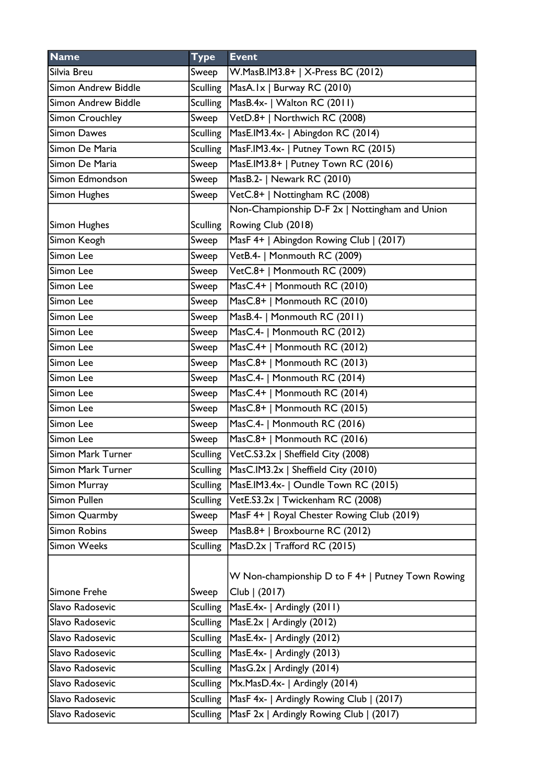| <b>Name</b>         | <b>Type</b>     | <b>Event</b>                                      |
|---------------------|-----------------|---------------------------------------------------|
| Silvia Breu         | Sweep           | W.MasB.IM3.8+   X-Press BC (2012)                 |
| Simon Andrew Biddle | <b>Sculling</b> | MasA.Ix   Burway RC (2010)                        |
| Simon Andrew Biddle | <b>Sculling</b> | MasB.4x-   Walton RC (2011)                       |
| Simon Crouchley     | Sweep           | VetD.8+   Northwich RC (2008)                     |
| <b>Simon Dawes</b>  | <b>Sculling</b> | MasE.IM3.4x-   Abingdon RC (2014)                 |
| Simon De Maria      | <b>Sculling</b> | MasF.IM3.4x-   Putney Town RC (2015)              |
| Simon De Maria      | Sweep           | MasE.IM3.8+   Putney Town RC (2016)               |
| Simon Edmondson     | Sweep           | MasB.2-   Newark RC (2010)                        |
| Simon Hughes        | Sweep           | VetC.8+   Nottingham RC (2008)                    |
|                     |                 | Non-Championship D-F 2x   Nottingham and Union    |
| Simon Hughes        | <b>Sculling</b> | Rowing Club (2018)                                |
| Simon Keogh         | Sweep           | MasF 4+   Abingdon Rowing Club   (2017)           |
| Simon Lee           | Sweep           | VetB.4-   Monmouth RC (2009)                      |
| Simon Lee           | Sweep           | VetC.8+   Monmouth RC (2009)                      |
| Simon Lee           | Sweep           | MasC.4+   Monmouth RC (2010)                      |
| Simon Lee           | Sweep           | MasC.8+   Monmouth RC (2010)                      |
| Simon Lee           | Sweep           | MasB.4-   Monmouth RC (2011)                      |
| Simon Lee           | Sweep           | MasC.4-   Monmouth RC (2012)                      |
| Simon Lee           | Sweep           | MasC.4+   Monmouth RC (2012)                      |
| Simon Lee           | Sweep           | MasC.8+   Monmouth RC (2013)                      |
| Simon Lee           | Sweep           | MasC.4-   Monmouth RC (2014)                      |
| Simon Lee           | Sweep           | MasC.4+   Monmouth RC (2014)                      |
| Simon Lee           | Sweep           | MasC.8+   Monmouth RC (2015)                      |
| Simon Lee           | Sweep           | MasC.4-   Monmouth RC (2016)                      |
| Simon Lee           | Sweep           | MasC.8+   Monmouth RC (2016)                      |
| Simon Mark Turner   | Sculling        | VetC.S3.2x   Sheffield City (2008)                |
| Simon Mark Turner   | Sculling        | MasC.IM3.2x   Sheffield City (2010)               |
| Simon Murray        | <b>Sculling</b> | MasE.IM3.4x-   Oundle Town RC (2015)              |
| Simon Pullen        | <b>Sculling</b> | VetE.S3.2x   Twickenham RC (2008)                 |
| Simon Quarmby       | Sweep           | MasF 4+   Royal Chester Rowing Club (2019)        |
| <b>Simon Robins</b> | Sweep           | MasB.8+   Broxbourne RC (2012)                    |
| <b>Simon Weeks</b>  | <b>Sculling</b> | MasD.2x   Trafford RC (2015)                      |
|                     |                 |                                                   |
|                     |                 | W Non-championship D to F 4+   Putney Town Rowing |
| Simone Frehe        | Sweep           | Club   (2017)                                     |
| Slavo Radosevic     | <b>Sculling</b> | MasE.4x-   Ardingly (2011)                        |
| Slavo Radosevic     | <b>Sculling</b> | MasE.2x   Ardingly (2012)                         |
| Slavo Radosevic     | <b>Sculling</b> | MasE.4x-   Ardingly (2012)                        |
| Slavo Radosevic     | <b>Sculling</b> | MasE.4x-   Ardingly (2013)                        |
| Slavo Radosevic     | <b>Sculling</b> | $MasG.2x$   Ardingly (2014)                       |
| Slavo Radosevic     | <b>Sculling</b> | Mx.MasD.4x-   Ardingly (2014)                     |
| Slavo Radosevic     | <b>Sculling</b> | MasF 4x-   Ardingly Rowing Club   (2017)          |
| Slavo Radosevic     | <b>Sculling</b> | MasF 2x   Ardingly Rowing Club   (2017)           |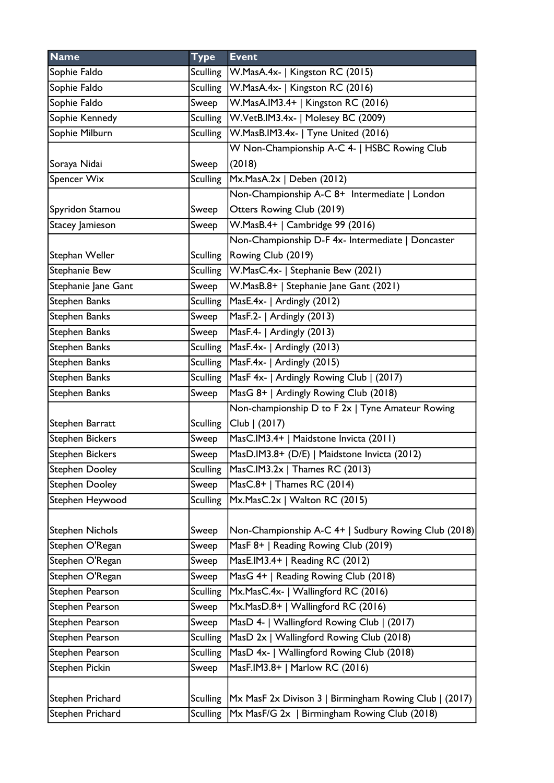| <b>Name</b>            | <b>Type</b>     | <b>Event</b>                                           |
|------------------------|-----------------|--------------------------------------------------------|
| Sophie Faldo           | Sculling        | W.MasA.4x-   Kingston RC (2015)                        |
| Sophie Faldo           | <b>Sculling</b> | W.MasA.4x-   Kingston RC (2016)                        |
| Sophie Faldo           | Sweep           | W.MasA.IM3.4+   Kingston RC (2016)                     |
| Sophie Kennedy         | Sculling        | W.VetB.IM3.4x-   Molesey BC (2009)                     |
| Sophie Milburn         | <b>Sculling</b> | W.MasB.IM3.4x-   Tyne United (2016)                    |
|                        |                 | W Non-Championship A-C 4-   HSBC Rowing Club           |
| Soraya Nidai           | Sweep           | (2018)                                                 |
| Spencer Wix            | <b>Sculling</b> | Mx.MasA.2x   Deben (2012)                              |
|                        |                 | Non-Championship A-C 8+ Intermediate   London          |
| Spyridon Stamou        | Sweep           | Otters Rowing Club (2019)                              |
| Stacey Jamieson        | Sweep           | W.MasB.4+   Cambridge 99 (2016)                        |
|                        |                 | Non-Championship D-F 4x- Intermediate   Doncaster      |
| Stephan Weller         | <b>Sculling</b> | Rowing Club (2019)                                     |
| Stephanie Bew          |                 | Sculling   W. Mas C. 4x -   Stephanie Bew (2021)       |
| Stephanie Jane Gant    | Sweep           | W.MasB.8+   Stephanie Jane Gant (2021)                 |
| Stephen Banks          | Sculling        | MasE.4x-   Ardingly (2012)                             |
| Stephen Banks          | Sweep           | MasF.2-   Ardingly (2013)                              |
| Stephen Banks          | Sweep           | MasF.4-   Ardingly (2013)                              |
| Stephen Banks          | <b>Sculling</b> | $MaxF.4x-$   Ardingly (2013)                           |
| Stephen Banks          |                 | Sculling   MasF.4x-   Ardingly (2015)                  |
| Stephen Banks          | <b>Sculling</b> | MasF 4x-   Ardingly Rowing Club   (2017)               |
| Stephen Banks          | Sweep           | MasG 8+   Ardingly Rowing Club (2018)                  |
|                        |                 | Non-championship D to F 2x   Tyne Amateur Rowing       |
| Stephen Barratt        | <b>Sculling</b> | Club   (2017)                                          |
| <b>Stephen Bickers</b> | Sweep           | MasC.IM3.4+   Maidstone Invicta (2011)                 |
| <b>Stephen Bickers</b> | Sweep           | MasD.IM3.8+ (D/E)   Maidstone Invicta (2012)           |
| Stephen Dooley         | Sculling        | $ MasC.IM3.2x $ Thames RC (2013)                       |
| <b>Stephen Dooley</b>  | Sweep           | MasC.8+   Thames RC (2014)                             |
| Stephen Heywood        | <b>Sculling</b> | Mx.MasC.2x   Walton RC (2015)                          |
|                        |                 |                                                        |
| <b>Stephen Nichols</b> | Sweep           | Non-Championship A-C 4+   Sudbury Rowing Club (2018)   |
| Stephen O'Regan        | Sweep           | MasF 8+   Reading Rowing Club (2019)                   |
| Stephen O'Regan        | Sweep           | MasE.IM3.4+   Reading RC (2012)                        |
| Stephen O'Regan        | Sweep           | MasG 4+   Reading Rowing Club (2018)                   |
| Stephen Pearson        | <b>Sculling</b> | Mx.MasC.4x-   Wallingford RC (2016)                    |
| Stephen Pearson        | Sweep           | Mx.MasD.8+   Wallingford RC (2016)                     |
| Stephen Pearson        | Sweep           | MasD 4-   Wallingford Rowing Club   (2017)             |
| Stephen Pearson        | <b>Sculling</b> | MasD 2x   Wallingford Rowing Club (2018)               |
| Stephen Pearson        | <b>Sculling</b> | MasD 4x-   Wallingford Rowing Club (2018)              |
| Stephen Pickin         | Sweep           | MasF.IM3.8+   Marlow RC (2016)                         |
|                        |                 |                                                        |
| Stephen Prichard       | Sculling        | Mx MasF 2x Divison 3   Birmingham Rowing Club   (2017) |
| Stephen Prichard       | <b>Sculling</b> | Mx MasF/G 2x   Birmingham Rowing Club (2018)           |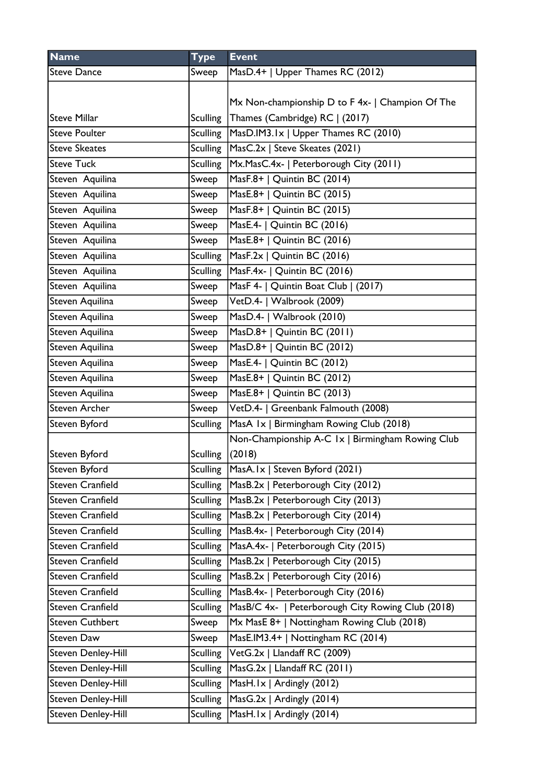| <b>Name</b>             | <b>Type</b>     | <b>Event</b>                                      |
|-------------------------|-----------------|---------------------------------------------------|
| <b>Steve Dance</b>      | Sweep           | MasD.4+   Upper Thames RC (2012)                  |
|                         |                 |                                                   |
|                         |                 | Mx Non-championship D to F 4x-   Champion Of The  |
| <b>Steve Millar</b>     | <b>Sculling</b> | Thames (Cambridge) RC   (2017)                    |
| <b>Steve Poulter</b>    | <b>Sculling</b> | MasD.IM3.1x   Upper Thames RC (2010)              |
| <b>Steve Skeates</b>    | Sculling        | MasC.2x   Steve Skeates (2021)                    |
| <b>Steve Tuck</b>       | <b>Sculling</b> | Mx.MasC.4x-   Peterborough City (2011)            |
| Steven Aquilina         | Sweep           | MasF.8+   Quintin BC (2014)                       |
| Steven Aquilina         | Sweep           | MasE.8+   Quintin BC (2015)                       |
| Steven Aquilina         | Sweep           | MasF.8+   Quintin BC (2015)                       |
| Steven Aquilina         | Sweep           | MasE.4-   Quintin BC (2016)                       |
| Steven Aquilina         | Sweep           | MasE.8+   Quintin BC (2016)                       |
| Steven Aquilina         | <b>Sculling</b> | MasF.2x   Quintin BC (2016)                       |
| Steven Aquilina         | <b>Sculling</b> | MasF.4x-   Quintin BC (2016)                      |
| Steven Aquilina         | Sweep           | MasF 4-   Quintin Boat Club   (2017)              |
| Steven Aquilina         | Sweep           | VetD.4-   Walbrook (2009)                         |
| Steven Aquilina         | Sweep           | MasD.4-   Walbrook (2010)                         |
| Steven Aquilina         | Sweep           | MasD.8+   Quintin BC (2011)                       |
| Steven Aquilina         | Sweep           | MasD.8+   Quintin BC (2012)                       |
| Steven Aquilina         | Sweep           | MasE.4-   Quintin BC (2012)                       |
| Steven Aquilina         | Sweep           | MasE.8+   Quintin BC (2012)                       |
| Steven Aquilina         | Sweep           | MasE.8+   Quintin BC (2013)                       |
| <b>Steven Archer</b>    | Sweep           | VetD.4-   Greenbank Falmouth (2008)               |
| Steven Byford           | <b>Sculling</b> | MasA Ix   Birmingham Rowing Club (2018)           |
|                         |                 | Non-Championship A-C 1x   Birmingham Rowing Club  |
| Steven Byford           | <b>Sculling</b> | (2018)                                            |
| Steven Byford           | Sculling        | MasA.Ix   Steven Byford (2021)                    |
| Steven Cranfield        |                 | Sculling   MasB.2x   Peterborough City (2012)     |
| Steven Cranfield        | Sculling        | MasB.2x   Peterborough City (2013)                |
| <b>Steven Cranfield</b> | <b>Sculling</b> | MasB.2x   Peterborough City (2014)                |
| <b>Steven Cranfield</b> | <b>Sculling</b> | MasB.4x-   Peterborough City (2014)               |
| <b>Steven Cranfield</b> | <b>Sculling</b> | MasA.4x-   Peterborough City (2015)               |
| <b>Steven Cranfield</b> | <b>Sculling</b> | MasB.2x   Peterborough City (2015)                |
| <b>Steven Cranfield</b> | <b>Sculling</b> | MasB.2x   Peterborough City (2016)                |
| <b>Steven Cranfield</b> | <b>Sculling</b> | MasB.4x-   Peterborough City (2016)               |
| <b>Steven Cranfield</b> | <b>Sculling</b> | MasB/C 4x-   Peterborough City Rowing Club (2018) |
| <b>Steven Cuthbert</b>  | Sweep           | Mx MasE 8+   Nottingham Rowing Club (2018)        |
| <b>Steven Daw</b>       | Sweep           | MasE.IM3.4+   Nottingham RC (2014)                |
| Steven Denley-Hill      | Sculling        | VetG.2x   Llandaff RC (2009)                      |
| Steven Denley-Hill      | <b>Sculling</b> | MasG.2x   Llandaff RC (2011)                      |
| Steven Denley-Hill      | <b>Sculling</b> | MasH.Ix   Ardingly (2012)                         |
| Steven Denley-Hill      | <b>Sculling</b> | MasG.2x   Ardingly (2014)                         |
| Steven Denley-Hill      | <b>Sculling</b> | MasH.Ix   Ardingly (2014)                         |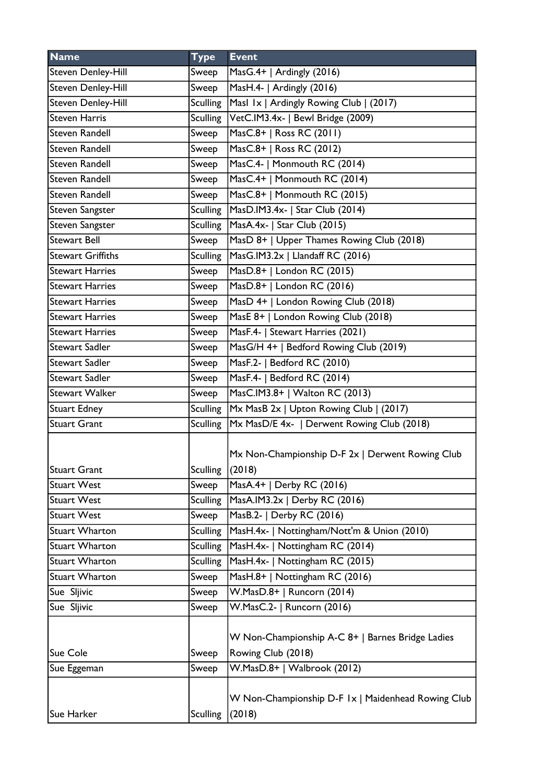| <b>Name</b>              | <b>Type</b>     | <b>Event</b>                                                           |
|--------------------------|-----------------|------------------------------------------------------------------------|
| Steven Denley-Hill       | Sweep           | MasG.4+   Ardingly (2016)                                              |
| Steven Denley-Hill       | Sweep           | MasH.4-   Ardingly (2016)                                              |
| Steven Denley-Hill       | <b>Sculling</b> | Masl 1x   Ardingly Rowing Club   (2017)                                |
| <b>Steven Harris</b>     | Sculling        | VetC.IM3.4x-   Bewl Bridge (2009)                                      |
| <b>Steven Randell</b>    | Sweep           | MasC.8+   Ross RC (2011)                                               |
| <b>Steven Randell</b>    | Sweep           | MasC.8+   Ross RC (2012)                                               |
| <b>Steven Randell</b>    | Sweep           | MasC.4-   Monmouth RC (2014)                                           |
| <b>Steven Randell</b>    | Sweep           | MasC.4+   Monmouth RC (2014)                                           |
| <b>Steven Randell</b>    | Sweep           | MasC.8+   Monmouth RC (2015)                                           |
| Steven Sangster          | <b>Sculling</b> | MasD.IM3.4x-   Star Club (2014)                                        |
| Steven Sangster          | <b>Sculling</b> | MasA.4x-   Star Club (2015)                                            |
| <b>Stewart Bell</b>      | Sweep           | MasD 8+   Upper Thames Rowing Club (2018)                              |
| <b>Stewart Griffiths</b> | <b>Sculling</b> | MasG.IM3.2x   Llandaff RC (2016)                                       |
| <b>Stewart Harries</b>   | Sweep           | MasD.8+   London RC (2015)                                             |
| <b>Stewart Harries</b>   | Sweep           | MasD.8+   London RC (2016)                                             |
| <b>Stewart Harries</b>   | Sweep           | MasD 4+   London Rowing Club (2018)                                    |
| <b>Stewart Harries</b>   | Sweep           | MasE 8+   London Rowing Club (2018)                                    |
| <b>Stewart Harries</b>   | Sweep           | MasF.4-   Stewart Harries (2021)                                       |
| <b>Stewart Sadler</b>    | Sweep           | MasG/H 4+   Bedford Rowing Club (2019)                                 |
| Stewart Sadler           | Sweep           | MasF.2-   Bedford RC (2010)                                            |
| <b>Stewart Sadler</b>    | Sweep           | MasF.4-   Bedford RC (2014)                                            |
| Stewart Walker           | Sweep           | MasC.IM3.8+   Walton RC (2013)                                         |
| <b>Stuart Edney</b>      | <b>Sculling</b> | Mx MasB 2x   Upton Rowing Club   (2017)                                |
| <b>Stuart Grant</b>      | Sculling        | Mx MasD/E 4x-   Derwent Rowing Club (2018)                             |
| <b>Stuart Grant</b>      | Sculling        | Mx Non-Championship D-F 2x   Derwent Rowing Club<br>(2018)             |
| <b>Stuart West</b>       | Sweep           | MasA.4+   Derby RC (2016)                                              |
| <b>Stuart West</b>       | <b>Sculling</b> | MasA.IM3.2x   Derby RC (2016)                                          |
| <b>Stuart West</b>       | Sweep           | MasB.2-   Derby RC (2016)                                              |
| <b>Stuart Wharton</b>    | <b>Sculling</b> | MasH.4x-   Nottingham/Nott'm & Union (2010)                            |
| <b>Stuart Wharton</b>    | <b>Sculling</b> | MasH.4x-   Nottingham RC (2014)                                        |
| <b>Stuart Wharton</b>    | <b>Sculling</b> | MasH.4x-   Nottingham RC (2015)                                        |
| <b>Stuart Wharton</b>    | Sweep           | MasH.8+   Nottingham RC (2016)                                         |
| Sue Sljivic              | Sweep           | W.MasD.8+   Runcorn (2014)                                             |
| Sue Sljivic              | Sweep           | W.MasC.2-   Runcorn (2016)                                             |
| Sue Cole                 | Sweep           | W Non-Championship A-C 8+   Barnes Bridge Ladies<br>Rowing Club (2018) |
| Sue Eggeman              | Sweep           | W.MasD.8+   Walbrook (2012)                                            |
| Sue Harker               | <b>Sculling</b> | W Non-Championship D-F 1x   Maidenhead Rowing Club<br>(2018)           |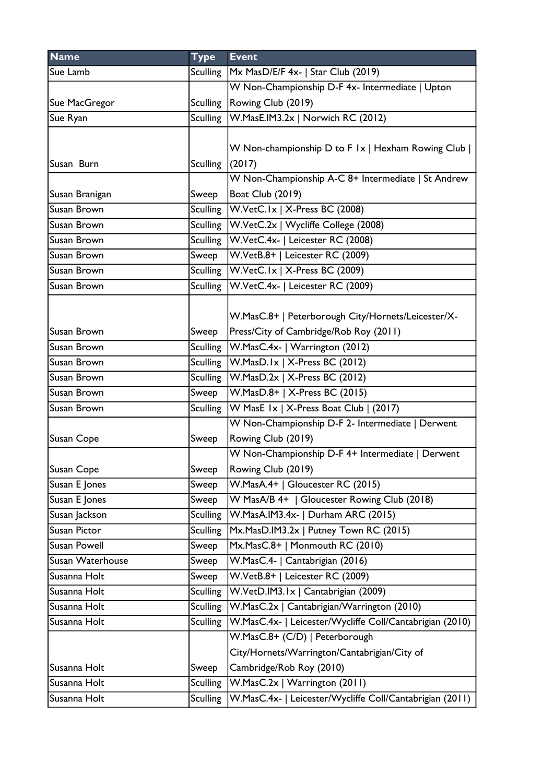| <b>Name</b>         | <b>Type</b>     | <b>Event</b>                                             |
|---------------------|-----------------|----------------------------------------------------------|
| Sue Lamb            | Sculling        | Mx MasD/E/F 4x-   Star Club (2019)                       |
|                     |                 | W Non-Championship D-F 4x- Intermediate   Upton          |
| Sue MacGregor       | <b>Sculling</b> | Rowing Club (2019)                                       |
| Sue Ryan            | <b>Sculling</b> | W.MasE.IM3.2x   Norwich RC (2012)                        |
|                     |                 |                                                          |
|                     |                 | W Non-championship D to F 1x   Hexham Rowing Club        |
| Susan Burn          | <b>Sculling</b> | (2017)                                                   |
|                     |                 | W Non-Championship A-C 8+ Intermediate   St Andrew       |
| Susan Branigan      | Sweep           | Boat Club (2019)                                         |
| Susan Brown         | <b>Sculling</b> | W.VetC.Ix   X-Press BC (2008)                            |
| Susan Brown         | <b>Sculling</b> | W.VetC.2x   Wycliffe College (2008)                      |
| Susan Brown         |                 | Sculling   W. Vet C. 4x -   Leicester RC (2008)          |
| Susan Brown         | Sweep           | W.VetB.8+   Leicester RC (2009)                          |
| Susan Brown         |                 | Sculling   W.VetC. Ix   X-Press BC (2009)                |
| Susan Brown         | <b>Sculling</b> | W.VetC.4x-   Leicester RC (2009)                         |
|                     |                 |                                                          |
|                     |                 | W.MasC.8+   Peterborough City/Hornets/Leicester/X-       |
| Susan Brown         | Sweep           | Press/City of Cambridge/Rob Roy (2011)                   |
| Susan Brown         | Sculling        | W.MasC.4x-   Warrington (2012)                           |
| Susan Brown         | Sculling        | $W.MasD.1x$   X-Press BC (2012)                          |
| Susan Brown         | <b>Sculling</b> | $\sqrt{\text{W.MasD.2x} + \text{X-Press BC} (2012)}$     |
| Susan Brown         | Sweep           | W.MasD.8+   X-Press BC (2015)                            |
| Susan Brown         | <b>Sculling</b> | W MasE $1 \times 1$ X-Press Boat Club   (2017)           |
|                     |                 | W Non-Championship D-F 2- Intermediate   Derwent         |
| <b>Susan Cope</b>   | Sweep           | Rowing Club (2019)                                       |
|                     |                 | W Non-Championship D-F 4+ Intermediate   Derwent         |
| Susan Cope          | Sweep           | Rowing Club (2019)                                       |
| Susan E Jones       | Sweep           | W.MasA.4+   Gloucester RC (2015)                         |
| Susan E Jones       | Sweep           | W MasA/B 4+   Gloucester Rowing Club (2018)              |
| Susan Jackson       | <b>Sculling</b> | W.MasA.IM3.4x-   Durham ARC (2015)                       |
| Susan Pictor        | <b>Sculling</b> | Mx.MasD.IM3.2x   Putney Town RC (2015)                   |
| <b>Susan Powell</b> | Sweep           | Mx.MasC.8+   Monmouth RC (2010)                          |
| Susan Waterhouse    | Sweep           | W.MasC.4-   Cantabrigian (2016)                          |
| Susanna Holt        | Sweep           | W.VetB.8+   Leicester RC (2009)                          |
| Susanna Holt        | Sculling        | W.VetD.IM3.1x   Cantabrigian (2009)                      |
| Susanna Holt        | <b>Sculling</b> | W.MasC.2x   Cantabrigian/Warrington (2010)               |
| Susanna Holt        | <b>Sculling</b> | W.MasC.4x-   Leicester/Wycliffe Coll/Cantabrigian (2010) |
|                     |                 | W.MasC.8+ (C/D)   Peterborough                           |
|                     |                 | City/Hornets/Warrington/Cantabrigian/City of             |
| Susanna Holt        | Sweep           | Cambridge/Rob Roy (2010)                                 |
| Susanna Holt        | <b>Sculling</b> | W.MasC.2x   Warrington (2011)                            |
| Susanna Holt        | <b>Sculling</b> | W.MasC.4x-   Leicester/Wycliffe Coll/Cantabrigian (2011) |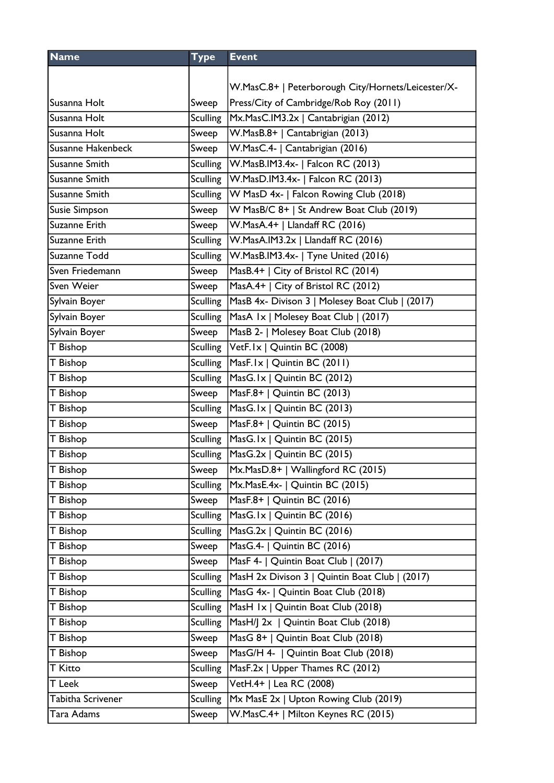| <b>Name</b>          | <b>Type</b>     | <b>Event</b>                                               |
|----------------------|-----------------|------------------------------------------------------------|
|                      |                 |                                                            |
|                      |                 | W.MasC.8+   Peterborough City/Hornets/Leicester/X-         |
| Susanna Holt         | Sweep           | Press/City of Cambridge/Rob Roy (2011)                     |
| Susanna Holt         | <b>Sculling</b> | Mx.MasC.IM3.2x   Cantabrigian (2012)                       |
| Susanna Holt         | Sweep           | W.MasB.8+   Cantabrigian (2013)                            |
| Susanne Hakenbeck    | Sweep           | W.MasC.4-   Cantabrigian (2016)                            |
| <b>Susanne Smith</b> | <b>Sculling</b> | W.MasB.IM3.4x-   Falcon RC (2013)                          |
| Susanne Smith        |                 | Sculling   W.MasD.IM3.4x-   Falcon RC (2013)               |
| <b>Susanne Smith</b> | <b>Sculling</b> | W MasD 4x-   Falcon Rowing Club (2018)                     |
| <b>Susie Simpson</b> | Sweep           | W MasB/C 8+   St Andrew Boat Club (2019)                   |
| Suzanne Erith        | Sweep           | W.MasA.4+   Llandaff RC (2016)                             |
| Suzanne Erith        |                 | Sculling   W. MasA. IM3.2x   Llandaff RC (2016)            |
| Suzanne Todd         | <b>Sculling</b> | W.MasB.IM3.4x-   Tyne United (2016)                        |
| Sven Friedemann      | Sweep           | MasB.4+   City of Bristol RC (2014)                        |
| Sven Weier           | Sweep           | MasA.4+   City of Bristol RC (2012)                        |
| Sylvain Boyer        |                 | Sculling   MasB 4x- Divison 3   Molesey Boat Club   (2017) |
| Sylvain Boyer        | <b>Sculling</b> | MasA Ix   Molesey Boat Club   (2017)                       |
| Sylvain Boyer        | Sweep           | MasB 2-   Molesey Boat Club (2018)                         |
| T Bishop             |                 | Sculling   VetF. Ix   Quintin BC (2008)                    |
| T Bishop             |                 | Sculling   MasF. 1x   Quintin BC (2011)                    |
| T Bishop             | <b>Sculling</b> | MasG.Ix   Quintin BC (2012)                                |
| <b>T</b> Bishop      | Sweep           | MasF.8+   Quintin BC (2013)                                |
| T Bishop             | <b>Sculling</b> | MasG.1x   Quintin BC (2013)                                |
| <b>T</b> Bishop      | Sweep           | MasF.8+   Quintin BC (2015)                                |
| T Bishop             |                 | Sculling   MasG. Ix   Quintin BC (2015)                    |
| T Bishop             |                 | Sculling   MasG.2x   Quintin BC (2015)                     |
| T Bishop             | Sweep           | Mx.MasD.8+   Wallingford RC (2015)                         |
| <b>T</b> Bishop      |                 | Sculling   Mx. Mas E.4x -   Quintin BC (2015)              |
| T Bishop             | Sweep           | MasF.8+   Quintin BC (2016)                                |
| T Bishop             | <b>Sculling</b> | MasG.1x   Quintin BC (2016)                                |
| T Bishop             | <b>Sculling</b> | MasG.2x   Quintin BC (2016)                                |
| T Bishop             | Sweep           | MasG.4-   Quintin BC (2016)                                |
| T Bishop             | Sweep           | MasF 4-   Quintin Boat Club   (2017)                       |
| T Bishop             | <b>Sculling</b> | MasH 2x Divison 3   Quintin Boat Club   (2017)             |
| T Bishop             | <b>Sculling</b> | MasG 4x-   Quintin Boat Club (2018)                        |
| T Bishop             | <b>Sculling</b> | MasH Ix   Quintin Boat Club (2018)                         |
| T Bishop             | <b>Sculling</b> | MasH/J 2x   Quintin Boat Club (2018)                       |
| T Bishop             | Sweep           | MasG 8+   Quintin Boat Club (2018)                         |
| T Bishop             | Sweep           | MasG/H 4-   Quintin Boat Club (2018)                       |
| <b>T</b> Kitto       | <b>Sculling</b> | MasF.2x   Upper Thames RC (2012)                           |
| T Leek               | Sweep           | VetH.4+   Lea RC (2008)                                    |
| Tabitha Scrivener    | <b>Sculling</b> | Mx MasE 2x   Upton Rowing Club (2019)                      |
| Tara Adams           | Sweep           | W.MasC.4+   Milton Keynes RC (2015)                        |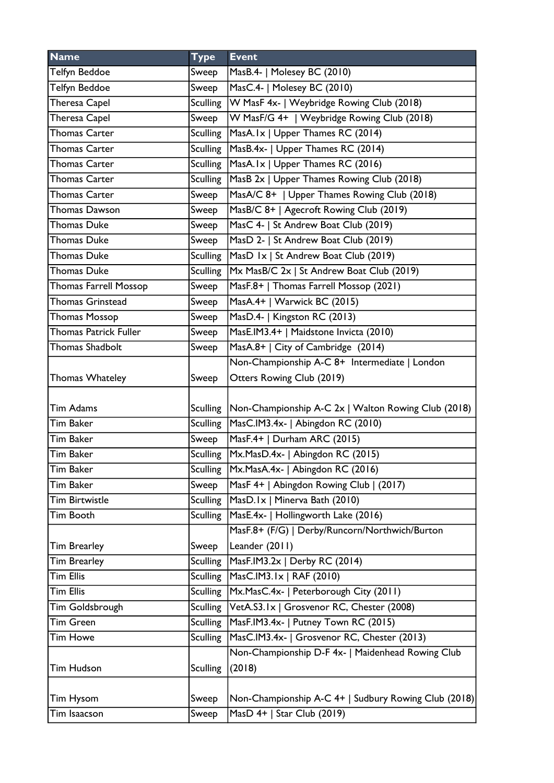| Telfyn Beddoe<br>MasB.4-   Molesey BC (2010)<br>Sweep<br>MasC.4-   Molesey BC (2010)<br>Telfyn Beddoe<br>Sweep<br>Theresa Capel<br>W MasF 4x-   Weybridge Rowing Club (2018)<br><b>Sculling</b> |
|-------------------------------------------------------------------------------------------------------------------------------------------------------------------------------------------------|
|                                                                                                                                                                                                 |
|                                                                                                                                                                                                 |
|                                                                                                                                                                                                 |
| Theresa Capel<br>W MasF/G 4+   Weybridge Rowing Club (2018)<br>Sweep                                                                                                                            |
| <b>Thomas Carter</b><br>Sculling<br>MasA.Ix   Upper Thames RC (2014)                                                                                                                            |
| <b>Sculling</b><br>MasB.4x-   Upper Thames RC (2014)<br><b>Thomas Carter</b>                                                                                                                    |
| <b>Sculling</b><br>MasA.Ix   Upper Thames RC (2016)<br><b>Thomas Carter</b>                                                                                                                     |
| <b>Sculling</b><br>MasB 2x   Upper Thames Rowing Club (2018)<br><b>Thomas Carter</b>                                                                                                            |
| MasA/C 8+   Upper Thames Rowing Club (2018)<br><b>Thomas Carter</b><br>Sweep                                                                                                                    |
| MasB/C 8+   Agecroft Rowing Club (2019)<br><b>Thomas Dawson</b><br>Sweep                                                                                                                        |
| MasC 4-   St Andrew Boat Club (2019)<br><b>Thomas Duke</b><br>Sweep                                                                                                                             |
| MasD 2-   St Andrew Boat Club (2019)<br><b>Thomas Duke</b><br>Sweep                                                                                                                             |
| <b>Sculling</b><br>MasD Ix   St Andrew Boat Club (2019)<br><b>Thomas Duke</b>                                                                                                                   |
| Mx MasB/C 2x   St Andrew Boat Club (2019)<br><b>Thomas Duke</b><br><b>Sculling</b>                                                                                                              |
| MasF.8+   Thomas Farrell Mossop (2021)<br><b>Thomas Farrell Mossop</b><br>Sweep                                                                                                                 |
| <b>Thomas Grinstead</b><br>Sweep<br>MasA.4+   Warwick BC $(2015)$                                                                                                                               |
| MasD.4-   Kingston RC (2013)<br><b>Thomas Mossop</b><br>Sweep                                                                                                                                   |
| Thomas Patrick Fuller<br>MasE.IM3.4+   Maidstone Invicta (2010)<br>Sweep                                                                                                                        |
| MasA.8+   City of Cambridge (2014)<br><b>Thomas Shadbolt</b><br>Sweep                                                                                                                           |
| Non-Championship A-C 8+ Intermediate   London                                                                                                                                                   |
| Otters Rowing Club (2019)<br><b>Thomas Whateley</b><br>Sweep                                                                                                                                    |
| <b>Tim Adams</b><br>Non-Championship A-C 2x   Walton Rowing Club (2018)<br><b>Sculling</b>                                                                                                      |
| Tim Baker<br>MasC.IM3.4x-   Abingdon RC (2010)<br>Sculling                                                                                                                                      |
| Tim Baker<br>MasF.4+   Durham ARC (2015)<br>Sweep                                                                                                                                               |
| Sculling   Mx. Mas D. 4x -   Abingdon RC (2015)<br>Tim Baker                                                                                                                                    |
| Tim Baker<br>Sculling<br>Mx.MasA.4x-   Abingdon RC (2016)                                                                                                                                       |
| MasF 4+   Abingdon Rowing Club   (2017)<br>Tim Baker<br>Sweep                                                                                                                                   |
| MasD.Ix   Minerva Bath (2010)<br><b>Tim Birtwistle</b><br><b>Sculling</b>                                                                                                                       |
| MasE.4x-   Hollingworth Lake (2016)<br>Tim Booth<br><b>Sculling</b>                                                                                                                             |
| MasF.8+ (F/G)   Derby/Runcorn/Northwich/Burton                                                                                                                                                  |
| Leander (2011)<br><b>Tim Brearley</b><br>Sweep                                                                                                                                                  |
| MasF.IM3.2x   Derby RC (2014)<br>Tim Brearley<br><b>Sculling</b>                                                                                                                                |
| <b>Tim Ellis</b><br><b>Sculling</b><br>MasC.IM3.1x   RAF (2010)                                                                                                                                 |
| <b>Tim Ellis</b><br>Mx.MasC.4x-   Peterborough City (2011)<br><b>Sculling</b>                                                                                                                   |
| <b>Sculling</b><br>VetA.S3.1x   Grosvenor RC, Chester (2008)<br>Tim Goldsbrough                                                                                                                 |
| MasF.IM3.4x-   Putney Town RC (2015)<br><b>Sculling</b><br>Tim Green                                                                                                                            |
| <b>Sculling</b><br>MasC.IM3.4x-   Grosvenor RC, Chester (2013)<br><b>Tim Howe</b>                                                                                                               |
| Non-Championship D-F 4x-   Maidenhead Rowing Club<br>(2018)<br>Tim Hudson<br><b>Sculling</b>                                                                                                    |
|                                                                                                                                                                                                 |
| Non-Championship A-C 4+   Sudbury Rowing Club (2018)<br>Tim Hysom<br>Sweep                                                                                                                      |
| MasD 4+   Star Club (2019)<br>Tim Isaacson<br>Sweep                                                                                                                                             |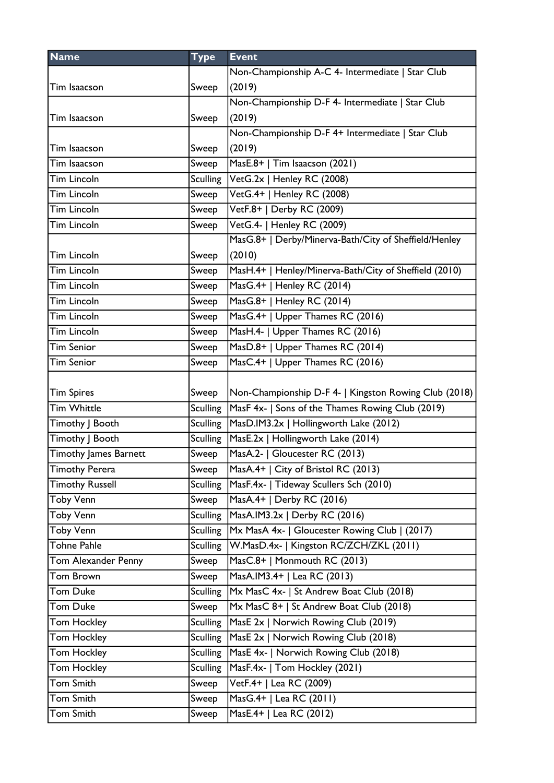| <b>Name</b>            | <b>Type</b>     | <b>Event</b>                                           |
|------------------------|-----------------|--------------------------------------------------------|
|                        |                 | Non-Championship A-C 4- Intermediate   Star Club       |
| Tim Isaacson           | Sweep           | (2019)                                                 |
|                        |                 | Non-Championship D-F 4- Intermediate   Star Club       |
| Tim Isaacson           | Sweep           | (2019)                                                 |
|                        |                 | Non-Championship D-F 4+ Intermediate   Star Club       |
| Tim Isaacson           | Sweep           | (2019)                                                 |
| Tim Isaacson           | Sweep           | MasE.8+   Tim Isaacson (2021)                          |
| <b>Tim Lincoln</b>     | <b>Sculling</b> | VetG.2x   Henley RC (2008)                             |
| Tim Lincoln            | Sweep           | VetG.4+   Henley RC (2008)                             |
| Tim Lincoln            | Sweep           | VetF.8+   Derby RC (2009)                              |
| Tim Lincoln            | Sweep           | VetG.4-   Henley RC (2009)                             |
|                        |                 | MasG.8+   Derby/Minerva-Bath/City of Sheffield/Henley  |
| Tim Lincoln            | Sweep           | (2010)                                                 |
| <b>Tim Lincoln</b>     | Sweep           | MasH.4+   Henley/Minerva-Bath/City of Sheffield (2010) |
| Tim Lincoln            | Sweep           | MasG.4+   Henley RC (2014)                             |
| Tim Lincoln            | Sweep           | MasG.8+   Henley RC (2014)                             |
| Tim Lincoln            | Sweep           | MasG.4+   Upper Thames RC (2016)                       |
| Tim Lincoln            | Sweep           | MasH.4-   Upper Thames RC (2016)                       |
| Tim Senior             | Sweep           | MasD.8+   Upper Thames RC (2014)                       |
| Tim Senior             | Sweep           | MasC.4+   Upper Thames RC (2016)                       |
|                        |                 |                                                        |
| <b>Tim Spires</b>      | Sweep           | Non-Championship D-F 4-   Kingston Rowing Club (2018)  |
| Tim Whittle            | <b>Sculling</b> | MasF 4x-   Sons of the Thames Rowing Club (2019)       |
| Timothy   Booth        | <b>Sculling</b> | MasD.IM3.2x   Hollingworth Lake (2012)                 |
| Timothy   Booth        | <b>Sculling</b> | MasE.2x   Hollingworth Lake (2014)                     |
| Timothy James Barnett  | Sweep           | MasA.2-   Gloucester RC (2013)                         |
| <b>Timothy Perera</b>  | Sweep           | MasA.4+   City of Bristol RC (2013)                    |
| <b>Timothy Russell</b> | <b>Sculling</b> | MasF.4x-   Tideway Scullers Sch (2010)                 |
| <b>Toby Venn</b>       | Sweep           | MasA.4+   Derby RC (2016)                              |
| Toby Venn              | <b>Sculling</b> | MasA.IM3.2x   Derby RC (2016)                          |
| Toby Venn              | <b>Sculling</b> | Mx MasA 4x-   Gloucester Rowing Club   (2017)          |
| Tohne Pahle            | <b>Sculling</b> | W.MasD.4x-   Kingston RC/ZCH/ZKL (2011)                |
| Tom Alexander Penny    | Sweep           | MasC.8+   Monmouth RC (2013)                           |
| Tom Brown              | Sweep           | MasA.IM3.4+   Lea RC (2013)                            |
| Tom Duke               | <b>Sculling</b> | Mx MasC 4x-   St Andrew Boat Club (2018)               |
| Tom Duke               | Sweep           | Mx MasC 8+   St Andrew Boat Club (2018)                |
| Tom Hockley            | <b>Sculling</b> | MasE 2x   Norwich Rowing Club (2019)                   |
| Tom Hockley            | <b>Sculling</b> | MasE 2x   Norwich Rowing Club (2018)                   |
| Tom Hockley            | <b>Sculling</b> | MasE 4x-   Norwich Rowing Club (2018)                  |
| Tom Hockley            | <b>Sculling</b> | MasF.4x-   Tom Hockley (2021)                          |
| Tom Smith              | Sweep           | VetF.4+   Lea RC (2009)                                |
| Tom Smith              | Sweep           | MasG.4+   Lea RC (2011)                                |
| Tom Smith              | Sweep           | MasE.4+   Lea RC (2012)                                |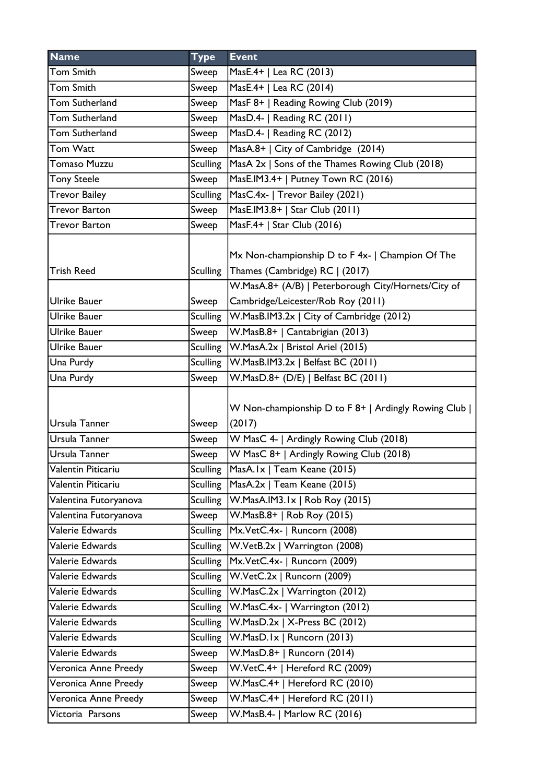| <b>Name</b>            | <b>Type</b>              | <b>Event</b>                                                                                                                              |
|------------------------|--------------------------|-------------------------------------------------------------------------------------------------------------------------------------------|
| Tom Smith              | Sweep                    | MasE.4+   Lea RC (2013)                                                                                                                   |
| Tom Smith              | Sweep                    | MasE.4+   Lea RC (2014)                                                                                                                   |
| Tom Sutherland         | Sweep                    | MasF 8+   Reading Rowing Club (2019)                                                                                                      |
| Tom Sutherland         | Sweep                    | MasD.4-   Reading RC (2011)                                                                                                               |
| Tom Sutherland         | Sweep                    | MasD.4-   Reading RC (2012)                                                                                                               |
| Tom Watt               | Sweep                    | MasA.8+   City of Cambridge (2014)                                                                                                        |
| <b>Tomaso Muzzu</b>    | <b>Sculling</b>          | MasA 2x   Sons of the Thames Rowing Club (2018)                                                                                           |
| <b>Tony Steele</b>     | Sweep                    | MasE.IM3.4+   Putney Town RC (2016)                                                                                                       |
| <b>Trevor Bailey</b>   | <b>Sculling</b>          | MasC.4x-   Trevor Bailey (2021)                                                                                                           |
| Trevor Barton          | Sweep                    | MasE.IM3.8+   Star Club (2011)                                                                                                            |
| <b>Trevor Barton</b>   | Sweep                    | MasF.4+   Star Club (2016)                                                                                                                |
| <b>Trish Reed</b>      | <b>Sculling</b>          | Mx Non-championship D to F 4x-   Champion Of The<br>Thames (Cambridge) RC   (2017)<br>W.MasA.8+ (A/B)   Peterborough City/Hornets/City of |
| <b>Ulrike Bauer</b>    | Sweep                    | Cambridge/Leicester/Rob Roy (2011)                                                                                                        |
| Ulrike Bauer           | <b>Sculling</b>          | W.MasB.IM3.2x   City of Cambridge (2012)                                                                                                  |
| Ulrike Bauer           | Sweep                    | W.MasB.8+   Cantabrigian (2013)                                                                                                           |
| Ulrike Bauer           | <b>Sculling</b>          | W.MasA.2x   Bristol Ariel (2015)                                                                                                          |
|                        |                          | $ W.MasB.IM3.2x $ Belfast BC (2011)                                                                                                       |
| Una Purdy<br>Una Purdy | <b>Sculling</b><br>Sweep | W.MasD.8+ (D/E)   Belfast BC (2011)                                                                                                       |
| Ursula Tanner          | Sweep                    | W Non-championship D to F 8+   Ardingly Rowing Club  <br>(2017)                                                                           |
| Ursula Tanner          | Sweep                    | W MasC 4-   Ardingly Rowing Club (2018)                                                                                                   |
| Ursula Tanner          | Sweep                    | W MasC 8+   Ardingly Rowing Club (2018)                                                                                                   |
| Valentin Piticariu     | <b>Sculling</b>          | MasA.Ix   Team Keane (2015)                                                                                                               |
| Valentin Piticariu     | <b>Sculling</b>          | MasA.2x   Team Keane (2015)                                                                                                               |
| Valentina Futoryanova  | <b>Sculling</b>          | W.MasA.IM3.1x   Rob Roy (2015)                                                                                                            |
| Valentina Futoryanova  | Sweep                    | W.MasB.8+   Rob Roy (2015)                                                                                                                |
| Valerie Edwards        | <b>Sculling</b>          | Mx.VetC.4x-   Runcorn (2008)                                                                                                              |
| Valerie Edwards        | <b>Sculling</b>          | W.VetB.2x   Warrington (2008)                                                                                                             |
| Valerie Edwards        | <b>Sculling</b>          | Mx.VetC.4x-   Runcorn (2009)                                                                                                              |
| Valerie Edwards        | <b>Sculling</b>          | W.VetC.2x   Runcorn (2009)                                                                                                                |
| Valerie Edwards        | <b>Sculling</b>          | W.MasC.2x   Warrington (2012)                                                                                                             |
| Valerie Edwards        | <b>Sculling</b>          | W.MasC.4x-   Warrington (2012)                                                                                                            |
| Valerie Edwards        | <b>Sculling</b>          | W.MasD.2x   X-Press BC (2012)                                                                                                             |
| Valerie Edwards        | <b>Sculling</b>          | W.MasD.Ix   Runcorn (2013)                                                                                                                |
| Valerie Edwards        | Sweep                    | W.MasD.8+   Runcorn (2014)                                                                                                                |
| Veronica Anne Preedy   | Sweep                    | W.VetC.4+   Hereford RC (2009)                                                                                                            |
| Veronica Anne Preedy   | Sweep                    | W.MasC.4+   Hereford RC (2010)                                                                                                            |
| Veronica Anne Preedy   | Sweep                    | W.MasC.4+   Hereford RC (2011)                                                                                                            |
| Victoria Parsons       | Sweep                    | W.MasB.4-   Marlow RC (2016)                                                                                                              |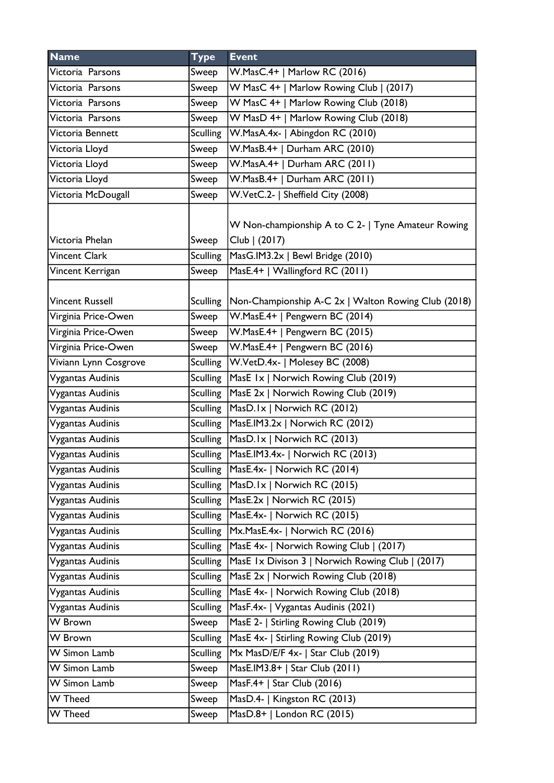| <b>Name</b>            | <b>Type</b>     | <b>Event</b>                                        |
|------------------------|-----------------|-----------------------------------------------------|
| Victoria Parsons       | Sweep           | W.MasC.4+   Marlow RC (2016)                        |
| Victoria Parsons       | Sweep           | W MasC 4+   Marlow Rowing Club   (2017)             |
| Victoria Parsons       | Sweep           | W MasC 4+   Marlow Rowing Club (2018)               |
| Victoria Parsons       | Sweep           | W MasD 4+   Marlow Rowing Club (2018)               |
| Victoria Bennett       | <b>Sculling</b> | W.MasA.4x-   Abingdon RC (2010)                     |
| Victoria Lloyd         | Sweep           | W.MasB.4+   Durham ARC (2010)                       |
| Victoria Lloyd         | Sweep           | W.MasA.4+   Durham ARC (2011)                       |
| Victoria Lloyd         | Sweep           | W.MasB.4+   Durham ARC (2011)                       |
| Victoria McDougall     | Sweep           | W.VetC.2-   Sheffield City (2008)                   |
|                        |                 |                                                     |
|                        |                 | W Non-championship A to C 2-   Tyne Amateur Rowing  |
| Victoria Phelan        | Sweep           | Club   (2017)                                       |
| <b>Vincent Clark</b>   | <b>Sculling</b> | MasG.IM3.2x   Bewl Bridge (2010)                    |
| Vincent Kerrigan       | Sweep           | MasE.4+   Wallingford RC (2011)                     |
|                        |                 |                                                     |
| <b>Vincent Russell</b> | Sculling        | Non-Championship A-C 2x   Walton Rowing Club (2018) |
| Virginia Price-Owen    | Sweep           | W.MasE.4+   Pengwern BC (2014)                      |
| Virginia Price-Owen    | Sweep           | W.MasE.4+   Pengwern BC (2015)                      |
| Virginia Price-Owen    | Sweep           | W.MasE.4+   Pengwern BC (2016)                      |
| Viviann Lynn Cosgrove  | <b>Sculling</b> | W.VetD.4x-   Molesey BC (2008)                      |
| Vygantas Audinis       | <b>Sculling</b> | MasE 1x   Norwich Rowing Club (2019)                |
| Vygantas Audinis       | <b>Sculling</b> | MasE 2x   Norwich Rowing Club (2019)                |
| Vygantas Audinis       | <b>Sculling</b> | MasD.1x   Norwich RC (2012)                         |
| Vygantas Audinis       | Sculling        | MasE.IM3.2x   Norwich RC (2012)                     |
| Vygantas Audinis       | <b>Sculling</b> | MasD.1x   Norwich RC (2013)                         |
| Vygantas Audinis       |                 | Sculling   MasE.IM3.4x-   Norwich RC (2013)         |
| Vygantas Audinis       |                 | Sculling   MasE.4x-   Norwich RC (2014)             |
| Vygantas Audinis       |                 | Sculling $ MasD.Ix $ Norwich RC (2015)              |
| Vygantas Audinis       | <b>Sculling</b> | $Mase.2x$   Norwich RC (2015)                       |
| Vygantas Audinis       | <b>Sculling</b> | MasE.4x-   Norwich RC (2015)                        |
| Vygantas Audinis       | <b>Sculling</b> | Mx.MasE.4x-   Norwich RC (2016)                     |
| Vygantas Audinis       | <b>Sculling</b> | MasE 4x-   Norwich Rowing Club   (2017)             |
| Vygantas Audinis       | <b>Sculling</b> | MasE 1x Divison 3   Norwich Rowing Club   (2017)    |
| Vygantas Audinis       | <b>Sculling</b> | MasE 2x   Norwich Rowing Club (2018)                |
| Vygantas Audinis       | <b>Sculling</b> | MasE 4x-   Norwich Rowing Club (2018)               |
| Vygantas Audinis       | <b>Sculling</b> | MasF.4x-   Vygantas Audinis (2021)                  |
| W Brown                | Sweep           | MasE 2-   Stirling Rowing Club (2019)               |
| W Brown                | <b>Sculling</b> | MasE 4x-   Stirling Rowing Club (2019)              |
| W Simon Lamb           | <b>Sculling</b> | Mx MasD/E/F 4x-   Star Club (2019)                  |
| W Simon Lamb           | Sweep           | MasE.IM3.8+   Star Club (2011)                      |
| W Simon Lamb           | Sweep           | MasF.4+   Star Club (2016)                          |
| <b>W</b> Theed         | Sweep           | MasD.4-   Kingston RC (2013)                        |
| <b>W</b> Theed         | Sweep           | MasD.8+   London RC (2015)                          |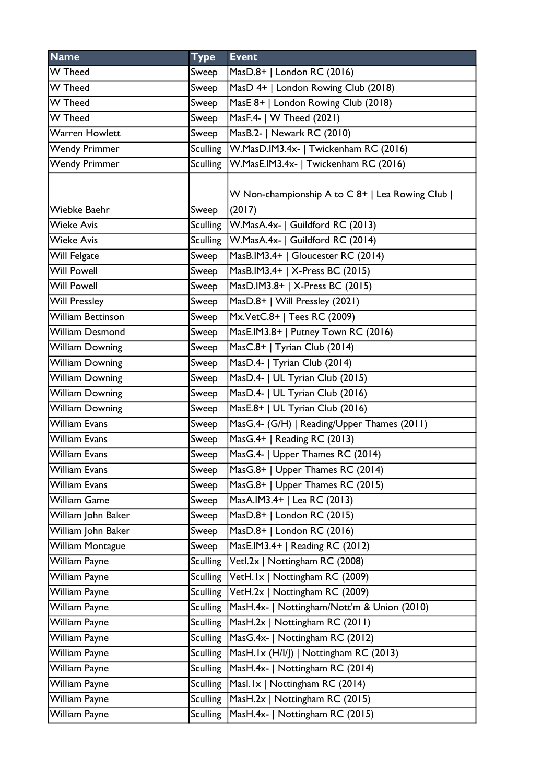| <b>Name</b>                   | <b>Type</b>     | <b>Event</b>                                               |
|-------------------------------|-----------------|------------------------------------------------------------|
| W Theed                       | Sweep           | MasD.8+   London RC (2016)                                 |
| <b>W</b> Theed                | Sweep           | MasD 4+   London Rowing Club (2018)                        |
| <b>W</b> Theed                | Sweep           | MasE 8+   London Rowing Club (2018)                        |
| $\overline{\mathsf{W}}$ Theed | Sweep           | MasF.4-   W Theed (2021)                                   |
| <b>Warren Howlett</b>         | Sweep           | MasB.2-   Newark RC (2010)                                 |
| <b>Wendy Primmer</b>          | <b>Sculling</b> | W.MasD.IM3.4x-   Twickenham RC (2016)                      |
| <b>Wendy Primmer</b>          | <b>Sculling</b> | W.MasE.IM3.4x-   Twickenham RC (2016)                      |
| Wiebke Baehr                  | Sweep           | W Non-championship A to C 8+   Lea Rowing Club  <br>(2017) |
| <b>Wieke Avis</b>             | <b>Sculling</b> | W.MasA.4x-   Guildford RC (2013)                           |
| <b>Wieke Avis</b>             | <b>Sculling</b> | W.MasA.4x-   Guildford RC (2014)                           |
| Will Felgate                  | Sweep           | MasB.IM3.4+   Gloucester RC (2014)                         |
| <b>Will Powell</b>            | Sweep           | MasB.IM3.4+   X-Press BC (2015)                            |
| <b>Will Powell</b>            | Sweep           | MasD.IM3.8+   X-Press BC (2015)                            |
| <b>Will Pressley</b>          | Sweep           | MasD.8+   Will Pressley (2021)                             |
| <b>William Bettinson</b>      | Sweep           | Mx.VetC.8+   Tees RC (2009)                                |
| <b>William Desmond</b>        | Sweep           | MasE.IM3.8+   Putney Town RC (2016)                        |
| <b>William Downing</b>        | Sweep           | MasC.8+   Tyrian Club (2014)                               |
| <b>William Downing</b>        | Sweep           | MasD.4-   Tyrian Club (2014)                               |
| <b>William Downing</b>        | Sweep           | MasD.4-   UL Tyrian Club (2015)                            |
| <b>William Downing</b>        | Sweep           | MasD.4-   UL Tyrian Club (2016)                            |
| <b>William Downing</b>        | Sweep           | MasE.8+   UL Tyrian Club (2016)                            |
| <b>William Evans</b>          | Sweep           | MasG.4- (G/H)   Reading/Upper Thames (2011)                |
| <b>William Evans</b>          | Sweep           | MasG.4+   Reading RC (2013)                                |
| <b>William Evans</b>          | Sweep           | MasG.4-   Upper Thames RC (2014)                           |
| <b>William Evans</b>          | Sweep           | MasG.8+   Upper Thames RC (2014)                           |
| William Evans                 | Sweep           | MasG.8+   Upper Thames RC (2015)                           |
| <b>William Game</b>           | Sweep           | MasA.IM3.4+   Lea RC (2013)                                |
| William John Baker            | Sweep           | MasD.8+   London RC (2015)                                 |
| William John Baker            | Sweep           | MasD.8+   London RC (2016)                                 |
| <b>William Montague</b>       | Sweep           | MasE.IM3.4+   Reading RC (2012)                            |
| William Payne                 | <b>Sculling</b> | Vetl.2x   Nottingham RC (2008)                             |
| William Payne                 | <b>Sculling</b> | VetH.1x   Nottingham RC (2009)                             |
| William Payne                 | Sculling        | VetH.2x   Nottingham RC (2009)                             |
| William Payne                 | <b>Sculling</b> | MasH.4x-   Nottingham/Nott'm & Union (2010)                |
| William Payne                 | <b>Sculling</b> | MasH.2x   Nottingham RC (2011)                             |
| William Payne                 | <b>Sculling</b> | MasG.4x-   Nottingham RC (2012)                            |
| William Payne                 | <b>Sculling</b> | MasH.Ix (H/I/J)   Nottingham RC (2013)                     |
| William Payne                 | <b>Sculling</b> | MasH.4x-   Nottingham RC (2014)                            |
| William Payne                 | <b>Sculling</b> | Masl.1x   Nottingham RC (2014)                             |
| William Payne                 | <b>Sculling</b> | MasH.2x   Nottingham RC (2015)                             |
| William Payne                 | <b>Sculling</b> | MasH.4x-   Nottingham RC (2015)                            |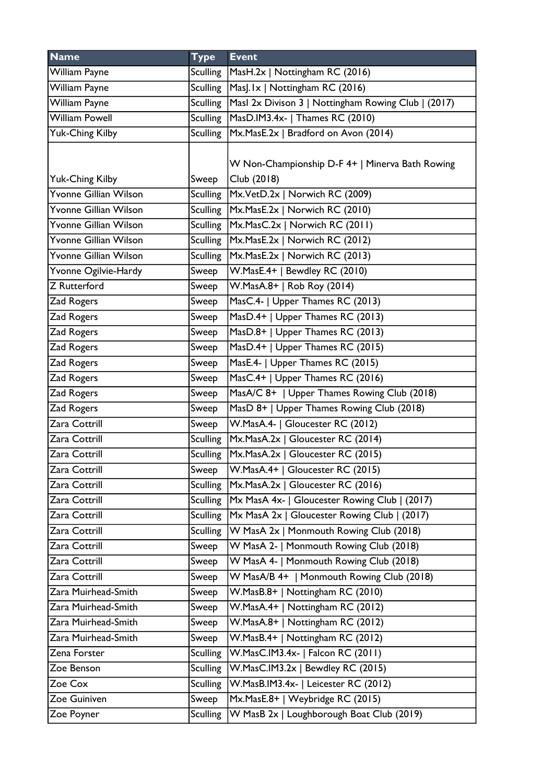| <b>Name</b>            | <b>Type</b>     | <b>Event</b>                                        |
|------------------------|-----------------|-----------------------------------------------------|
| William Payne          | Sculling        | MasH.2x   Nottingham RC (2016)                      |
| William Payne          |                 | Sculling   Mas   . Ix   Notting ham RC (2016)       |
| William Payne          | Sculling        | Masl 2x Divison 3   Nottingham Rowing Club   (2017) |
| <b>William Powell</b>  | <b>Sculling</b> | MasD.IM3.4x-   Thames RC (2010)                     |
| <b>Yuk-Ching Kilby</b> | Sculling        | Mx.MasE.2x   Bradford on Avon (2014)                |
|                        |                 |                                                     |
|                        |                 | W Non-Championship D-F 4+   Minerva Bath Rowing     |
| <b>Yuk-Ching Kilby</b> | Sweep           | Club (2018)                                         |
| Yvonne Gillian Wilson  |                 | Sculling   Mx. Vet D. 2x   Norwich RC (2009)        |
| Yvonne Gillian Wilson  |                 | Sculling   Mx. Mas E. 2x   Norwich RC (2010)        |
| Yvonne Gillian Wilson  |                 | Sculling   Mx. Mas C. 2x   Norwich RC (2011)        |
| Yvonne Gillian Wilson  | <b>Sculling</b> | Mx.MasE.2x   Norwich RC (2012)                      |
| Yvonne Gillian Wilson  |                 | Sculling   Mx. Mas E. 2x   Norwich RC (2013)        |
| Yvonne Ogilvie-Hardy   | Sweep           | W.MasE.4+   Bewdley RC (2010)                       |
| <b>Z</b> Rutterford    | Sweep           | W.MasA.8+   Rob Roy (2014)                          |
| Zad Rogers             | Sweep           | MasC.4-   Upper Thames RC (2013)                    |
| Zad Rogers             | Sweep           | MasD.4+   Upper Thames RC (2013)                    |
| Zad Rogers             | Sweep           | MasD.8+   Upper Thames RC (2013)                    |
| Zad Rogers             | Sweep           | MasD.4+   Upper Thames RC (2015)                    |
| Zad Rogers             | Sweep           | MasE.4-   Upper Thames RC (2015)                    |
| Zad Rogers             | Sweep           | MasC.4+   Upper Thames RC (2016)                    |
| Zad Rogers             | Sweep           | MasA/C 8+   Upper Thames Rowing Club (2018)         |
| Zad Rogers             | Sweep           | MasD 8+   Upper Thames Rowing Club (2018)           |
| Zara Cottrill          | Sweep           | W.MasA.4-   Gloucester RC (2012)                    |
| Zara Cottrill          | <b>Sculling</b> | Mx.MasA.2x   Gloucester RC (2014)                   |
| Zara Cottrill          | Sculling        | Mx.MasA.2x   Gloucester RC (2015)                   |
| Zara Cottrill          | Sweep           | W.MasA.4+   Gloucester RC (2015)                    |
| Zara Cottrill          | <b>Sculling</b> | Mx.MasA.2x   Gloucester RC (2016)                   |
| Zara Cottrill          | <b>Sculling</b> | Mx MasA 4x-   Gloucester Rowing Club   (2017)       |
| Zara Cottrill          | <b>Sculling</b> | Mx MasA 2x   Gloucester Rowing Club   (2017)        |
| Zara Cottrill          | <b>Sculling</b> | W MasA 2x   Monmouth Rowing Club (2018)             |
| Zara Cottrill          | Sweep           | W MasA 2-   Monmouth Rowing Club (2018)             |
| Zara Cottrill          | Sweep           | W MasA 4-   Monmouth Rowing Club (2018)             |
| Zara Cottrill          | Sweep           | W MasA/B 4+   Monmouth Rowing Club (2018)           |
| Zara Muirhead-Smith    | Sweep           | W.MasB.8+   Nottingham RC (2010)                    |
| Zara Muirhead-Smith    | Sweep           | W.MasA.4+   Nottingham RC (2012)                    |
| Zara Muirhead-Smith    | Sweep           | W.MasA.8+   Nottingham RC (2012)                    |
| Zara Muirhead-Smith    | Sweep           | W.MasB.4+   Nottingham RC (2012)                    |
| Zena Forster           | <b>Sculling</b> | W.MasC.IM3.4x-   Falcon RC (2011)                   |
| Zoe Benson             | <b>Sculling</b> | W.MasC.IM3.2x   Bewdley RC (2015)                   |
| Zoe Cox                | <b>Sculling</b> | W.MasB.IM3.4x-   Leicester RC (2012)                |
| Zoe Guiniven           | Sweep           | Mx.MasE.8+   Weybridge RC (2015)                    |
| Zoe Poyner             | <b>Sculling</b> | W MasB 2x   Loughborough Boat Club (2019)           |